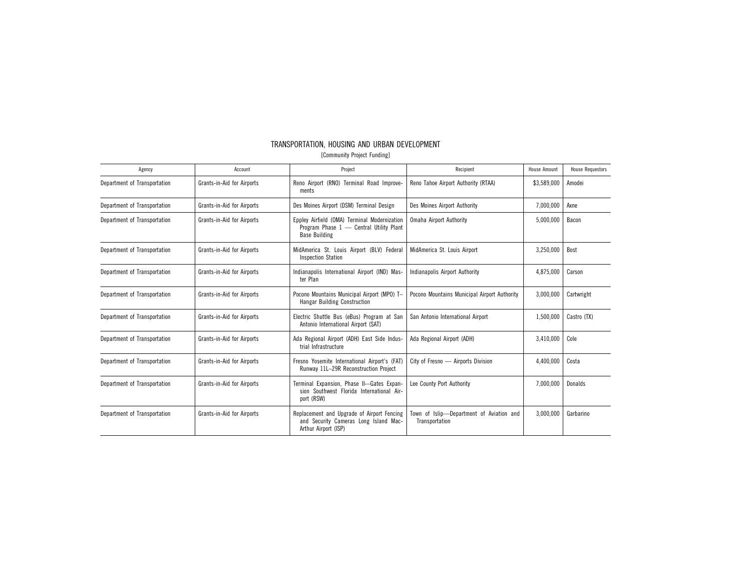# TRANSPORTATION, HOUSING AND URBAN DEVELOPMENT

[Community Project Funding]

| Agency                       | Account                    | Project                                                                                                         | Recipient                                                  | House Amount | <b>House Requestors</b> |
|------------------------------|----------------------------|-----------------------------------------------------------------------------------------------------------------|------------------------------------------------------------|--------------|-------------------------|
| Department of Transportation | Grants-in-Aid for Airports | Reno Airport (RNO) Terminal Road Improve-<br>ments                                                              | Reno Tahoe Airport Authority (RTAA)                        | \$3,589,000  | Amodei                  |
| Department of Transportation | Grants-in-Aid for Airports | Des Moines Airport (DSM) Terminal Design                                                                        | Des Moines Airport Authority                               | 7,000,000    | Axne                    |
| Department of Transportation | Grants-in-Aid for Airports | Eppley Airfield (OMA) Terminal Modernization<br>Program Phase 1 - Central Utility Plant<br><b>Base Building</b> | Omaha Airport Authority                                    | 5,000,000    | Bacon                   |
| Department of Transportation | Grants-in-Aid for Airports | MidAmerica St. Louis Airport (BLV) Federal<br><b>Inspection Station</b>                                         | MidAmerica St. Louis Airport                               | 3,250,000    | Bost                    |
| Department of Transportation | Grants-in-Aid for Airports | Indianapolis International Airport (IND) Mas-<br>ter Plan                                                       | Indianapolis Airport Authority                             | 4,875,000    | Carson                  |
| Department of Transportation | Grants-in-Aid for Airports | Pocono Mountains Municipal Airport (MPO) T-<br><b>Hangar Building Construction</b>                              | Pocono Mountains Municipal Airport Authority               | 3.000.000    | Cartwright              |
| Department of Transportation | Grants-in-Aid for Airports | Electric Shuttle Bus (eBus) Program at San<br>Antonio International Airport (SAT)                               | San Antonio International Airport                          | 1,500,000    | Castro (TX)             |
| Department of Transportation | Grants-in-Aid for Airports | Ada Regional Airport (ADH) East Side Indus-<br>trial Infrastructure                                             | Ada Regional Airport (ADH)                                 | 3,410,000    | Cole                    |
| Department of Transportation | Grants-in-Aid for Airports | Fresno Yosemite International Airport's (FAT)<br>Runway 11L-29R Reconstruction Project                          | City of Fresno - Airports Division                         | 4,400,000    | Costa                   |
| Department of Transportation | Grants-in-Aid for Airports | Terminal Expansion, Phase II--Gates Expan-<br>sion Southwest Florida International Air-<br>port (RSW)           | Lee County Port Authority                                  | 7,000,000    | Donalds                 |
| Department of Transportation | Grants-in-Aid for Airports | Replacement and Upgrade of Airport Fencing<br>and Security Cameras Long Island Mac-<br>Arthur Airport (ISP)     | Town of Islip-Department of Aviation and<br>Transportation | 3,000,000    | Garbarino               |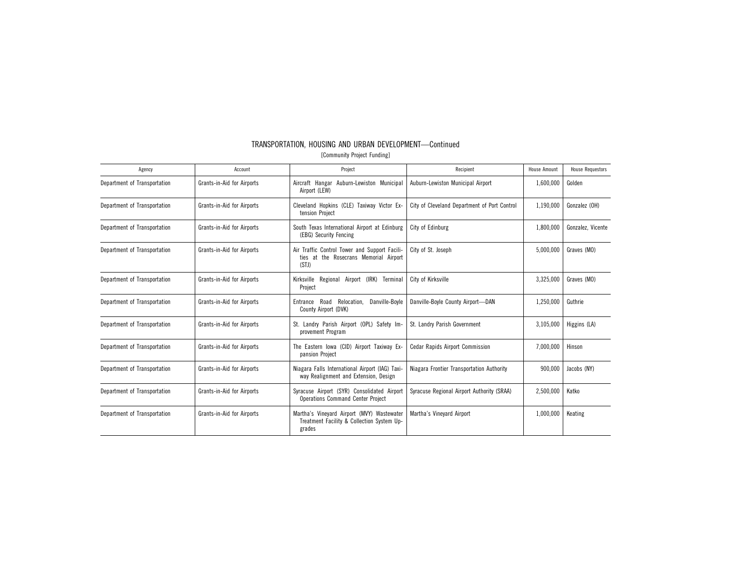| Agency                       | Account                    | Project                                                                                            | Recipient                                    | <b>House Amount</b> | <b>House Requestors</b> |
|------------------------------|----------------------------|----------------------------------------------------------------------------------------------------|----------------------------------------------|---------------------|-------------------------|
| Department of Transportation | Grants-in-Aid for Airports | Aircraft Hangar Auburn-Lewiston Municipa<br>Airport (LEW)                                          | Auburn-Lewiston Municipal Airport            | 1,600,000           | Golden                  |
| Department of Transportation | Grants-in-Aid for Airports | Cleveland Hopkins (CLE) Taxiway Victor Ex-<br>tension Project                                      | City of Cleveland Department of Port Control | 1,190,000           | Gonzalez (OH)           |
| Department of Transportation | Grants-in-Aid for Airports | South Texas International Airport at Edinburg<br>(EBG) Security Fencing                            | City of Edinburg                             | 1,800,000           | Gonzalez, Vicente       |
| Department of Transportation | Grants-in-Aid for Airports | Air Traffic Control Tower and Support Facili-<br>ties at the Rosecrans Memorial Airport<br>(STJ)   | City of St. Joseph                           | 5,000,000           | Graves (MO)             |
| Department of Transportation | Grants-in-Aid for Airports | Kirksville Regional Airport (IRK) Terminal<br>Project                                              | City of Kirksville                           | 3,325,000           | Graves (MO)             |
| Department of Transportation | Grants-in-Aid for Airports | Entrance Road Relocation.<br>Danville-Boyle<br>County Airport (DVK)                                | Danville-Boyle County Airport-DAN            | 1,250,000           | Guthrie                 |
| Department of Transportation | Grants-in-Aid for Airports | St. Landry Parish Airport (OPL) Safety Im-<br>provement Program                                    | St. Landry Parish Government                 | 3,105,000           | Higgins (LA)            |
| Department of Transportation | Grants-in-Aid for Airports | The Eastern Iowa (CID) Airport Taxiway Ex-<br>pansion Project                                      | <b>Cedar Rapids Airport Commission</b>       | 7,000,000           | Hinson                  |
| Department of Transportation | Grants-in-Aid for Airports | Niagara Falls International Airport (IAG) Taxi-<br>way Realignment and Extension, Design           | Niagara Frontier Transportation Authority    | 900,000             | Jacobs (NY)             |
| Department of Transportation | Grants-in-Aid for Airports | Syracuse Airport (SYR) Consolidated Airport<br><b>Operations Command Center Project</b>            | Syracuse Regional Airport Authority (SRAA)   | 2,500,000           | Katko                   |
| Department of Transportation | Grants-in-Aid for Airports | Martha's Vineyard Airport (MVY) Wastewater<br>Treatment Facility & Collection System Up-<br>grades | Martha's Vineyard Airport                    | 1,000,000           | Keating                 |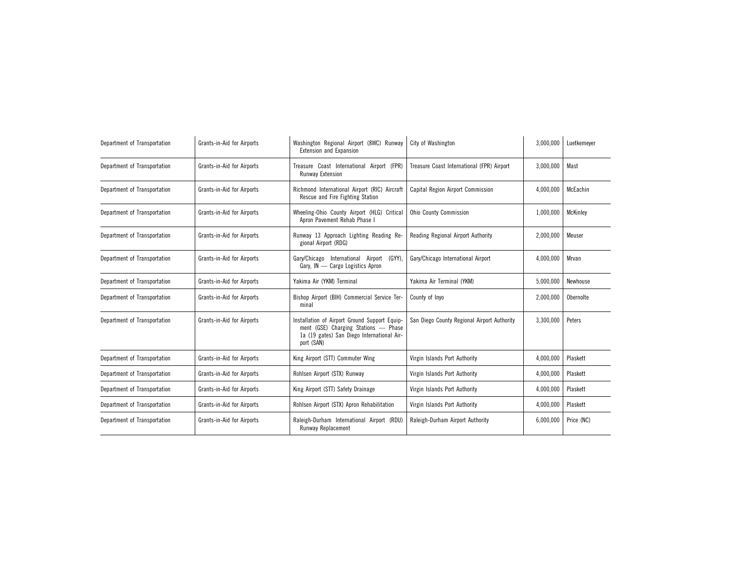| Department of Transportation | Grants-in-Aid for Airports | Washington Regional Airport (8WC) Runway<br>Extension and Expansion                                                                               | City of Washington                          | 3,000,000 | Luetkemeyer |
|------------------------------|----------------------------|---------------------------------------------------------------------------------------------------------------------------------------------------|---------------------------------------------|-----------|-------------|
| Department of Transportation | Grants-in-Aid for Airports | Treasure Coast International Airport (FPR)<br>Runway Extension                                                                                    | Treasure Coast International (FPR) Airport  | 3,000,000 | Mast        |
| Department of Transportation | Grants-in-Aid for Airports | Richmond International Airport (RIC) Aircraft<br>Rescue and Fire Fighting Station                                                                 | Capital Region Airport Commission           | 4,000,000 | McEachin    |
| Department of Transportation | Grants-in-Aid for Airports | Wheeling-Ohio County Airport (HLG) Critical<br>Apron Pavement Rehab Phase I                                                                       | <b>Ohio County Commission</b>               | 1,000,000 | McKinley    |
| Department of Transportation | Grants-in-Aid for Airports | Runway 13 Approach Lighting Reading Re-<br>gional Airport (RDG)                                                                                   | Reading Regional Airport Authority          | 2,000,000 | Meuser      |
| Department of Transportation | Grants-in-Aid for Airports | International<br>(GYY)<br>Gary/Chicago<br>Airport<br>Gary, IN - Cargo Logistics Apron                                                             | Gary/Chicago International Airport          | 4,000,000 | Mrvan       |
| Department of Transportation | Grants-in-Aid for Airports | Yakima Air (YKM) Terminal                                                                                                                         | Yakima Air Terminal (YKM)                   | 5,000,000 | Newhouse    |
| Department of Transportation | Grants-in-Aid for Airports | Bishop Airport (BIH) Commercial Service Ter-<br>minal                                                                                             | County of Invo                              | 2,000,000 | Obernolte   |
| Department of Transportation | Grants-in-Aid for Airports | Installation of Airport Ground Support Equip-<br>ment (GSE) Charging Stations - Phase<br>1a (19 gates) San Diego International Air-<br>port (SAN) | San Diego County Regional Airport Authority | 3,300,000 | Peters      |
| Department of Transportation | Grants-in-Aid for Airports | King Airport (STT) Commuter Wing                                                                                                                  | Virgin Islands Port Authority               | 4,000,000 | Plaskett    |
| Department of Transportation | Grants-in-Aid for Airports | Rohlsen Airport (STX) Runway                                                                                                                      | Virgin Islands Port Authority               | 4,000,000 | Plaskett    |
| Department of Transportation | Grants-in-Aid for Airports | King Airport (STT) Safety Drainage                                                                                                                | Virgin Islands Port Authority               | 4,000,000 | Plaskett    |
| Department of Transportation | Grants-in-Aid for Airports | Rohlsen Airport (STX) Apron Rehabilitation                                                                                                        | Virgin Islands Port Authority               | 4,000,000 | Plaskett    |
| Department of Transportation | Grants-in-Aid for Airports | Raleigh-Durham International Airport (RDU)<br>Runway Replacement                                                                                  | Raleigh-Durham Airport Authority            | 6,000,000 | Price (NC)  |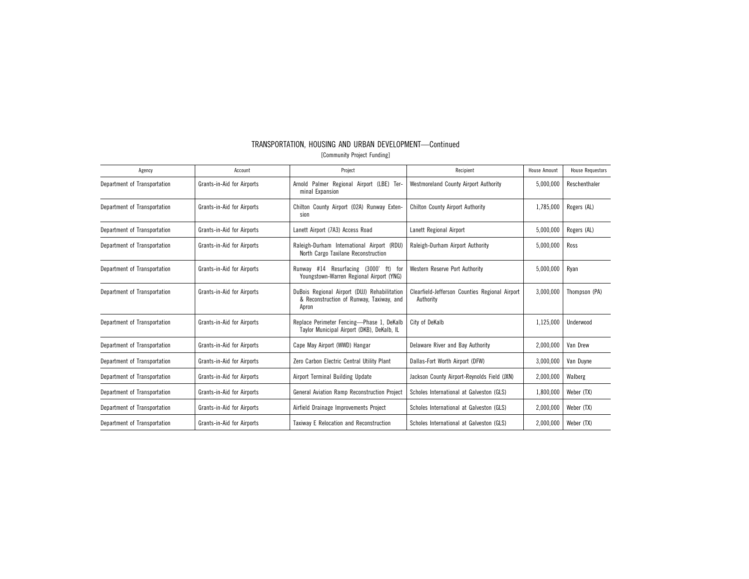| Agency                       | Account                    | Project                                                                                           | Recipient                                                   | <b>House Amount</b> | <b>House Requestors</b> |
|------------------------------|----------------------------|---------------------------------------------------------------------------------------------------|-------------------------------------------------------------|---------------------|-------------------------|
| Department of Transportation | Grants-in-Aid for Airports | Arnold Palmer Regional Airport (LBE) Ter-<br>minal Expansion                                      | Westmoreland County Airport Authority                       | 5,000,000           | Reschenthaler           |
| Department of Transportation | Grants-in-Aid for Airports | Chilton County Airport (02A) Runway Exten-<br>sion                                                | <b>Chilton County Airport Authority</b>                     | 1,785,000           | Rogers (AL)             |
| Department of Transportation | Grants-in-Aid for Airports | Lanett Airport (7A3) Access Road                                                                  | Lanett Regional Airport                                     | 5,000,000           | Rogers (AL)             |
| Department of Transportation | Grants-in-Aid for Airports | Raleigh-Durham International Airport (RDU)<br>North Cargo Taxilane Reconstruction                 | Raleigh-Durham Airport Authority                            | 5,000,000           | Ross                    |
| Department of Transportation | Grants-in-Aid for Airports | Runway #14 Resurfacing (3000' ft) for<br>Youngstown-Warren Regional Airport (YNG)                 | <b>Western Reserve Port Authority</b>                       | 5,000,000           | Ryan                    |
| Department of Transportation | Grants-in-Aid for Airports | DuBois Regional Airport (DUJ) Rehabilitation<br>& Reconstruction of Runway, Taxiway, and<br>Apron | Clearfield-Jefferson Counties Regional Airport<br>Authority | 3,000,000           | Thompson (PA)           |
| Department of Transportation | Grants-in-Aid for Airports | Replace Perimeter Fencing-Phase 1, DeKalb<br>Taylor Municipal Airport (DKB), DeKalb, IL           | City of DeKalb                                              | 1,125,000           | Underwood               |
| Department of Transportation | Grants-in-Aid for Airports | Cape May Airport (WWD) Hangar                                                                     | Delaware River and Bay Authority                            | 2,000,000           | Van Drew                |
| Department of Transportation | Grants-in-Aid for Airports | Zero Carbon Electric Central Utility Plant                                                        | Dallas-Fort Worth Airport (DFW)                             | 3,000,000           | Van Duyne               |
| Department of Transportation | Grants-in-Aid for Airports | Airport Terminal Building Update                                                                  | Jackson County Airport-Reynolds Field (JXN)                 | 2,000,000           | Walberg                 |
| Department of Transportation | Grants-in-Aid for Airports | General Aviation Ramp Reconstruction Project                                                      | Scholes International at Galveston (GLS)                    | 1,800,000           | Weber (TX)              |
| Department of Transportation | Grants-in-Aid for Airports | Airfield Drainage Improvements Project                                                            | Scholes International at Galveston (GLS)                    | 2,000,000           | Weber (TX)              |
| Department of Transportation | Grants-in-Aid for Airports | Taxiway E Relocation and Reconstruction                                                           | Scholes International at Galveston (GLS)                    | 2,000,000           | Weber (TX)              |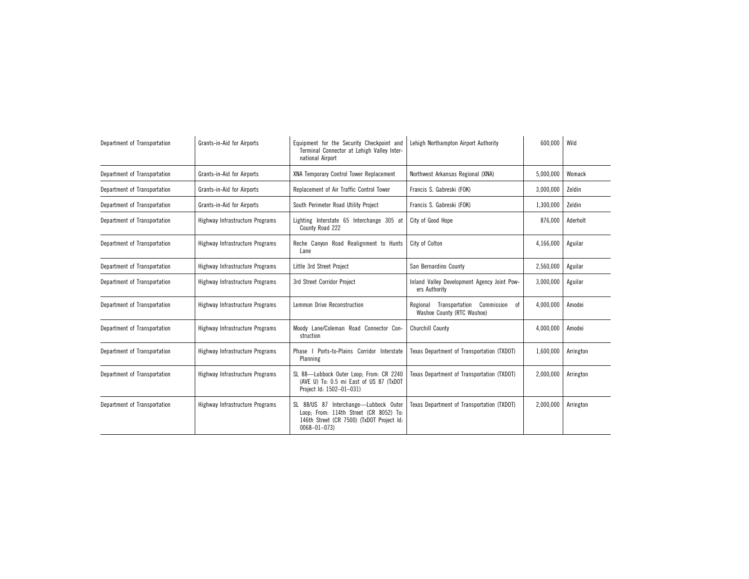| Department of Transportation | Grants-in-Aid for Airports      | Equipment for the Security Checkpoint and<br>Terminal Connector at Lehigh Valley Inter-<br>national Airport                                       | Lehigh Northampton Airport Authority                                         | 600,000   | Wild      |
|------------------------------|---------------------------------|---------------------------------------------------------------------------------------------------------------------------------------------------|------------------------------------------------------------------------------|-----------|-----------|
| Department of Transportation | Grants-in-Aid for Airports      | XNA Temporary Control Tower Replacement                                                                                                           | Northwest Arkansas Regional (XNA)                                            | 5,000,000 | Womack    |
| Department of Transportation | Grants-in-Aid for Airports      | Replacement of Air Traffic Control Tower                                                                                                          | Francis S. Gabreski (FOK)                                                    | 3,000,000 | Zeldin    |
| Department of Transportation | Grants-in-Aid for Airports      | South Perimeter Road Utility Project                                                                                                              | Francis S. Gabreski (FOK)                                                    | 1,300,000 | Zeldin    |
| Department of Transportation | Highway Infrastructure Programs | Lighting Interstate 65 Interchange 305 at<br>County Road 222                                                                                      | City of Good Hope                                                            | 876,000   | Aderholt  |
| Department of Transportation | Highway Infrastructure Programs | Reche Canyon Road Realignment to Hunts<br>Lane                                                                                                    | City of Colton                                                               | 4,166,000 | Aguilar   |
| Department of Transportation | Highway Infrastructure Programs | Little 3rd Street Project                                                                                                                         | San Bernardino County                                                        | 2,560,000 | Aguilar   |
| Department of Transportation | Highway Infrastructure Programs | 3rd Street Corridor Project                                                                                                                       | Inland Valley Development Agency Joint Pow-<br>ers Authority                 | 3,000,000 | Aguilar   |
| Department of Transportation | Highway Infrastructure Programs | Lemmon Drive Reconstruction                                                                                                                       | Transportation<br>Commission<br>0f<br>Regional<br>Washoe County (RTC Washoe) | 4,000,000 | Amodei    |
| Department of Transportation | Highway Infrastructure Programs | Moody Lane/Coleman Road Connector Con-<br>struction                                                                                               | <b>Churchill County</b>                                                      | 4,000,000 | Amodei    |
| Department of Transportation | Highway Infrastructure Programs | Phase I Ports-to-Plains Corridor Interstate<br>Planning                                                                                           | Texas Department of Transportation (TXDOT)                                   | 1,600,000 | Arrington |
| Department of Transportation | Highway Infrastructure Programs | SL 88-Lubbock Outer Loop; From: CR 2240<br>(AVE U) To: 0.5 mi East of US 87 (TxDOT<br>Project Id: 1502-01-031)                                    | Texas Department of Transportation (TXDOT)                                   | 2,000,000 | Arrington |
| Department of Transportation | Highway Infrastructure Programs | SL 88/US 87 Interchange-Lubbock Outer<br>Loop; From: 114th Street (CR 8052) To:<br>146th Street (CR 7500) (TxDOT Project Id:<br>$0068 - 01 - 073$ | Texas Department of Transportation (TXDOT)                                   | 2,000,000 | Arrington |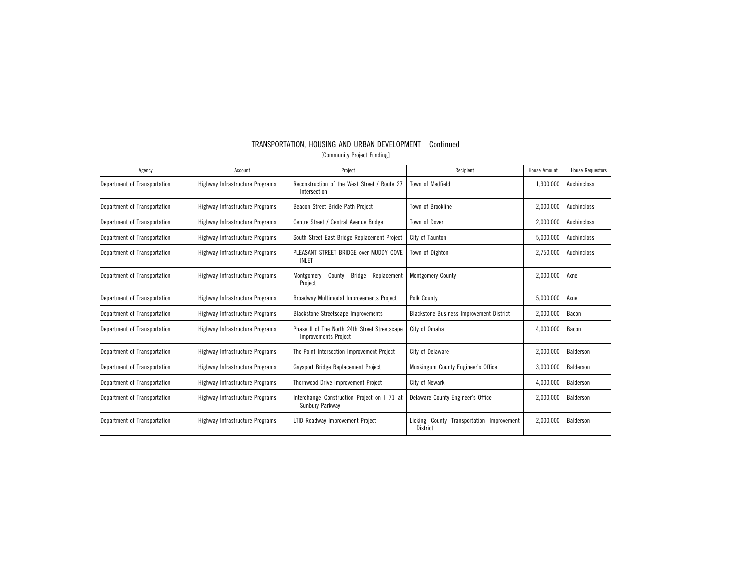| Agency                       | Account                         | Project                                                                      | Recipient                                                | House Amount | <b>House Requestors</b> |
|------------------------------|---------------------------------|------------------------------------------------------------------------------|----------------------------------------------------------|--------------|-------------------------|
| Department of Transportation | Highway Infrastructure Programs | Reconstruction of the West Street / Route 27<br>Intersection                 | Town of Medfield                                         | 1,300,000    | Auchincloss             |
| Department of Transportation | Highway Infrastructure Programs | Beacon Street Bridle Path Project                                            | Town of Brookline                                        | 2,000,000    | Auchincloss             |
| Department of Transportation | Highway Infrastructure Programs | Centre Street / Central Avenue Bridge                                        | Town of Dover                                            | 2,000,000    | Auchincloss             |
| Department of Transportation | Highway Infrastructure Programs | South Street East Bridge Replacement Project                                 | City of Taunton                                          | 5,000,000    | Auchincloss             |
| Department of Transportation | Highway Infrastructure Programs | PLEASANT STREET BRIDGE over MUDDY COVE<br><b>INLET</b>                       | Town of Dighton                                          | 2,750,000    | Auchincloss             |
| Department of Transportation | Highway Infrastructure Programs | Replacement<br>Montgomery<br>County<br><b>Bridge</b><br>Project              | <b>Montgomery County</b>                                 | 2,000,000    | Axne                    |
| Department of Transportation | Highway Infrastructure Programs | Broadway Multimodal Improvements Project                                     | Polk County                                              | 5,000,000    | Axne                    |
| Department of Transportation | Highway Infrastructure Programs | <b>Blackstone Streetscape Improvements</b>                                   | <b>Blackstone Business Improvement District</b>          | 2,000,000    | Bacon                   |
| Department of Transportation | Highway Infrastructure Programs | Phase II of The North 24th Street Streetscape<br><b>Improvements Project</b> | City of Omaha                                            | 4,000,000    | Bacon                   |
| Department of Transportation | Highway Infrastructure Programs | The Point Intersection Improvement Project                                   | City of Delaware                                         | 2,000,000    | Balderson               |
| Department of Transportation | Highway Infrastructure Programs | Gaysport Bridge Replacement Project                                          | Muskingum County Engineer's Office                       | 3,000,000    | Balderson               |
| Department of Transportation | Highway Infrastructure Programs | Thornwood Drive Improvement Project                                          | City of Newark                                           | 4,000,000    | Balderson               |
| Department of Transportation | Highway Infrastructure Programs | Interchange Construction Project on I-71 at<br>Sunbury Parkway               | Delaware County Engineer's Office                        | 2,000,000    | Balderson               |
| Department of Transportation | Highway Infrastructure Programs | LTID Roadway Improvement Project                                             | Licking County<br>Transportation Improvement<br>District | 2,000,000    | Balderson               |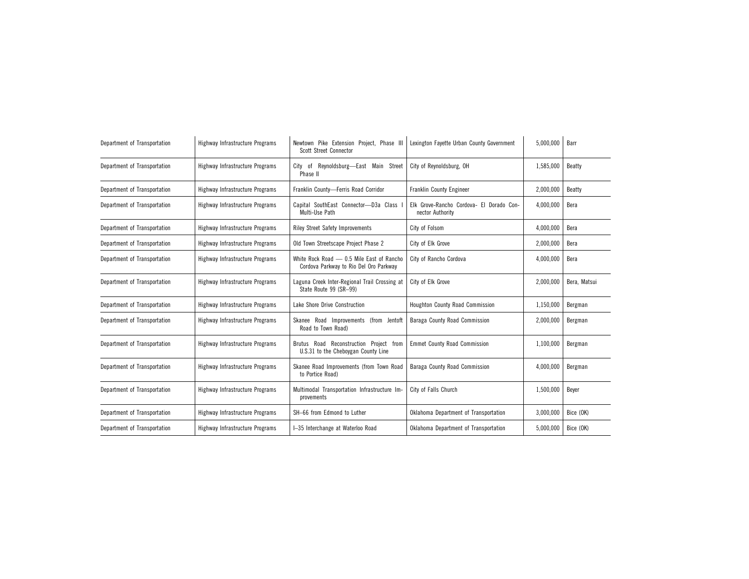| Department of Transportation | Highway Infrastructure Programs | Newtown Pike Extension Project, Phase III<br>Scott Street Connector                 | Lexington Fayette Urban County Government                    | 5,000,000 | Barr         |
|------------------------------|---------------------------------|-------------------------------------------------------------------------------------|--------------------------------------------------------------|-----------|--------------|
| Department of Transportation | Highway Infrastructure Programs | City of Reynoldsburg-East Main Street<br>Phase II                                   | City of Reynoldsburg, OH                                     | 1,585,000 | Beatty       |
| Department of Transportation | Highway Infrastructure Programs | Franklin County-Ferris Road Corridor                                                | <b>Franklin County Engineer</b>                              | 2,000,000 | Beatty       |
| Department of Transportation | Highway Infrastructure Programs | Capital SouthEast Connector-D3a Class<br>Multi-Use Path                             | Elk Grove-Rancho Cordova- El Dorado Con-<br>nector Authority | 4,000,000 | Bera         |
| Department of Transportation | Highway Infrastructure Programs | <b>Riley Street Safety Improvements</b>                                             | City of Folsom                                               | 4,000,000 | Bera         |
| Department of Transportation | Highway Infrastructure Programs | Old Town Streetscape Project Phase 2                                                | City of Elk Grove                                            | 2,000,000 | Bera         |
| Department of Transportation | Highway Infrastructure Programs | White Rock Road - 0.5 Mile East of Rancho<br>Cordova Parkway to Rio Del Oro Parkway | City of Rancho Cordova                                       | 4,000,000 | Bera         |
| Department of Transportation | Highway Infrastructure Programs | Laguna Creek Inter-Regional Trail Crossing at<br>State Route 99 (SR-99)             | City of Elk Grove                                            | 2,000,000 | Bera, Matsui |
| Department of Transportation | Highway Infrastructure Programs | Lake Shore Drive Construction                                                       | Houghton County Road Commission                              | 1,150,000 | Bergman      |
| Department of Transportation | Highway Infrastructure Programs | Skanee Road Improvements (from Jentoft<br>Road to Town Road)                        | Baraga County Road Commission                                | 2,000,000 | Bergman      |
| Department of Transportation | Highway Infrastructure Programs | Brutus Road Reconstruction Project from<br>U.S.31 to the Cheboygan County Line      | <b>Emmet County Road Commission</b>                          | 1,100,000 | Bergman      |
| Department of Transportation | Highway Infrastructure Programs | Skanee Road Improvements (from Town Road<br>to Portice Road)                        | Baraga County Road Commission                                | 4,000,000 | Bergman      |
| Department of Transportation | Highway Infrastructure Programs | Multimodal Transportation Infrastructure Im-<br>provements                          | City of Falls Church                                         | 1,500,000 | Beyer        |
| Department of Transportation | Highway Infrastructure Programs | SH-66 from Edmond to Luther                                                         | Oklahoma Department of Transportation                        | 3,000,000 | Bice (OK)    |
| Department of Transportation | Highway Infrastructure Programs | I-35 Interchange at Waterloo Road                                                   | Oklahoma Department of Transportation                        | 5,000,000 | Bice (OK)    |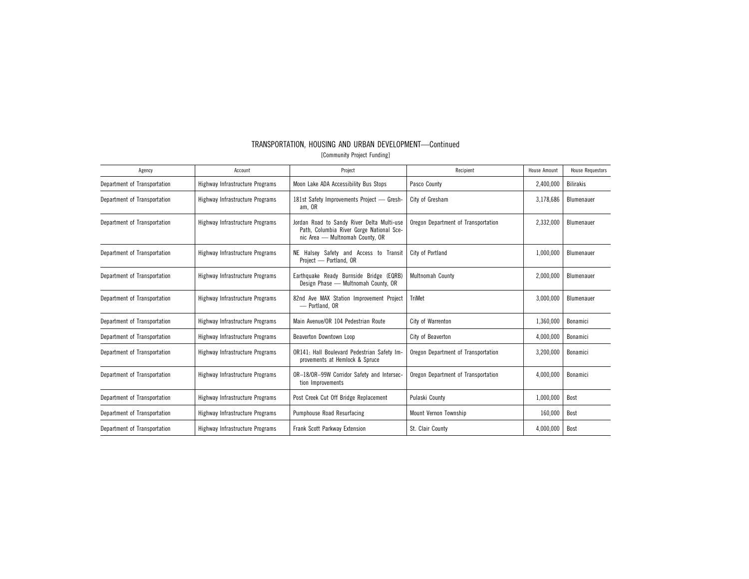| Agency                       | Account                         | Project                                                                                                                   | Recipient                           | <b>House Amount</b> | <b>House Requestors</b> |
|------------------------------|---------------------------------|---------------------------------------------------------------------------------------------------------------------------|-------------------------------------|---------------------|-------------------------|
| Department of Transportation | Highway Infrastructure Programs | Moon Lake ADA Accessibility Bus Stops                                                                                     | Pasco County                        | 2,400,000           | <b>Bilirakis</b>        |
| Department of Transportation | Highway Infrastructure Programs | 181st Safety Improvements Project - Gresh-<br>am, OR                                                                      | City of Gresham                     | 3,178,686           | Blumenauer              |
| Department of Transportation | Highway Infrastructure Programs | Jordan Road to Sandy River Delta Multi-use<br>Path, Columbia River Gorge National Sce-<br>nic Area - Multnomah County, OR | Oregon Department of Transportation | 2,332,000           | Blumenauer              |
| Department of Transportation | Highway Infrastructure Programs | NE Halsey Safety and Access to Transit<br>Project - Portland, OR                                                          | City of Portland                    | 1,000,000           | Blumenauer              |
| Department of Transportation | Highway Infrastructure Programs | Earthquake Ready Burnside Bridge (EQRB)<br>Design Phase - Multnomah County, OR                                            | Multnomah County                    | 2,000,000           | Blumenauer              |
| Department of Transportation | Highway Infrastructure Programs | 82nd Ave MAX Station Improvement Project<br>- Portland, OR                                                                | <b>TriMet</b>                       | 3,000,000           | Blumenauer              |
| Department of Transportation | Highway Infrastructure Programs | Main Avenue/OR 104 Pedestrian Route                                                                                       | City of Warrenton                   | 1,360,000           | Bonamici                |
| Department of Transportation | Highway Infrastructure Programs | Beaverton Downtown Loop                                                                                                   | City of Beaverton                   | 4,000,000           | Bonamici                |
| Department of Transportation | Highway Infrastructure Programs | OR141: Hall Boulevard Pedestrian Safety Im-<br>provements at Hemlock & Spruce                                             | Oregon Department of Transportation | 3,200,000           | Bonamici                |
| Department of Transportation | Highway Infrastructure Programs | OR-18/OR-99W Corridor Safety and Intersec-<br>tion Improvements                                                           | Oregon Department of Transportation | 4,000,000           | Bonamici                |
| Department of Transportation | Highway Infrastructure Programs | Post Creek Cut Off Bridge Replacement                                                                                     | Pulaski County                      | 1,000,000           | Bost                    |
| Department of Transportation | Highway Infrastructure Programs | <b>Pumphouse Road Resurfacing</b>                                                                                         | Mount Vernon Township               | 160,000             | Bost                    |
| Department of Transportation | Highway Infrastructure Programs | Frank Scott Parkway Extension                                                                                             | St. Clair County                    | 4,000,000           | Bost                    |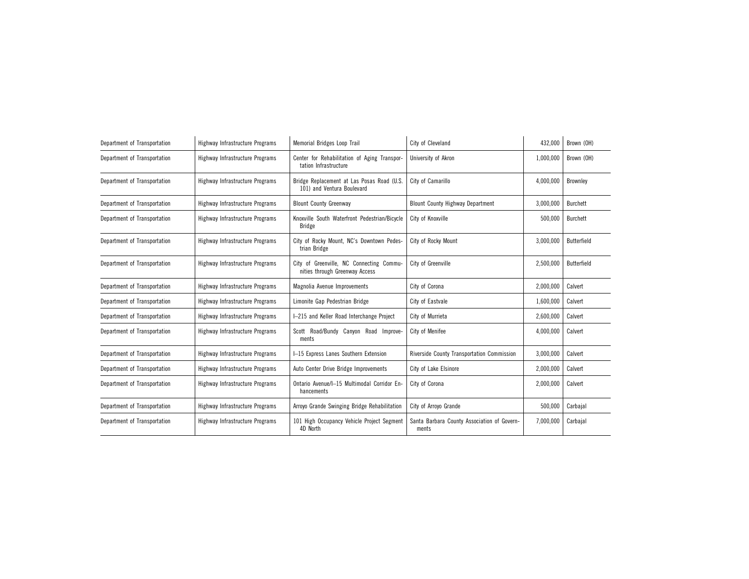| Department of Transportation | Highway Infrastructure Programs | Memorial Bridges Loop Trail                                                | City of Cleveland                                    | 432,000   | Brown (OH)         |
|------------------------------|---------------------------------|----------------------------------------------------------------------------|------------------------------------------------------|-----------|--------------------|
| Department of Transportation | Highway Infrastructure Programs | Center for Rehabilitation of Aging Transpor-<br>tation Infrastructure      | University of Akron                                  | 1,000,000 | Brown (OH)         |
| Department of Transportation | Highway Infrastructure Programs | Bridge Replacement at Las Posas Road (U.S.<br>101) and Ventura Boulevard   | City of Camarillo                                    | 4,000,000 | Brownley           |
| Department of Transportation | Highway Infrastructure Programs | <b>Blount County Greenway</b>                                              | <b>Blount County Highway Department</b>              | 3,000,000 | Burchett           |
| Department of Transportation | Highway Infrastructure Programs | Knoxville South Waterfront Pedestrian/Bicycle<br>Bridge                    | City of Knoxville                                    | 500,000   | <b>Burchett</b>    |
| Department of Transportation | Highway Infrastructure Programs | City of Rocky Mount, NC's Downtown Pedes-<br>trian Bridge                  | City of Rocky Mount                                  | 3,000,000 | Butterfield        |
| Department of Transportation | Highway Infrastructure Programs | City of Greenville, NC Connecting Commu-<br>nities through Greenway Access | City of Greenville                                   | 2,500,000 | <b>Butterfield</b> |
| Department of Transportation | Highway Infrastructure Programs | Magnolia Avenue Improvements                                               | City of Corona                                       | 2,000,000 | Calvert            |
| Department of Transportation | Highway Infrastructure Programs | Limonite Gap Pedestrian Bridge                                             | City of Eastvale                                     | 1,600,000 | Calvert            |
| Department of Transportation | Highway Infrastructure Programs | I-215 and Keller Road Interchange Project                                  | City of Murrieta                                     | 2,600,000 | Calvert            |
| Department of Transportation | Highway Infrastructure Programs | Scott Road/Bundy Canyon Road Improve-<br>ments                             | City of Menifee                                      | 4,000,000 | Calvert            |
| Department of Transportation | Highway Infrastructure Programs | I-15 Express Lanes Southern Extension                                      | Riverside County Transportation Commission           | 3,000,000 | Calvert            |
| Department of Transportation | Highway Infrastructure Programs | Auto Center Drive Bridge Improvements                                      | City of Lake Elsinore                                | 2,000,000 | Calvert            |
| Department of Transportation | Highway Infrastructure Programs | Ontario Avenue/I-15 Multimodal Corridor En-<br>hancements                  | City of Corona                                       | 2,000,000 | Calvert            |
| Department of Transportation | Highway Infrastructure Programs | Arroyo Grande Swinging Bridge Rehabilitation                               | City of Arroyo Grande                                | 500,000   | Carbajal           |
| Department of Transportation | Highway Infrastructure Programs | 101 High Occupancy Vehicle Project Segment<br>4D North                     | Santa Barbara County Association of Govern-<br>ments | 7,000,000 | Carbajal           |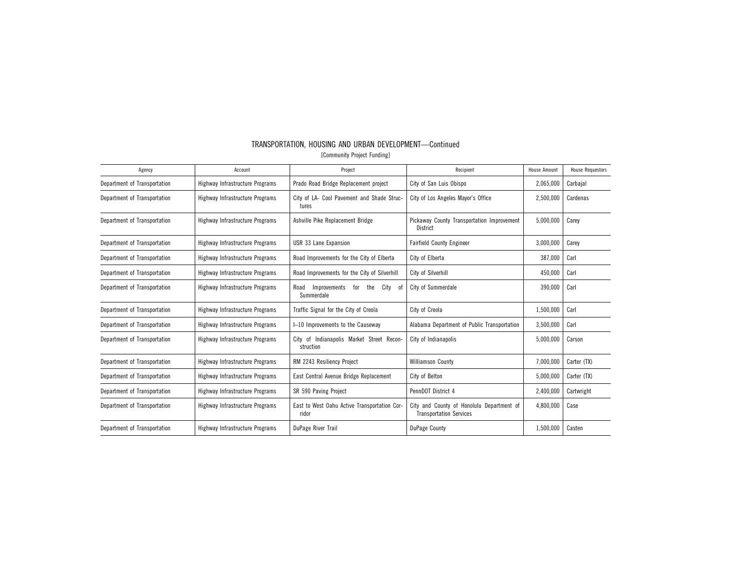| [Community Project Funding]  |                                 |                                                                 |                                                                             |                     |                         |
|------------------------------|---------------------------------|-----------------------------------------------------------------|-----------------------------------------------------------------------------|---------------------|-------------------------|
| Agency                       | Account                         | Project                                                         | Recipient                                                                   | <b>House Amount</b> | <b>House Requestors</b> |
| Department of Transportation | Highway Infrastructure Programs | Prado Road Bridge Replacement project                           | City of San Luis Obispo                                                     | 2,065,000           | Carbajal                |
| Department of Transportation | Highway Infrastructure Programs | City of LA- Cool Pavement and Shade Struc-<br>tures             | City of Los Angeles Mayor's Office                                          | 2,500,000           | Cardenas                |
| Department of Transportation | Highway Infrastructure Programs | Ashville Pike Replacement Bridge                                | Pickaway County Transportation Improvement<br>District                      | 5,000,000           | Carey                   |
| Department of Transportation | Highway Infrastructure Programs | USR 33 Lane Expansion                                           | <b>Fairfield County Engineer</b>                                            | 3,000,000           | Carey                   |
| Department of Transportation | Highway Infrastructure Programs | Road Improvements for the City of Elberta                       | City of Elberta                                                             | 387,000             | Carl                    |
| Department of Transportation | Highway Infrastructure Programs | Road Improvements for the City of Silverhill                    | City of Silverhill                                                          | 450,000             | Carl                    |
| Department of Transportation | Highway Infrastructure Programs | Improvements<br>the<br>City<br>Road<br>for<br>.of<br>Summerdale | City of Summerdale                                                          | 390,000             | Carl                    |
| Department of Transportation | Highway Infrastructure Programs | Traffic Signal for the City of Creola                           | City of Creola                                                              | 1,500,000           | Carl                    |
| Department of Transportation | Highway Infrastructure Programs | I-10 Improvements to the Causeway                               | Alabama Department of Public Transportation                                 | 3,500,000           | Carl                    |
| Department of Transportation | Highway Infrastructure Programs | City of Indianapolis Market Street Recon-<br>struction          | City of Indianapolis                                                        | 5,000,000           | Carson                  |
| Department of Transportation | Highway Infrastructure Programs | RM 2243 Resiliency Project                                      | Williamson County                                                           | 7,000,000           | Carter (TX)             |
| Department of Transportation | Highway Infrastructure Programs | East Central Avenue Bridge Replacement                          | City of Belton                                                              | 5,000,000           | Carter (TX)             |
| Department of Transportation | Highway Infrastructure Programs | SR 590 Paving Project                                           | PennDOT District 4                                                          | 2,400,000           | Cartwright              |
| Department of Transportation | Highway Infrastructure Programs | East to West Oahu Active Transportation Cor-<br>ridor           | City and County of Honolulu Department of<br><b>Transportation Services</b> | 4,800,000           | Case                    |
| Department of Transportation | Highway Infrastructure Programs | DuPage River Trail                                              | DuPage County                                                               | 1,500,000           | Casten                  |
|                              |                                 |                                                                 |                                                                             |                     |                         |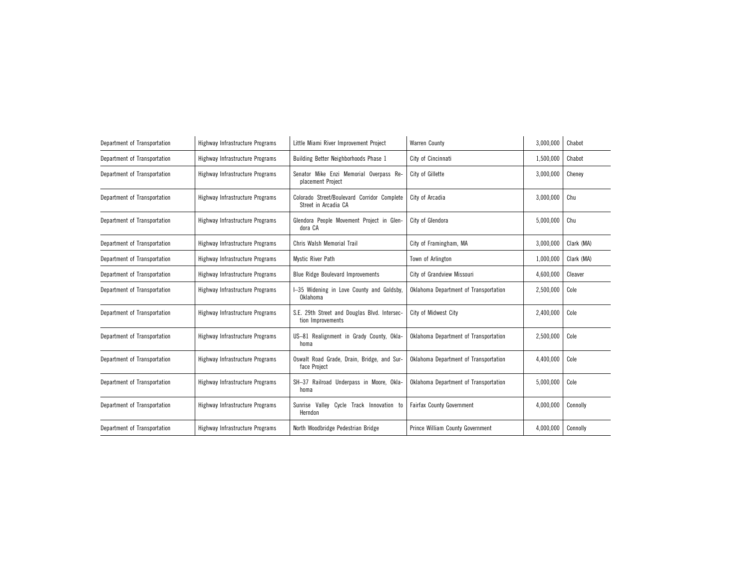| Department of Transportation | Highway Infrastructure Programs | Little Miami River Improvement Project                              | <b>Warren County</b>                  | 3,000,000 | Chabot     |
|------------------------------|---------------------------------|---------------------------------------------------------------------|---------------------------------------|-----------|------------|
| Department of Transportation | Highway Infrastructure Programs | Building Better Neighborhoods Phase 1                               | City of Cincinnati                    | 1,500,000 | Chabot     |
| Department of Transportation | Highway Infrastructure Programs | Senator Mike Enzi Memorial Overpass Re-<br>placement Project        | City of Gillette                      | 3,000,000 | Chenev     |
| Department of Transportation | Highway Infrastructure Programs | Colorado Street/Boulevard Corridor Complete<br>Street in Arcadia CA | City of Arcadia                       | 3,000,000 | Chu        |
| Department of Transportation | Highway Infrastructure Programs | Glendora People Movement Project in Glen-<br>dora CA                | City of Glendora                      | 5,000,000 | Chu        |
| Department of Transportation | Highway Infrastructure Programs | Chris Walsh Memorial Trail                                          | City of Framingham, MA                | 3,000,000 | Clark (MA) |
| Department of Transportation | Highway Infrastructure Programs | Mystic River Path                                                   | Town of Arlington                     | 1,000,000 | Clark (MA) |
| Department of Transportation | Highway Infrastructure Programs | <b>Blue Ridge Boulevard Improvements</b>                            | City of Grandview Missouri            | 4,600,000 | Cleaver    |
| Department of Transportation | Highway Infrastructure Programs | I-35 Widening in Love County and Goldsby<br>Oklahoma                | Oklahoma Department of Transportation | 2,500,000 | Cole       |
| Department of Transportation | Highway Infrastructure Programs | S.E. 29th Street and Douglas Blvd. Intersec-<br>tion Improvements   | City of Midwest City                  | 2,400,000 | Cole       |
| Department of Transportation | Highway Infrastructure Programs | US-81 Realignment in Grady County, Okla-<br>homa                    | Oklahoma Department of Transportation | 2,500,000 | Cole       |
| Department of Transportation | Highway Infrastructure Programs | Oswalt Road Grade, Drain, Bridge, and Sur-<br>face Project          | Oklahoma Department of Transportation | 4,400,000 | Cole       |
| Department of Transportation | Highway Infrastructure Programs | SH-37 Railroad Underpass in Moore, Okla-<br>homa                    | Oklahoma Department of Transportation | 5,000,000 | Cole       |
| Department of Transportation | Highway Infrastructure Programs | Sunrise Valley<br>Cycle Track Innovation to<br>Herndon              | <b>Fairfax County Government</b>      | 4,000,000 | Connolly   |
| Department of Transportation | Highway Infrastructure Programs | North Woodbridge Pedestrian Bridge                                  | Prince William County Government      | 4,000,000 | Connolly   |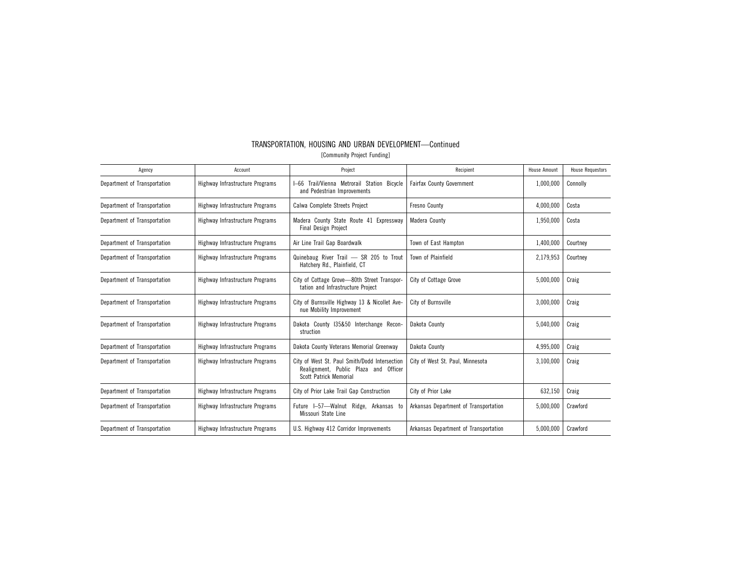| Agency                       | Account                         | Project                                                                                                                 | Recipient                             | <b>House Amount</b> | <b>House Requestors</b> |
|------------------------------|---------------------------------|-------------------------------------------------------------------------------------------------------------------------|---------------------------------------|---------------------|-------------------------|
| Department of Transportation | Highway Infrastructure Programs | I-66 Trail/Vienna Metrorail Station Bicycle<br>and Pedestrian Improvements                                              | <b>Fairfax County Government</b>      | 1,000,000           | Connolly                |
| Department of Transportation | Highway Infrastructure Programs | Calwa Complete Streets Project                                                                                          | <b>Fresno County</b>                  | 4,000,000           | Costa                   |
| Department of Transportation | Highway Infrastructure Programs | Madera County State Route 41 Expressway<br><b>Final Design Project</b>                                                  | Madera County                         | 1,950,000           | Costa                   |
| Department of Transportation | Highway Infrastructure Programs | Air Line Trail Gap Boardwalk                                                                                            | Town of East Hampton                  | 1,400,000           | Courtney                |
| Department of Transportation | Highway Infrastructure Programs | Quinebaug River Trail - SR 205 to Trout<br>Hatchery Rd., Plainfield, CT                                                 | Town of Plainfield                    | 2,179,953           | Courtney                |
| Department of Transportation | Highway Infrastructure Programs | City of Cottage Grove-80th Street Transpor-<br>tation and Infrastructure Project                                        | City of Cottage Grove                 | 5,000,000           | Craig                   |
| Department of Transportation | Highway Infrastructure Programs | City of Burnsville Highway 13 & Nicollet Ave-<br>nue Mobility Improvement                                               | City of Burnsville                    | 3,000,000           | Craig                   |
| Department of Transportation | Highway Infrastructure Programs | Dakota County 135&50 Interchange Recon-<br>struction                                                                    | Dakota County                         | 5,040,000           | Craig                   |
| Department of Transportation | Highway Infrastructure Programs | Dakota County Veterans Memorial Greenway                                                                                | Dakota County                         | 4,995,000           | Craig                   |
| Department of Transportation | Highway Infrastructure Programs | City of West St. Paul Smith/Dodd Intersection<br>Realignment, Public Plaza and Officer<br><b>Scott Patrick Memorial</b> | City of West St. Paul. Minnesota      | 3,100,000           | Craig                   |
| Department of Transportation | Highway Infrastructure Programs | City of Prior Lake Trail Gap Construction                                                                               | City of Prior Lake                    | 632,150             | Craig                   |
| Department of Transportation | Highway Infrastructure Programs | Future I-57-Walnut Ridge, Arkansas to<br>Missouri State Line                                                            | Arkansas Department of Transportation | 5,000,000           | Crawford                |
| Department of Transportation | Highway Infrastructure Programs | U.S. Highway 412 Corridor Improvements                                                                                  | Arkansas Department of Transportation | 5,000,000           | Crawford                |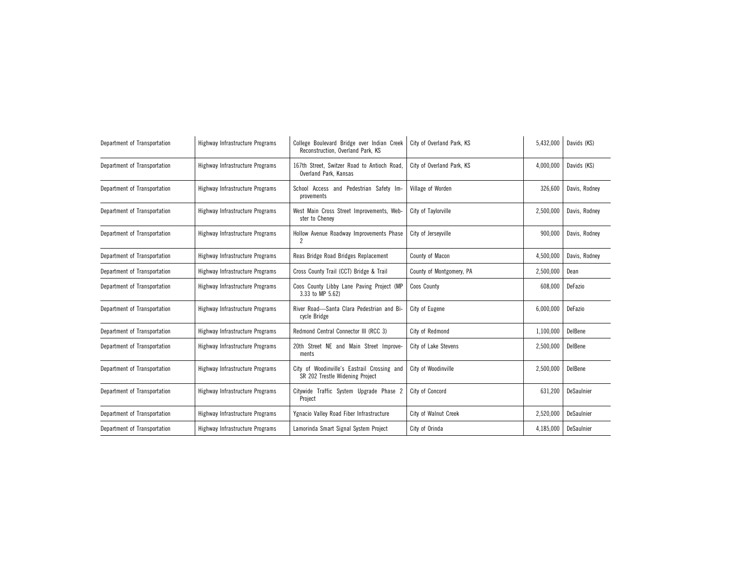| Department of Transportation | Highway Infrastructure Programs | College Boulevard Bridge over Indian Creek<br>Reconstruction, Overland Park, KS | City of Overland Park, KS | 5,432,000 | Davids (KS)   |
|------------------------------|---------------------------------|---------------------------------------------------------------------------------|---------------------------|-----------|---------------|
| Department of Transportation | Highway Infrastructure Programs | 167th Street, Switzer Road to Antioch Road,<br>Overland Park, Kansas            | City of Overland Park, KS | 4,000,000 | Davids (KS)   |
| Department of Transportation | Highway Infrastructure Programs | School Access and Pedestrian Safety Im-<br>provements                           | Village of Worden         | 326,600   | Davis, Rodney |
| Department of Transportation | Highway Infrastructure Programs | West Main Cross Street Improvements, Web-<br>ster to Cheney                     | City of Taylorville       | 2,500,000 | Davis, Rodney |
| Department of Transportation | Highway Infrastructure Programs | Hollow Avenue Roadway Improvements Phase<br>2                                   | City of Jerseyville       | 900,000   | Davis, Rodney |
| Department of Transportation | Highway Infrastructure Programs | Reas Bridge Road Bridges Replacement                                            | County of Macon           | 4,500,000 | Davis, Rodney |
| Department of Transportation | Highway Infrastructure Programs | Cross County Trail (CCT) Bridge & Trail                                         | County of Montgomery, PA  | 2,500,000 | Dean          |
| Department of Transportation | Highway Infrastructure Programs | Coos County Libby Lane Paving Project (MP<br>3.33 to MP 5.62)                   | <b>Coos County</b>        | 608,000   | DeFazio       |
| Department of Transportation | Highway Infrastructure Programs | River Road-Santa Clara Pedestrian and Bi-<br>cycle Bridge                       | City of Eugene            | 6,000,000 | DeFazio       |
| Department of Transportation | Highway Infrastructure Programs | Redmond Central Connector III (RCC 3)                                           | City of Redmond           | 1,100,000 | DelBene       |
| Department of Transportation | Highway Infrastructure Programs | 20th Street NE and Main Street Improve-<br>ments                                | City of Lake Stevens      | 2,500,000 | DelBene       |
| Department of Transportation | Highway Infrastructure Programs | City of Woodinville's Eastrail Crossing and<br>SR 202 Trestle Widening Project  | City of Woodinville       | 2,500,000 | DelBene       |
| Department of Transportation | Highway Infrastructure Programs | Citywide Traffic System Upgrade Phase 2<br>Project                              | City of Concord           | 631,200   | DeSaulnier    |
| Department of Transportation | Highway Infrastructure Programs | Ygnacio Valley Road Fiber Infrastructure                                        | City of Walnut Creek      | 2,520,000 | DeSaulnier    |
| Department of Transportation | Highway Infrastructure Programs | Lamorinda Smart Signal System Project                                           | City of Orinda            | 4,185,000 | DeSaulnier    |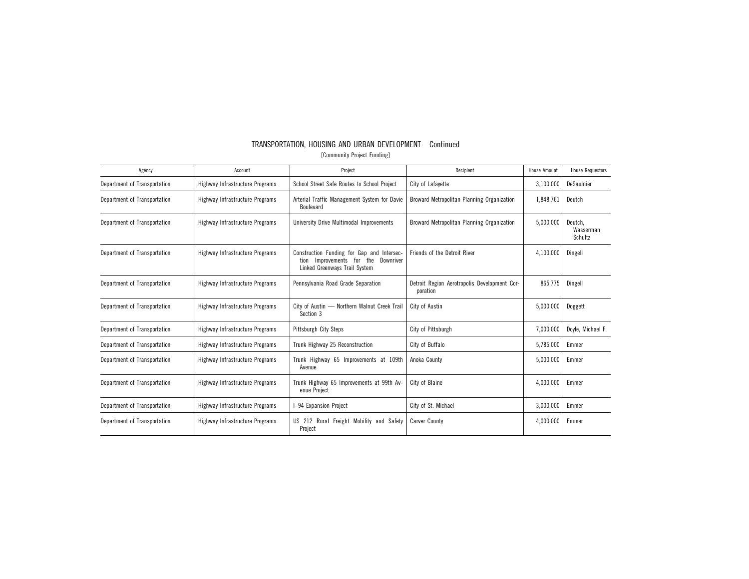| Agency                       | Account                         | Project                                                                                                                        | Recipient                                                | House Amount | <b>House Requestors</b>         |
|------------------------------|---------------------------------|--------------------------------------------------------------------------------------------------------------------------------|----------------------------------------------------------|--------------|---------------------------------|
| Department of Transportation | Highway Infrastructure Programs | School Street Safe Routes to School Project                                                                                    | City of Lafayette                                        | 3,100,000    | DeSaulnier                      |
| Department of Transportation | Highway Infrastructure Programs | Arterial Traffic Management System for Davie<br>Boulevard                                                                      | Broward Metropolitan Planning Organization<br>1,848,761  |              | Deutch                          |
| Department of Transportation | Highway Infrastructure Programs | University Drive Multimodal Improvements                                                                                       | Broward Metropolitan Planning Organization<br>5,000,000  |              | Deutch,<br>Wasserman<br>Schultz |
| Department of Transportation | Highway Infrastructure Programs | Construction Funding for Gap and Intersec-<br>the<br>Improvements<br>Downriver<br>for<br>tion<br>Linked Greenways Trail System | Friends of the Detroit River                             | 4,100,000    | Dingell                         |
| Department of Transportation | Highway Infrastructure Programs | Pennsylvania Road Grade Separation                                                                                             | Detroit Region Aerotropolis Development Cor-<br>poration | 865,775      | Dingell                         |
| Department of Transportation | Highway Infrastructure Programs | City of Austin - Northern Walnut Creek Trail<br>Section 3                                                                      | City of Austin                                           | 5,000,000    | Doggett                         |
| Department of Transportation | Highway Infrastructure Programs | Pittsburgh City Steps                                                                                                          | City of Pittsburgh                                       | 7,000,000    | Doyle, Michael F.               |
| Department of Transportation | Highway Infrastructure Programs | Trunk Highway 25 Reconstruction                                                                                                | City of Buffalo                                          | 5,785,000    | Emmer                           |
| Department of Transportation | Highway Infrastructure Programs | Trunk Highway 65 Improvements at 109th<br>Avenue                                                                               | Anoka County                                             | 5,000,000    | Emmer                           |
| Department of Transportation | Highway Infrastructure Programs | Trunk Highway 65 Improvements at 99th Av-<br>enue Project                                                                      | City of Blaine                                           | 4,000,000    | Emmer                           |
| Department of Transportation | Highway Infrastructure Programs | I-94 Expansion Project                                                                                                         | City of St. Michael                                      | 3,000,000    | Emmer                           |
| Department of Transportation | Highway Infrastructure Programs | US 212 Rural Freight Mobility and Safety<br>Project                                                                            | <b>Carver County</b>                                     | 4,000,000    | Emmer                           |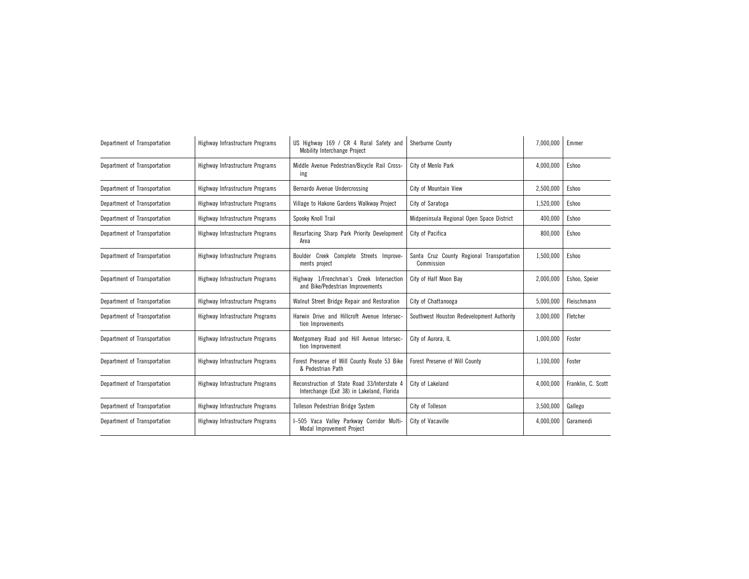| Department of Transportation | Highway Infrastructure Programs | US Highway 169 / CR 4 Rural Safety and<br><b>Mobility Interchange Project</b>              | Sherburne County                                        |           | Emmer              |
|------------------------------|---------------------------------|--------------------------------------------------------------------------------------------|---------------------------------------------------------|-----------|--------------------|
| Department of Transportation | Highway Infrastructure Programs | Middle Avenue Pedestrian/Bicycle Rail Cross-<br>ing                                        | City of Menlo Park                                      | 4,000,000 | Eshoo              |
| Department of Transportation | Highway Infrastructure Programs | Bernardo Avenue Undercrossing                                                              | City of Mountain View                                   | 2,500,000 | <b>Eshoo</b>       |
| Department of Transportation | Highway Infrastructure Programs | Village to Hakone Gardens Walkway Project                                                  | City of Saratoga                                        | 1,520,000 | Eshoo              |
| Department of Transportation | Highway Infrastructure Programs | Spooky Knoll Trail                                                                         | Midpeninsula Regional Open Space District               | 400,000   | Eshoo              |
| Department of Transportation | Highway Infrastructure Programs | Resurfacing Sharp Park Priority Development<br>Area                                        | City of Pacifica                                        | 800,000   | Eshoo              |
| Department of Transportation | Highway Infrastructure Programs | Boulder Creek Complete Streets Improve-<br>ments project                                   | Santa Cruz County Regional Transportation<br>Commission | 1,500,000 | Eshoo              |
| Department of Transportation | Highway Infrastructure Programs | Highway 1/Frenchman's Creek Intersection<br>and Bike/Pedestrian Improvements               | City of Half Moon Bay                                   | 2,000,000 | Eshoo, Speier      |
| Department of Transportation | Highway Infrastructure Programs | Walnut Street Bridge Repair and Restoration                                                | City of Chattanooga                                     | 5,000,000 | Fleischmann        |
| Department of Transportation | Highway Infrastructure Programs | Harwin Drive and Hillcroft Avenue Intersec-<br>tion Improvements                           | Southwest Houston Redevelopment Authority               | 3,000,000 | Fletcher           |
| Department of Transportation | Highway Infrastructure Programs | Montgomery Road and Hill Avenue Intersec-<br>tion Improvement                              | City of Aurora, IL                                      | 1,000,000 | Foster             |
| Department of Transportation | Highway Infrastructure Programs | Forest Preserve of Will County Route 53 Bike<br>& Pedestrian Path                          | Forest Preserve of Will County                          | 1,100,000 | Foster             |
| Department of Transportation | Highway Infrastructure Programs | Reconstruction of State Road 33/Interstate 4<br>Interchange (Exit 38) in Lakeland, Florida | City of Lakeland                                        | 4,000,000 | Franklin, C. Scott |
| Department of Transportation | Highway Infrastructure Programs | Tolleson Pedestrian Bridge System                                                          | City of Tolleson                                        | 3,500,000 | Gallego            |
| Department of Transportation | Highway Infrastructure Programs | I-505 Vaca Valley Parkway Corridor Multi-<br>Modal Improvement Project                     | City of Vacaville                                       | 4,000,000 | Garamendi          |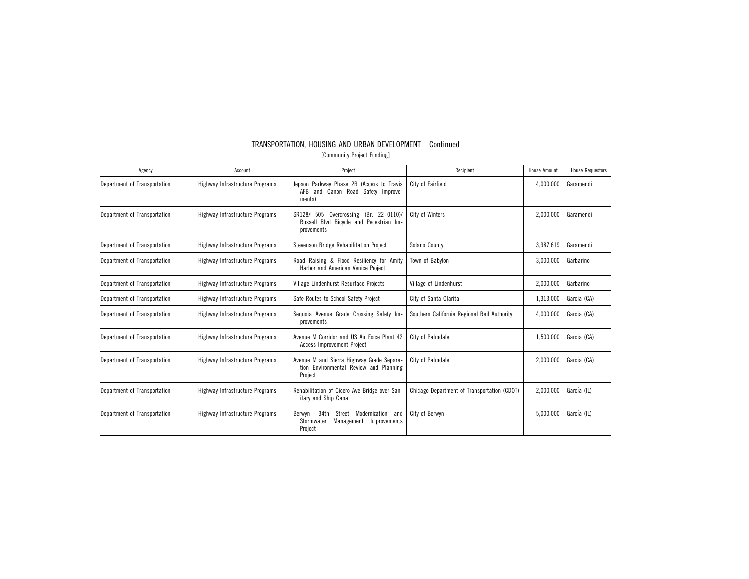| Agency                       | Account                         | Project                                                                                                             | Recipient                                   | House Amount | <b>House Requestors</b> |
|------------------------------|---------------------------------|---------------------------------------------------------------------------------------------------------------------|---------------------------------------------|--------------|-------------------------|
| Department of Transportation | Highway Infrastructure Programs | Jepson Parkway Phase 2B (Access to Travis<br>AFB and Canon Road Safety Improve-<br>ments)                           | City of Fairfield                           | 4,000,000    | Garamendi               |
| Department of Transportation | Highway Infrastructure Programs | City of Winters<br>SR128/I-505 Overcrossing (Br. 22-0110).<br>Russell Blvd Bicycle and Pedestrian Im-<br>provements |                                             | 2,000,000    | Garamendi               |
| Department of Transportation | Highway Infrastructure Programs | Stevenson Bridge Rehabilitation Project                                                                             | Solano County                               | 3,387,619    | Garamendi               |
| Department of Transportation | Highway Infrastructure Programs | Road Raising & Flood Resiliency for Amity<br>Harbor and American Venice Project                                     | Town of Babylon                             |              | Garbarino               |
| Department of Transportation | Highway Infrastructure Programs | Village Lindenhurst Resurface Projects                                                                              | Village of Lindenhurst                      |              | Garbarino               |
| Department of Transportation | Highway Infrastructure Programs | Safe Routes to School Safety Project<br>City of Santa Clarita                                                       |                                             | 1,313,000    | Garcia (CA)             |
| Department of Transportation | Highway Infrastructure Programs | Sequoia Avenue Grade Crossing Safety Im-<br>Southern California Regional Rail Authority<br>provements               |                                             | 4,000,000    | Garcia (CA)             |
| Department of Transportation | Highway Infrastructure Programs | Avenue M Corridor and US Air Force Plant 42<br><b>Access Improvement Project</b>                                    | City of Palmdale                            | 1,500,000    | Garcia (CA)             |
| Department of Transportation | Highway Infrastructure Programs | Avenue M and Sierra Highway Grade Separa-<br>City of Palmdale<br>tion Environmental Review and Planning<br>Project  |                                             | 2,000,000    | Garcia (CA)             |
| Department of Transportation | Highway Infrastructure Programs | Rehabilitation of Cicero Ave Bridge over San-<br>itary and Ship Canal                                               | Chicago Department of Transportation (CDOT) | 2,000,000    | García (IL)             |
| Department of Transportation | Highway Infrastructure Programs | Berwyn -34th<br>Modernization<br>Street<br>and<br>Stormwater<br>Management<br>Improvements<br>Project               | City of Berwyn                              | 5,000,000    | García (IL)             |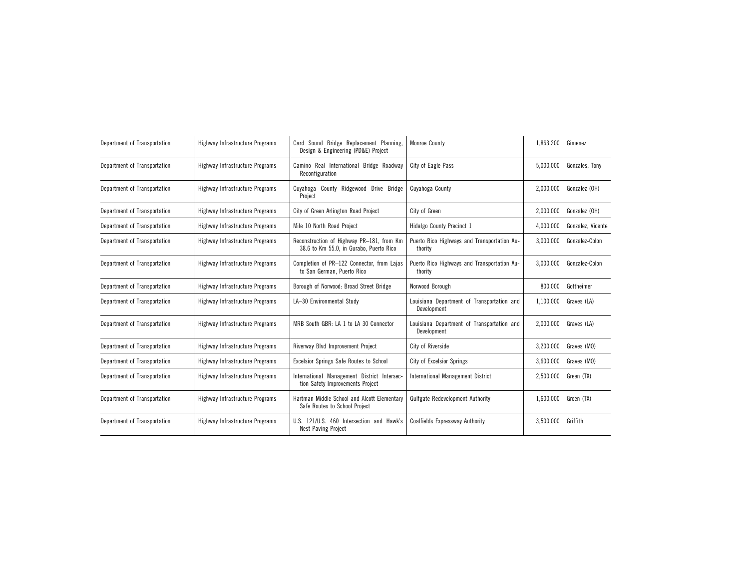| Department of Transportation | Highway Infrastructure Programs | Card Sound Bridge Replacement Planning,<br>Design & Engineering (PD&E) Project       | <b>Monroe County</b>                                      |           | Gimenez           |
|------------------------------|---------------------------------|--------------------------------------------------------------------------------------|-----------------------------------------------------------|-----------|-------------------|
| Department of Transportation | Highway Infrastructure Programs | Camino Real International Bridge Roadway<br>Reconfiguration                          | City of Eagle Pass                                        | 5,000,000 | Gonzales. Tony    |
| Department of Transportation | Highway Infrastructure Programs | Cuyahoga County Ridgewood Drive Bridge<br>Project                                    | Cuyahoga County                                           | 2,000,000 | Gonzalez (OH)     |
| Department of Transportation | Highway Infrastructure Programs | City of Green Arlington Road Project                                                 | City of Green                                             | 2,000,000 | Gonzalez (OH)     |
| Department of Transportation | Highway Infrastructure Programs | Mile 10 North Road Project                                                           | Hidalgo County Precinct 1                                 | 4,000,000 | Gonzalez, Vicente |
| Department of Transportation | Highway Infrastructure Programs | Reconstruction of Highway PR-181, from Km<br>38.6 to Km 55.0, in Gurabo, Puerto Rico | Puerto Rico Highways and Transportation Au-<br>thority    | 3,000,000 | Gonzalez-Colon    |
| Department of Transportation | Highway Infrastructure Programs | Completion of PR-122 Connector, from Lajas<br>to San German, Puerto Rico             | Puerto Rico Highways and Transportation Au-<br>thority    | 3,000,000 | Gonzalez-Colon    |
| Department of Transportation | Highway Infrastructure Programs | Borough of Norwood: Broad Street Bridge                                              | Norwood Borough                                           | 800,000   | Gottheimer        |
| Department of Transportation | Highway Infrastructure Programs | LA-30 Environmental Study                                                            | Louisiana Department of Transportation and<br>Development | 1,100,000 | Graves (LA)       |
| Department of Transportation | Highway Infrastructure Programs | MRB South GBR: LA 1 to LA 30 Connector                                               | Louisiana Department of Transportation and<br>Development | 2,000,000 | Graves (LA)       |
| Department of Transportation | Highway Infrastructure Programs | Riverway Blvd Improvement Project                                                    | City of Riverside                                         | 3,200,000 | Graves (MO)       |
| Department of Transportation | Highway Infrastructure Programs | <b>Excelsior Springs Safe Routes to School</b>                                       | City of Excelsior Springs                                 | 3,600,000 | Graves (MO)       |
| Department of Transportation | Highway Infrastructure Programs | International Management District Intersec-<br>tion Safety Improvements Project      | <b>International Management District</b>                  | 2,500,000 | Green (TX)        |
| Department of Transportation | Highway Infrastructure Programs | Hartman Middle School and Alcott Elementary<br>Safe Routes to School Project         | <b>Gulfgate Redevelopment Authority</b>                   | 1,600,000 | Green (TX)        |
| Department of Transportation | Highway Infrastructure Programs | U.S. 121/U.S. 460 Intersection and Hawk's<br>Nest Paving Project                     | <b>Coalfields Expressway Authority</b>                    | 3,500,000 | Griffith          |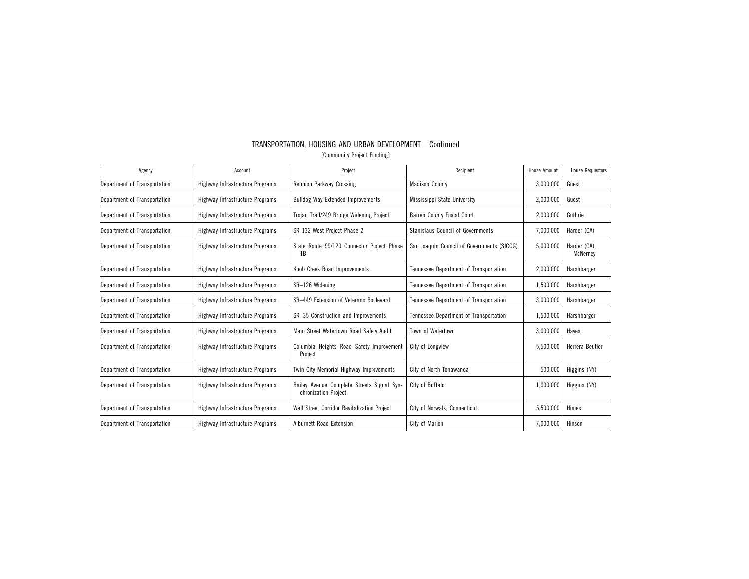| Agency                       | Account                         | Project                                                            | Recipient                                  | <b>House Amount</b> | <b>House Requestors</b>  |
|------------------------------|---------------------------------|--------------------------------------------------------------------|--------------------------------------------|---------------------|--------------------------|
| Department of Transportation | Highway Infrastructure Programs | Reunion Parkway Crossing                                           | <b>Madison County</b>                      | 3,000,000           | Guest                    |
| Department of Transportation | Highway Infrastructure Programs | <b>Bulldog Way Extended Improvements</b>                           | Mississippi State University               | 2,000,000           | Guest                    |
| Department of Transportation | Highway Infrastructure Programs | Trojan Trail/249 Bridge Widening Project                           | Barren County Fiscal Court                 | 2,000,000           | Guthrie                  |
| Department of Transportation | Highway Infrastructure Programs | SR 132 West Project Phase 2                                        | <b>Stanislaus Council of Governments</b>   | 7,000,000           | Harder (CA)              |
| Department of Transportation | Highway Infrastructure Programs | State Route 99/120 Connector Project Phase<br>1B                   | San Joaquin Council of Governments (SJCOG) | 5,000,000           | Harder (CA).<br>McNerney |
| Department of Transportation | Highway Infrastructure Programs | Knob Creek Road Improvements                                       | Tennessee Department of Transportation     | 2,000,000           | Harshbarger              |
| Department of Transportation | Highway Infrastructure Programs | SR-126 Widening                                                    | Tennessee Department of Transportation     | 1,500,000           | Harshbarger              |
| Department of Transportation | Highway Infrastructure Programs | SR-449 Extension of Veterans Boulevard                             | Tennessee Department of Transportation     | 3,000,000           | Harshbarger              |
| Department of Transportation | Highway Infrastructure Programs | SR-35 Construction and Improvements                                | Tennessee Department of Transportation     | 1,500,000           | Harshbarger              |
| Department of Transportation | Highway Infrastructure Programs | Main Street Watertown Road Safety Audit                            | Town of Watertown                          | 3,000,000           | Hayes                    |
| Department of Transportation | Highway Infrastructure Programs | Columbia Heights Road Safety Improvement<br>Project                | City of Longview                           | 5,500,000           | Herrera Beutler          |
| Department of Transportation | Highway Infrastructure Programs | Twin City Memorial Highway Improvements                            | City of North Tonawanda                    | 500,000             | Higgins (NY)             |
| Department of Transportation | Highway Infrastructure Programs | Bailey Avenue Complete Streets Signal Syn-<br>chronization Project | City of Buffalo                            | 1,000,000           | Higgins (NY)             |
| Department of Transportation | Highway Infrastructure Programs | Wall Street Corridor Revitalization Project                        | City of Norwalk, Connecticut               | 5,500,000           | Himes                    |
| Department of Transportation | Highway Infrastructure Programs | Alburnett Road Extension                                           | City of Marion                             | 7,000,000           | Hinson                   |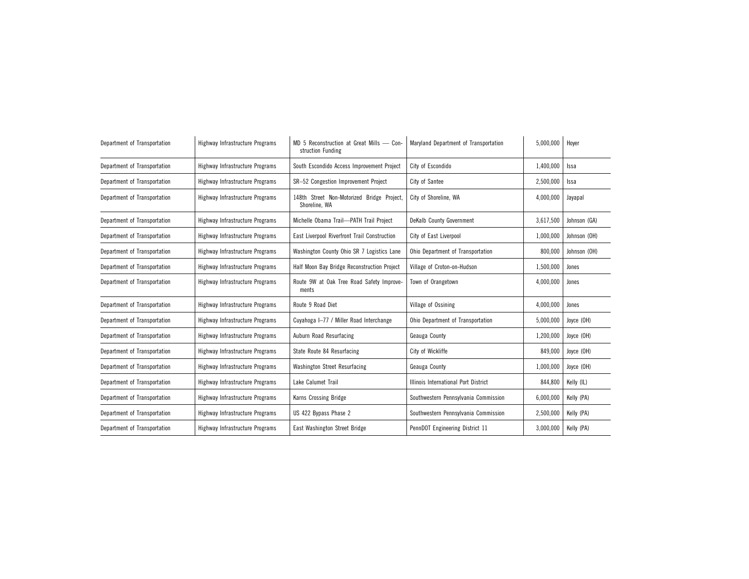| Department of Transportation | Highway Infrastructure Programs | MD 5 Reconstruction at Great Mills - Con-<br>struction Funding | Maryland Department of Transportation |           | Hoyer        |
|------------------------------|---------------------------------|----------------------------------------------------------------|---------------------------------------|-----------|--------------|
| Department of Transportation | Highway Infrastructure Programs | South Escondido Access Improvement Project                     | City of Escondido                     | 1,400,000 | Issa         |
| Department of Transportation | Highway Infrastructure Programs | SR-52 Congestion Improvement Project                           | City of Santee                        | 2,500,000 | Issa         |
| Department of Transportation | Highway Infrastructure Programs | 148th Street Non-Motorized Bridge Project,<br>Shoreline, WA    | City of Shoreline, WA                 | 4,000,000 | Jayapal      |
| Department of Transportation | Highway Infrastructure Programs | Michelle Obama Trail-PATH Trail Project                        | DeKalb County Government              | 3,617,500 | Johnson (GA) |
| Department of Transportation | Highway Infrastructure Programs | East Liverpool Riverfront Trail Construction                   | City of East Liverpool                | 1,000,000 | Johnson (OH) |
| Department of Transportation | Highway Infrastructure Programs | Washington County Ohio SR 7 Logistics Lane                     | Ohio Department of Transportation     | 800,000   | Johnson (OH) |
| Department of Transportation | Highway Infrastructure Programs | Half Moon Bay Bridge Reconstruction Project                    | Village of Croton-on-Hudson           | 1,500,000 | Jones        |
| Department of Transportation | Highway Infrastructure Programs | Route 9W at Oak Tree Road Safety Improve-<br>ments             | Town of Orangetown                    | 4,000,000 | Jones        |
| Department of Transportation | Highway Infrastructure Programs | Route 9 Road Diet                                              | Village of Ossining                   | 4,000,000 | Jones        |
| Department of Transportation | Highway Infrastructure Programs | Cuyahoga I-77 / Miller Road Interchange                        | Ohio Department of Transportation     | 5,000,000 | Joyce (OH)   |
| Department of Transportation | Highway Infrastructure Programs | Auburn Road Resurfacing                                        | Geauga County                         | 1,200,000 | Joyce (OH)   |
| Department of Transportation | Highway Infrastructure Programs | State Route 84 Resurfacing                                     | City of Wickliffe                     | 849,000   | Joyce (OH)   |
| Department of Transportation | Highway Infrastructure Programs | <b>Washington Street Resurfacing</b>                           | Geauga County                         | 1,000,000 | Joyce (OH)   |
| Department of Transportation | Highway Infrastructure Programs | Lake Calumet Trail                                             | Illinois International Port District  | 844,800   | Kelly (IL)   |
| Department of Transportation | Highway Infrastructure Programs | <b>Karns Crossing Bridge</b>                                   | Southwestern Pennsylvania Commission  | 6,000,000 | Kelly (PA)   |
| Department of Transportation | Highway Infrastructure Programs | US 422 Bypass Phase 2                                          | Southwestern Pennsylvania Commission  | 2,500,000 | Kelly (PA)   |
| Department of Transportation | Highway Infrastructure Programs | East Washington Street Bridge                                  | PennDOT Engineering District 11       | 3,000,000 | Kelly (PA)   |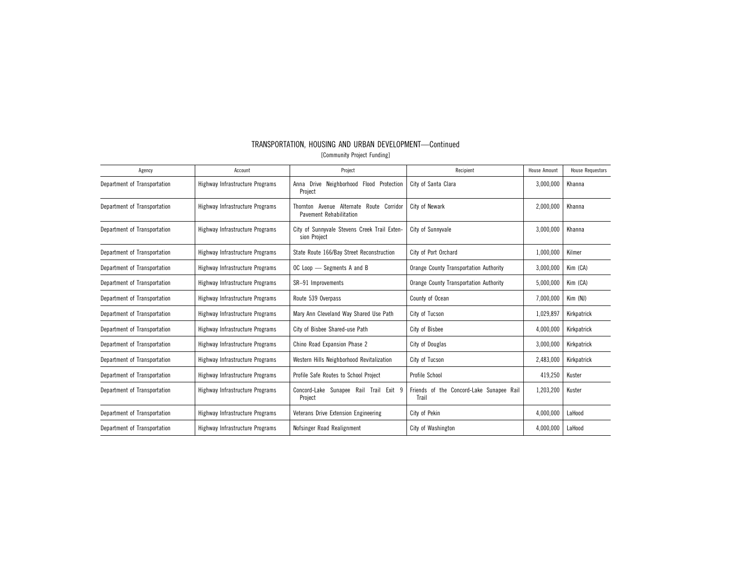| Agency                       | Account                         | Project                                                                       | Recipient                                         | <b>House Amount</b> | <b>House Requestors</b> |
|------------------------------|---------------------------------|-------------------------------------------------------------------------------|---------------------------------------------------|---------------------|-------------------------|
| Department of Transportation | Highway Infrastructure Programs | Drive Neighborhood<br>Flood Protection<br>Anna<br>Project                     | City of Santa Clara                               | 3,000,000           | Khanna                  |
| Department of Transportation | Highway Infrastructure Programs | Thornton Avenue Alternate<br>Route Corridor<br><b>Pavement Rehabilitation</b> | City of Newark                                    | 2,000,000           | Khanna                  |
| Department of Transportation | Highway Infrastructure Programs | City of Sunnyvale Stevens Creek Trail Exten-<br>sion Project                  | City of Sunnyvale                                 | 3,000,000           | Khanna                  |
| Department of Transportation | Highway Infrastructure Programs | State Route 166/Bay Street Reconstruction                                     | City of Port Orchard                              | 1,000,000           | Kilmer                  |
| Department of Transportation | Highway Infrastructure Programs | OC Loop - Segments A and B                                                    | Orange County Transportation Authority            | 3,000,000           | Kim (CA)                |
| Department of Transportation | Highway Infrastructure Programs | SR-91 Improvements                                                            | Orange County Transportation Authority            | 5,000,000           | Kim (CA)                |
| Department of Transportation | Highway Infrastructure Programs | Route 539 Overpass                                                            | County of Ocean                                   | 7,000,000           | Kim (NJ)                |
| Department of Transportation | Highway Infrastructure Programs | Mary Ann Cleveland Way Shared Use Path                                        | City of Tucson                                    | 1,029,897           | Kirkpatrick             |
| Department of Transportation | Highway Infrastructure Programs | City of Bisbee Shared-use Path                                                | City of Bisbee                                    | 4,000,000           | Kirkpatrick             |
| Department of Transportation | Highway Infrastructure Programs | Chino Road Expansion Phase 2                                                  | City of Douglas                                   | 3,000,000           | Kirkpatrick             |
| Department of Transportation | Highway Infrastructure Programs | Western Hills Neighborhood Revitalization                                     | City of Tucson                                    | 2,483,000           | Kirkpatrick             |
| Department of Transportation | Highway Infrastructure Programs | Profile Safe Routes to School Project                                         | Profile School                                    | 419,250             | Kuster                  |
| Department of Transportation | Highway Infrastructure Programs | Concord-Lake Sunapee Rail Trail Exit 9<br>Project                             | Friends of the Concord-Lake Sunapee Rail<br>Trail | 1,203,200           | Kuster                  |
| Department of Transportation | Highway Infrastructure Programs | Veterans Drive Extension Engineering                                          | City of Pekin                                     | 4,000,000           | LaHood                  |
| Department of Transportation | Highway Infrastructure Programs | Nofsinger Road Realignment                                                    | City of Washington                                | 4,000,000           | LaHood                  |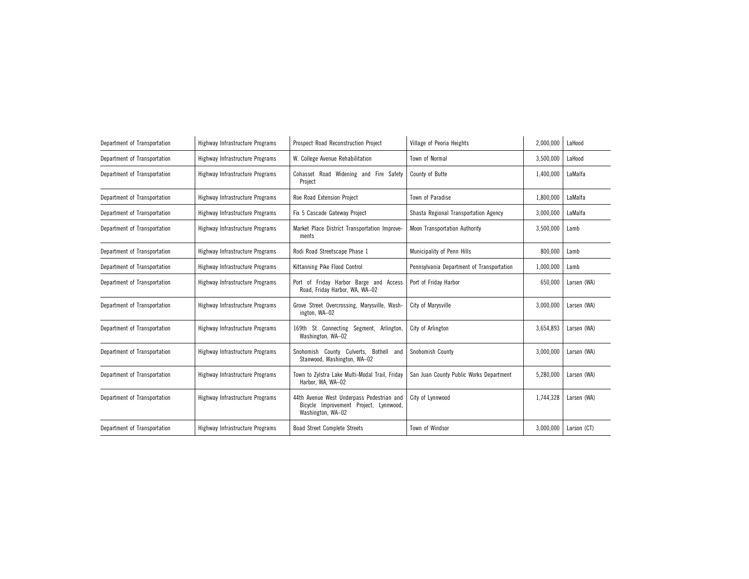| Department of Transportation | Highway Infrastructure Programs | Prospect Road Reconstruction Project                                                                     | Village of Peoria Heights                 | 2,000,000 | LaHood      |
|------------------------------|---------------------------------|----------------------------------------------------------------------------------------------------------|-------------------------------------------|-----------|-------------|
| Department of Transportation | Highway Infrastructure Programs | W. College Avenue Rehabilitation                                                                         | Town of Normal                            | 3,500,000 | LaHood      |
| Department of Transportation | Highway Infrastructure Programs | Cohasset Road Widening and Fire Safety<br>Project                                                        | County of Butte                           | 1,400,000 | LaMalfa     |
| Department of Transportation | Highway Infrastructure Programs | Roe Road Extension Project                                                                               | Town of Paradise                          | 1,800,000 | LaMalfa     |
| Department of Transportation | Highway Infrastructure Programs | Fix 5 Cascade Gateway Project                                                                            | Shasta Regional Transportation Agency     | 3,000,000 | LaMalfa     |
| Department of Transportation | Highway Infrastructure Programs | Market Place District Transportation Improve-<br>ments                                                   | <b>Moon Transportation Authority</b>      | 3,500,000 | Lamb        |
| Department of Transportation | Highway Infrastructure Programs | Rodi Road Streetscape Phase 1                                                                            | Municipality of Penn Hills                | 800,000   | Lamb        |
| Department of Transportation | Highway Infrastructure Programs | Kittanning Pike Flood Control                                                                            | Pennsylvania Department of Transportation |           | Lamb        |
| Department of Transportation | Highway Infrastructure Programs | Port of Friday Harbor Barge and Access<br>Road, Friday Harbor, WA, WA-02                                 | Port of Friday Harbor                     | 650,000   | Larsen (WA) |
| Department of Transportation | Highway Infrastructure Programs | Grove Street Overcrossing, Marysville, Wash-<br>ington, WA-02                                            | City of Marysville                        | 3,000,000 | Larsen (WA) |
| Department of Transportation | Highway Infrastructure Programs | 169th St Connecting Segment, Arlington,<br>Washington, WA-02                                             | City of Arlington                         | 3,654,893 | Larsen (WA) |
| Department of Transportation | Highway Infrastructure Programs | Snohomish County Culverts, Bothell and<br>Stanwood, Washington, WA-02                                    | Snohomish County                          | 3,000,000 | Larsen (WA) |
| Department of Transportation | Highway Infrastructure Programs | Town to Zylstra Lake Multi-Modal Trail, Friday<br>Harbor, WA, WA-02                                      | San Juan County Public Works Department   | 5,280,000 | Larsen (WA) |
| Department of Transportation | Highway Infrastructure Programs | 44th Avenue West Underpass Pedestrian and<br>Bicycle Improvement Project, Lynnwood,<br>Washington, WA-02 | City of Lynnwood                          | 1,744,328 | Larsen (WA) |
| Department of Transportation | Highway Infrastructure Programs | <b>Boad Street Complete Streets</b>                                                                      | Town of Windsor                           | 3,000,000 | Larson (CT) |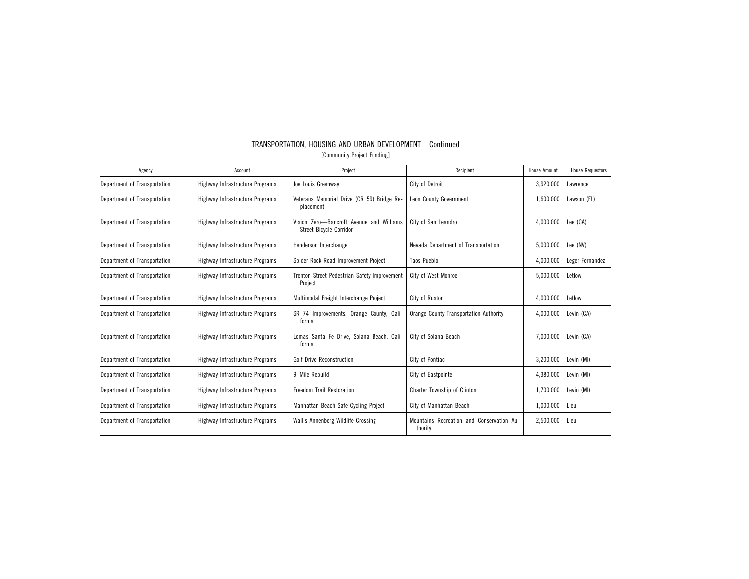| Agency                       | Account                         | Project                                                                    | Recipient                                            | <b>House Amount</b> | <b>House Requestors</b> |
|------------------------------|---------------------------------|----------------------------------------------------------------------------|------------------------------------------------------|---------------------|-------------------------|
| Department of Transportation | Highway Infrastructure Programs | Joe Louis Greenway                                                         | City of Detroit                                      | 3,920,000           | Lawrence                |
| Department of Transportation | Highway Infrastructure Programs | Veterans Memorial Drive (CR 59) Bridge Re-<br>placement                    | Leon County Government                               | 1,600,000           | Lawson (FL)             |
| Department of Transportation | Highway Infrastructure Programs | Vision Zero-Bancroft Avenue and Williams<br><b>Street Bicycle Corridor</b> | City of San Leandro                                  | 4,000,000           | Lee (CA)                |
| Department of Transportation | Highway Infrastructure Programs | Henderson Interchange                                                      | Nevada Department of Transportation                  | 5,000,000           | Lee (NV)                |
| Department of Transportation | Highway Infrastructure Programs | Spider Rock Road Improvement Project                                       | Taos Pueblo                                          | 4,000,000           | Leger Fernandez         |
| Department of Transportation | Highway Infrastructure Programs | Trenton Street Pedestrian Safety Improvement<br>Project                    | <b>City of West Monroe</b>                           | 5,000,000           | Letlow                  |
| Department of Transportation | Highway Infrastructure Programs | Multimodal Freight Interchange Project                                     | City of Ruston                                       | 4,000,000           | Letlow                  |
| Department of Transportation | Highway Infrastructure Programs | SR-74 Improvements, Orange County, Cali-<br>fornia                         | Orange County Transportation Authority               | 4,000,000           | Levin (CA)              |
| Department of Transportation | Highway Infrastructure Programs | Lomas Santa Fe Drive, Solana Beach, Cali-<br>fornia                        | City of Solana Beach                                 | 7,000,000           | Levin (CA)              |
| Department of Transportation | Highway Infrastructure Programs | <b>Golf Drive Reconstruction</b>                                           | City of Pontiac                                      | 3,200,000           | Levin (MI)              |
| Department of Transportation | Highway Infrastructure Programs | 9-Mile Rebuild                                                             | City of Eastpointe                                   | 4,380,000           | Levin (MI)              |
| Department of Transportation | Highway Infrastructure Programs | Freedom Trail Restoration                                                  | Charter Township of Clinton                          | 1,700,000           | Levin (MI)              |
| Department of Transportation | Highway Infrastructure Programs | Manhattan Beach Safe Cycling Project                                       | City of Manhattan Beach                              | 1,000,000           | Lieu                    |
| Department of Transportation | Highway Infrastructure Programs | Wallis Annenberg Wildlife Crossing                                         | Mountains Recreation and Conservation Au-<br>thority | 2,500,000           | Lieu                    |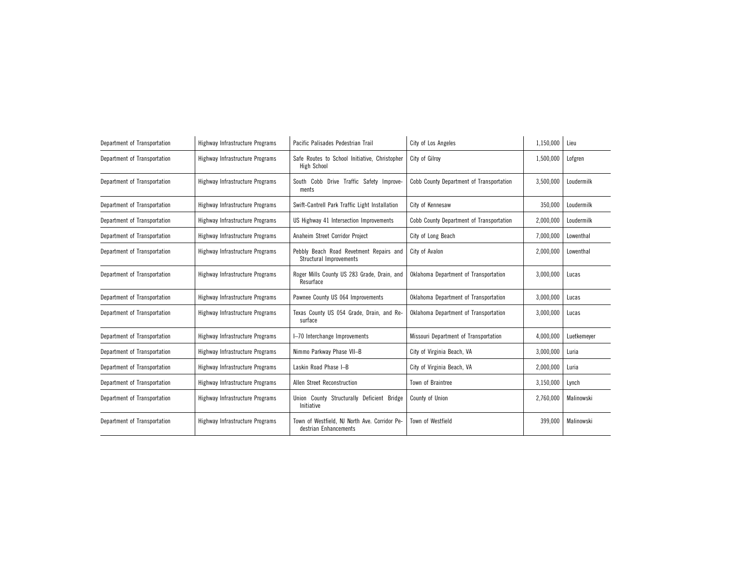| Department of Transportation | Highway Infrastructure Programs | Pacific Palisades Pedestrian Trail                                     | City of Los Angeles                      | 1,150,000 | Lieu        |
|------------------------------|---------------------------------|------------------------------------------------------------------------|------------------------------------------|-----------|-------------|
| Department of Transportation | Highway Infrastructure Programs | Safe Routes to School Initiative, Christopher<br>High School           | City of Gilroy                           | 1,500,000 | Lofgren     |
| Department of Transportation | Highway Infrastructure Programs | South Cobb Drive Traffic Safety Improve-<br>ments                      | Cobb County Department of Transportation | 3,500,000 | Loudermilk  |
| Department of Transportation | Highway Infrastructure Programs | Swift-Cantrell Park Traffic Light Installation                         | City of Kennesaw                         | 350,000   | Loudermilk  |
| Department of Transportation | Highway Infrastructure Programs | US Highway 41 Intersection Improvements                                | Cobb County Department of Transportation | 2,000,000 | Loudermilk  |
| Department of Transportation | Highway Infrastructure Programs | Anaheim Street Corridor Project                                        | City of Long Beach                       | 7,000,000 | Lowenthal   |
| Department of Transportation | Highway Infrastructure Programs | Pebbly Beach Road Revetment Repairs and<br>Structural Improvements     | City of Avalon                           | 2,000,000 | Lowenthal   |
| Department of Transportation | Highway Infrastructure Programs | Roger Mills County US 283 Grade, Drain, and<br>Resurface               | Oklahoma Department of Transportation    | 3,000,000 | Lucas       |
| Department of Transportation | Highway Infrastructure Programs | Pawnee County US 064 Improvements                                      | Oklahoma Department of Transportation    | 3,000,000 | Lucas       |
| Department of Transportation | Highway Infrastructure Programs | Texas County US 054 Grade, Drain, and Re-<br>surface                   | Oklahoma Department of Transportation    | 3,000,000 | Lucas       |
| Department of Transportation | Highway Infrastructure Programs | I-70 Interchange Improvements                                          | Missouri Department of Transportation    | 4,000,000 | Luetkemever |
| Department of Transportation | Highway Infrastructure Programs | Nimmo Parkway Phase VII-B                                              | City of Virginia Beach, VA               | 3,000,000 | Luria       |
| Department of Transportation | Highway Infrastructure Programs | Laskin Road Phase I-B                                                  | City of Virginia Beach, VA               | 2,000,000 | Luria       |
| Department of Transportation | Highway Infrastructure Programs | Allen Street Reconstruction                                            | Town of Braintree                        | 3,150,000 | Lynch       |
| Department of Transportation | Highway Infrastructure Programs | Union County Structurally Deficient Bridge<br>Initiative               | County of Union                          | 2,760,000 | Malinowski  |
| Department of Transportation | Highway Infrastructure Programs | Town of Westfield, NJ North Ave. Corridor Pe-<br>destrian Enhancements | Town of Westfield                        | 399,000   | Malinowski  |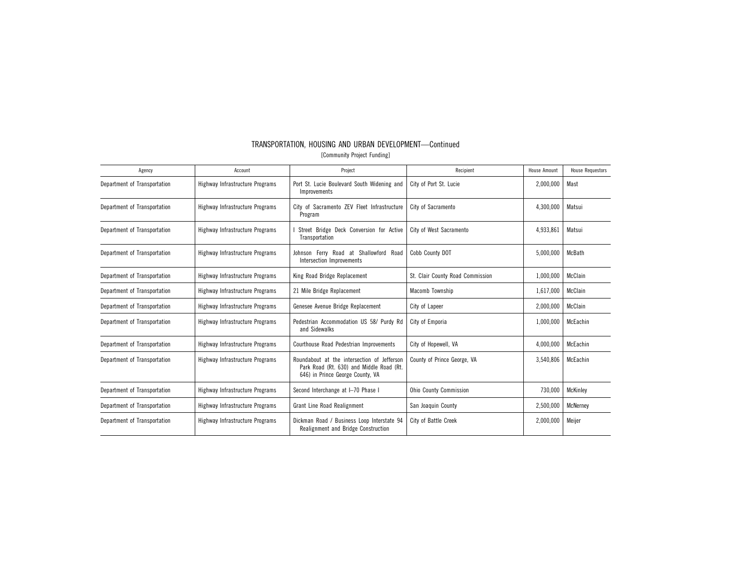| TRANSPORTATION, HOUSING AND URBAN DEVELOPMENT—Continued |                             |  |  |
|---------------------------------------------------------|-----------------------------|--|--|
|                                                         | [Community Project Funding] |  |  |

| Agency                       | Account                         | Project                                                                                                                     | Recipient                        | House Amount | <b>House Requestors</b> |
|------------------------------|---------------------------------|-----------------------------------------------------------------------------------------------------------------------------|----------------------------------|--------------|-------------------------|
| Department of Transportation | Highway Infrastructure Programs | Port St. Lucie Boulevard South Widening and<br>Improvements                                                                 | City of Port St. Lucie           | 2,000,000    | Mast                    |
| Department of Transportation | Highway Infrastructure Programs | City of Sacramento ZEV Fleet Infrastructure<br>Program                                                                      | City of Sacramento               | 4,300,000    | Matsui                  |
| Department of Transportation | Highway Infrastructure Programs | Street Bridge Deck Conversion for Active<br>Transportation                                                                  | City of West Sacramento          | 4,933,861    | Matsui                  |
| Department of Transportation | Highway Infrastructure Programs | Johnson Ferry Road at Shallowford Road<br>Intersection Improvements                                                         | Cobb County DOT                  | 5,000,000    | McBath                  |
| Department of Transportation | Highway Infrastructure Programs | King Road Bridge Replacement                                                                                                | St. Clair County Road Commission | 1,000,000    | McClain                 |
| Department of Transportation | Highway Infrastructure Programs | 21 Mile Bridge Replacement                                                                                                  | Macomb Township                  | 1,617,000    | McClain                 |
| Department of Transportation | Highway Infrastructure Programs | Genesee Avenue Bridge Replacement                                                                                           | City of Lapeer                   | 2,000,000    | McClain                 |
| Department of Transportation | Highway Infrastructure Programs | Pedestrian Accommodation US 58/ Purdy Rd<br>and Sidewalks                                                                   | City of Emporia                  | 1,000,000    | McEachin                |
| Department of Transportation | Highway Infrastructure Programs | Courthouse Road Pedestrian Improvements                                                                                     | City of Hopewell, VA             | 4,000,000    | McEachin                |
| Department of Transportation | Highway Infrastructure Programs | Roundabout at the intersection of Jefferson<br>Park Road (Rt. 630) and Middle Road (Rt.<br>646) in Prince George County, VA | County of Prince George, VA      | 3,540,806    | McEachin                |
| Department of Transportation | Highway Infrastructure Programs | Second Interchange at I-70 Phase I                                                                                          | <b>Ohio County Commission</b>    | 730,000      | <b>McKinley</b>         |
| Department of Transportation | Highway Infrastructure Programs | Grant Line Road Realignment                                                                                                 | San Joaquin County               | 2,500,000    | McNerney                |
| Department of Transportation | Highway Infrastructure Programs | Dickman Road / Business Loop Interstate 94<br>Realignment and Bridge Construction                                           | City of Battle Creek             | 2,000,000    | Meijer                  |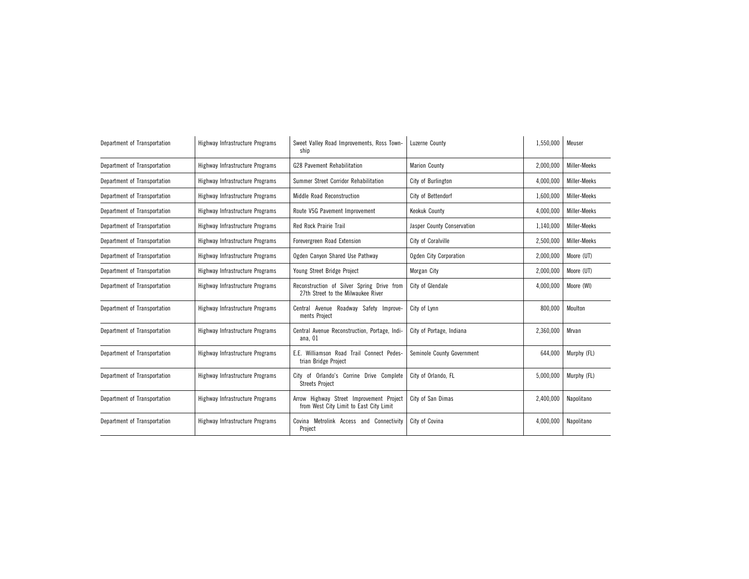| Department of Transportation | Highway Infrastructure Programs | Sweet Valley Road Improvements, Ross Town-<br>ship                                  | Luzerne County                | 1,550,000 | Meuser       |
|------------------------------|---------------------------------|-------------------------------------------------------------------------------------|-------------------------------|-----------|--------------|
| Department of Transportation | Highway Infrastructure Programs | <b>G28 Pavement Rehabilitation</b>                                                  | <b>Marion County</b>          | 2,000,000 | Miller-Meeks |
| Department of Transportation | Highway Infrastructure Programs | Summer Street Corridor Rehabilitation                                               | City of Burlington            | 4,000,000 | Miller-Meeks |
| Department of Transportation | Highway Infrastructure Programs | Middle Road Reconstruction                                                          | City of Bettendorf            | 1,600,000 | Miller-Meeks |
| Department of Transportation | Highway Infrastructure Programs | Route V5G Pavement Improvement                                                      | Keokuk County                 | 4,000,000 | Miller-Meeks |
| Department of Transportation | Highway Infrastructure Programs | <b>Red Rock Prairie Trail</b>                                                       | Jasper County Conservation    | 1,140,000 | Miller-Meeks |
| Department of Transportation | Highway Infrastructure Programs | Forevergreen Road Extension                                                         | City of Coralville            | 2,500,000 | Miller-Meeks |
| Department of Transportation | Highway Infrastructure Programs | Ogden Canyon Shared Use Pathway                                                     | <b>Ogden City Corporation</b> | 2,000,000 | Moore (UT)   |
| Department of Transportation | Highway Infrastructure Programs | Young Street Bridge Project                                                         | Morgan City                   | 2,000,000 | Moore (UT)   |
| Department of Transportation | Highway Infrastructure Programs | Reconstruction of Silver Spring Drive from<br>27th Street to the Milwaukee River    | City of Glendale              | 4,000,000 | Moore (WI)   |
| Department of Transportation | Highway Infrastructure Programs | Central Avenue Roadway Safety Improve-<br>ments Project                             | City of Lynn                  | 800,000   | Moulton      |
| Department of Transportation | Highway Infrastructure Programs | Central Avenue Reconstruction, Portage, Indi-<br>ana, 01                            | City of Portage, Indiana      | 2,360,000 | Mrvan        |
| Department of Transportation | Highway Infrastructure Programs | E.E. Williamson Road Trail Connect Pedes-<br>trian Bridge Project                   | Seminole County Government    | 644,000   | Murphy (FL)  |
| Department of Transportation | Highway Infrastructure Programs | City of Orlando's Corrine Drive Complete<br><b>Streets Project</b>                  | City of Orlando. FL           | 5,000,000 | Murphy (FL)  |
| Department of Transportation | Highway Infrastructure Programs | Arrow Highway Street Improvement Project<br>from West City Limit to East City Limit | City of San Dimas             | 2,400,000 | Napolitano   |
| Department of Transportation | Highway Infrastructure Programs | Covina Metrolink Access and Connectivity<br>Project                                 | City of Covina                | 4,000,000 | Napolitano   |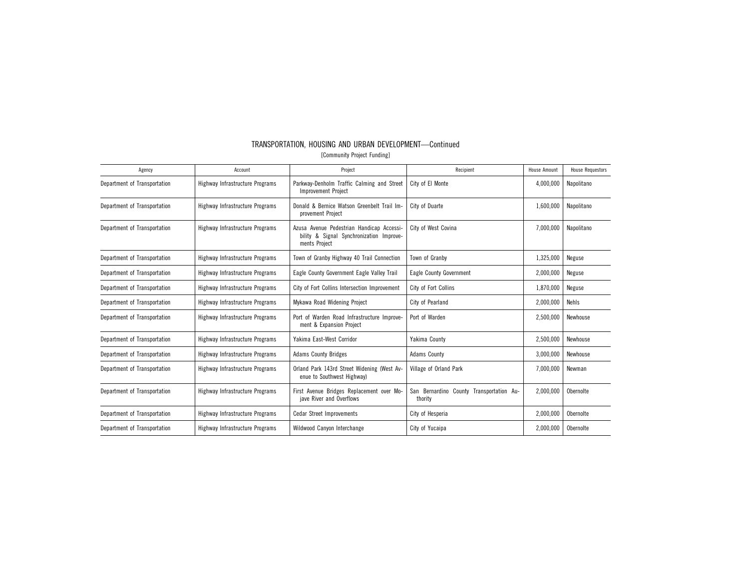| Agency                       | Account                         | Project                                                                                                | Recipient                                           | <b>House Amount</b> | <b>House Requestors</b> |
|------------------------------|---------------------------------|--------------------------------------------------------------------------------------------------------|-----------------------------------------------------|---------------------|-------------------------|
| Department of Transportation | Highway Infrastructure Programs | Parkway-Denholm Traffic Calming and Street<br><b>Improvement Project</b>                               | City of El Monte                                    | 4,000,000           | Napolitano              |
| Department of Transportation | Highway Infrastructure Programs | Donald & Bernice Watson Greenbelt Trail Im-<br>provement Project                                       | City of Duarte                                      | 1,600,000           | Napolitano              |
| Department of Transportation | Highway Infrastructure Programs | Azusa Avenue Pedestrian Handicap Accessi-<br>bility & Signal Synchronization Improve-<br>ments Project | City of West Covina                                 | 7,000,000           | Napolitano              |
| Department of Transportation | Highway Infrastructure Programs | Town of Granby Highway 40 Trail Connection                                                             | Town of Granby                                      | 1,325,000           | Neguse                  |
| Department of Transportation | Highway Infrastructure Programs | Eagle County Government Eagle Valley Trail                                                             | Eagle County Government                             | 2,000,000           | Neguse                  |
| Department of Transportation | Highway Infrastructure Programs | City of Fort Collins Intersection Improvement                                                          | City of Fort Collins                                | 1,870,000           | Neguse                  |
| Department of Transportation | Highway Infrastructure Programs | Mykawa Road Widening Project                                                                           | City of Pearland                                    | 2,000,000           | Nehls                   |
| Department of Transportation | Highway Infrastructure Programs | Port of Warden Road Infrastructure Improve-<br>ment & Expansion Project                                | Port of Warden                                      | 2,500,000           | Newhouse                |
| Department of Transportation | Highway Infrastructure Programs | Yakima East-West Corridor                                                                              | Yakima County                                       | 2,500,000           | Newhouse                |
| Department of Transportation | Highway Infrastructure Programs | <b>Adams County Bridges</b>                                                                            | <b>Adams County</b>                                 | 3,000,000           | Newhouse                |
| Department of Transportation | Highway Infrastructure Programs | Orland Park 143rd Street Widening (West Av-<br>enue to Southwest Highway)                              | Village of Orland Park                              | 7,000,000           | Newman                  |
| Department of Transportation | Highway Infrastructure Programs | First Avenue Bridges Replacement over Mo-<br>jave River and Overflows                                  | San Bernardino County Transportation Au-<br>thority | 2.000.000           | Obernolte               |
| Department of Transportation | Highway Infrastructure Programs | <b>Cedar Street Improvements</b>                                                                       | City of Hesperia                                    | 2,000,000           | Obernolte               |
| Department of Transportation | Highway Infrastructure Programs | Wildwood Canyon Interchange                                                                            | City of Yucaipa                                     | 2,000,000           | Obernolte               |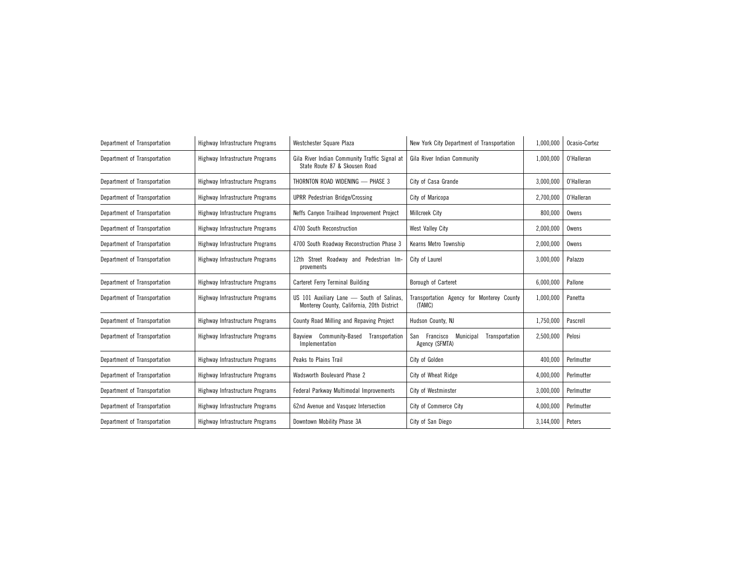| Department of Transportation | Highway Infrastructure Programs | Westchester Square Plaza                                                                | New York City Department of Transportation                     | 1,000,000 | Ocasio-Cortez |
|------------------------------|---------------------------------|-----------------------------------------------------------------------------------------|----------------------------------------------------------------|-----------|---------------|
| Department of Transportation | Highway Infrastructure Programs | Gila River Indian Community Traffic Signal at<br>State Route 87 & Skousen Road          | Gila River Indian Community                                    | 1,000,000 | O'Halleran    |
| Department of Transportation | Highway Infrastructure Programs | THORNTON ROAD WIDENING - PHASE 3                                                        | City of Casa Grande                                            | 3,000,000 | O'Halleran    |
| Department of Transportation | Highway Infrastructure Programs | <b>UPRR Pedestrian Bridge/Crossing</b>                                                  | City of Maricopa                                               | 2,700,000 | O'Halleran    |
| Department of Transportation | Highway Infrastructure Programs | Neffs Canyon Trailhead Improvement Project                                              | Millcreek City                                                 | 800,000   | Owens         |
| Department of Transportation | Highway Infrastructure Programs | 4700 South Reconstruction                                                               | West Valley City                                               | 2,000,000 | Owens         |
| Department of Transportation | Highway Infrastructure Programs | 4700 South Roadway Reconstruction Phase 3                                               | Kearns Metro Township                                          | 2,000,000 | Owens         |
| Department of Transportation | Highway Infrastructure Programs | 12th Street Roadway and Pedestrian Im-<br>provements                                    | City of Laurel                                                 | 3,000,000 | Palazzo       |
| Department of Transportation | Highway Infrastructure Programs | Carteret Ferry Terminal Building                                                        | Borough of Carteret                                            | 6,000,000 | Pallone       |
| Department of Transportation | Highway Infrastructure Programs | US 101 Auxiliary Lane - South of Salinas,<br>Monterey County, California, 20th District | Transportation Agency for Monterey County<br>(TAMC)            | 1,000,000 | Panetta       |
| Department of Transportation | Highway Infrastructure Programs | County Road Milling and Repaving Project                                                | Hudson County, NJ                                              | 1,750,000 | Pascrell      |
| Department of Transportation | Highway Infrastructure Programs | Bayview Community-Based<br>Transportation<br>Implementation                             | San Francisco<br>Municipal<br>Transportation<br>Agency (SFMTA) | 2,500,000 | Pelosi        |
| Department of Transportation | Highway Infrastructure Programs | Peaks to Plains Trail                                                                   | City of Golden                                                 | 400,000   | Perlmutter    |
| Department of Transportation | Highway Infrastructure Programs | Wadsworth Boulevard Phase 2                                                             | City of Wheat Ridge                                            | 4,000,000 | Perlmutter    |
| Department of Transportation | Highway Infrastructure Programs | Federal Parkway Multimodal Improvements                                                 | City of Westminster                                            | 3,000,000 | Perlmutter    |
| Department of Transportation | Highway Infrastructure Programs | 62nd Avenue and Vasquez Intersection                                                    | <b>City of Commerce City</b>                                   | 4,000,000 | Perlmutter    |
| Department of Transportation | Highway Infrastructure Programs | Downtown Mobility Phase 3A                                                              | City of San Diego                                              | 3,144,000 | Peters        |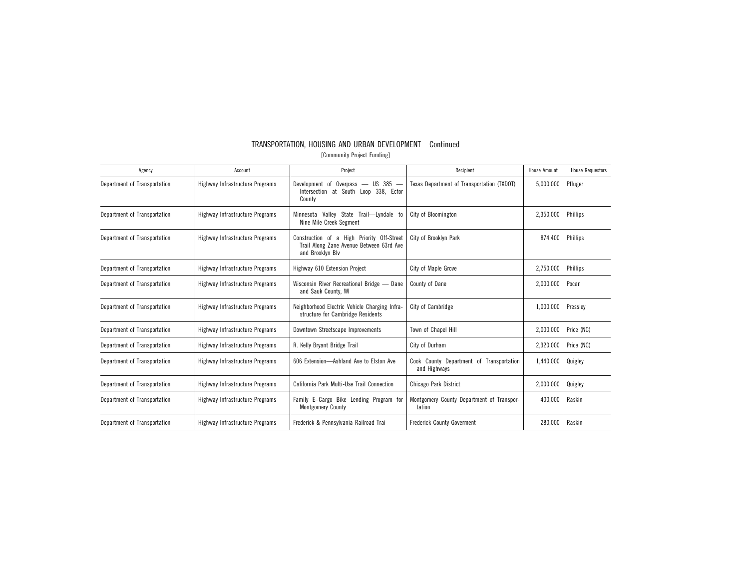| TRANSPORTATION, HOUSING AND URBAN DEVELOPMENT—Continued |                             |  |  |
|---------------------------------------------------------|-----------------------------|--|--|
|                                                         | [Community Project Funding] |  |  |

| Agency                       | Account                         | Project                                                                                                    | Recipient                                                | <b>House Amount</b> | <b>House Requestors</b> |
|------------------------------|---------------------------------|------------------------------------------------------------------------------------------------------------|----------------------------------------------------------|---------------------|-------------------------|
| Department of Transportation | Highway Infrastructure Programs | $US$ 385 $-$<br>Development of<br>$0$ verpass —<br>Intersection at South Loop 338, Ector<br>County         | Texas Department of Transportation (TXDOT)               | 5,000,000           | Pfluger                 |
| Department of Transportation | Highway Infrastructure Programs | Minnesota Valley State Trail-Lyndale to<br>Nine Mile Creek Segment                                         | City of Bloomington                                      | 2,350,000           | Phillips                |
| Department of Transportation | Highway Infrastructure Programs | Construction of a High Priority Off-Street<br>Trail Along Zane Avenue Between 63rd Ave<br>and Brooklyn Blv | City of Brooklyn Park                                    | 874,400             | Phillips                |
| Department of Transportation | Highway Infrastructure Programs | Highway 610 Extension Project                                                                              | City of Maple Grove                                      | 2,750,000           | Phillips                |
| Department of Transportation | Highway Infrastructure Programs | Wisconsin River Recreational Bridge - Dane<br>and Sauk County, WI                                          | County of Dane                                           | 2,000,000           | Pocan                   |
| Department of Transportation | Highway Infrastructure Programs | Neighborhood Electric Vehicle Charging Infra-<br>structure for Cambridge Residents                         | City of Cambridge                                        | 1,000,000           | Presslev                |
| Department of Transportation | Highway Infrastructure Programs | Downtown Streetscape Improvements                                                                          | Town of Chapel Hill                                      | 2,000,000           | Price (NC)              |
| Department of Transportation | Highway Infrastructure Programs | R. Kelly Bryant Bridge Trail                                                                               | City of Durham                                           | 2,320,000           | Price (NC)              |
| Department of Transportation | Highway Infrastructure Programs | 606 Extension-Ashland Ave to Elston Ave                                                                    | Cook County Department of Transportation<br>and Highways | 1,440,000           | Quigley                 |
| Department of Transportation | Highway Infrastructure Programs | California Park Multi-Use Trail Connection                                                                 | Chicago Park District                                    | 2,000,000           | Quigley                 |
| Department of Transportation | Highway Infrastructure Programs | Family E-Cargo Bike Lending Program for<br><b>Montgomery County</b>                                        | Montgomery County Department of Transpor-<br>tation      | 400,000             | Raskin                  |
| Department of Transportation | Highway Infrastructure Programs | Frederick & Pennsylvania Railroad Trai                                                                     | <b>Frederick County Goverment</b>                        | 280,000             | Raskin                  |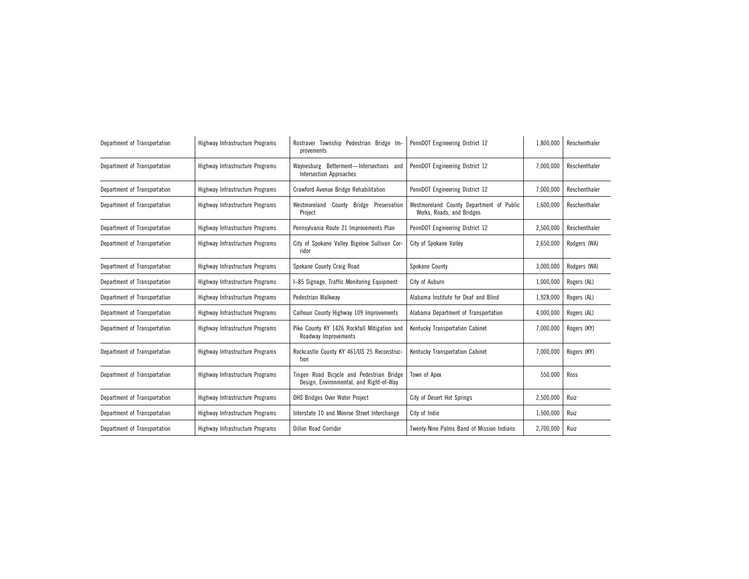| Department of Transportation | Highway Infrastructure Programs | Rostraver Township Pedestrian Bridge Im-<br>provements                               | PennDOT Engineering District 12                                       | 1,800,000 | Reschenthaler |
|------------------------------|---------------------------------|--------------------------------------------------------------------------------------|-----------------------------------------------------------------------|-----------|---------------|
| Department of Transportation | Highway Infrastructure Programs | Waynesburg Betterment-Intersections and<br><b>Intersection Approaches</b>            | PennDOT Engineering District 12                                       | 7,000,000 | Reschenthaler |
| Department of Transportation | Highway Infrastructure Programs | <b>Crawford Avenue Bridge Rehabilitation</b>                                         | PennDOT Engineering District 12                                       | 7,000,000 | Reschenthaler |
| Department of Transportation | Highway Infrastructure Programs | Westmoreland County Bridge Preservation<br>Project                                   | Westmoreland County Department of Public<br>Works, Roads, and Bridges | 1,600,000 | Reschenthaler |
| Department of Transportation | Highway Infrastructure Programs | Pennsylvania Route 21 Improvements Plan                                              | PennDOT Engineering District 12                                       | 2,500,000 | Reschenthaler |
| Department of Transportation | Highway Infrastructure Programs | City of Spokane Valley Bigelow Sullivan Cor-<br>ridor                                | City of Spokane Valley                                                | 2,650,000 | Rodgers (WA)  |
| Department of Transportation | Highway Infrastructure Programs | Spokane County Craig Road                                                            | Spokane County                                                        | 3,000,000 | Rodgers (WA)  |
| Department of Transportation | Highway Infrastructure Programs | I-85 Signage, Traffic Monitoring Equipment                                           | City of Auburn                                                        | 1,000,000 | Rogers (AL)   |
| Department of Transportation | Highway Infrastructure Programs | Pedestrian Walkway                                                                   | Alabama Institute for Deaf and Blind                                  | 1,928,000 | Rogers (AL)   |
| Department of Transportation | Highway Infrastructure Programs | Calhoun County Highway 109 Improvements                                              | Alabama Department of Transportation                                  | 4,000,000 | Rogers (AL)   |
| Department of Transportation | Highway Infrastructure Programs | Pike County KY 1426 Rockfall Mitigation and<br>Roadway Improvements                  | Kentucky Transportation Cabinet                                       | 7,000,000 | Rogers (KY)   |
| Department of Transportation | Highway Infrastructure Programs | Rockcastle County KY 461/US 25 Reconstruc-<br>tion                                   | Kentucky Transportation Cabinet                                       | 7,000,000 | Rogers (KY)   |
| Department of Transportation | Highway Infrastructure Programs | Tingen Road Bicycle and Pedestrian Bridge<br>Design, Environmental, and Right-of-Way | Town of Apex                                                          | 550,000   | Ross          |
| Department of Transportation | Highway Infrastructure Programs | DHS Bridges Over Water Project                                                       | City of Desert Hot Springs                                            | 2,500,000 | Ruiz          |
| Department of Transportation | Highway Infrastructure Programs | Interstate 10 and Monroe Street Interchange                                          | City of Indio                                                         | 1,500,000 | Ruiz          |
| Department of Transportation | Highway Infrastructure Programs | <b>Dillon Road Corridor</b>                                                          | Twenty-Nine Palms Band of Mission Indians                             | 2,700,000 | Ruiz          |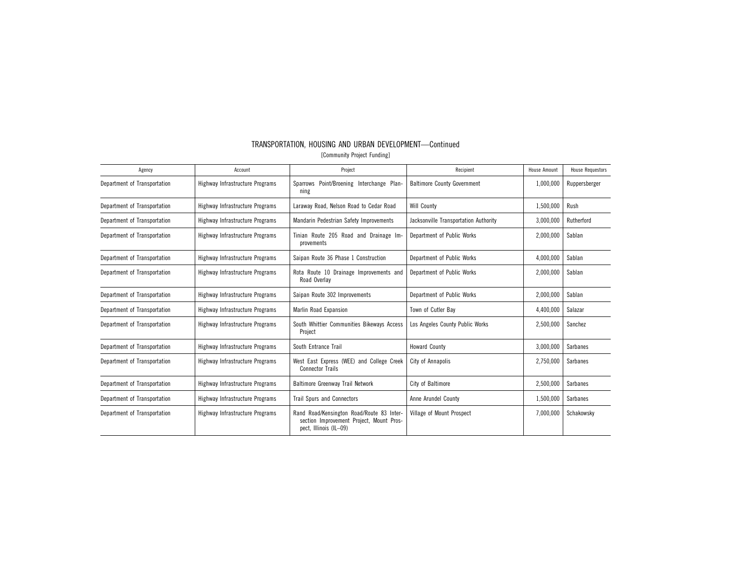| Agency                       | Account                         | Project                                                                                                         | Recipient                             | <b>House Amount</b> | <b>House Requestors</b> |
|------------------------------|---------------------------------|-----------------------------------------------------------------------------------------------------------------|---------------------------------------|---------------------|-------------------------|
| Department of Transportation | Highway Infrastructure Programs | Sparrows Point/Broening Interchange Plan-<br>ning                                                               | <b>Baltimore County Government</b>    | 1,000,000           | Ruppersberger           |
| Department of Transportation | Highway Infrastructure Programs | Laraway Road, Nelson Road to Cedar Road                                                                         | <b>Will County</b>                    | 1,500,000           | Rush                    |
| Department of Transportation | Highway Infrastructure Programs | Mandarin Pedestrian Safety Improvements                                                                         | Jacksonville Transportation Authority | 3,000,000           | Rutherford              |
| Department of Transportation | Highway Infrastructure Programs | Tinian Route 205 Road and Drainage Im-<br>provements                                                            | Department of Public Works            | 2,000,000           | Sablan                  |
| Department of Transportation | Highway Infrastructure Programs | Saipan Route 36 Phase 1 Construction                                                                            | Department of Public Works            | 4,000,000           | Sablan                  |
| Department of Transportation | Highway Infrastructure Programs | Rota Route 10 Drainage Improvements and<br>Road Overlay                                                         | Department of Public Works            | 2,000,000           | Sablan                  |
| Department of Transportation | Highway Infrastructure Programs | Saipan Route 302 Improvements                                                                                   | Department of Public Works            | 2,000,000           | Sablan                  |
| Department of Transportation | Highway Infrastructure Programs | Marlin Road Expansion                                                                                           | Town of Cutler Bay                    | 4,400,000           | Salazar                 |
| Department of Transportation | Highway Infrastructure Programs | South Whittier Communities Bikeways Access<br>Project                                                           | Los Angeles County Public Works       | 2,500,000           | Sanchez                 |
| Department of Transportation | Highway Infrastructure Programs | South Entrance Trail                                                                                            | <b>Howard County</b>                  | 3,000,000           | Sarbanes                |
| Department of Transportation | Highway Infrastructure Programs | West East Express (WEE) and College Creek<br><b>Connector Trails</b>                                            | City of Annapolis                     | 2,750,000           | Sarbanes                |
| Department of Transportation | Highway Infrastructure Programs | <b>Baltimore Greenway Trail Network</b>                                                                         | City of Baltimore                     | 2,500,000           | <b>Sarbanes</b>         |
| Department of Transportation | Highway Infrastructure Programs | <b>Trail Spurs and Connectors</b>                                                                               | Anne Arundel County                   | 1,500,000           | Sarbanes                |
| Department of Transportation | Highway Infrastructure Programs | Rand Road/Kensington Road/Route 83 Inter-<br>section Improvement Project, Mount Pros-<br>pect, Illinois (IL-09) | Village of Mount Prospect             | 7,000,000           | Schakowsky              |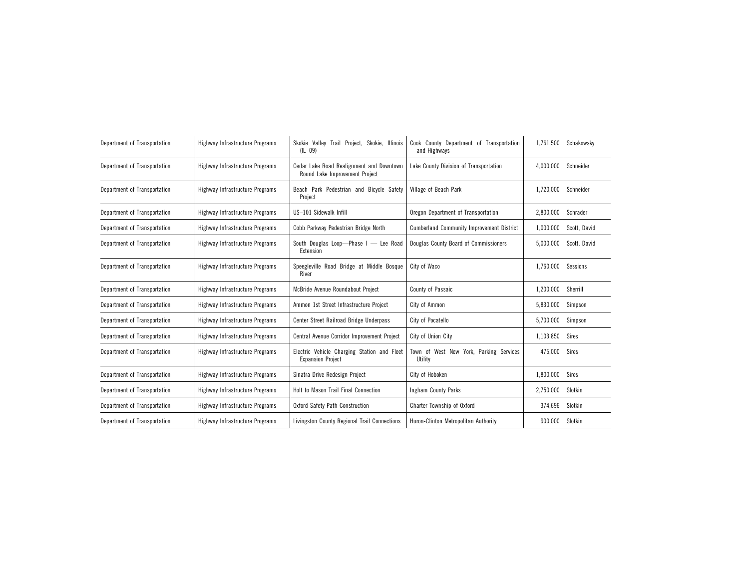| Department of Transportation | Highway Infrastructure Programs | Skokie Valley Trail Project, Skokie, Illinois<br>$(IL - 09)$               | Cook County Department of Transportation<br>and Highways | 1,761,500 | Schakowsky   |
|------------------------------|---------------------------------|----------------------------------------------------------------------------|----------------------------------------------------------|-----------|--------------|
| Department of Transportation | Highway Infrastructure Programs | Cedar Lake Road Realignment and Downtown<br>Round Lake Improvement Project | Lake County Division of Transportation                   | 4,000,000 | Schneider    |
| Department of Transportation | Highway Infrastructure Programs | Beach Park Pedestrian and Bicycle Safety<br>Project                        | Village of Beach Park                                    | 1,720,000 | Schneider    |
| Department of Transportation | Highway Infrastructure Programs | US-101 Sidewalk Infill                                                     | Oregon Department of Transportation                      | 2,800,000 | Schrader     |
| Department of Transportation | Highway Infrastructure Programs | Cobb Parkway Pedestrian Bridge North                                       | <b>Cumberland Community Improvement District</b>         | 1,000,000 | Scott, David |
| Department of Transportation | Highway Infrastructure Programs | South Douglas Loop-Phase I - Lee Road<br>Extension                         | Douglas County Board of Commissioners                    | 5,000,000 | Scott, David |
| Department of Transportation | Highway Infrastructure Programs | Speegleville Road Bridge at Middle Bosque<br>River                         | City of Waco                                             | 1,760,000 | Sessions     |
| Department of Transportation | Highway Infrastructure Programs | McBride Avenue Roundabout Project                                          | County of Passaic                                        | 1,200,000 | Sherrill     |
| Department of Transportation | Highway Infrastructure Programs | Ammon 1st Street Infrastructure Project                                    | City of Ammon                                            | 5,830,000 | Simpson      |
| Department of Transportation | Highway Infrastructure Programs | Center Street Railroad Bridge Underpass                                    | City of Pocatello                                        | 5,700,000 | Simpson      |
| Department of Transportation | Highway Infrastructure Programs | Central Avenue Corridor Improvement Project                                | City of Union City                                       | 1,103,850 | <b>Sires</b> |
| Department of Transportation | Highway Infrastructure Programs | Electric Vehicle Charging Station and Fleet<br><b>Expansion Project</b>    | Town of West New York, Parking Services<br>Utility       | 475,000   | <b>Sires</b> |
| Department of Transportation | Highway Infrastructure Programs | Sinatra Drive Redesign Project                                             | City of Hoboken                                          | 1,800,000 | <b>Sires</b> |
| Department of Transportation | Highway Infrastructure Programs | Holt to Mason Trail Final Connection                                       | Ingham County Parks                                      | 2,750,000 | Slotkin      |
| Department of Transportation | Highway Infrastructure Programs | Oxford Safety Path Construction                                            | Charter Township of Oxford                               | 374,696   | Slotkin      |
| Department of Transportation | Highway Infrastructure Programs | Livingston County Regional Trail Connections                               | Huron-Clinton Metropolitan Authority                     | 900,000   | Slotkin      |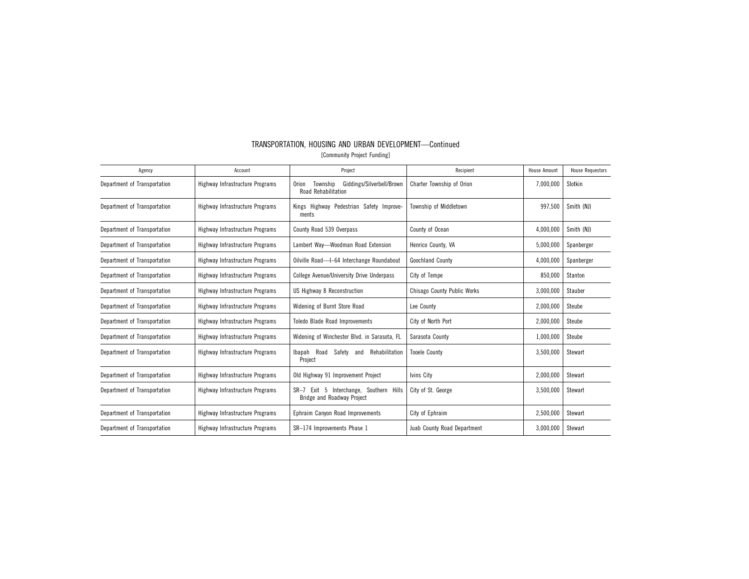| Agency                       | Account                         | Project                                                                           | Recipient                          | <b>House Amount</b> | <b>House Requestors</b> |
|------------------------------|---------------------------------|-----------------------------------------------------------------------------------|------------------------------------|---------------------|-------------------------|
| Department of Transportation | Highway Infrastructure Programs | Giddings/Silverbell/Brown<br>Township<br><b>Orion</b><br>Road Rehabilitation      | Charter Township of Orion          | 7,000,000           | Slotkin                 |
| Department of Transportation | Highway Infrastructure Programs | Kings Highway Pedestrian Safety Improve-<br>ments                                 | Township of Middletown             | 997,500             | Smith (NJ)              |
| Department of Transportation | Highway Infrastructure Programs | County Road 539 Overpass                                                          | County of Ocean                    | 4,000,000           | Smith (NJ)              |
| Department of Transportation | Highway Infrastructure Programs | Lambert Way-Woodman Road Extension                                                | Henrico County, VA                 | 5,000,000           | Spanberger              |
| Department of Transportation | Highway Infrastructure Programs | Oilville Road-l-64 Interchange Roundabout                                         | Goochland County                   | 4,000,000           | Spanberger              |
| Department of Transportation | Highway Infrastructure Programs | College Avenue/University Drive Underpass                                         | City of Tempe                      | 850,000             | Stanton                 |
| Department of Transportation | Highway Infrastructure Programs | US Highway 8 Reconstruction                                                       | <b>Chisago County Public Works</b> | 3,000,000           | Stauber                 |
| Department of Transportation | Highway Infrastructure Programs | Widening of Burnt Store Road                                                      | Lee County                         | 2,000,000           | Steube                  |
| Department of Transportation | Highway Infrastructure Programs | <b>Toledo Blade Road Improvements</b>                                             | City of North Port                 | 2,000,000           | Steube                  |
| Department of Transportation | Highway Infrastructure Programs | Widening of Winchester Blvd. in Sarasota, FL                                      | Sarasota County                    | 1,000,000           | Steube                  |
| Department of Transportation | Highway Infrastructure Programs | Road<br>Safety<br>Rehabilitation<br>Ibapah<br>and<br>Project                      | <b>Tooele County</b>               | 3,500,000           | Stewart                 |
| Department of Transportation | Highway Infrastructure Programs | Old Highway 91 Improvement Project                                                | Ivins City                         | 2,000,000           | Stewart                 |
| Department of Transportation | Highway Infrastructure Programs | Exit 5 Interchange, Southern Hills<br>$SR-7$<br><b>Bridge and Roadway Project</b> | City of St. George                 | 3,500,000           | Stewart                 |
| Department of Transportation | Highway Infrastructure Programs | Ephraim Canyon Road Improvements                                                  | City of Ephraim                    | 2,500,000           | Stewart                 |
| Department of Transportation | Highway Infrastructure Programs | SR-174 Improvements Phase 1                                                       | Juab County Road Department        | 3,000,000           | Stewart                 |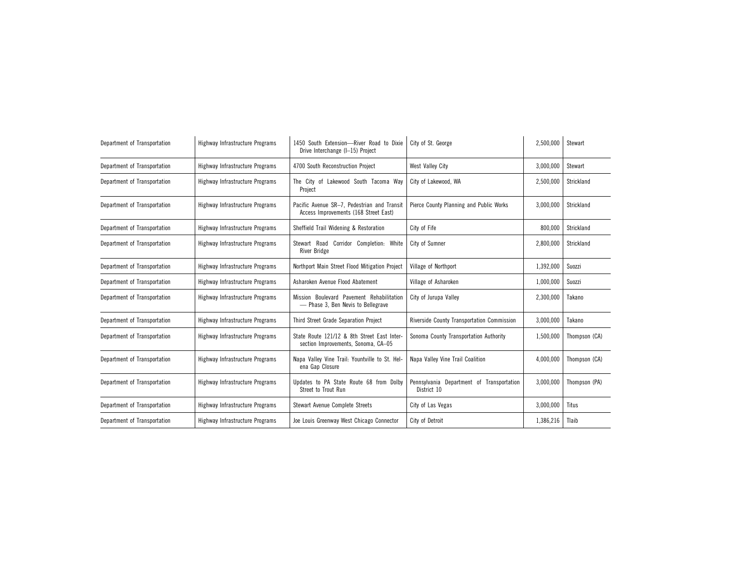| Department of Transportation | Highway Infrastructure Programs | 1450 South Extension-River Road to Dixie<br>Drive Interchange (I-15) Project         | City of St. George                                       | 2,500,000 | Stewart       |
|------------------------------|---------------------------------|--------------------------------------------------------------------------------------|----------------------------------------------------------|-----------|---------------|
| Department of Transportation | Highway Infrastructure Programs | 4700 South Reconstruction Project                                                    | West Valley City                                         | 3,000,000 | Stewart       |
| Department of Transportation | Highway Infrastructure Programs | The City of Lakewood South Tacoma Way<br>Project                                     | City of Lakewood, WA                                     | 2,500,000 | Strickland    |
| Department of Transportation | Highway Infrastructure Programs | Pacific Avenue SR-7, Pedestrian and Transit<br>Access Improvements (168 Street East) | Pierce County Planning and Public Works                  | 3,000,000 | Strickland    |
| Department of Transportation | Highway Infrastructure Programs | Sheffield Trail Widening & Restoration                                               | City of Fife                                             | 800,000   | Strickland    |
| Department of Transportation | Highway Infrastructure Programs | Stewart Road Corridor Completion: White<br><b>River Bridge</b>                       | City of Sumner                                           | 2,800,000 | Strickland    |
| Department of Transportation | Highway Infrastructure Programs | Northport Main Street Flood Mitigation Project                                       | Village of Northport                                     | 1,392,000 | Suozzi        |
| Department of Transportation | Highway Infrastructure Programs | Asharoken Avenue Flood Abatement                                                     | Village of Asharoken                                     | 1,000,000 | Suozzi        |
| Department of Transportation | Highway Infrastructure Programs | Mission Boulevard Pavement Rehabilitation<br>- Phase 3, Ben Nevis to Bellegrave      | City of Jurupa Valley                                    | 2,300,000 | Takano        |
| Department of Transportation | Highway Infrastructure Programs | Third Street Grade Separation Project                                                | Riverside County Transportation Commission               | 3,000,000 | Takano        |
| Department of Transportation | Highway Infrastructure Programs | State Route 121/12 & 8th Street East Inter-<br>section Improvements, Sonoma, CA-05   | Sonoma County Transportation Authority                   | 1,500,000 | Thompson (CA) |
| Department of Transportation | Highway Infrastructure Programs | Napa Valley Vine Trail: Yountville to St. Hel-<br>ena Gap Closure                    | Napa Valley Vine Trail Coalition                         | 4,000,000 | Thompson (CA) |
| Department of Transportation | Highway Infrastructure Programs | Updates to PA State Route 68 from Dolby<br>Street to Trout Run                       | Pennsylvania Department of Transportation<br>District 10 | 3,000,000 | Thompson (PA) |
| Department of Transportation | Highway Infrastructure Programs | <b>Stewart Avenue Complete Streets</b>                                               | City of Las Vegas                                        | 3,000,000 | <b>Titus</b>  |
| Department of Transportation | Highway Infrastructure Programs | Joe Louis Greenway West Chicago Connector                                            | City of Detroit                                          | 1,386,216 | Tlaib         |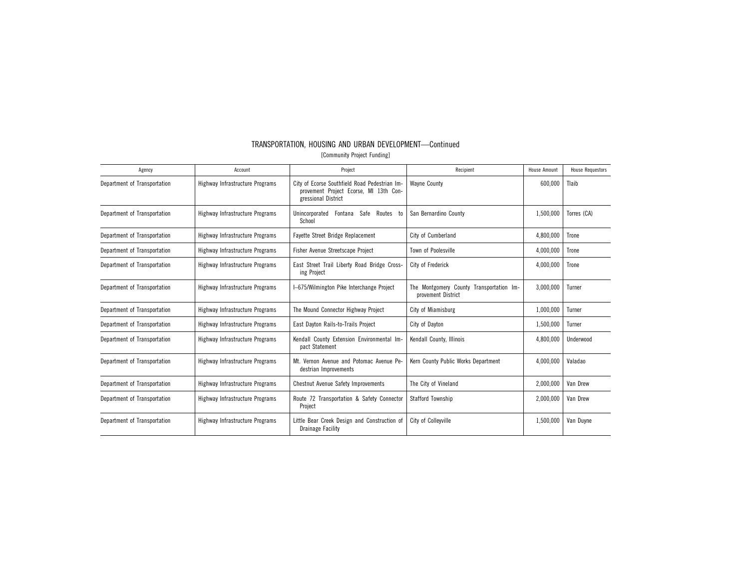| Agency                       | Account                         | Project                                                                                                        | Recipient                                                      | House Amount | <b>House Requestors</b> |
|------------------------------|---------------------------------|----------------------------------------------------------------------------------------------------------------|----------------------------------------------------------------|--------------|-------------------------|
| Department of Transportation | Highway Infrastructure Programs | City of Ecorse Southfield Road Pedestrian Im-<br>provement Project Ecorse, MI 13th Con-<br>gressional District | <b>Wavne County</b>                                            | 600,000      | Tlaib                   |
| Department of Transportation | Highway Infrastructure Programs | Safe<br>Routes<br>Unincorporated<br>Fontana<br>to<br>School                                                    | San Bernardino County                                          | 1,500,000    | Torres (CA)             |
| Department of Transportation | Highway Infrastructure Programs | Fayette Street Bridge Replacement                                                                              | City of Cumberland                                             | 4,800,000    | Trone                   |
| Department of Transportation | Highway Infrastructure Programs | Fisher Avenue Streetscape Project                                                                              | Town of Poolesville                                            | 4,000,000    | Trone                   |
| Department of Transportation | Highway Infrastructure Programs | East Street Trail Liberty Road Bridge Cross-<br>ing Project                                                    | City of Frederick                                              | 4,000,000    | Trone                   |
| Department of Transportation | Highway Infrastructure Programs | I-675/Wilmington Pike Interchange Project                                                                      | The Montgomery County Transportation Im-<br>provement District | 3,000,000    | Turner                  |
| Department of Transportation | Highway Infrastructure Programs | The Mound Connector Highway Project                                                                            | City of Miamisburg                                             | 1,000,000    | Turner                  |
| Department of Transportation | Highway Infrastructure Programs | East Dayton Rails-to-Trails Project                                                                            | City of Dayton                                                 | 1,500,000    | Turner                  |
| Department of Transportation | Highway Infrastructure Programs | Kendall County Extension Environmental Im-<br>pact Statement                                                   | Kendall County, Illinois                                       | 4,800,000    | Underwood               |
| Department of Transportation | Highway Infrastructure Programs | Mt. Vernon Avenue and Potomac Avenue Pe-<br>destrian Improvements                                              | Kern County Public Works Department                            | 4,000,000    | Valadao                 |
| Department of Transportation | Highway Infrastructure Programs | <b>Chestnut Avenue Safety Improvements</b>                                                                     | The City of Vineland                                           | 2,000,000    | Van Drew                |
| Department of Transportation | Highway Infrastructure Programs | Route 72 Transportation & Safety Connector<br>Project                                                          | <b>Stafford Township</b>                                       | 2,000,000    | Van Drew                |
| Department of Transportation | Highway Infrastructure Programs | Little Bear Creek Design and Construction of<br><b>Drainage Facility</b>                                       | City of Collevville                                            | 1,500,000    | Van Duvne               |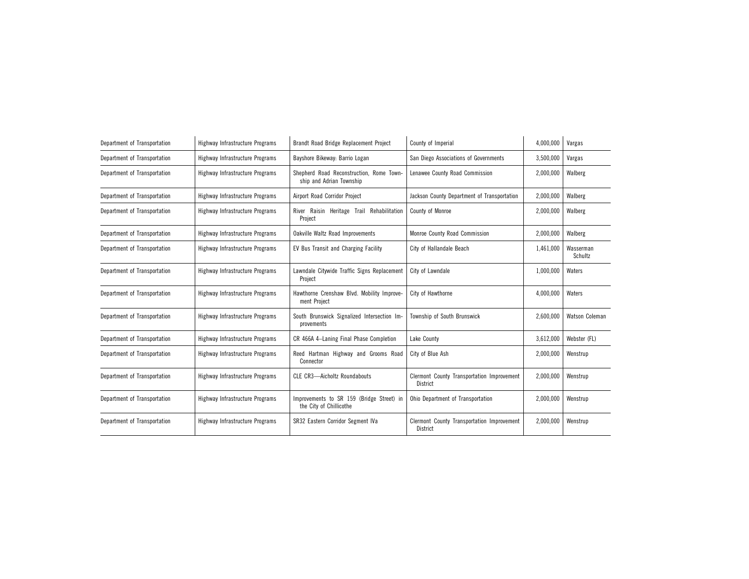| Department of Transportation | Highway Infrastructure Programs | Brandt Road Bridge Replacement Project                               | County of Imperial                                     | 4,000,000 | Vargas               |
|------------------------------|---------------------------------|----------------------------------------------------------------------|--------------------------------------------------------|-----------|----------------------|
| Department of Transportation | Highway Infrastructure Programs | Bayshore Bikeway: Barrio Logan                                       | San Diego Associations of Governments                  | 3,500,000 | Vargas               |
| Department of Transportation | Highway Infrastructure Programs | Shepherd Road Reconstruction, Rome Town-<br>ship and Adrian Township | Lenawee County Road Commission                         | 2,000,000 | Walberg              |
| Department of Transportation | Highway Infrastructure Programs | Airport Road Corridor Project                                        | Jackson County Department of Transportation            | 2,000,000 | Walberg              |
| Department of Transportation | Highway Infrastructure Programs | Rehabilitation<br>River Raisin Heritage Trail<br>Project             | County of Monroe                                       | 2,000,000 | Walberg              |
| Department of Transportation | Highway Infrastructure Programs | <b>Oakville Waltz Road Improvements</b>                              | Monroe County Road Commission                          | 2,000,000 | Walberg              |
| Department of Transportation | Highway Infrastructure Programs | EV Bus Transit and Charging Facility                                 | City of Hallandale Beach                               | 1,461,000 | Wasserman<br>Schultz |
| Department of Transportation | Highway Infrastructure Programs | Lawndale Citywide Traffic Signs Replacement<br>Project               | City of Lawndale                                       | 1,000,000 | Waters               |
| Department of Transportation | Highway Infrastructure Programs | Hawthorne Crenshaw Blvd. Mobility Improve-<br>ment Project           | City of Hawthorne                                      | 4,000,000 | Waters               |
| Department of Transportation | Highway Infrastructure Programs | South Brunswick Signalized Intersection Im-<br>provements            | Township of South Brunswick                            | 2,600,000 | Watson Coleman       |
| Department of Transportation | Highway Infrastructure Programs | CR 466A 4-Laning Final Phase Completion                              | Lake County                                            | 3,612,000 | Webster (FL)         |
| Department of Transportation | Highway Infrastructure Programs | Reed Hartman Highway and Grooms Road<br>Connector                    | City of Blue Ash                                       | 2,000,000 | Wenstrup             |
| Department of Transportation | Highway Infrastructure Programs | <b>CLE CR3-Aicholtz Roundabouts</b>                                  | Clermont County Transportation Improvement<br>District | 2,000,000 | Wenstrup             |
| Department of Transportation | Highway Infrastructure Programs | Improvements to SR 159 (Bridge Street) in<br>the City of Chillicothe | Ohio Department of Transportation                      | 2,000,000 | Wenstrup             |
| Department of Transportation | Highway Infrastructure Programs | SR32 Eastern Corridor Segment IVa                                    | Clermont County Transportation Improvement<br>District | 2,000,000 | Wenstrup             |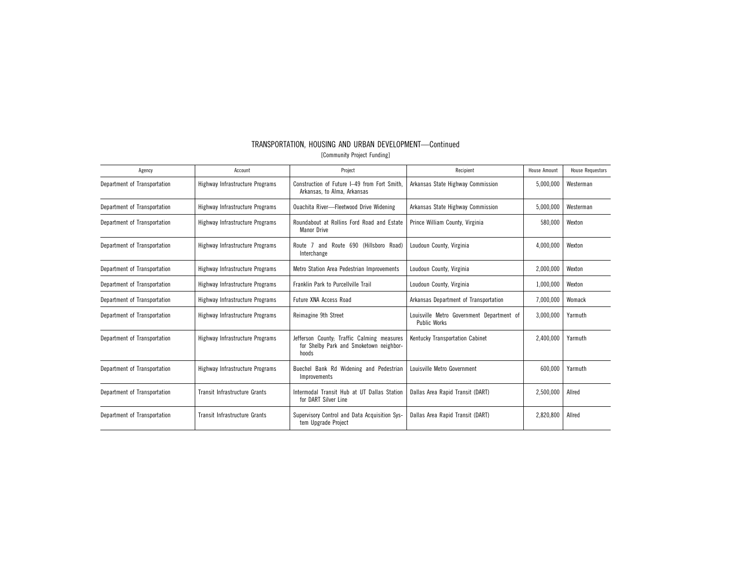| TRANSPORTATION. HOUSING AND URBAN DEVELOPMENT—Continued |  |  |  |  |  |
|---------------------------------------------------------|--|--|--|--|--|
| [Community Project Funding]                             |  |  |  |  |  |

| Agency                       | Account                              | Project                                                                                        | Recipient                                                        | <b>House Amount</b> | <b>House Requestors</b> |
|------------------------------|--------------------------------------|------------------------------------------------------------------------------------------------|------------------------------------------------------------------|---------------------|-------------------------|
| Department of Transportation | Highway Infrastructure Programs      | Construction of Future I-49 from Fort Smith.<br>Arkansas, to Alma, Arkansas                    | Arkansas State Highway Commission                                | 5,000,000           | Westerman               |
| Department of Transportation | Highway Infrastructure Programs      | <b>Ouachita River-Fleetwood Drive Widening</b>                                                 | Arkansas State Highway Commission                                | 5,000,000           | Westerman               |
| Department of Transportation | Highway Infrastructure Programs      | Roundabout at Rollins Ford Road and Estate<br><b>Manor Drive</b>                               | Prince William County, Virginia                                  | 580,000             | Wexton                  |
| Department of Transportation | Highway Infrastructure Programs      | and Route 690 (Hillsboro Road)<br>7<br>Route<br>Interchange                                    | Loudoun County, Virginia                                         | 4,000,000           | Wexton                  |
| Department of Transportation | Highway Infrastructure Programs      | Metro Station Area Pedestrian Improvements                                                     | Loudoun County, Virginia                                         | 2,000,000           | Wexton                  |
| Department of Transportation | Highway Infrastructure Programs      | Franklin Park to Purcellville Trail                                                            | Loudoun County, Virginia                                         | 1,000,000           | Wexton                  |
| Department of Transportation | Highway Infrastructure Programs      | <b>Future XNA Access Road</b>                                                                  | Arkansas Department of Transportation                            | 7,000,000           | Womack                  |
| Department of Transportation | Highway Infrastructure Programs      | Reimagine 9th Street                                                                           | Louisville Metro Government Department of<br><b>Public Works</b> | 3,000,000           | Yarmuth                 |
| Department of Transportation | Highway Infrastructure Programs      | Jefferson County; Traffic Calming measures<br>for Shelby Park and Smoketown neighbor-<br>hoods | Kentucky Transportation Cabinet                                  | 2,400,000           | Yarmuth                 |
| Department of Transportation | Highway Infrastructure Programs      | Buechel Bank Rd Widening and Pedestrian<br>Improvements                                        | Louisville Metro Government                                      | 600,000             | Yarmuth                 |
| Department of Transportation | <b>Transit Infrastructure Grants</b> | Intermodal Transit Hub at UT Dallas Station<br>for DART Silver Line                            | Dallas Area Rapid Transit (DART)                                 | 2,500,000           | Allred                  |
| Department of Transportation | Transit Infrastructure Grants        | Supervisory Control and Data Acquisition Sys-<br>tem Upgrade Project                           | Dallas Area Rapid Transit (DART)                                 | 2,820,800           | Allred                  |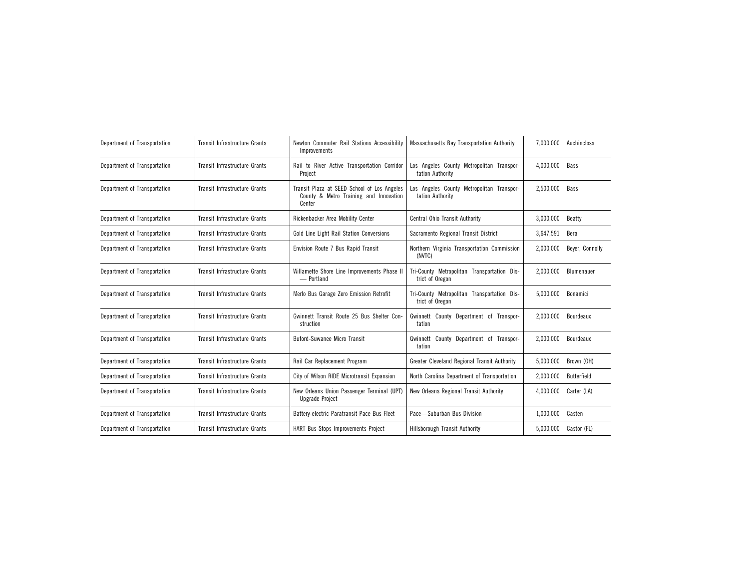| Department of Transportation | Transit Infrastructure Grants        | Newton Commuter Rail Stations Accessibility<br>Improvements                                     | Massachusetts Bay Transportation Authority                     | 7,000,000 | Auchincloss        |
|------------------------------|--------------------------------------|-------------------------------------------------------------------------------------------------|----------------------------------------------------------------|-----------|--------------------|
| Department of Transportation | <b>Transit Infrastructure Grants</b> | Rail to River Active Transportation Corridor<br>Project                                         | Los Angeles County Metropolitan Transpor-<br>tation Authority  | 4,000,000 | Bass               |
| Department of Transportation | Transit Infrastructure Grants        | Transit Plaza at SEED School of Los Angeles<br>County & Metro Training and Innovation<br>Center | Los Angeles County Metropolitan Transpor-<br>tation Authority  | 2,500,000 | Bass               |
| Department of Transportation | Transit Infrastructure Grants        | Rickenbacker Area Mobility Center                                                               | Central Ohio Transit Authority                                 | 3,000,000 | Beatty             |
| Department of Transportation | Transit Infrastructure Grants        | Gold Line Light Rail Station Conversions                                                        | Sacramento Regional Transit District                           | 3,647,591 | Bera               |
| Department of Transportation | <b>Transit Infrastructure Grants</b> | Envision Route 7 Bus Rapid Transit                                                              | Northern Virginia Transportation Commission<br>(NVTC)          | 2,000,000 | Beyer, Connolly    |
| Department of Transportation | <b>Transit Infrastructure Grants</b> | Willamette Shore Line Improvements Phase II<br>- Portland                                       | Tri-County Metropolitan Transportation Dis-<br>trict of Oregon | 2,000,000 | Blumenauer         |
| Department of Transportation | Transit Infrastructure Grants        | Merlo Bus Garage Zero Emission Retrofit                                                         | Tri-County Metropolitan Transportation Dis-<br>trict of Oregon | 5,000,000 | Bonamici           |
| Department of Transportation | Transit Infrastructure Grants        | Gwinnett Transit Route 25 Bus Shelter Con-<br>struction                                         | Gwinnett County Department of Transpor-<br>tation              | 2,000,000 | Bourdeaux          |
| Department of Transportation | <b>Transit Infrastructure Grants</b> | <b>Buford-Suwanee Micro Transit</b>                                                             | Gwinnett County Department of Transpor-<br>tation              | 2,000,000 | Bourdeaux          |
| Department of Transportation | <b>Transit Infrastructure Grants</b> | Rail Car Replacement Program                                                                    | Greater Cleveland Regional Transit Authority                   | 5,000,000 | Brown (OH)         |
| Department of Transportation | Transit Infrastructure Grants        | City of Wilson RIDE Microtransit Expansion                                                      | North Carolina Department of Transportation                    | 2,000,000 | <b>Butterfield</b> |
| Department of Transportation | <b>Transit Infrastructure Grants</b> | New Orleans Union Passenger Terminal (UPT)<br><b>Upgrade Project</b>                            | New Orleans Regional Transit Authority<br>4,000,000            |           | Carter (LA)        |
| Department of Transportation | <b>Transit Infrastructure Grants</b> | Battery-electric Paratransit Pace Bus Fleet                                                     | Pace-Suburban Bus Division                                     | 1,000,000 | Casten             |
| Department of Transportation | Transit Infrastructure Grants        | HART Bus Stops Improvements Project                                                             | <b>Hillsborough Transit Authority</b>                          | 5,000,000 | Castor (FL)        |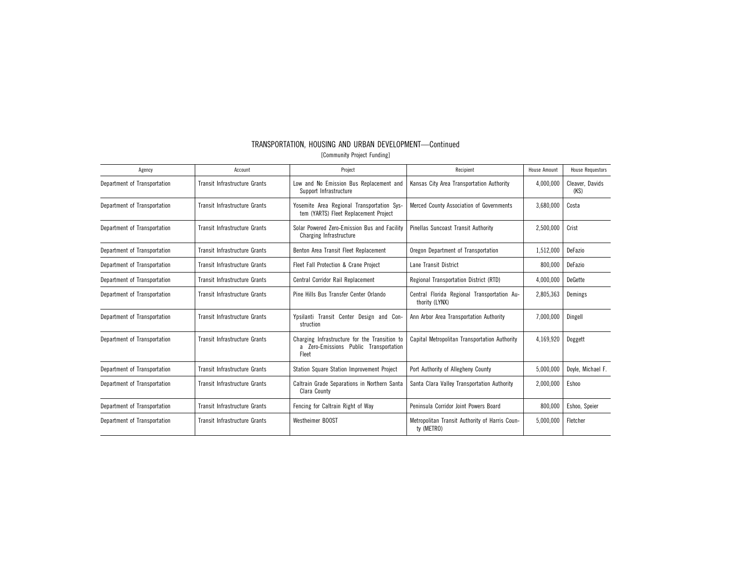| Agency                       | Account                              | Project                                                                                          | Recipient                                                                 | House Amount | <b>House Requestors</b> |
|------------------------------|--------------------------------------|--------------------------------------------------------------------------------------------------|---------------------------------------------------------------------------|--------------|-------------------------|
| Department of Transportation | Transit Infrastructure Grants        | Low and No Emission Bus Replacement and<br>Support Infrastructure                                | Kansas City Area Transportation Authority                                 | 4,000,000    | Cleaver, Davids<br>(KS) |
| Department of Transportation | Transit Infrastructure Grants        | Yosemite Area Regional Transportation Sys-<br>tem (YARTS) Fleet Replacement Project              | Merced County Association of Governments                                  | 3,680,000    | Costa                   |
| Department of Transportation | <b>Transit Infrastructure Grants</b> | Solar Powered Zero-Emission Bus and Facility<br>Charging Infrastructure                          | Pinellas Suncoast Transit Authority                                       | 2,500,000    | Crist                   |
| Department of Transportation | Transit Infrastructure Grants        | Benton Area Transit Fleet Replacement                                                            | Oregon Department of Transportation                                       | 1,512,000    | DeFazio                 |
| Department of Transportation | Transit Infrastructure Grants        | Fleet Fall Protection & Crane Project                                                            | Lane Transit District                                                     | 800,000      | DeFazio                 |
| Department of Transportation | Transit Infrastructure Grants        | Central Corridor Rail Replacement                                                                | Regional Transportation District (RTD)                                    | 4,000,000    | DeGette                 |
| Department of Transportation | Transit Infrastructure Grants        | Pine Hills Bus Transfer Center Orlando                                                           | Central Florida Regional Transportation Au-<br>thority (LYNX)             | 2,805,363    | Demings                 |
| Department of Transportation | <b>Transit Infrastructure Grants</b> | Ypsilanti Transit Center Design and Con-<br>struction                                            | Ann Arbor Area Transportation Authority                                   | 7,000,000    | Dingell                 |
| Department of Transportation | <b>Transit Infrastructure Grants</b> | Charging Infrastructure for the Transition to<br>a Zero-Emissions Public Transportation<br>Fleet | Capital Metropolitan Transportation Authority                             | 4,169,920    | Doggett                 |
| Department of Transportation | Transit Infrastructure Grants        | <b>Station Square Station Improvement Project</b>                                                | Port Authority of Allegheny County                                        | 5,000,000    | Dovle, Michael F.       |
| Department of Transportation | Transit Infrastructure Grants        | Caltrain Grade Separations in Northern Santa<br>Clara County                                     | Santa Clara Valley Transportation Authority<br>2,000,000                  |              | Eshoo                   |
| Department of Transportation | Transit Infrastructure Grants        | Fencing for Caltrain Right of Way                                                                | Peninsula Corridor Joint Powers Board                                     | 800,000      | Eshoo, Speier           |
| Department of Transportation | Transit Infrastructure Grants        | <b>Westheimer BOOST</b>                                                                          | 5.000.000<br>Metropolitan Transit Authority of Harris Coun-<br>ty (METRO) |              | Fletcher                |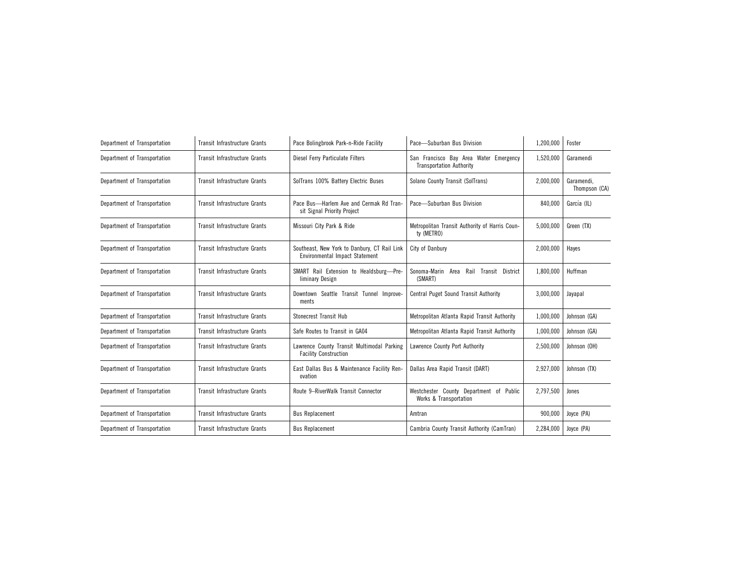| Department of Transportation | <b>Transit Infrastructure Grants</b> | Pace Bolingbrook Park-n-Ride Facility                                          | Pace-Suburban Bus Division                                                | 1,200,000 | Foster                      |
|------------------------------|--------------------------------------|--------------------------------------------------------------------------------|---------------------------------------------------------------------------|-----------|-----------------------------|
| Department of Transportation | Transit Infrastructure Grants        | Diesel Ferry Particulate Filters                                               | San Francisco Bay Area Water Emergency<br><b>Transportation Authority</b> | 1,520,000 | Garamendi                   |
| Department of Transportation | Transit Infrastructure Grants        | SolTrans 100% Battery Electric Buses                                           | Solano County Transit (SolTrans)                                          | 2,000,000 | Garamendi.<br>Thompson (CA) |
| Department of Transportation | Transit Infrastructure Grants        | Pace Bus-Harlem Ave and Cermak Rd Tran-<br>sit Signal Priority Project         | Pace-Suburban Bus Division                                                | 840,000   | García (IL)                 |
| Department of Transportation | <b>Transit Infrastructure Grants</b> | Missouri City Park & Ride                                                      | Metropolitan Transit Authority of Harris Coun-<br>ty (METRO)              | 5,000,000 | Green (TX)                  |
| Department of Transportation | Transit Infrastructure Grants        | Southeast, New York to Danbury, CT Rail Link<br>Environmental Impact Statement | City of Danbury                                                           | 2,000,000 | Haves                       |
| Department of Transportation | Transit Infrastructure Grants        | SMART Rail Extension to Healdsburg-Pre-<br>liminary Design                     | Sonoma-Marin Area<br>Rail Transit District<br>(SMART)                     | 1,800,000 | Huffman                     |
| Department of Transportation | Transit Infrastructure Grants        | Downtown Seattle Transit Tunnel Improve-<br>ments                              | <b>Central Puget Sound Transit Authority</b>                              | 3,000,000 | Jayapal                     |
| Department of Transportation | Transit Infrastructure Grants        | Stonecrest Transit Hub                                                         | Metropolitan Atlanta Rapid Transit Authority                              | 1,000,000 | Johnson (GA)                |
| Department of Transportation | Transit Infrastructure Grants        | Safe Routes to Transit in GA04                                                 | Metropolitan Atlanta Rapid Transit Authority                              | 1,000,000 | Johnson (GA)                |
| Department of Transportation | Transit Infrastructure Grants        | Lawrence County Transit Multimodal Parking<br><b>Facility Construction</b>     | Lawrence County Port Authority                                            | 2,500,000 | Johnson (OH)                |
| Department of Transportation | <b>Transit Infrastructure Grants</b> | East Dallas Bus & Maintenance Facility Ren-<br>ovation                         | Dallas Area Rapid Transit (DART)                                          | 2,927,000 | Johnson (TX)                |
| Department of Transportation | <b>Transit Infrastructure Grants</b> | Route 9-RiverWalk Transit Connector                                            | Westchester County Department of Public<br>Works & Transportation         | 2,797,500 | Jones                       |
| Department of Transportation | <b>Transit Infrastructure Grants</b> | <b>Bus Replacement</b>                                                         | Amtran                                                                    | 900,000   | Joyce (PA)                  |
| Department of Transportation | Transit Infrastructure Grants        | <b>Bus Replacement</b>                                                         | Cambria County Transit Authority (CamTran)                                | 2,284,000 | Joyce (PA)                  |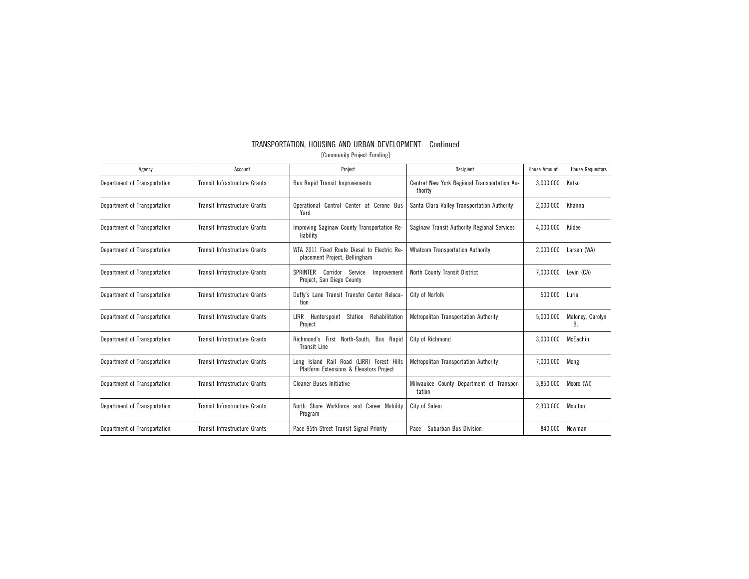| Agency                       | Account                              | Project                                                                              | Recipient                                               | <b>House Amount</b> | <b>House Requestors</b> |
|------------------------------|--------------------------------------|--------------------------------------------------------------------------------------|---------------------------------------------------------|---------------------|-------------------------|
| Department of Transportation | Transit Infrastructure Grants        | <b>Bus Rapid Transit Improvements</b>                                                | Central New York Regional Transportation Au-<br>thority | 3,000,000           | Katko                   |
| Department of Transportation | Transit Infrastructure Grants        | Operational Control Center at Cerone Bus<br>Yard                                     | Santa Clara Valley Transportation Authority             | 2,000,000           | Khanna                  |
| Department of Transportation | <b>Transit Infrastructure Grants</b> | Improving Saginaw County Transportation Re-<br>liability                             | Saginaw Transit Authority Regional Services             | 4,000,000           | Kildee                  |
| Department of Transportation | Transit Infrastructure Grants        | WTA 2011 Fixed Route Diesel to Electric Re-<br>placement Project, Bellingham         | <b>Whatcom Transportation Authority</b>                 | 2,000,000           | Larsen (WA)             |
| Department of Transportation | <b>Transit Infrastructure Grants</b> | Corridor<br>Service<br>SPRINTER<br>Improvement<br>Project, San Diego County          | North County Transit District                           | 7,000,000           | Levin (CA)              |
| Department of Transportation | Transit Infrastructure Grants        | Duffy's Lane Transit Transfer Center Reloca-<br>tion                                 | City of Norfolk                                         | 500,000             | Luria                   |
| Department of Transportation | Transit Infrastructure Grants        | LIRR<br>Hunterspoint<br>Station<br>Rehabilitation<br>Project                         | Metropolitan Transportation Authority                   | 5,000,000           | Maloney, Carolyn<br>В.  |
| Department of Transportation | <b>Transit Infrastructure Grants</b> | Richmond's First North-South. Bus Rapid<br><b>Transit Line</b>                       | City of Richmond                                        | 3,000,000           | McEachin                |
| Department of Transportation | Transit Infrastructure Grants        | Long Island Rail Road (LIRR) Forest Hills<br>Platform Extensions & Elevators Project | Metropolitan Transportation Authority                   | 7,000,000           | Meng                    |
| Department of Transportation | <b>Transit Infrastructure Grants</b> | <b>Cleaner Buses Initiative</b>                                                      | Milwaukee County Department of Transpor-<br>tation      | 3,850,000           | Moore (WI)              |
| Department of Transportation | Transit Infrastructure Grants        | North Shore Workforce and Career Mobility<br>Program                                 | City of Salem                                           | 2,300,000           | Moulton                 |
| Department of Transportation | Transit Infrastructure Grants        | Pace 95th Street Transit Signal Priority                                             | Pace-Suburban Bus Division                              | 840,000             | Newman                  |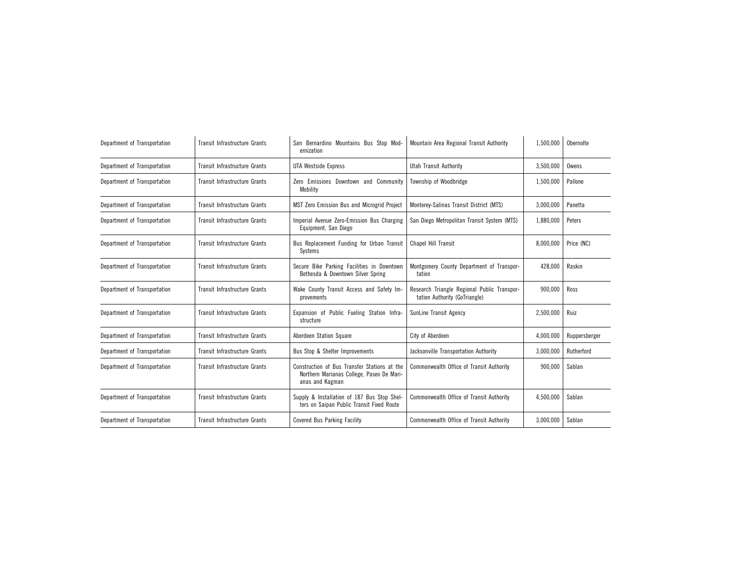| Department of Transportation | Transit Infrastructure Grants        | San Bernardino Mountains Bus Stop Mod-<br>ernization                                                         | Mountain Area Regional Transit Authority                                     | 1,500,000 | Obernolte     |
|------------------------------|--------------------------------------|--------------------------------------------------------------------------------------------------------------|------------------------------------------------------------------------------|-----------|---------------|
| Department of Transportation | Transit Infrastructure Grants        | <b>UTA Westside Express</b>                                                                                  | Utah Transit Authority                                                       | 3,500,000 | Owens         |
| Department of Transportation | Transit Infrastructure Grants        | Zero Emissions Downtown and Community<br>Mobility                                                            | Township of Woodbridge                                                       | 1,500,000 | Pallone       |
| Department of Transportation | <b>Transit Infrastructure Grants</b> | MST Zero Emission Bus and Microgrid Project                                                                  | Monterey-Salinas Transit District (MTS)                                      | 3,000,000 | Panetta       |
| Department of Transportation | <b>Transit Infrastructure Grants</b> | Imperial Avenue Zero-Emission Bus Charging<br>Equipment, San Diego                                           | San Diego Metropolitan Transit System (MTS)                                  | 1.880.000 | Peters        |
| Department of Transportation | <b>Transit Infrastructure Grants</b> | Bus Replacement Funding for Urban Transit<br>Systems                                                         | <b>Chapel Hill Transit</b>                                                   | 8.000.000 | Price (NC)    |
| Department of Transportation | <b>Transit Infrastructure Grants</b> | Secure Bike Parking Facilities in Downtown<br>Bethesda & Downtown Silver Spring                              | Montgomery County Department of Transpor-<br>tation                          | 428.000   | Raskin        |
| Department of Transportation | <b>Transit Infrastructure Grants</b> | Wake County Transit Access and Safety Im-<br>provements                                                      | Research Triangle Regional Public Transpor-<br>tation Authority (GoTriangle) | 900.000   | Ross          |
| Department of Transportation | <b>Transit Infrastructure Grants</b> | Expansion of Public Fueling Station Infra-<br>structure                                                      | SunLine Transit Agency                                                       | 2,500,000 | Ruiz          |
| Department of Transportation | <b>Transit Infrastructure Grants</b> | Aberdeen Station Square                                                                                      | City of Aberdeen                                                             | 4,000,000 | Ruppersberger |
| Department of Transportation | <b>Transit Infrastructure Grants</b> | Bus Stop & Shelter Improvements                                                                              | Jacksonville Transportation Authority                                        | 3,000,000 | Rutherford    |
| Department of Transportation | Transit Infrastructure Grants        | Construction of Bus Transfer Stations at the<br>Northern Marianas College, Paseo De Mari-<br>anas and Kagman | Commonwealth Office of Transit Authority                                     | 900,000   | Sablan        |
| Department of Transportation | <b>Transit Infrastructure Grants</b> | Supply & Installation of 187 Bus Stop Shel-<br>ters on Saipan Public Transit Fixed Route                     | Commonwealth Office of Transit Authority<br>4,500,000                        |           | Sablan        |
| Department of Transportation | Transit Infrastructure Grants        | <b>Covered Bus Parking Facility</b>                                                                          | Commonwealth Office of Transit Authority                                     | 3,000,000 | Sablan        |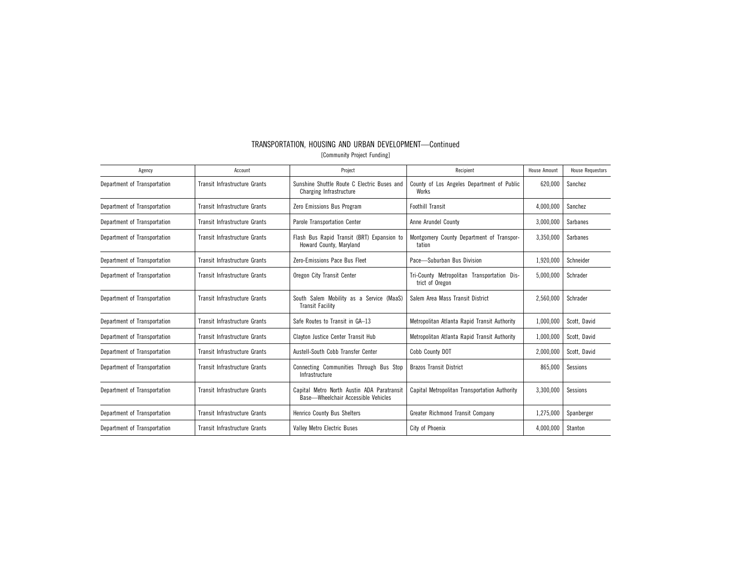| Agency                       | Account                              | Project                                                                              | Recipient                                                      | House Amount | <b>House Requestors</b> |
|------------------------------|--------------------------------------|--------------------------------------------------------------------------------------|----------------------------------------------------------------|--------------|-------------------------|
| Department of Transportation | Transit Infrastructure Grants        | Sunshine Shuttle Route C Electric Buses and<br>Charging Infrastructure               | County of Los Angeles Department of Public<br>Works            | 620,000      | Sanchez                 |
| Department of Transportation | Transit Infrastructure Grants        | Zero Emissions Bus Program                                                           | <b>Foothill Transit</b>                                        | 4,000,000    | Sanchez                 |
| Department of Transportation | Transit Infrastructure Grants        | Parole Transportation Center                                                         | Anne Arundel County                                            | 3,000,000    | <b>Sarbanes</b>         |
| Department of Transportation | Transit Infrastructure Grants        | Flash Bus Rapid Transit (BRT) Expansion to<br>Howard County, Maryland                | Montgomery County Department of Transpor-<br>tation            | 3,350,000    | <b>Sarbanes</b>         |
| Department of Transportation | Transit Infrastructure Grants        | Zero-Emissions Pace Bus Fleet                                                        | Pace-Suburban Bus Division                                     | 1,920,000    | Schneider               |
| Department of Transportation | Transit Infrastructure Grants        | Oregon City Transit Center                                                           | Tri-County Metropolitan Transportation Dis-<br>trict of Oregon | 5,000,000    | Schrader                |
| Department of Transportation | <b>Transit Infrastructure Grants</b> | South Salem Mobility as a Service (MaaS)<br><b>Transit Facility</b>                  | Salem Area Mass Transit District                               | 2,560,000    | Schrader                |
| Department of Transportation | Transit Infrastructure Grants        | Safe Routes to Transit in GA-13                                                      | Metropolitan Atlanta Rapid Transit Authority                   | 1,000,000    | Scott, David            |
| Department of Transportation | Transit Infrastructure Grants        | Clayton Justice Center Transit Hub                                                   | Metropolitan Atlanta Rapid Transit Authority                   | 1,000,000    | Scott, David            |
| Department of Transportation | Transit Infrastructure Grants        | Austell-South Cobb Transfer Center                                                   | Cobb County DOT                                                | 2,000,000    | Scott, David            |
| Department of Transportation | <b>Transit Infrastructure Grants</b> | Connecting Communities Through Bus Stop<br>Infrastructure                            | <b>Brazos Transit District</b>                                 | 865,000      | Sessions                |
| Department of Transportation | Transit Infrastructure Grants        | Metro North Austin ADA Paratransit<br>Capital<br>Base-Wheelchair Accessible Vehicles | Capital Metropolitan Transportation Authority                  | 3,300,000    | Sessions                |
| Department of Transportation | Transit Infrastructure Grants        | <b>Henrico County Bus Shelters</b>                                                   | Greater Richmond Transit Company                               | 1,275,000    | Spanberger              |
| Department of Transportation | Transit Infrastructure Grants        | <b>Valley Metro Electric Buses</b>                                                   | City of Phoenix                                                | 4,000,000    | Stanton                 |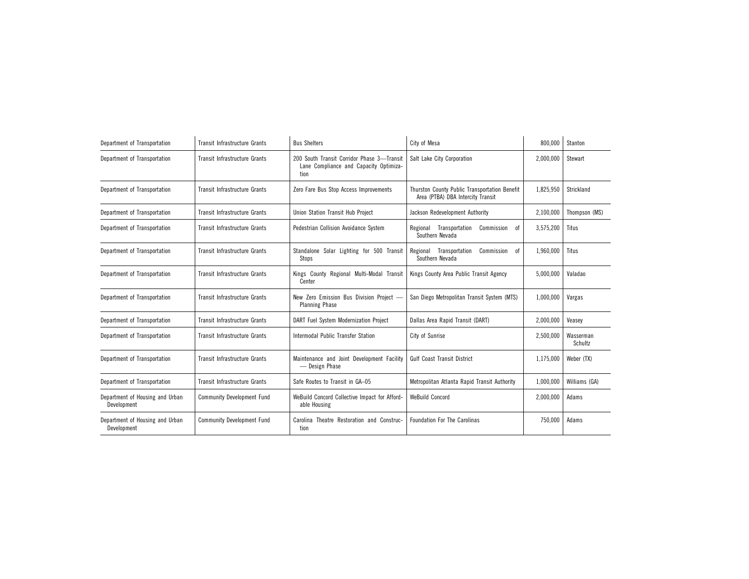| Department of Transportation                   | Transit Infrastructure Grants        | <b>Bus Shelters</b>                                                                          | City of Mesa                                                                       | 800,000   | Stanton              |
|------------------------------------------------|--------------------------------------|----------------------------------------------------------------------------------------------|------------------------------------------------------------------------------------|-----------|----------------------|
| Department of Transportation                   | <b>Transit Infrastructure Grants</b> | 200 South Transit Corridor Phase 3-Transit<br>Lane Compliance and Capacity Optimiza-<br>tion | Salt Lake City Corporation                                                         | 2,000,000 | Stewart              |
| Department of Transportation                   | <b>Transit Infrastructure Grants</b> | Zero Fare Bus Stop Access Improvements                                                       | Thurston County Public Transportation Benefit<br>Area (PTBA) DBA Intercity Transit | 1,825,950 | Strickland           |
| Department of Transportation                   | Transit Infrastructure Grants        | Union Station Transit Hub Project                                                            | Jackson Redevelopment Authority                                                    | 2,100,000 | Thompson (MS)        |
| Department of Transportation                   | Transit Infrastructure Grants        | Pedestrian Collision Avoidance System                                                        | Regional Transportation<br>Commission<br>0f<br>Southern Nevada                     | 3,575,200 | Titus                |
| Department of Transportation                   | Transit Infrastructure Grants        | Standalone Solar Lighting for 500 Transit<br>Stops                                           | Regional Transportation<br>Commission<br>0f<br>Southern Nevada                     | 1,960,000 | Titus                |
| Department of Transportation                   | <b>Transit Infrastructure Grants</b> | Kings County Regional Multi-Modal Transit<br>Center                                          | Kings County Area Public Transit Agency                                            | 5.000.000 | Valadao              |
| Department of Transportation                   | Transit Infrastructure Grants        | New Zero Emission Bus Division Project -<br><b>Planning Phase</b>                            | San Diego Metropolitan Transit System (MTS)                                        | 1,000,000 | Vargas               |
| Department of Transportation                   | <b>Transit Infrastructure Grants</b> | DART Fuel System Modernization Project                                                       | Dallas Area Rapid Transit (DART)                                                   | 2,000,000 | Veasey               |
| Department of Transportation                   | <b>Transit Infrastructure Grants</b> | Intermodal Public Transfer Station                                                           | City of Sunrise                                                                    | 2,500,000 | Wasserman<br>Schultz |
| Department of Transportation                   | <b>Transit Infrastructure Grants</b> | Maintenance and Joint Development Facility<br>— Design Phase                                 | <b>Gulf Coast Transit District</b>                                                 | 1,175,000 | Weber (TX)           |
| Department of Transportation                   | Transit Infrastructure Grants        | Safe Routes to Transit in GA-05                                                              | Metropolitan Atlanta Rapid Transit Authority                                       | 1,000,000 | Williams (GA)        |
| Department of Housing and Urban<br>Development | <b>Community Development Fund</b>    | WeBuild Concord Collective Impact for Afford-<br>able Housing                                | <b>WeBuild Concord</b>                                                             | 2,000,000 | Adams                |
| Department of Housing and Urban<br>Development | <b>Community Development Fund</b>    | Carolina Theatre Restoration and Construc-<br>tion                                           | <b>Foundation For The Carolinas</b>                                                | 750,000   | Adams                |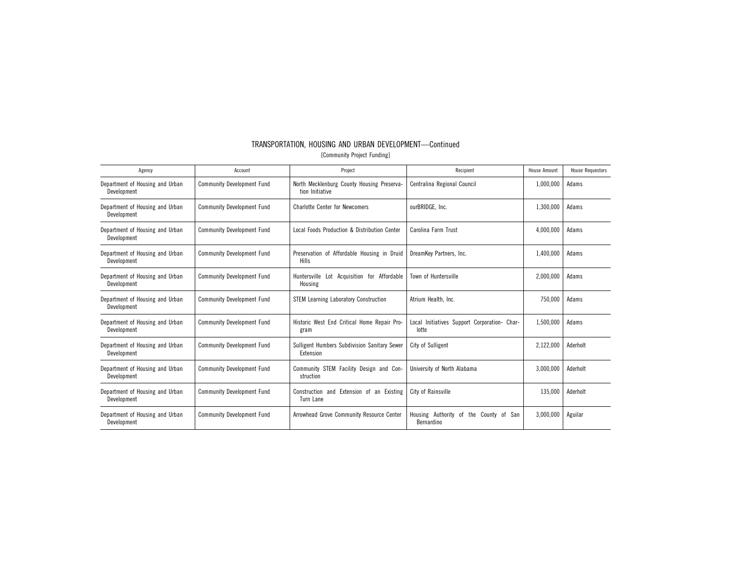| TRANSPORTATION, HOUSING AND URBAN DEVELOPMENT-Continued |
|---------------------------------------------------------|
| [Community Project Funding]                             |
|                                                         |

| Agency                                         | Account                           | Project                                                       | Recipient                                                  | <b>House Amount</b> | <b>House Requestors</b> |
|------------------------------------------------|-----------------------------------|---------------------------------------------------------------|------------------------------------------------------------|---------------------|-------------------------|
| Department of Housing and Urban<br>Development | <b>Community Development Fund</b> | North Mecklenburg County Housing Preserva-<br>tion Initiative | Centralina Regional Council                                | 1,000,000           | Adams                   |
| Department of Housing and Urban<br>Development | <b>Community Development Fund</b> | <b>Charlotte Center for Newcomers</b>                         | ourBRIDGE, Inc.                                            | 1,300,000           | Adams                   |
| Department of Housing and Urban<br>Development | <b>Community Development Fund</b> | Local Foods Production & Distribution Center                  | Carolina Farm Trust                                        | 4,000,000           | Adams                   |
| Department of Housing and Urban<br>Development | <b>Community Development Fund</b> | Preservation of Affordable Housing in Druid<br><b>Hills</b>   | DreamKey Partners, Inc.                                    | 1,400,000           | Adams                   |
| Department of Housing and Urban<br>Development | <b>Community Development Fund</b> | Huntersville Lot Acquisition for Affordable<br>Housing        | Town of Huntersville                                       | 2,000,000           | Adams                   |
| Department of Housing and Urban<br>Development | <b>Community Development Fund</b> | <b>STEM Learning Laboratory Construction</b>                  | Atrium Health, Inc.                                        | 750,000             | Adams                   |
| Department of Housing and Urban<br>Development | <b>Community Development Fund</b> | Historic West End Critical Home Repair Pro-<br>gram           | Local Initiatives Support Corporation- Char-<br>lotte      | 1,500,000           | Adams                   |
| Department of Housing and Urban<br>Development | <b>Community Development Fund</b> | Sulligent Humbers Subdivision Sanitary Sewer<br>Extension     | City of Sulligent                                          | 2,122,000           | Aderholt                |
| Department of Housing and Urban<br>Development | <b>Community Development Fund</b> | Community STEM Facility Design and Con-<br>struction          | University of North Alabama                                | 3,000,000           | Aderholt                |
| Department of Housing and Urban<br>Development | <b>Community Development Fund</b> | Construction and Extension of an Existing<br>Turn Lane        | City of Rainsville                                         | 135,000             | Aderholt                |
| Department of Housing and Urban<br>Development | <b>Community Development Fund</b> | Arrowhead Grove Community Resource Center                     | Housing Authority of<br>the County of<br>San<br>Bernardino | 3,000,000           | Aguilar                 |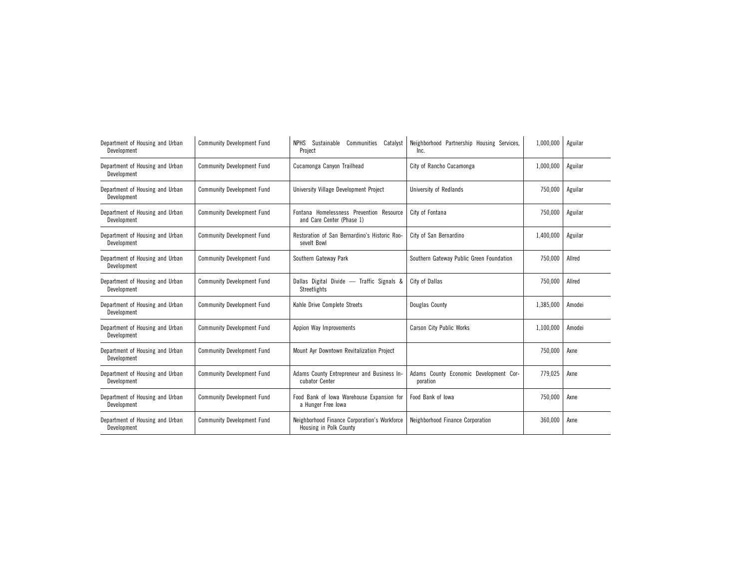| Department of Housing and Urban<br>Development | <b>Community Development Fund</b> | NPHS Sustainable Communities<br>Catalyst<br>Project                    | Neighborhood Partnership Housing Services,<br>Inc. | 1,000,000 | Aguilar |
|------------------------------------------------|-----------------------------------|------------------------------------------------------------------------|----------------------------------------------------|-----------|---------|
| Department of Housing and Urban<br>Development | <b>Community Development Fund</b> | Cucamonga Canyon Trailhead                                             | City of Rancho Cucamonga                           | 1,000,000 | Aguilar |
| Department of Housing and Urban<br>Development | <b>Community Development Fund</b> | University Village Development Project                                 | University of Redlands                             | 750,000   | Aguilar |
| Department of Housing and Urban<br>Development | <b>Community Development Fund</b> | Fontana Homelessness Prevention Resource<br>and Care Center (Phase 1)  | City of Fontana                                    | 750,000   | Aguilar |
| Department of Housing and Urban<br>Development | <b>Community Development Fund</b> | Restoration of San Bernardino's Historic Roo-<br>sevelt Bowl           | City of San Bernardino                             | 1,400,000 | Aguilar |
| Department of Housing and Urban<br>Development | <b>Community Development Fund</b> | Southern Gateway Park                                                  | Southern Gateway Public Green Foundation           | 750.000   | Allred  |
| Department of Housing and Urban<br>Development | <b>Community Development Fund</b> | Dallas Digital Divide - Traffic Signals &<br>Streetlights              | City of Dallas                                     | 750,000   | Allred  |
| Department of Housing and Urban<br>Development | <b>Community Development Fund</b> | Kahle Drive Complete Streets                                           | Douglas County                                     | 1,385,000 | Amodei  |
| Department of Housing and Urban<br>Development | <b>Community Development Fund</b> | Appion Way Improvements                                                | Carson City Public Works                           | 1,100,000 | Amodei  |
| Department of Housing and Urban<br>Development | <b>Community Development Fund</b> | Mount Ayr Downtown Revitalization Project                              |                                                    | 750,000   | Axne    |
| Department of Housing and Urban<br>Development | <b>Community Development Fund</b> | Adams County Entrepreneur and Business In-<br>cubator Center           | Adams County Economic Development Cor-<br>poration | 779,025   | Axne    |
| Department of Housing and Urban<br>Development | <b>Community Development Fund</b> | Food Bank of Iowa Warehouse Expansion for<br>a Hunger Free Iowa        | Food Bank of Iowa                                  | 750,000   | Axne    |
| Department of Housing and Urban<br>Development | <b>Community Development Fund</b> | Neighborhood Finance Corporation's Workforce<br>Housing in Polk County | Neighborhood Finance Corporation                   | 360,000   | Axne    |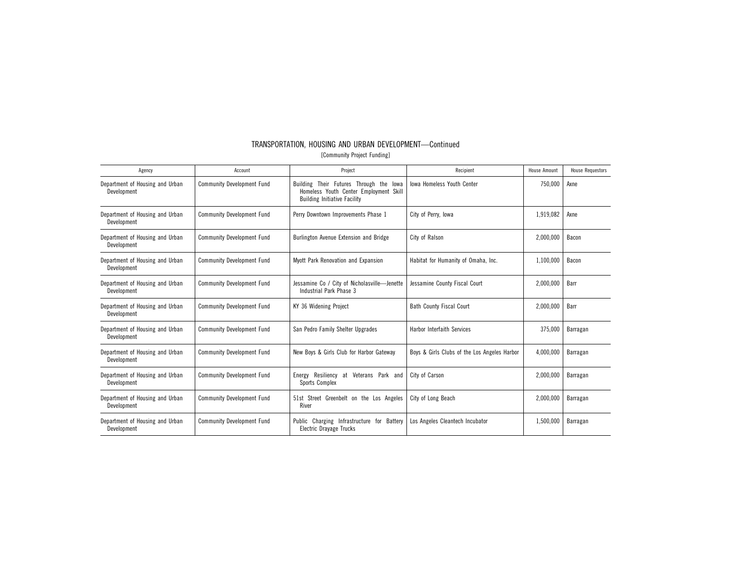| Agency                                         | Account                           | Project                                                                                                                  | Recipient                                    | <b>House Amount</b> | <b>House Requestors</b> |
|------------------------------------------------|-----------------------------------|--------------------------------------------------------------------------------------------------------------------------|----------------------------------------------|---------------------|-------------------------|
| Department of Housing and Urban<br>Development | <b>Community Development Fund</b> | Building Their Futures Through the lowa<br>Homeless Youth Center Employment Skill<br><b>Building Initiative Facility</b> | <b>Iowa Homeless Youth Center</b>            | 750,000             | Axne                    |
| Department of Housing and Urban<br>Development | <b>Community Development Fund</b> | Perry Downtown Improvements Phase 1                                                                                      | City of Perry, Iowa                          | 1,919,082           | Axne                    |
| Department of Housing and Urban<br>Development | <b>Community Development Fund</b> | Burlington Avenue Extension and Bridge                                                                                   | City of Ralson                               | 2,000,000           | Bacon                   |
| Department of Housing and Urban<br>Development | <b>Community Development Fund</b> | Myott Park Renovation and Expansion                                                                                      | Habitat for Humanity of Omaha, Inc.          | 1,100,000           | Bacon                   |
| Department of Housing and Urban<br>Development | <b>Community Development Fund</b> | Jessamine Co / City of Nicholasville-Jenette<br>Industrial Park Phase 3                                                  | Jessamine County Fiscal Court                | 2.000.000           | Barr                    |
| Department of Housing and Urban<br>Development | <b>Community Development Fund</b> | KY 36 Widening Project                                                                                                   | <b>Bath County Fiscal Court</b>              | 2,000,000           | Barr                    |
| Department of Housing and Urban<br>Development | <b>Community Development Fund</b> | San Pedro Family Shelter Upgrades                                                                                        | <b>Harbor Interfaith Services</b>            | 375,000             | Barragan                |
| Department of Housing and Urban<br>Development | <b>Community Development Fund</b> | New Boys & Girls Club for Harbor Gateway                                                                                 | Boys & Girls Clubs of the Los Angeles Harbor | 4,000,000           | Barragan                |
| Department of Housing and Urban<br>Development | <b>Community Development Fund</b> | Resiliency<br>Veterans Park and<br>at<br>Energy<br>Sports Complex                                                        | City of Carson                               | 2,000,000           | Barragan                |
| Department of Housing and Urban<br>Development | <b>Community Development Fund</b> | 51st Street Greenbelt on the Los Angeles<br>River                                                                        | City of Long Beach                           | 2,000,000           | Barragan                |
| Department of Housing and Urban<br>Development | <b>Community Development Fund</b> | Charging Infrastructure for Battery<br>Public<br>Electric Drayage Trucks                                                 | Los Angeles Cleantech Incubator              | 1,500,000           | Barragan                |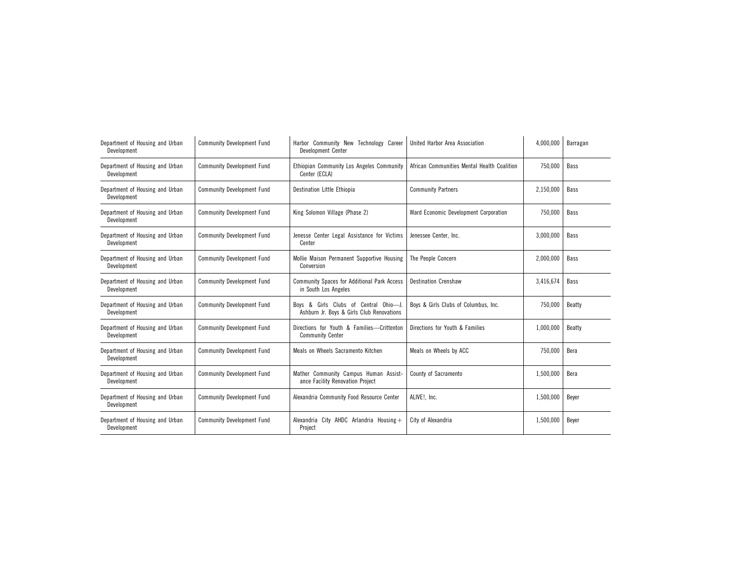| Department of Housing and Urban<br>Development | <b>Community Development Fund</b> | Harbor Community New Technology Career<br>Development Center                       | United Harbor Area Association              | 4,000,000 | Barragan    |
|------------------------------------------------|-----------------------------------|------------------------------------------------------------------------------------|---------------------------------------------|-----------|-------------|
| Department of Housing and Urban<br>Development | <b>Community Development Fund</b> | Ethiopian Community Los Angeles Community<br>Center (ECLA)                         | African Communities Mental Health Coalition | 750,000   | <b>Bass</b> |
| Department of Housing and Urban<br>Development | <b>Community Development Fund</b> | Destination Little Ethiopia                                                        | <b>Community Partners</b>                   | 2,150,000 | Bass        |
| Department of Housing and Urban<br>Development | <b>Community Development Fund</b> | King Solomon Village (Phase 2)                                                     | Ward Economic Development Corporation       | 750,000   | <b>Bass</b> |
| Department of Housing and Urban<br>Development | <b>Community Development Fund</b> | Jenesse Center Legal Assistance for Victims<br>Center                              | Jenessee Center, Inc.                       | 3,000,000 | <b>Bass</b> |
| Department of Housing and Urban<br>Development | <b>Community Development Fund</b> | Mollie Maison Permanent Supportive Housing<br>Conversion                           | The People Concern                          | 2,000,000 | <b>Bass</b> |
| Department of Housing and Urban<br>Development | <b>Community Development Fund</b> | Community Spaces for Additional Park Access<br>in South Los Angeles                | <b>Destination Crenshaw</b>                 | 3,416,674 | <b>Bass</b> |
| Department of Housing and Urban<br>Development | <b>Community Development Fund</b> | Boys & Girls Clubs of Central Ohio-J.<br>Ashburn Jr. Boys & Girls Club Renovations | Boys & Girls Clubs of Columbus, Inc.        | 750,000   | Beatty      |
| Department of Housing and Urban<br>Development | <b>Community Development Fund</b> | Directions for Youth & Families-Crittenton<br><b>Community Center</b>              | Directions for Youth & Families             | 1,000,000 | Beatty      |
| Department of Housing and Urban<br>Development | <b>Community Development Fund</b> | Meals on Wheels Sacramento Kitchen                                                 | Meals on Wheels by ACC                      | 750,000   | Bera        |
| Department of Housing and Urban<br>Development | <b>Community Development Fund</b> | Mather Community Campus Human Assist-<br>ance Facility Renovation Project          | County of Sacramento                        | 1,500,000 | Bera        |
| Department of Housing and Urban<br>Development | <b>Community Development Fund</b> | Alexandria Community Food Resource Center                                          | ALIVE!, Inc.                                | 1,500,000 | Beyer       |
| Department of Housing and Urban<br>Development | <b>Community Development Fund</b> | Alexandria City AHDC Arlandria Housing +<br>Project                                | City of Alexandria                          | 1,500,000 | Beyer       |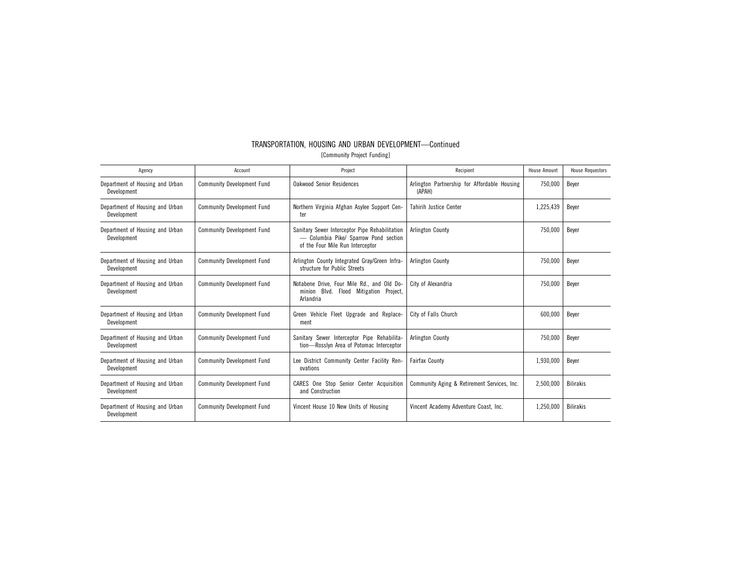| TRANSPORTATION, HOUSING AND URBAN DEVELOPMENT-Continued |
|---------------------------------------------------------|
| [Community Project Funding]                             |

| Agency                                         | Account                           | Project                                                                                                                     | Recipient                                              | House Amount | <b>House Requestors</b> |
|------------------------------------------------|-----------------------------------|-----------------------------------------------------------------------------------------------------------------------------|--------------------------------------------------------|--------------|-------------------------|
| Department of Housing and Urban<br>Development | <b>Community Development Fund</b> | <b>Oakwood Senior Residences</b>                                                                                            | Arlington Partnership for Affordable Housing<br>(APAH) | 750,000      | Beyer                   |
| Department of Housing and Urban<br>Development | <b>Community Development Fund</b> | Northern Virginia Afghan Asylee Support Cen-<br>ter                                                                         | <b>Tahirih Justice Center</b>                          | 1,225,439    | Bever                   |
| Department of Housing and Urban<br>Development | <b>Community Development Fund</b> | Sanitary Sewer Interceptor Pipe Rehabilitation<br>- Columbia Pike/ Sparrow Pond section<br>of the Four Mile Run Interceptor | <b>Arlington County</b>                                | 750,000      | Beyer                   |
| Department of Housing and Urban<br>Development | <b>Community Development Fund</b> | Arlington County Integrated Gray/Green Infra-<br>structure for Public Streets                                               | <b>Arlington County</b>                                | 750.000      | Bever                   |
| Department of Housing and Urban<br>Development | <b>Community Development Fund</b> | Notabene Drive, Four Mile Rd., and Old Do-<br>minion Blvd. Flood Mitigation Project,<br>Arlandria                           | City of Alexandria                                     | 750,000      | Beyer                   |
| Department of Housing and Urban<br>Development | <b>Community Development Fund</b> | Green Vehicle Fleet Upgrade and Replace-<br>ment                                                                            | City of Falls Church                                   | 600,000      | Beyer                   |
| Department of Housing and Urban<br>Development | <b>Community Development Fund</b> | Sanitary Sewer Interceptor Pipe Rehabilita-<br>tion-Rosslyn Area of Potomac Interceptor                                     | <b>Arlington County</b>                                | 750,000      | Beyer                   |
| Department of Housing and Urban<br>Development | <b>Community Development Fund</b> | Lee District Community Center Facility Ren-<br>ovations                                                                     | <b>Fairfax County</b>                                  | 1,930,000    | Bever                   |
| Department of Housing and Urban<br>Development | <b>Community Development Fund</b> | CARES One Stop Senior Center Acquisition<br>and Construction                                                                | Community Aging & Retirement Services, Inc.            | 2.500.000    | <b>Bilirakis</b>        |
| Department of Housing and Urban<br>Development | <b>Community Development Fund</b> | Vincent House 10 New Units of Housing                                                                                       | Vincent Academy Adventure Coast, Inc.                  | 1,250,000    | <b>Bilirakis</b>        |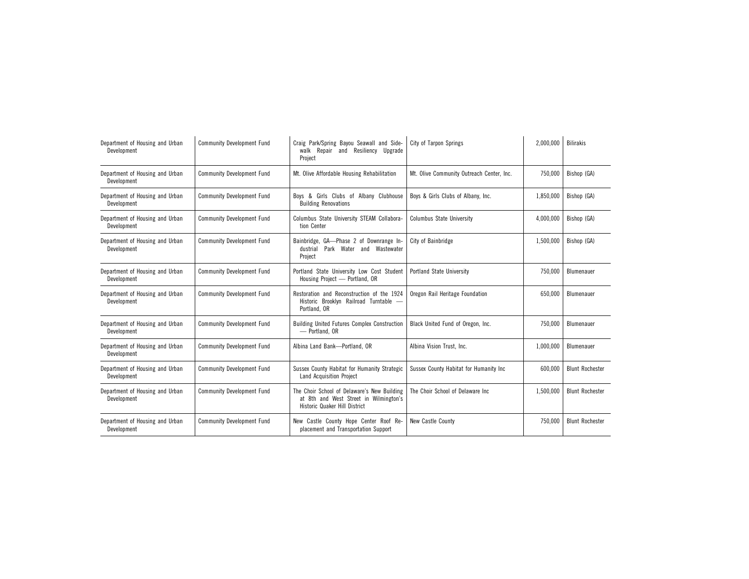| Department of Housing and Urban<br>Development | <b>Community Development Fund</b> | Craig Park/Spring Bayou Seawall and Side-<br>City of Tarpon Springs<br>and Resiliency Upgrade<br>walk Repair<br>Project |                                           | 2,000,000 | <b>Bilirakis</b>       |
|------------------------------------------------|-----------------------------------|-------------------------------------------------------------------------------------------------------------------------|-------------------------------------------|-----------|------------------------|
| Department of Housing and Urban<br>Development | <b>Community Development Fund</b> | Mt. Olive Affordable Housing Rehabilitation                                                                             | Mt. Olive Community Outreach Center. Inc. | 750,000   | Bishop (GA)            |
| Department of Housing and Urban<br>Development | <b>Community Development Fund</b> | Boys & Girls Clubs of Albany Clubhouse<br><b>Building Renovations</b>                                                   | Boys & Girls Clubs of Albany, Inc.        | 1,850,000 | Bishop (GA)            |
| Department of Housing and Urban<br>Development | <b>Community Development Fund</b> | Columbus State University STEAM Collabora-<br>tion Center                                                               | <b>Columbus State University</b>          | 4,000,000 | Bishop (GA)            |
| Department of Housing and Urban<br>Development | <b>Community Development Fund</b> | Bainbridge, GA-Phase 2 of Downrange In-<br>Park Water and Wastewater<br>dustrial<br>Project                             | City of Bainbridge                        |           | Bishop (GA)            |
| Department of Housing and Urban<br>Development | <b>Community Development Fund</b> | Portland State University Low Cost Student<br>Housing Project - Portland, OR                                            | Portland State University                 | 750,000   | Blumenauer             |
| Department of Housing and Urban<br>Development | <b>Community Development Fund</b> | Restoration and Reconstruction of the 1924<br>Historic Brooklyn Railroad Turntable -<br>Portland, OR                    | Oregon Rail Heritage Foundation           | 650,000   | Blumenauer             |
| Department of Housing and Urban<br>Development | <b>Community Development Fund</b> | <b>Building United Futures Complex Construction</b><br>- Portland, OR                                                   | Black United Fund of Oregon, Inc.         | 750,000   | Blumenauer             |
| Department of Housing and Urban<br>Development | <b>Community Development Fund</b> | Albina Land Bank-Portland, OR                                                                                           | Albina Vision Trust, Inc.                 |           | Blumenauer             |
| Department of Housing and Urban<br>Development | <b>Community Development Fund</b> | Sussex County Habitat for Humanity Strategic<br><b>Land Acquisition Project</b>                                         | Sussex County Habitat for Humanity Inc    | 600,000   | <b>Blunt Rochester</b> |
| Department of Housing and Urban<br>Development | <b>Community Development Fund</b> | The Choir School of Delaware's New Building<br>at 8th and West Street in Wilmington's<br>Historic Quaker Hill District  | The Choir School of Delaware Inc          |           | <b>Blunt Rochester</b> |
| Department of Housing and Urban<br>Development | <b>Community Development Fund</b> | New Castle County Hope Center Roof Re-<br>placement and Transportation Support                                          | New Castle County                         | 750,000   | <b>Blunt Rochester</b> |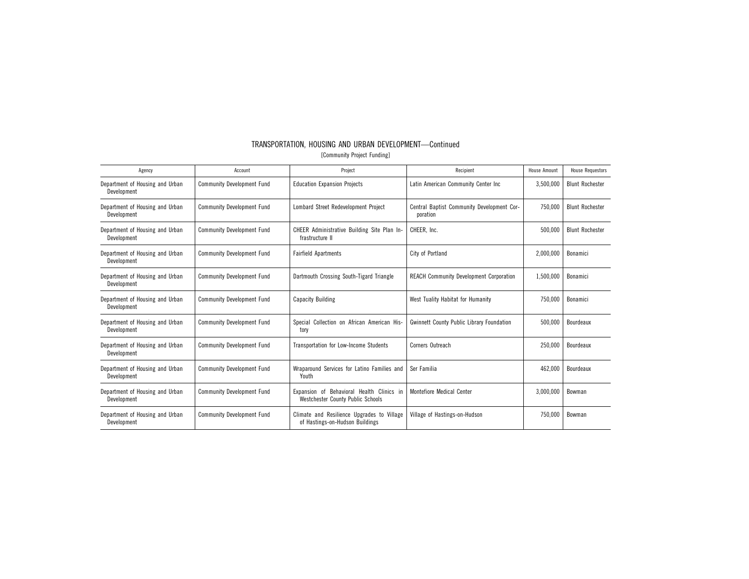| Agency                                         | Account                           | Project                                                                               | Recipient                                              | <b>House Amount</b> | <b>House Requestors</b> |
|------------------------------------------------|-----------------------------------|---------------------------------------------------------------------------------------|--------------------------------------------------------|---------------------|-------------------------|
| Department of Housing and Urban<br>Development | <b>Community Development Fund</b> | <b>Education Expansion Projects</b>                                                   | Latin American Community Center Inc                    | 3,500,000           | <b>Blunt Rochester</b>  |
| Department of Housing and Urban<br>Development | <b>Community Development Fund</b> | Lombard Street Redevelopment Project                                                  | Central Baptist Community Development Cor-<br>poration | 750,000             | <b>Blunt Rochester</b>  |
| Department of Housing and Urban<br>Development | <b>Community Development Fund</b> | CHEER Administrative Building Site Plan In-<br>frastructure II                        | CHEER, Inc.                                            | 500,000             | <b>Blunt Rochester</b>  |
| Department of Housing and Urban<br>Development | <b>Community Development Fund</b> | <b>Fairfield Apartments</b>                                                           | City of Portland                                       |                     | Bonamici                |
| Department of Housing and Urban<br>Development | <b>Community Development Fund</b> | Dartmouth Crossing South-Tigard Triangle                                              | <b>REACH Community Development Corporation</b>         | 1,500,000           | Bonamici                |
| Department of Housing and Urban<br>Development | <b>Community Development Fund</b> | <b>Capacity Building</b>                                                              | West Tuality Habitat for Humanity                      | 750,000             | Bonamici                |
| Department of Housing and Urban<br>Development | <b>Community Development Fund</b> | Special Collection on African American His-<br>tory                                   | <b>Gwinnett County Public Library Foundation</b>       | 500,000             | Bourdeaux               |
| Department of Housing and Urban<br>Development | <b>Community Development Fund</b> | <b>Transportation for Low-Income Students</b>                                         | Corners Outreach                                       | 250,000             | Bourdeaux               |
| Department of Housing and Urban<br>Development | <b>Community Development Fund</b> | Wraparound Services for Latino Families and<br>Youth                                  | Ser Familia                                            | 462,000             | Bourdeaux               |
| Department of Housing and Urban<br>Development | <b>Community Development Fund</b> | Expansion of Behavioral Health Clinics in<br><b>Westchester County Public Schools</b> | <b>Montefiore Medical Center</b>                       | 3,000,000           | Bowman                  |
| Department of Housing and Urban<br>Development | <b>Community Development Fund</b> | Climate and Resilience Upgrades to Village<br>of Hastings-on-Hudson Buildings         | Village of Hastings-on-Hudson                          | 750,000             | Bowman                  |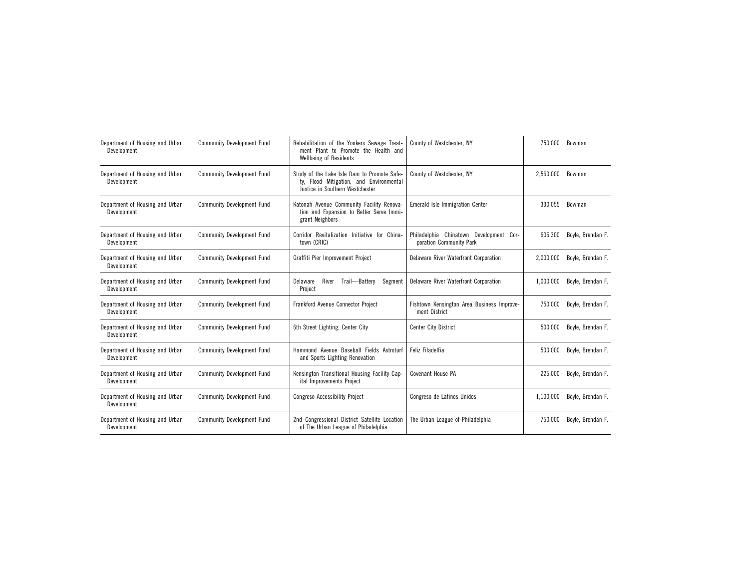| Department of Housing and Urban<br>Development | <b>Community Development Fund</b> | Rehabilitation of the Yonkers Sewage Treat-<br>ment Plant to Promote the Health and<br>Wellbeing of Residents             | County of Westchester, NY                                          |           | Bowman            |
|------------------------------------------------|-----------------------------------|---------------------------------------------------------------------------------------------------------------------------|--------------------------------------------------------------------|-----------|-------------------|
| Department of Housing and Urban<br>Development | <b>Community Development Fund</b> | Study of the Lake Isle Dam to Promote Safe-<br>ty, Flood Mitigation, and Environmental<br>Justice in Southern Westchester | County of Westchester, NY                                          | 2,560,000 | Bowman            |
| Department of Housing and Urban<br>Development | <b>Community Development Fund</b> | Katonah Avenue Community Facility Renova-<br>tion and Expansion to Better Serve Immi-<br>grant Neighbors                  | Emerald Isle Immigration Center                                    | 330.055   | Bowman            |
| Department of Housing and Urban<br>Development | <b>Community Development Fund</b> | Corridor Revitalization Initiative for China-<br>town (CRIC)                                                              | Philadelphia Chinatown Development Cor-<br>poration Community Park | 606,300   | Boyle, Brendan F. |
| Department of Housing and Urban<br>Development | <b>Community Development Fund</b> | Graffiti Pier Improvement Project                                                                                         | Delaware River Waterfront Corporation                              | 2,000,000 | Boyle, Brendan F. |
| Department of Housing and Urban<br>Development | <b>Community Development Fund</b> | Delaware<br>River<br>Trail-Battery<br>Segment<br>Project                                                                  | Delaware River Waterfront Corporation                              | 1,000,000 | Boyle, Brendan F. |
| Department of Housing and Urban<br>Development | <b>Community Development Fund</b> | <b>Frankford Avenue Connector Project</b>                                                                                 | Fishtown Kensington Area Business Improve-<br>ment District        | 750.000   | Boyle, Brendan F. |
| Department of Housing and Urban<br>Development | <b>Community Development Fund</b> | 6th Street Lighting, Center City                                                                                          | <b>Center City District</b>                                        | 500.000   | Boyle, Brendan F. |
| Department of Housing and Urban<br>Development | <b>Community Development Fund</b> | Hammond Avenue Baseball Fields Astroturf<br>and Sports Lighting Renovation                                                | Feliz Filadelfia                                                   | 500.000   | Boyle, Brendan F. |
| Department of Housing and Urban<br>Development | <b>Community Development Fund</b> | Kensington Transitional Housing Facility Cap-<br>ital Improvements Project                                                | Covenant House PA                                                  | 225,000   | Boyle, Brendan F. |
| Department of Housing and Urban<br>Development | <b>Community Development Fund</b> | <b>Congreso Accessibility Project</b>                                                                                     | Congreso de Latinos Unidos                                         | 1,100,000 | Boyle, Brendan F. |
| Department of Housing and Urban<br>Development | <b>Community Development Fund</b> | 2nd Congressional District Satellite Location<br>of The Urban League of Philadelphia                                      | The Urban League of Philadelphia                                   | 750,000   | Boyle, Brendan F. |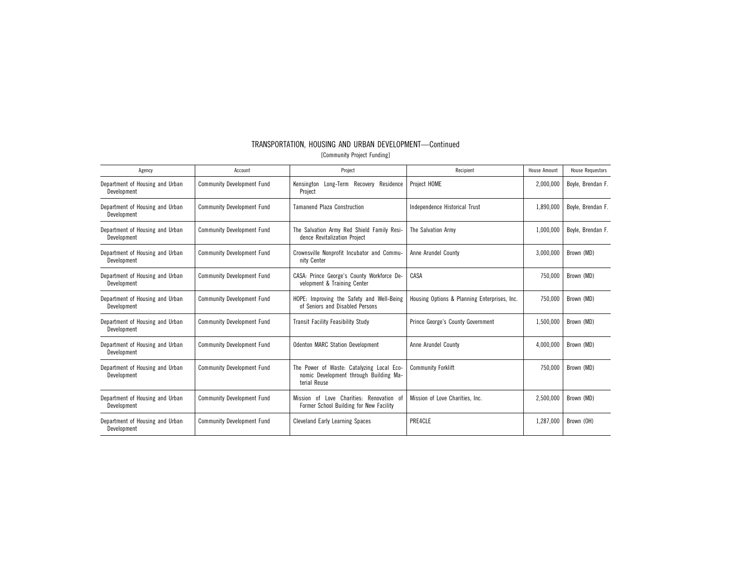| TRANSPORTATION. HOUSING AND URBAN DEVELOPMENT-Continued |  |
|---------------------------------------------------------|--|
| [Community Project Funding]                             |  |

| Agency                                         | Account                           | Project<br>Recipient                                                                                                         |                                 | <b>House Amount</b> | <b>House Requestors</b> |
|------------------------------------------------|-----------------------------------|------------------------------------------------------------------------------------------------------------------------------|---------------------------------|---------------------|-------------------------|
| Department of Housing and Urban<br>Development | <b>Community Development Fund</b> | Long-Term Recovery Residence<br>Kensington<br>Project                                                                        | Project HOME                    | 2,000,000           | Boyle, Brendan F.       |
| Department of Housing and Urban<br>Development | <b>Community Development Fund</b> | <b>Tamanend Plaza Construction</b>                                                                                           | Independence Historical Trust   | 1.890.000           | Boyle, Brendan F.       |
| Department of Housing and Urban<br>Development | <b>Community Development Fund</b> | The Salvation Army Red Shield Family Resi-<br>dence Revitalization Project                                                   | The Salvation Army              | 1,000,000           | Boyle, Brendan F.       |
| Department of Housing and Urban<br>Development | <b>Community Development Fund</b> | Crownsville Nonprofit Incubator and Commu-<br>nity Center                                                                    | Anne Arundel County             |                     | Brown (MD)              |
| Department of Housing and Urban<br>Development | <b>Community Development Fund</b> | CASA: Prince George's County Workforce De-<br>CASA<br>velopment & Training Center                                            |                                 | 750.000             | Brown (MD)              |
| Department of Housing and Urban<br>Development | <b>Community Development Fund</b> | HOPE: Improving the Safety and Well-Being<br>Housing Options & Planning Enterprises, Inc.<br>of Seniors and Disabled Persons |                                 | 750.000             | Brown (MD)              |
| Department of Housing and Urban<br>Development | <b>Community Development Fund</b> | <b>Transit Facility Feasibility Study</b><br>Prince George's County Government                                               |                                 | 1,500,000           | Brown (MD)              |
| Department of Housing and Urban<br>Development | <b>Community Development Fund</b> | <b>Odenton MARC Station Development</b>                                                                                      | Anne Arundel County             |                     | Brown (MD)              |
| Department of Housing and Urban<br>Development | <b>Community Development Fund</b> | The Power of Waste: Catalyzing Local Eco-<br>nomic Development through Building Ma-<br>terial Reuse                          | <b>Community Forklift</b>       |                     | Brown (MD)              |
| Department of Housing and Urban<br>Development | <b>Community Development Fund</b> | Love Charities: Renovation of<br>nf<br>Mission<br>Former School Building for New Facility                                    | Mission of Love Charities. Inc. | 2,500,000           | Brown (MD)              |
| Department of Housing and Urban<br>Development | <b>Community Development Fund</b> | <b>Cleveland Early Learning Spaces</b>                                                                                       | PRE4CLE                         | 1,287,000           | Brown (OH)              |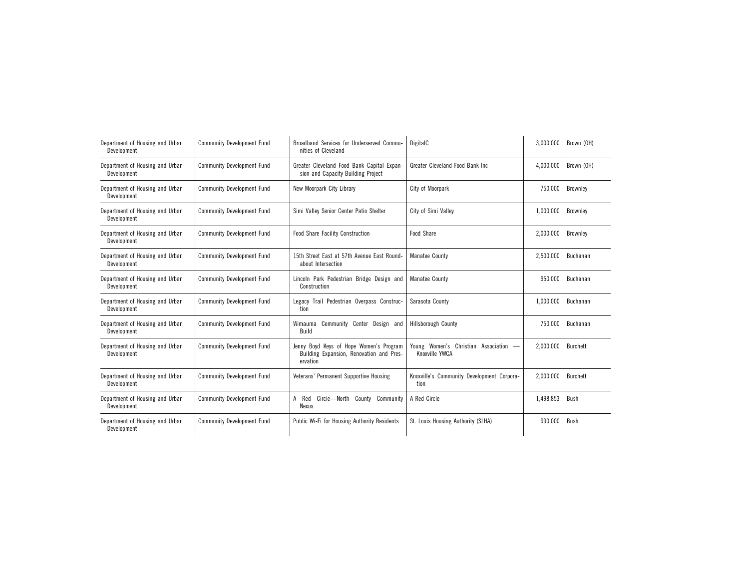| Department of Housing and Urban<br>Development | <b>Community Development Fund</b> | Broadband Services for Underserved Commu-<br>nities of Cleveland                                | DigitalC                                              | 3,000,000 | Brown (OH)      |
|------------------------------------------------|-----------------------------------|-------------------------------------------------------------------------------------------------|-------------------------------------------------------|-----------|-----------------|
| Department of Housing and Urban<br>Development | <b>Community Development Fund</b> | Greater Cleveland Food Bank Capital Expan-<br>sion and Capacity Building Project                | Greater Cleveland Food Bank Inc.                      | 4,000,000 | Brown (OH)      |
| Department of Housing and Urban<br>Development | <b>Community Development Fund</b> | New Moorpark City Library                                                                       | City of Moorpark                                      | 750,000   | Brownley        |
| Department of Housing and Urban<br>Development | <b>Community Development Fund</b> | Simi Valley Senior Center Patio Shelter                                                         | City of Simi Valley                                   | 1,000,000 | <b>Brownley</b> |
| Department of Housing and Urban<br>Development | <b>Community Development Fund</b> | <b>Food Share Facility Construction</b>                                                         | Food Share                                            | 2,000,000 | <b>Brownley</b> |
| Department of Housing and Urban<br>Development | <b>Community Development Fund</b> | 15th Street East at 57th Avenue East Round-<br>about Intersection                               | Manatee County                                        | 2,500,000 | Buchanan        |
| Department of Housing and Urban<br>Development | <b>Community Development Fund</b> | Lincoln Park Pedestrian Bridge Design and<br>Construction                                       | <b>Manatee County</b>                                 | 950.000   | Buchanan        |
| Department of Housing and Urban<br>Development | <b>Community Development Fund</b> | Legacy Trail Pedestrian Overpass Construc-<br>tion                                              | Sarasota County                                       | 1,000,000 | Buchanan        |
| Department of Housing and Urban<br>Development | <b>Community Development Fund</b> | Wimauma Community Center Design and<br>Build                                                    | Hillsborough County                                   | 750,000   | Buchanan        |
| Department of Housing and Urban<br>Development | <b>Community Development Fund</b> | Jenny Boyd Keys of Hope Women's Program<br>Building Expansion, Renovation and Pres-<br>ervation | Young Women's Christian Association<br>Knoxville YWCA | 2,000,000 | <b>Burchett</b> |
| Department of Housing and Urban<br>Development | <b>Community Development Fund</b> | Veterans' Permanent Supportive Housing                                                          | Knoxville's Community Development Corpora-<br>tion    | 2.000.000 | <b>Burchett</b> |
| Department of Housing and Urban<br>Development | <b>Community Development Fund</b> | Circle-North County Community<br>A Red<br>Nexus                                                 | A Red Circle                                          | 1,498,853 | <b>Bush</b>     |
| Department of Housing and Urban<br>Development | <b>Community Development Fund</b> | Public Wi-Fi for Housing Authority Residents                                                    | St. Louis Housing Authority (SLHA)                    | 990,000   | Bush            |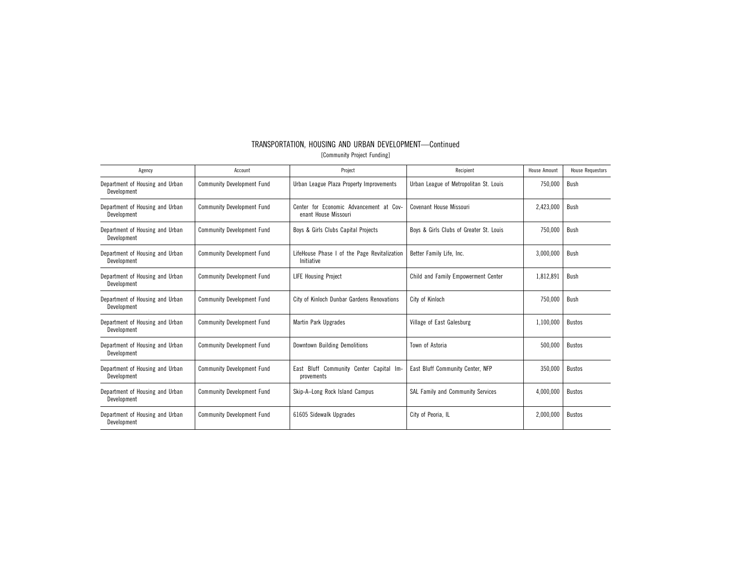| Agency                                         | Account                           | Project                                                         | Recipient                               | House Amount | <b>House Requestors</b> |
|------------------------------------------------|-----------------------------------|-----------------------------------------------------------------|-----------------------------------------|--------------|-------------------------|
| Department of Housing and Urban<br>Development | <b>Community Development Fund</b> | Urban League Plaza Property Improvements                        | Urban League of Metropolitan St. Louis  | 750,000      | Bush                    |
| Department of Housing and Urban<br>Development | <b>Community Development Fund</b> | Center for Economic Advancement at Cov-<br>enant House Missouri | Covenant House Missouri                 | 2,423,000    | Bush                    |
| Department of Housing and Urban<br>Development | <b>Community Development Fund</b> | Boys & Girls Clubs Capital Projects                             | Boys & Girls Clubs of Greater St. Louis | 750,000      | Bush                    |
| Department of Housing and Urban<br>Development | <b>Community Development Fund</b> | LifeHouse Phase I of the Page Revitalization<br>Initiative      | Better Family Life, Inc.                |              | Bush                    |
| Department of Housing and Urban<br>Development | <b>Community Development Fund</b> | <b>LIFE Housing Project</b>                                     | Child and Family Empowerment Center     | 1,812,891    | Bush                    |
| Department of Housing and Urban<br>Development | <b>Community Development Fund</b> | City of Kinloch<br>City of Kinloch Dunbar Gardens Renovations   |                                         | 750,000      | Bush                    |
| Department of Housing and Urban<br>Development | <b>Community Development Fund</b> | <b>Martin Park Upgrades</b><br>Village of East Galesburg        |                                         | 1,100,000    | <b>Bustos</b>           |
| Department of Housing and Urban<br>Development | <b>Community Development Fund</b> | Downtown Building Demolitions<br>Town of Astoria                |                                         | 500,000      | <b>Bustos</b>           |
| Department of Housing and Urban<br>Development | <b>Community Development Fund</b> | East Bluff Community Center Capital Im-<br>provements           | East Bluff Community Center, NFP        | 350,000      | <b>Bustos</b>           |
| Department of Housing and Urban<br>Development | <b>Community Development Fund</b> | Skip-A-Long Rock Island Campus                                  | SAL Family and Community Services       | 4.000.000    | <b>Bustos</b>           |
| Department of Housing and Urban<br>Development | <b>Community Development Fund</b> | 61605 Sidewalk Upgrades                                         | City of Peoria, IL                      | 2,000,000    | <b>Bustos</b>           |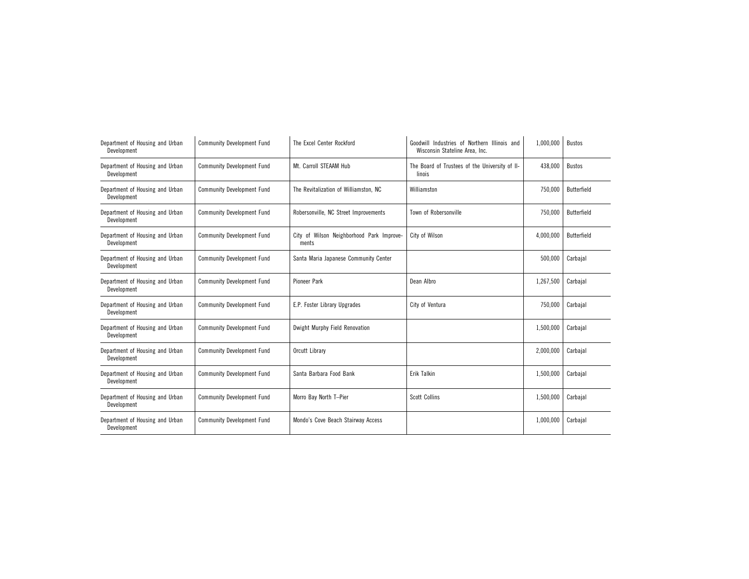| Department of Housing and Urban<br>Development | <b>Community Development Fund</b> | The Excel Center Rockford                          | Goodwill Industries of Northern Illinois and<br>Wisconsin Stateline Area, Inc. | 1,000,000 | <b>Bustos</b> |
|------------------------------------------------|-----------------------------------|----------------------------------------------------|--------------------------------------------------------------------------------|-----------|---------------|
| Department of Housing and Urban<br>Development | <b>Community Development Fund</b> | Mt. Carroll STEAAM Hub                             | The Board of Trustees of the University of II-<br>linois                       | 438,000   | <b>Bustos</b> |
| Department of Housing and Urban<br>Development | <b>Community Development Fund</b> | The Revitalization of Williamston, NC              | Williamston                                                                    | 750,000   | Butterfield   |
| Department of Housing and Urban<br>Development | <b>Community Development Fund</b> | Robersonville, NC Street Improvements              | Town of Robersonville                                                          | 750,000   | Butterfield   |
| Department of Housing and Urban<br>Development | <b>Community Development Fund</b> | City of Wilson Neighborhood Park Improve-<br>ments | City of Wilson                                                                 | 4,000,000 | Butterfield   |
| Department of Housing and Urban<br>Development | <b>Community Development Fund</b> | Santa Maria Japanese Community Center              |                                                                                | 500,000   | Carbajal      |
| Department of Housing and Urban<br>Development | <b>Community Development Fund</b> | <b>Pioneer Park</b>                                | Dean Albro                                                                     | 1,267,500 | Carbajal      |
| Department of Housing and Urban<br>Development | <b>Community Development Fund</b> | E.P. Foster Library Upgrades                       | City of Ventura                                                                | 750,000   | Carbajal      |
| Department of Housing and Urban<br>Development | <b>Community Development Fund</b> | Dwight Murphy Field Renovation                     |                                                                                | 1,500,000 | Carbajal      |
| Department of Housing and Urban<br>Development | <b>Community Development Fund</b> | Orcutt Library                                     |                                                                                | 2,000,000 | Carbajal      |
| Department of Housing and Urban<br>Development | <b>Community Development Fund</b> | Santa Barbara Food Bank                            | Erik Talkin                                                                    | 1,500,000 | Carbajal      |
| Department of Housing and Urban<br>Development | <b>Community Development Fund</b> | Morro Bay North T-Pier                             | <b>Scott Collins</b>                                                           | 1,500,000 | Carbaial      |
| Department of Housing and Urban<br>Development | <b>Community Development Fund</b> | Mondo's Cove Beach Stairway Access                 |                                                                                | 1,000,000 | Carbajal      |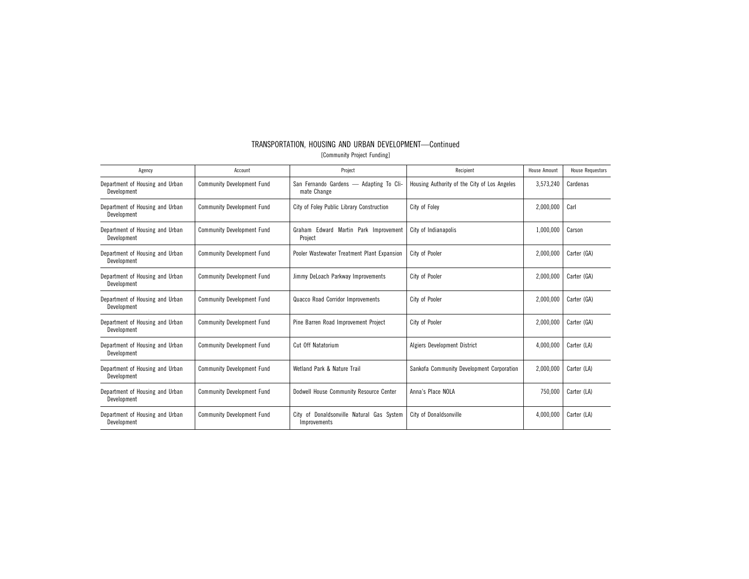| TRANSPORTATION, HOUSING AND URBAN DEVELOPMENT-Continued |  |                             |  |
|---------------------------------------------------------|--|-----------------------------|--|
|                                                         |  | [Community Project Funding] |  |

| Agency                                         | Account                           | Project                                                   | Recipient                                    | House Amount | <b>House Requestors</b> |
|------------------------------------------------|-----------------------------------|-----------------------------------------------------------|----------------------------------------------|--------------|-------------------------|
| Department of Housing and Urban<br>Development | <b>Community Development Fund</b> | San Fernando Gardens -<br>Adapting To Cli-<br>mate Change | Housing Authority of the City of Los Angeles | 3,573,240    | Cardenas                |
| Department of Housing and Urban<br>Development | <b>Community Development Fund</b> | City of Foley Public Library Construction                 | City of Folev                                | 2,000,000    | Carl                    |
| Department of Housing and Urban<br>Development | <b>Community Development Fund</b> | Graham Edward Martin Park Improvement<br>Project          | City of Indianapolis                         | 1,000,000    | Carson                  |
| Department of Housing and Urban<br>Development | <b>Community Development Fund</b> | Pooler Wastewater Treatment Plant Expansion               | City of Pooler<br>2,000,000                  |              | Carter (GA)             |
| Department of Housing and Urban<br>Development | <b>Community Development Fund</b> | Jimmy DeLoach Parkway Improvements                        | City of Pooler                               | 2,000,000    | Carter (GA)             |
| Department of Housing and Urban<br>Development | <b>Community Development Fund</b> | Quacco Road Corridor Improvements<br>City of Pooler       |                                              | 2,000,000    | Carter (GA)             |
| Department of Housing and Urban<br>Development | <b>Community Development Fund</b> | Pine Barren Road Improvement Project<br>City of Pooler    |                                              | 2.000.000    | Carter (GA)             |
| Department of Housing and Urban<br>Development | <b>Community Development Fund</b> | Cut Off Natatorium<br>Algiers Development District        |                                              | 4,000,000    | Carter (LA)             |
| Department of Housing and Urban<br>Development | <b>Community Development Fund</b> | Wetland Park & Nature Trail                               | Sankofa Community Development Corporation    | 2,000,000    | Carter (LA)             |
| Department of Housing and Urban<br>Development | <b>Community Development Fund</b> | Dodwell House Community Resource Center                   | Anna's Place NOLA                            | 750.000      | Carter (LA)             |
| Department of Housing and Urban<br>Development | <b>Community Development Fund</b> | City of Donaldsonville Natural Gas System<br>Improvements | <b>City of Donaldsonville</b>                | 4,000,000    | Carter (LA)             |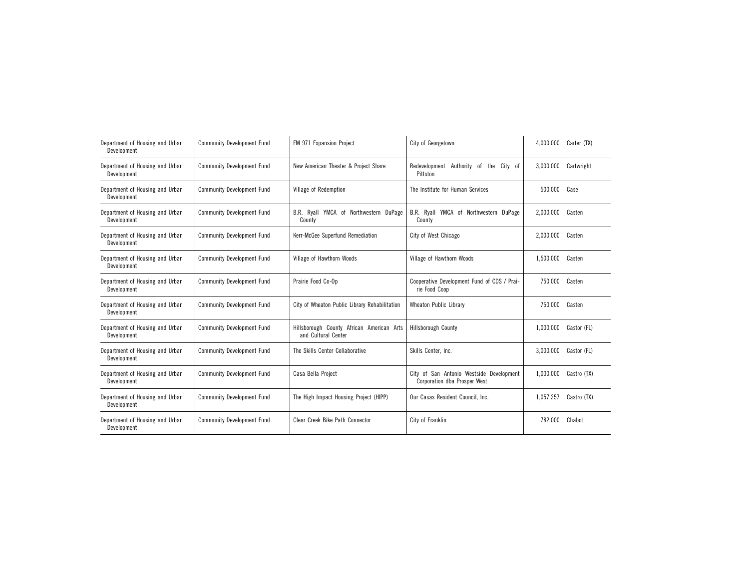| Department of Housing and Urban<br>Development | <b>Community Development Fund</b> | FM 971 Expansion Project                                         | City of Georgetown                                                       |           | Carter (TX) |
|------------------------------------------------|-----------------------------------|------------------------------------------------------------------|--------------------------------------------------------------------------|-----------|-------------|
| Department of Housing and Urban<br>Development | <b>Community Development Fund</b> | New American Theater & Project Share                             | Redevelopment Authority of<br>the<br>City of<br>Pittston                 | 3,000,000 | Cartwright  |
| Department of Housing and Urban<br>Development | <b>Community Development Fund</b> | Village of Redemption                                            | The Institute for Human Services                                         | 500,000   | Case        |
| Department of Housing and Urban<br>Development | <b>Community Development Fund</b> | B.R. Ryall YMCA of Northwestern DuPage<br>County                 | B.R. Ryall YMCA of Northwestern DuPage<br>County                         | 2,000,000 | Casten      |
| Department of Housing and Urban<br>Development | <b>Community Development Fund</b> | Kerr-McGee Superfund Remediation                                 | City of West Chicago                                                     | 2,000,000 | Casten      |
| Department of Housing and Urban<br>Development | <b>Community Development Fund</b> | Village of Hawthorn Woods                                        | Village of Hawthorn Woods                                                | 1,500,000 | Casten      |
| Department of Housing and Urban<br>Development | <b>Community Development Fund</b> | Prairie Food Co-Op                                               | Cooperative Development Fund of CDS / Prai-<br>rie Food Coop             | 750,000   | Casten      |
| Department of Housing and Urban<br>Development | <b>Community Development Fund</b> | City of Wheaton Public Library Rehabilitation                    | <b>Wheaton Public Library</b>                                            | 750,000   | Casten      |
| Department of Housing and Urban<br>Development | <b>Community Development Fund</b> | Hillsborough County African American Arts<br>and Cultural Center | <b>Hillsborough County</b>                                               | 1,000,000 | Castor (FL) |
| Department of Housing and Urban<br>Development | <b>Community Development Fund</b> | The Skills Center Collaborative                                  | Skills Center, Inc.                                                      | 3,000,000 | Castor (FL) |
| Department of Housing and Urban<br>Development | <b>Community Development Fund</b> | Casa Bella Project                                               | City of San Antonio Westside Development<br>Corporation dba Prosper West | 1,000,000 | Castro (TX) |
| Department of Housing and Urban<br>Development | <b>Community Development Fund</b> | The High Impact Housing Project (HIPP)                           | Our Casas Resident Council, Inc.                                         | 1,057,257 | Castro (TX) |
| Department of Housing and Urban<br>Development | <b>Community Development Fund</b> | Clear Creek Bike Path Connector                                  | City of Franklin                                                         | 782,000   | Chabot      |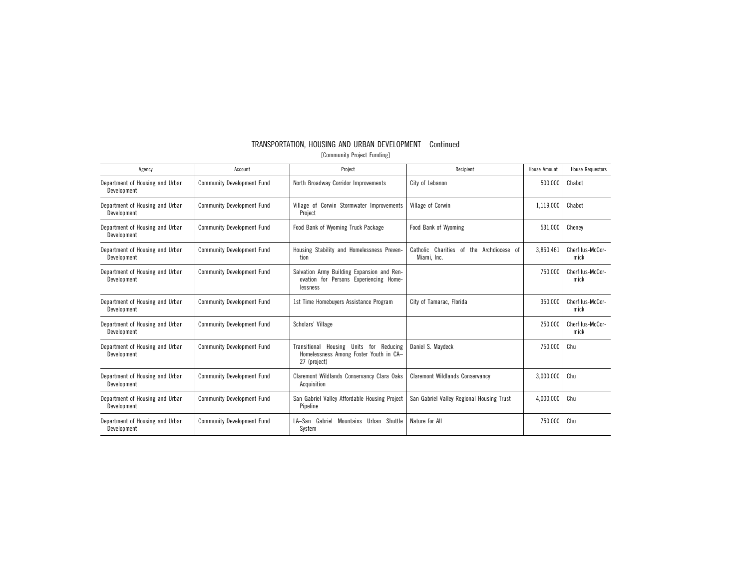| Agency                                         | Account                           | Project                                                                                                                | Recipient                                                     | House Amount | <b>House Requestors</b>  |
|------------------------------------------------|-----------------------------------|------------------------------------------------------------------------------------------------------------------------|---------------------------------------------------------------|--------------|--------------------------|
| Department of Housing and Urban<br>Development | <b>Community Development Fund</b> | North Broadway Corridor Improvements                                                                                   | City of Lebanon                                               | 500,000      | Chabot                   |
| Department of Housing and Urban<br>Development | <b>Community Development Fund</b> | Village of Corwin Stormwater Improvements<br>Project                                                                   | Village of Corwin                                             | 1,119,000    | Chabot                   |
| Department of Housing and Urban<br>Development | <b>Community Development Fund</b> | Food Bank of Wyoming Truck Package                                                                                     | Food Bank of Wyoming                                          | 531,000      | Cheney                   |
| Department of Housing and Urban<br>Development | <b>Community Development Fund</b> | Housing Stability and Homelessness Preven-<br>tion                                                                     | Catholic Charities<br>the Archdiocese of<br>of<br>Miami, Inc. |              | Cherfilus-McCor-<br>mick |
| Department of Housing and Urban<br>Development | <b>Community Development Fund</b> | Salvation Army Building Expansion and Ren-<br>ovation for Persons Experiencing Home-<br>lessness                       |                                                               | 750,000      | Cherfilus-McCor-<br>mick |
| Department of Housing and Urban<br>Development | <b>Community Development Fund</b> | 1st Time Homebuyers Assistance Program<br>City of Tamarac, Florida                                                     |                                                               | 350.000      | Cherfilus-McCor-<br>mick |
| Department of Housing and Urban<br>Development | <b>Community Development Fund</b> | Scholars' Village                                                                                                      |                                                               | 250,000      | Cherfilus-McCor-<br>mick |
| Department of Housing and Urban<br>Development | <b>Community Development Fund</b> | Transitional Housing Units for Reducing<br>Daniel S. Maydeck<br>Homelessness Among Foster Youth in CA-<br>27 (project) |                                                               | 750,000      | Chu                      |
| Department of Housing and Urban<br>Development | <b>Community Development Fund</b> | Claremont Wildlands Conservancy Clara Oaks<br>Acquisition                                                              | <b>Claremont Wildlands Conservancy</b>                        | 3,000,000    | Chu                      |
| Department of Housing and Urban<br>Development | <b>Community Development Fund</b> | San Gabriel Valley Affordable Housing Project<br>Pipeline                                                              | San Gabriel Valley Regional Housing Trust                     | 4.000.000    | Chu                      |
| Department of Housing and Urban<br>Development | <b>Community Development Fund</b> | LA-San Gabriel<br>Mountains Urban Shuttle<br>System                                                                    | Nature for All                                                | 750.000      | Chu                      |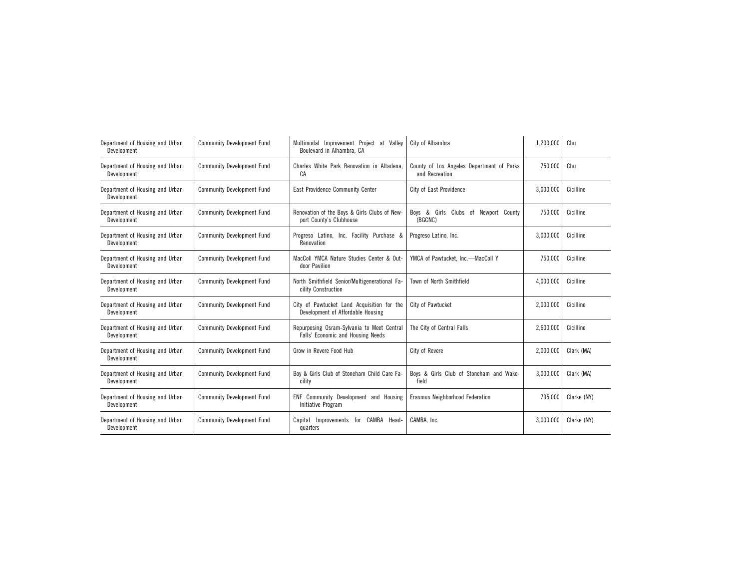| Department of Housing and Urban<br>Development | <b>Community Development Fund</b> | Multimodal Improvement Project at Valley<br>Boulevard in Alhambra, CA           | City of Alhambra                                            | 1,200,000 | Chu         |
|------------------------------------------------|-----------------------------------|---------------------------------------------------------------------------------|-------------------------------------------------------------|-----------|-------------|
| Department of Housing and Urban<br>Development | <b>Community Development Fund</b> | Charles White Park Renovation in Altadena.<br>CA                                | County of Los Angeles Department of Parks<br>and Recreation | 750,000   | Chu         |
| Department of Housing and Urban<br>Development | <b>Community Development Fund</b> | <b>East Providence Community Center</b>                                         | City of East Providence                                     | 3,000,000 | Cicilline   |
| Department of Housing and Urban<br>Development | <b>Community Development Fund</b> | Renovation of the Boys & Girls Clubs of New-<br>port County's Clubhouse         | Boys & Girls Clubs of Newport County<br>(BGCNC)             | 750,000   | Cicilline   |
| Department of Housing and Urban<br>Development | <b>Community Development Fund</b> | Progreso Latino, Inc. Facility Purchase &<br>Renovation                         | Progreso Latino, Inc.                                       | 3,000,000 | Cicilline   |
| Department of Housing and Urban<br>Development | <b>Community Development Fund</b> | MacColl YMCA Nature Studies Center & Out-<br>door Pavilion                      | YMCA of Pawtucket, Inc.-MacColl Y                           | 750.000   | Cicilline   |
| Department of Housing and Urban<br>Development | <b>Community Development Fund</b> | North Smithfield Senior/Multigenerational Fa-<br>cility Construction            | Town of North Smithfield                                    | 4,000,000 | Cicilline   |
| Department of Housing and Urban<br>Development | <b>Community Development Fund</b> | City of Pawtucket Land Acquisition for the<br>Development of Affordable Housing | City of Pawtucket                                           | 2,000,000 | Cicilline   |
| Department of Housing and Urban<br>Development | <b>Community Development Fund</b> | Repurposing Osram-Sylvania to Meet Centra<br>Falls' Economic and Housing Needs  | The City of Central Falls                                   | 2,600,000 | Cicilline   |
| Department of Housing and Urban<br>Development | <b>Community Development Fund</b> | Grow in Revere Food Hub                                                         | City of Revere                                              | 2,000,000 | Clark (MA)  |
| Department of Housing and Urban<br>Development | <b>Community Development Fund</b> | Boy & Girls Club of Stoneham Child Care Fa-<br>cility                           | Boys & Girls Club of Stoneham and Wake-<br>field            | 3,000,000 | Clark (MA)  |
| Department of Housing and Urban<br>Development | <b>Community Development Fund</b> | ENF Community Development and Housing<br>Initiative Program                     | Erasmus Neighborhood Federation                             | 795,000   | Clarke (NY) |
| Department of Housing and Urban<br>Development | <b>Community Development Fund</b> | Capital Improvements for CAMBA Head-<br>quarters                                | CAMBA, Inc.                                                 | 3,000,000 | Clarke (NY) |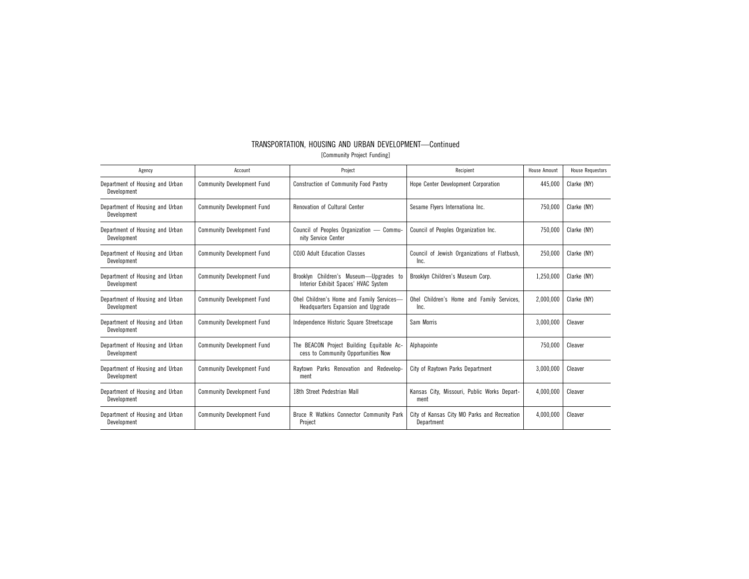| TRANSPORTATION, HOUSING AND URBAN DEVELOPMENT-Continued |                             |  |  |
|---------------------------------------------------------|-----------------------------|--|--|
|                                                         | [Community Project Funding] |  |  |

| Agency                                         | Account                           | Project                                                                                                                              | Recipient                                                 |           | <b>House Requestors</b> |
|------------------------------------------------|-----------------------------------|--------------------------------------------------------------------------------------------------------------------------------------|-----------------------------------------------------------|-----------|-------------------------|
| Department of Housing and Urban<br>Development | <b>Community Development Fund</b> | Construction of Community Food Pantry                                                                                                | Hope Center Development Corporation                       | 445,000   | Clarke (NY)             |
| Department of Housing and Urban<br>Development | <b>Community Development Fund</b> | <b>Renovation of Cultural Center</b>                                                                                                 | Sesame Flyers Internationa Inc.                           | 750,000   | Clarke (NY)             |
| Department of Housing and Urban<br>Development | <b>Community Development Fund</b> | Council of Peoples Organization - Commu-<br>nity Service Center                                                                      | Council of Peoples Organization Inc.                      |           | Clarke (NY)             |
| Department of Housing and Urban<br>Development | <b>Community Development Fund</b> | COJO Adult Education Classes                                                                                                         | Council of Jewish Organizations of Flatbush,<br>Inc.      |           | Clarke (NY)             |
| Department of Housing and Urban<br>Development | <b>Community Development Fund</b> | Brooklyn Children's Museum-Upgrades to<br>Brooklyn Children's Museum Corp.<br>Interior Exhibit Spaces' HVAC System                   |                                                           | 1.250.000 | Clarke (NY)             |
| Department of Housing and Urban<br>Development | <b>Community Development Fund</b> | Ohel Children's Home and Family Services-<br>Ohel Children's Home and Family Services.<br>Headquarters Expansion and Upgrade<br>Inc. |                                                           | 2,000,000 | Clarke (NY)             |
| Department of Housing and Urban<br>Development | <b>Community Development Fund</b> | Independence Historic Square Streetscape                                                                                             | Sam Morris                                                |           | Cleaver                 |
| Department of Housing and Urban<br>Development | <b>Community Development Fund</b> | The BEACON Project Building Equitable Ac-<br>cess to Community Opportunities Now                                                     | Alphapointe                                               |           | Cleaver                 |
| Department of Housing and Urban<br>Development | <b>Community Development Fund</b> | Ravtown Parks Renovation and Redevelop-<br>ment                                                                                      | City of Raytown Parks Department                          |           | Cleaver                 |
| Department of Housing and Urban<br>Development | <b>Community Development Fund</b> | 18th Street Pedestrian Mall                                                                                                          | Kansas City, Missouri, Public Works Depart-<br>ment       | 4,000,000 | Cleaver                 |
| Department of Housing and Urban<br>Development | <b>Community Development Fund</b> | Bruce R Watkins Connector Community Park<br>Project                                                                                  | City of Kansas City MO Parks and Recreation<br>Department | 4.000.000 | Cleaver                 |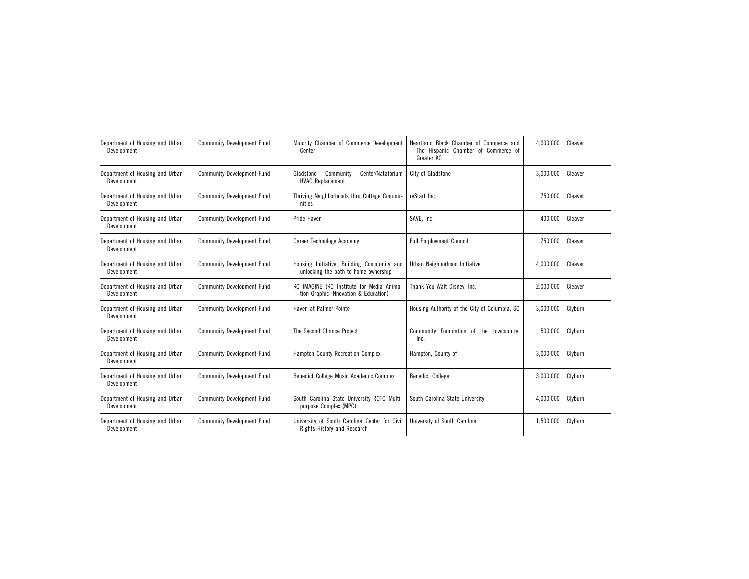| Department of Housing and Urban<br>Development | <b>Community Development Fund</b> | Minority Chamber of Commerce Development<br>Heartland Black Chamber of Commerce and<br>Center<br>The Hispanic Chamber of Commerce of<br>Greater KC |                                                 | 4,000,000 | Cleaver |
|------------------------------------------------|-----------------------------------|----------------------------------------------------------------------------------------------------------------------------------------------------|-------------------------------------------------|-----------|---------|
| Department of Housing and Urban<br>Development | <b>Community Development Fund</b> | Community<br>Center/Natatorium<br>Gladstone<br><b>HVAC Replacement</b>                                                                             | City of Gladstone                               | 3,000,000 | Cleaver |
| Department of Housing and Urban<br>Development | <b>Community Development Fund</b> | Thriving Neighborhoods thru Cottage Commu-<br>nities                                                                                               | reStart Inc.                                    | 750,000   | Cleaver |
| Department of Housing and Urban<br>Development | <b>Community Development Fund</b> | Pride Haven                                                                                                                                        | SAVE. Inc.                                      | 400,000   | Cleaver |
| Department of Housing and Urban<br>Development | <b>Community Development Fund</b> | Career Technology Academy                                                                                                                          | <b>Full Employment Council</b>                  |           | Cleaver |
| Department of Housing and Urban<br>Development | <b>Community Development Fund</b> | Housing Initiative, Building Community and<br>Urban Neighborhood Initiative<br>unlocking the path to home ownership                                |                                                 | 4,000,000 | Cleaver |
| Department of Housing and Urban<br>Development | <b>Community Development Fund</b> | KC IMAGINE (KC Institute for Media Anima-<br>Thank You Walt Disney, Inc.<br>tion Graphic INnovation & Education)                                   |                                                 | 2,000,000 | Cleaver |
| Department of Housing and Urban<br>Development | <b>Community Development Fund</b> | Haven at Palmer Pointe                                                                                                                             | Housing Authority of the City of Columbia, SC   | 3,000,000 | Clyburn |
| Department of Housing and Urban<br>Development | <b>Community Development Fund</b> | The Second Chance Project                                                                                                                          | Community Foundation of the Lowcountry,<br>Inc. | 500,000   | Clyburn |
| Department of Housing and Urban<br>Development | <b>Community Development Fund</b> | Hampton County Recreation Complex                                                                                                                  | Hampton, County of                              | 3,000,000 | Clyburn |
| Department of Housing and Urban<br>Development | <b>Community Development Fund</b> | Benedict College Music Academic Complex                                                                                                            | <b>Benedict College</b>                         | 3,000,000 | Clyburn |
| Department of Housing and Urban<br>Development | <b>Community Development Fund</b> | South Carolina State University ROTC Multi-<br>purpose Complex (MPC)                                                                               | South Carolina State University                 | 4.000.000 | Clyburn |
| Department of Housing and Urban<br>Development | <b>Community Development Fund</b> | University of South Carolina Center for Civil<br>Rights History and Research                                                                       | University of South Carolina                    | 1,500,000 | Clyburn |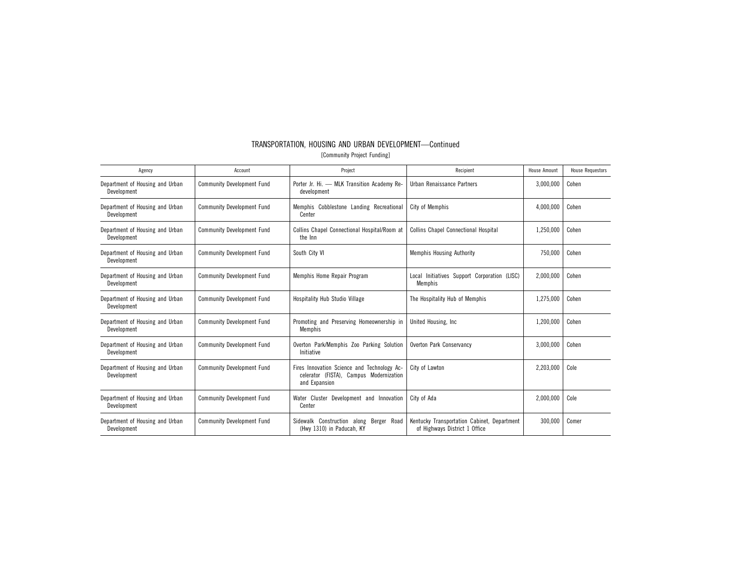| Agency                                         | Account                           | Project                                                                                                                   | Recipient                                                                    | <b>House Amount</b> | <b>House Requestors</b> |
|------------------------------------------------|-----------------------------------|---------------------------------------------------------------------------------------------------------------------------|------------------------------------------------------------------------------|---------------------|-------------------------|
| Department of Housing and Urban<br>Development | <b>Community Development Fund</b> | Porter Jr. Hi. - MLK Transition Academy Re-<br>development                                                                | Urban Renaissance Partners                                                   | 3,000,000           | Cohen                   |
| Department of Housing and Urban<br>Development | <b>Community Development Fund</b> | Memphis Cobblestone Landing Recreational<br>Center                                                                        | City of Memphis                                                              | 4,000,000           | Cohen                   |
| Department of Housing and Urban<br>Development | <b>Community Development Fund</b> | Collins Chapel Connectional Hospital/Room at<br>the Inn                                                                   | <b>Collins Chapel Connectional Hospital</b>                                  | 1,250,000           | Cohen                   |
| Department of Housing and Urban<br>Development | <b>Community Development Fund</b> | South City VI                                                                                                             | <b>Memphis Housing Authority</b>                                             |                     | Cohen                   |
| Department of Housing and Urban<br>Development | <b>Community Development Fund</b> | Memphis Home Repair Program<br>Initiatives Support Corporation (LISC)<br>Local<br>Memphis                                 |                                                                              | 2,000,000           | Cohen                   |
| Department of Housing and Urban<br>Development | <b>Community Development Fund</b> | Hospitality Hub Studio Village<br>The Hospitality Hub of Memphis                                                          |                                                                              | 1,275,000           | Cohen                   |
| Department of Housing and Urban<br>Development | <b>Community Development Fund</b> | Promoting and Preserving Homeownership in<br>United Housing, Inc.<br>Memphis                                              |                                                                              | 1,200,000           | Cohen                   |
| Department of Housing and Urban<br>Development | <b>Community Development Fund</b> | Overton Park/Memphis Zoo Parking Solution<br>Overton Park Conservancy<br>Initiative                                       |                                                                              | 3,000,000           | Cohen                   |
| Department of Housing and Urban<br>Development | <b>Community Development Fund</b> | Fires Innovation Science and Technology Ac-<br>City of Lawton<br>celerator (FISTA), Campus Modernization<br>and Expansion |                                                                              | 2,203,000           | Cole                    |
| Department of Housing and Urban<br>Development | <b>Community Development Fund</b> | Water Cluster Development and Innovation<br>Center                                                                        | City of Ada                                                                  | 2,000,000           | Cole                    |
| Department of Housing and Urban<br>Development | <b>Community Development Fund</b> | Sidewalk Construction along<br>Berger<br>Road<br>(Hwy 1310) in Paducah, KY                                                | Kentucky Transportation Cabinet, Department<br>of Highways District 1 Office | 300,000             | Comer                   |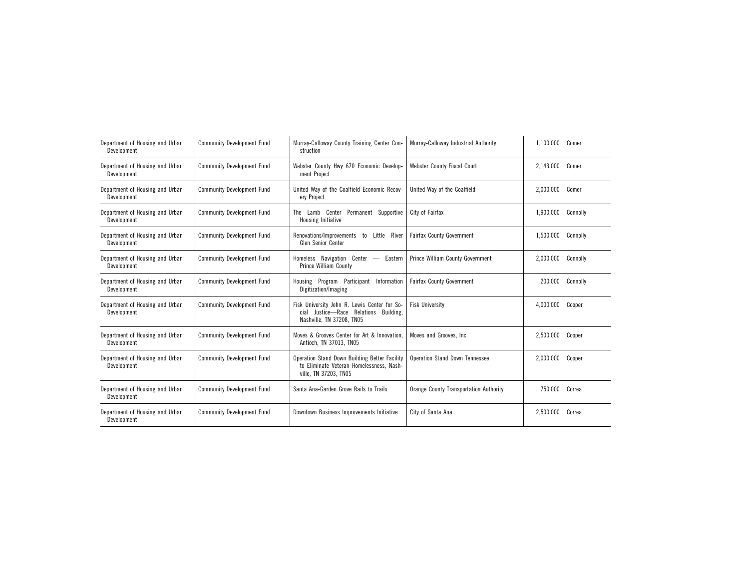| Department of Housing and Urban<br>Development | <b>Community Development Fund</b> | Murray-Calloway County Training Center Con-<br>Murray-Calloway Industrial Authority<br>struction                   |                                               | 1,100,000 | Comer    |
|------------------------------------------------|-----------------------------------|--------------------------------------------------------------------------------------------------------------------|-----------------------------------------------|-----------|----------|
| Department of Housing and Urban<br>Development | <b>Community Development Fund</b> | Webster County Hwy 670 Economic Develop-<br>ment Project                                                           | Webster County Fiscal Court                   | 2.143.000 | Comer    |
| Department of Housing and Urban<br>Development | <b>Community Development Fund</b> | United Way of the Coalfield Economic Recov-<br>ery Project                                                         | United Way of the Coalfield                   | 2,000,000 | Comer    |
| Department of Housing and Urban<br>Development | <b>Community Development Fund</b> | The Lamb Center Permanent Supportive<br>Housing Initiative                                                         | City of Fairfax                               | 1,900,000 | Connolly |
| Department of Housing and Urban<br>Development | <b>Community Development Fund</b> | Renovations/Improvements to<br>Little<br>River<br><b>Glen Senior Center</b>                                        | <b>Fairfax County Government</b>              | 1,500,000 | Connolly |
| Department of Housing and Urban<br>Development | <b>Community Development Fund</b> | Homeless Navigation Center - Eastern<br>Prince William County                                                      | Prince William County Government              | 2,000,000 | Connolly |
| Department of Housing and Urban<br>Development | <b>Community Development Fund</b> | Housing Program Participant Information<br>Digitization/Imaging                                                    | <b>Fairfax County Government</b>              | 200,000   | Connolly |
| Department of Housing and Urban<br>Development | <b>Community Development Fund</b> | Fisk University John R. Lewis Center for So-<br>cial Justice-Race Relations Building,<br>Nashville, TN 37208, TN05 | <b>Fisk University</b>                        | 4,000,000 | Cooper   |
| Department of Housing and Urban<br>Development | <b>Community Development Fund</b> | Moves & Grooves Center for Art & Innovation.<br>Antioch, TN 37013, TN05                                            | Moves and Grooves, Inc.                       | 2,500,000 | Cooper   |
| Department of Housing and Urban<br>Development | <b>Community Development Fund</b> | Operation Stand Down Building Better Facility<br>to Eliminate Veteran Homelessness, Nash-<br>ville, TN 37203, TN05 | <b>Operation Stand Down Tennessee</b>         | 2,000,000 | Cooper   |
| Department of Housing and Urban<br>Development | <b>Community Development Fund</b> | Santa Ana-Garden Grove Rails to Trails                                                                             | <b>Orange County Transportation Authority</b> | 750,000   | Correa   |
| Department of Housing and Urban<br>Development | <b>Community Development Fund</b> | Downtown Business Improvements Initiative                                                                          | City of Santa Ana                             | 2,500,000 | Correa   |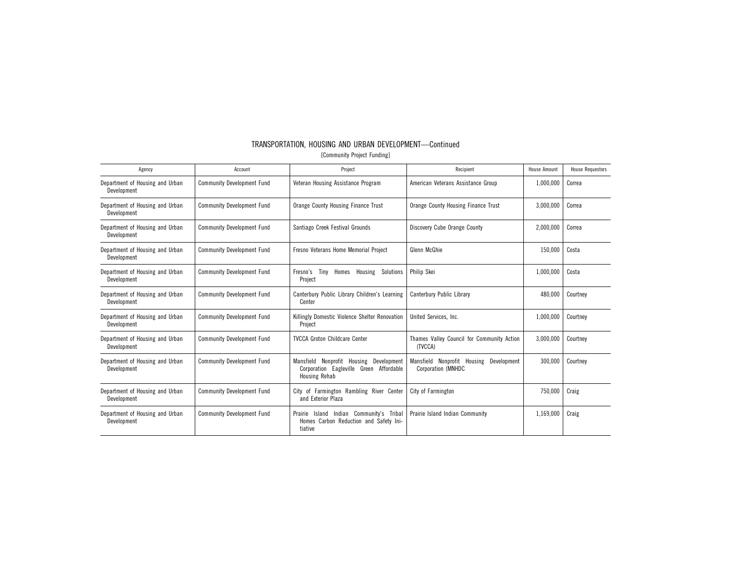| TRANSPORTATION. HOUSING AND URBAN DEVELOPMENT-Continued |  |
|---------------------------------------------------------|--|
| [Community Project Funding]                             |  |

| Agency                                         | Account                           | Project<br>Recipient                                                                                             |                                                                         | <b>House Amount</b> | <b>House Requestors</b> |
|------------------------------------------------|-----------------------------------|------------------------------------------------------------------------------------------------------------------|-------------------------------------------------------------------------|---------------------|-------------------------|
| Department of Housing and Urban<br>Development | <b>Community Development Fund</b> | Veteran Housing Assistance Program                                                                               | American Veterans Assistance Group                                      | 1,000,000           | Correa                  |
| Department of Housing and Urban<br>Development | <b>Community Development Fund</b> | Orange County Housing Finance Trust                                                                              | Orange County Housing Finance Trust                                     | 3,000,000           | Correa                  |
| Department of Housing and Urban<br>Development | <b>Community Development Fund</b> | Santiago Creek Festival Grounds                                                                                  | Discovery Cube Orange County                                            | 2,000,000           | Correa                  |
| Department of Housing and Urban<br>Development | <b>Community Development Fund</b> | Fresno Veterans Home Memorial Project                                                                            | Glenn McGhie                                                            |                     | Costa                   |
| Department of Housing and Urban<br>Development | <b>Community Development Fund</b> | Philip Skei<br>Fresno's Tiny<br>Homes<br>Housing Solutions<br>Project                                            |                                                                         | 1,000,000           | Costa                   |
| Department of Housing and Urban<br>Development | <b>Community Development Fund</b> | Canterbury Public Library Children's Learning<br>Center                                                          | Canterbury Public Library                                               |                     | Courtney                |
| Department of Housing and Urban<br>Development | <b>Community Development Fund</b> | Killingly Domestic Violence Shelter Renovation<br>Project                                                        | United Services, Inc.                                                   |                     | Courtney                |
| Department of Housing and Urban<br>Development | <b>Community Development Fund</b> | <b>TVCCA Groton Childcare Center</b>                                                                             | Thames Valley Council for Community Action<br>(TVCCA)                   | 3,000,000           | Courtney                |
| Department of Housing and Urban<br>Development | <b>Community Development Fund</b> | Nonprofit Housing<br>Development<br>Mansfield<br>Corporation Eagleville Green Affordable<br><b>Housing Rehab</b> | Mansfield Nonprofit Housing<br>Development<br><b>Corporation (MNHDC</b> |                     | Courtney                |
| Department of Housing and Urban<br>Development | <b>Community Development Fund</b> | City of Farmington Rambling River Center<br>and Exterior Plaza                                                   | City of Farmington                                                      | 750,000             | Craig                   |
| Department of Housing and Urban<br>Development | <b>Community Development Fund</b> | Indian Community's Tribal<br>Prairie<br>Island<br>Homes Carbon Reduction and Safety Ini-<br>tiative              | Prairie Island Indian Community                                         | 1,169,000           | Craig                   |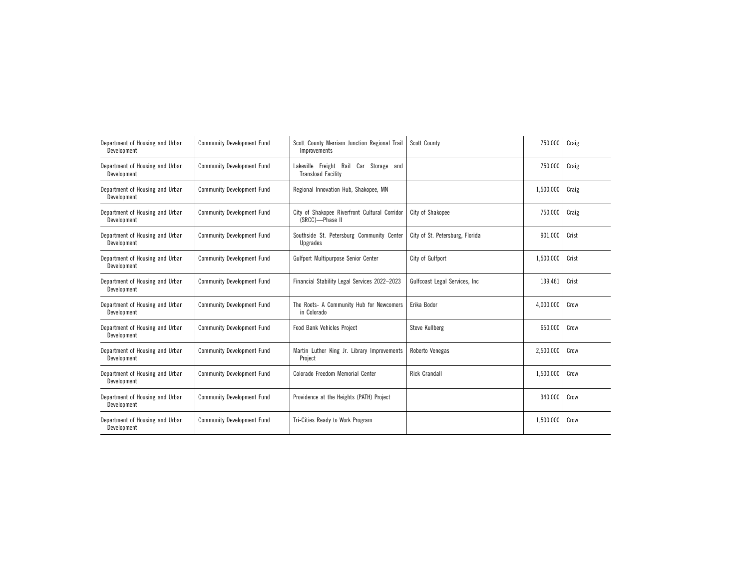| Department of Housing and Urban<br>Development | <b>Community Development Fund</b> | Scott County Merriam Junction Regional Trail<br>Improvements        | Scott County                    | 750,000   | Craig |
|------------------------------------------------|-----------------------------------|---------------------------------------------------------------------|---------------------------------|-----------|-------|
| Department of Housing and Urban<br>Development | <b>Community Development Fund</b> | Lakeville Freight Rail Car Storage and<br><b>Transload Facility</b> |                                 | 750,000   | Craig |
| Department of Housing and Urban<br>Development | <b>Community Development Fund</b> | Regional Innovation Hub, Shakopee, MN                               |                                 | 1,500,000 | Craig |
| Department of Housing and Urban<br>Development | <b>Community Development Fund</b> | City of Shakopee Riverfront Cultural Corridor<br>(SRCC)-Phase II    | City of Shakopee                | 750,000   | Craig |
| Department of Housing and Urban<br>Development | <b>Community Development Fund</b> | Southside St. Petersburg Community Center<br>Upgrades               | City of St. Petersburg, Florida | 901,000   | Crist |
| Department of Housing and Urban<br>Development | <b>Community Development Fund</b> | Gulfport Multipurpose Senior Center                                 | City of Gulfport                | 1,500,000 | Crist |
| Department of Housing and Urban<br>Development | <b>Community Development Fund</b> | Financial Stability Legal Services 2022-2023                        | Gulfcoast Legal Services, Inc.  | 139,461   | Crist |
| Department of Housing and Urban<br>Development | <b>Community Development Fund</b> | The Roots- A Community Hub for Newcomers<br>in Colorado             | Erika Bodor                     | 4,000,000 | Crow  |
| Department of Housing and Urban<br>Development | <b>Community Development Fund</b> | <b>Food Bank Vehicles Project</b>                                   | Steve Kullberg                  | 650,000   | Crow  |
| Department of Housing and Urban<br>Development | <b>Community Development Fund</b> | Martin Luther King Jr. Library Improvements<br>Project              | Roberto Venegas                 | 2,500,000 | Crow  |
| Department of Housing and Urban<br>Development | <b>Community Development Fund</b> | Colorado Freedom Memorial Center                                    | <b>Rick Crandall</b>            | 1,500,000 | Crow  |
| Department of Housing and Urban<br>Development | <b>Community Development Fund</b> | Providence at the Heights (PATH) Project                            |                                 | 340,000   | Crow  |
| Department of Housing and Urban<br>Development | <b>Community Development Fund</b> | Tri-Cities Ready to Work Program                                    |                                 | 1,500,000 | Crow  |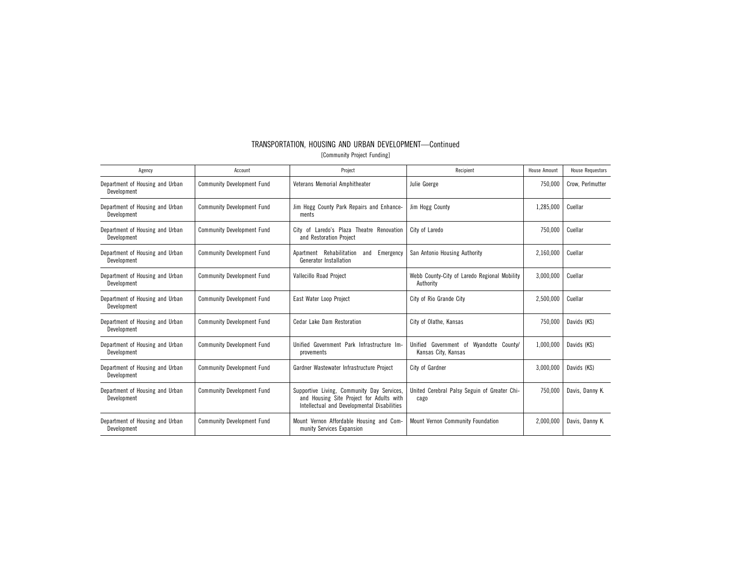| TRANSPORTATION. HOUSING AND URBAN DEVELOPMENT—Continued |                             |  |  |
|---------------------------------------------------------|-----------------------------|--|--|
|                                                         | [Community Proiect Funding] |  |  |

| Agency                                         | Account                           | Project                                                                                                                               | Recipient                                                         | <b>House Amount</b> | <b>House Requestors</b> |
|------------------------------------------------|-----------------------------------|---------------------------------------------------------------------------------------------------------------------------------------|-------------------------------------------------------------------|---------------------|-------------------------|
| Department of Housing and Urban<br>Development | <b>Community Development Fund</b> | Veterans Memorial Amphitheater                                                                                                        | Julie Goerge                                                      | 750,000             | Crow, Perlmutter        |
| Department of Housing and Urban<br>Development | <b>Community Development Fund</b> | Jim Hogg County Park Repairs and Enhance-<br>ments                                                                                    | Jim Hogg County                                                   | 1,285,000           | Cuellar                 |
| Department of Housing and Urban<br>Development | <b>Community Development Fund</b> | City of Laredo's Plaza Theatre Renovation<br>and Restoration Project                                                                  | City of Laredo                                                    | 750,000             | Cuellar                 |
| Department of Housing and Urban<br>Development | <b>Community Development Fund</b> | Apartment Rehabilitation<br>Emergency<br>and<br>Generator Installation                                                                | San Antonio Housing Authority                                     | 2,160,000           | Cuellar                 |
| Department of Housing and Urban<br>Development | <b>Community Development Fund</b> | Vallecillo Road Project                                                                                                               | Webb County-City of Laredo Regional Mobility<br>Authority         | 3,000,000           | Cuellar                 |
| Department of Housing and Urban<br>Development | <b>Community Development Fund</b> | East Water Loop Project                                                                                                               | City of Rio Grande City                                           | 2,500,000           | Cuellar                 |
| Department of Housing and Urban<br>Development | <b>Community Development Fund</b> | Cedar Lake Dam Restoration                                                                                                            | City of Olathe, Kansas                                            | 750,000             | Davids (KS)             |
| Department of Housing and Urban<br>Development | <b>Community Development Fund</b> | Unified Government Park Infrastructure Im-<br>provements                                                                              | Unified Government of<br>Wyandotte County/<br>Kansas City, Kansas | 1,000,000           | Davids (KS)             |
| Department of Housing and Urban<br>Development | <b>Community Development Fund</b> | Gardner Wastewater Infrastructure Project                                                                                             | City of Gardner                                                   | 3,000,000           | Davids (KS)             |
| Department of Housing and Urban<br>Development | <b>Community Development Fund</b> | Supportive Living, Community Day Services,<br>and Housing Site Project for Adults with<br>Intellectual and Developmental Disabilities | United Cerebral Palsy Seguin of Greater Chi-<br>cago              | 750,000             | Davis, Danny K.         |
| Department of Housing and Urban<br>Development | <b>Community Development Fund</b> | Mount Vernon Affordable Housing and Com-<br>munity Services Expansion                                                                 | Mount Vernon Community Foundation                                 | 2.000.000           | Davis, Danny K.         |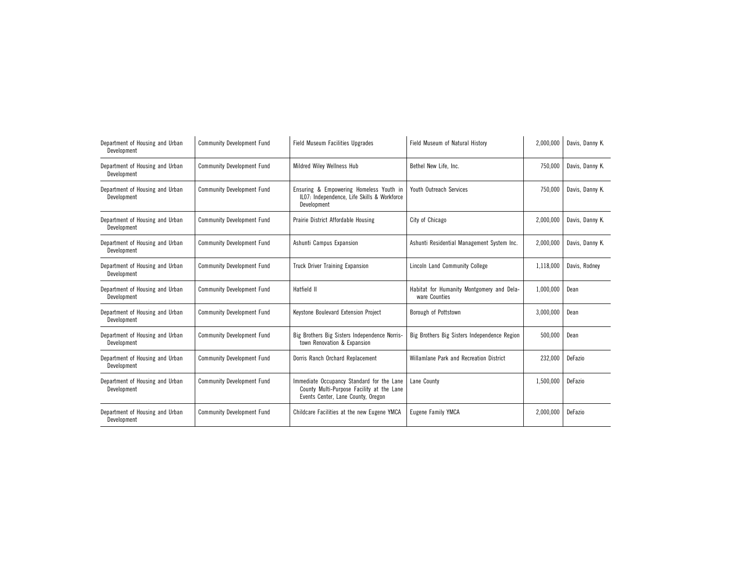| Department of Housing and Urban<br>Development | <b>Community Development Fund</b> | <b>Field Museum Facilities Upgrades</b>                                                                                      | Field Museum of Natural History                            | 2,000,000 | Davis, Danny K. |
|------------------------------------------------|-----------------------------------|------------------------------------------------------------------------------------------------------------------------------|------------------------------------------------------------|-----------|-----------------|
| Department of Housing and Urban<br>Development | <b>Community Development Fund</b> | Mildred Wiley Wellness Hub                                                                                                   | Bethel New Life, Inc.                                      | 750,000   | Davis, Danny K. |
| Department of Housing and Urban<br>Development | <b>Community Development Fund</b> | Ensuring & Empowering Homeless Youth in<br>IL07: Independence, Life Skills & Workforce<br>Development                        | Youth Outreach Services                                    | 750,000   | Davis, Danny K. |
| Department of Housing and Urban<br>Development | <b>Community Development Fund</b> | Prairie District Affordable Housing                                                                                          | City of Chicago                                            | 2,000,000 | Davis, Danny K. |
| Department of Housing and Urban<br>Development | <b>Community Development Fund</b> | Ashunti Campus Expansion                                                                                                     | Ashunti Residential Management System Inc.                 | 2,000,000 | Davis, Danny K. |
| Department of Housing and Urban<br>Development | <b>Community Development Fund</b> | <b>Truck Driver Training Expansion</b>                                                                                       | Lincoln Land Community College                             | 1,118,000 | Davis, Rodney   |
| Department of Housing and Urban<br>Development | <b>Community Development Fund</b> | Hatfield II                                                                                                                  | Habitat for Humanity Montgomery and Dela-<br>ware Counties | 1,000,000 | Dean            |
| Department of Housing and Urban<br>Development | <b>Community Development Fund</b> | Keystone Boulevard Extension Project                                                                                         | Borough of Pottstown                                       | 3,000,000 | Dean            |
| Department of Housing and Urban<br>Development | <b>Community Development Fund</b> | Big Brothers Big Sisters Independence Norris-<br>town Renovation & Expansion                                                 | Big Brothers Big Sisters Independence Region               | 500,000   | Dean            |
| Department of Housing and Urban<br>Development | <b>Community Development Fund</b> | Dorris Ranch Orchard Replacement                                                                                             | Willamlane Park and Recreation District                    | 232,000   | DeFazio         |
| Department of Housing and Urban<br>Development | <b>Community Development Fund</b> | Immediate Occupancy Standard for the Lane<br>County Multi-Purpose Facility at the Lane<br>Events Center, Lane County, Oregon | Lane County                                                | 1,500,000 | DeFazio         |
| Department of Housing and Urban<br>Development | <b>Community Development Fund</b> | Childcare Facilities at the new Eugene YMCA                                                                                  | Eugene Family YMCA                                         | 2,000,000 | DeFazio         |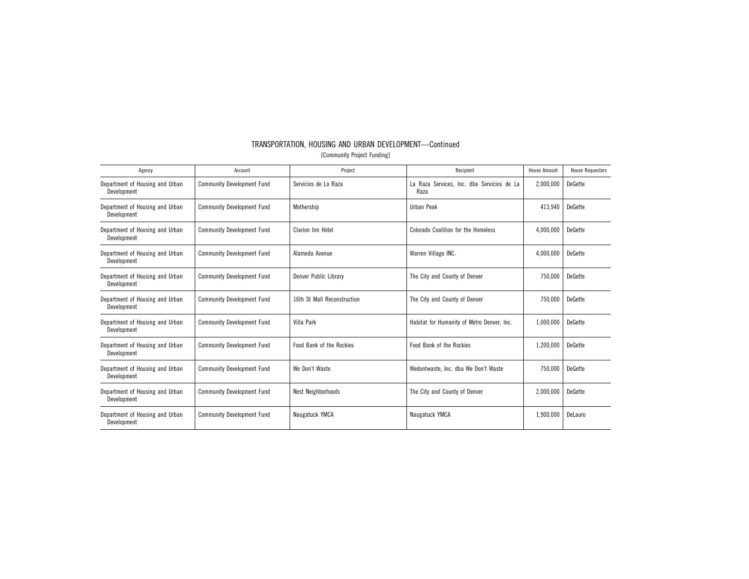| Agency                                         | Account                           | Project                     | Recipient                                          | <b>House Amount</b> | <b>House Requestors</b> |
|------------------------------------------------|-----------------------------------|-----------------------------|----------------------------------------------------|---------------------|-------------------------|
| Department of Housing and Urban<br>Development | <b>Community Development Fund</b> | Servicios de La Raza        | La Raza Services, Inc. dba Servicios de La<br>Raza | 2,000,000           | <b>DeGette</b>          |
| Department of Housing and Urban<br>Development | <b>Community Development Fund</b> | Mothership                  | Urban Peak                                         | 413,940             | <b>DeGette</b>          |
| Department of Housing and Urban<br>Development | <b>Community Development Fund</b> | Clarion Inn Hotel           | Colorado Coalition for the Homeless                | 4,000,000           | <b>DeGette</b>          |
| Department of Housing and Urban<br>Development | <b>Community Development Fund</b> | Alameda Avenue              | Warren Village INC.                                | 4,000,000           | <b>DeGette</b>          |
| Department of Housing and Urban<br>Development | <b>Community Development Fund</b> | Denver Public Library       | The City and County of Denver                      | 750,000             | <b>DeGette</b>          |
| Department of Housing and Urban<br>Development | <b>Community Development Fund</b> | 16th St Mall Reconstruction | The City and County of Denver                      | 750,000             | <b>DeGette</b>          |
| Department of Housing and Urban<br>Development | <b>Community Development Fund</b> | Villa Park                  | Habitat for Humanity of Metro Denver, Inc.         | 1,000,000           | <b>DeGette</b>          |
| Department of Housing and Urban<br>Development | <b>Community Development Fund</b> | Food Bank of the Rockies    | Food Bank of the Rockies                           | 1,200,000           | <b>DeGette</b>          |
| Department of Housing and Urban<br>Development | <b>Community Development Fund</b> | We Don't Waste              | Wedontwaste, Inc. dba We Don't Waste               | 750.000             | <b>DeGette</b>          |
| Department of Housing and Urban<br>Development | <b>Community Development Fund</b> | Nest Neighborhoods          | The City and County of Denver                      | 2,000,000           | <b>DeGette</b>          |
| Department of Housing and Urban<br>Development | <b>Community Development Fund</b> | Naugatuck YMCA              | Naugatuck YMCA                                     | 1,900,000           | DeLauro                 |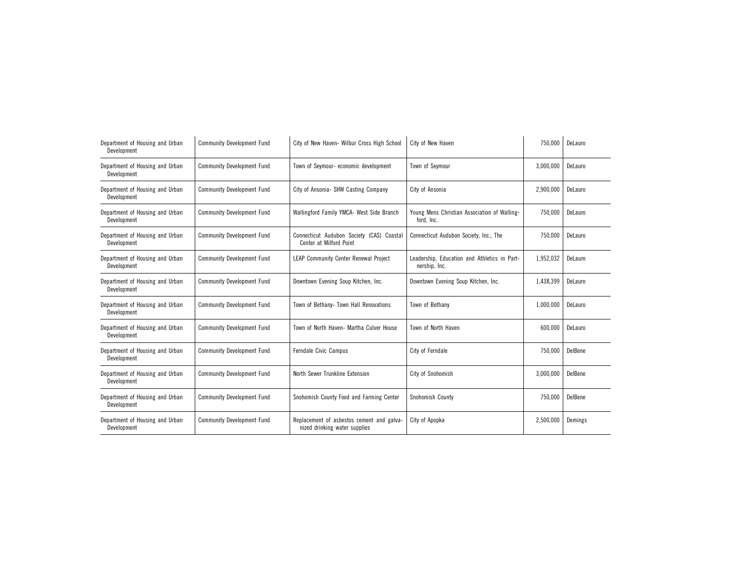| Department of Housing and Urban<br>Development | <b>Community Development Fund</b> | City of New Haven- Wilbur Cross High School                                | City of New Haven                                             | 750,000   | DeLauro |
|------------------------------------------------|-----------------------------------|----------------------------------------------------------------------------|---------------------------------------------------------------|-----------|---------|
| Department of Housing and Urban<br>Development | <b>Community Development Fund</b> | Town of Seymour- economic development                                      | Town of Seymour                                               | 3,000,000 | DeLauro |
| Department of Housing and Urban<br>Development | <b>Community Development Fund</b> | City of Ansonia- SHW Casting Company                                       | City of Ansonia                                               | 2,900,000 | DeLauro |
| Department of Housing and Urban<br>Development | <b>Community Development Fund</b> | Wallingford Family YMCA- West Side Branch                                  | Young Mens Christian Association of Walling-<br>ford, Inc.    | 750,000   | DeLauro |
| Department of Housing and Urban<br>Development | <b>Community Development Fund</b> | Connecticut Audubon Society (CAS) Coastal<br>Center at Milford Point       | Connecticut Audubon Society, Inc., The                        | 750,000   | DeLauro |
| Department of Housing and Urban<br>Development | <b>Community Development Fund</b> | <b>LEAP Community Center Renewal Project</b>                               | Leadership, Education and Athletics in Part-<br>nership, Inc. | 1,952,032 | DeLauro |
| Department of Housing and Urban<br>Development | <b>Community Development Fund</b> | Downtown Evening Soup Kitchen, Inc.                                        | Downtown Evening Soup Kitchen, Inc.                           | 1,438,399 | DeLauro |
| Department of Housing and Urban<br>Development | <b>Community Development Fund</b> | Town of Bethany- Town Hall Renovations                                     | Town of Bethany                                               | 1,000,000 | DeLauro |
| Department of Housing and Urban<br>Development | <b>Community Development Fund</b> | Town of North Haven- Martha Culver House                                   | Town of North Haven                                           | 600,000   | DeLauro |
| Department of Housing and Urban<br>Development | <b>Community Development Fund</b> | Ferndale Civic Campus                                                      | City of Ferndale                                              | 750,000   | DelBene |
| Department of Housing and Urban<br>Development | <b>Community Development Fund</b> | North Sewer Trunkline Extension                                            | City of Snohomish                                             | 3,000,000 | DelBene |
| Department of Housing and Urban<br>Development | <b>Community Development Fund</b> | Snohomish County Food and Farming Center                                   | Snohomish County                                              | 750,000   | DelBene |
| Department of Housing and Urban<br>Development | <b>Community Development Fund</b> | Replacement of asbestos cement and galva-<br>nized drinking water supplies | City of Apopka                                                | 2,500,000 | Demings |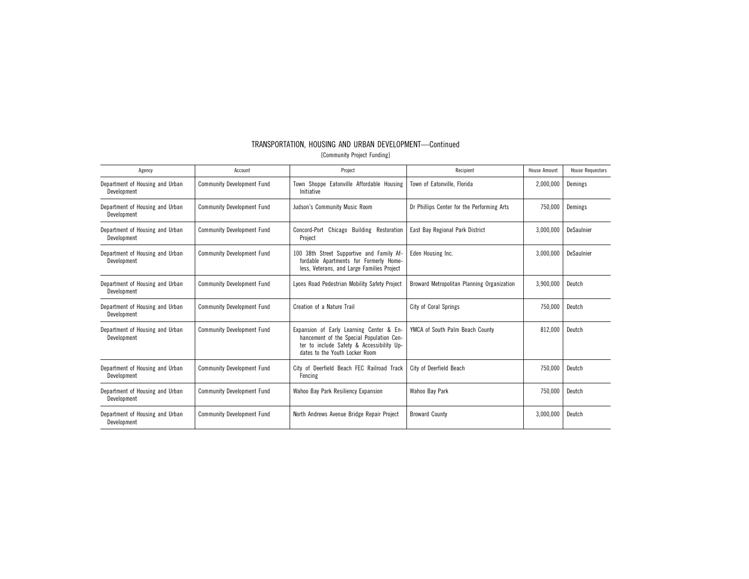| Agency                                         | Account                           | Project                                                                                                                                                             | Recipient                                  |           | <b>House Requestors</b> |
|------------------------------------------------|-----------------------------------|---------------------------------------------------------------------------------------------------------------------------------------------------------------------|--------------------------------------------|-----------|-------------------------|
| Department of Housing and Urban<br>Development | <b>Community Development Fund</b> | Town Shoppe Eatonville Affordable Housing<br>Initiative                                                                                                             | Town of Eatonville, Florida                | 2,000,000 | Demings                 |
| Department of Housing and Urban<br>Development | <b>Community Development Fund</b> | Judson's Community Music Room                                                                                                                                       | Dr Phillips Center for the Performing Arts | 750,000   | Demings                 |
| Department of Housing and Urban<br>Development | <b>Community Development Fund</b> | Concord-Port Chicago Building Restoration<br>Project                                                                                                                | East Bay Regional Park District            | 3,000,000 | DeSaulnier              |
| Department of Housing and Urban<br>Development | <b>Community Development Fund</b> | 100 38th Street Supportive and Family Af-<br>fordable Apartments for Formerly Home-<br>less, Veterans, and Large Families Project                                   | Eden Housing Inc.                          | 3,000,000 | DeSaulnier              |
| Department of Housing and Urban<br>Development | <b>Community Development Fund</b> | Lyons Road Pedestrian Mobility Safety Project                                                                                                                       | Broward Metropolitan Planning Organization | 3,900,000 | Deutch                  |
| Department of Housing and Urban<br>Development | <b>Community Development Fund</b> | Creation of a Nature Trail                                                                                                                                          | <b>City of Coral Springs</b>               | 750,000   | Deutch                  |
| Department of Housing and Urban<br>Development | <b>Community Development Fund</b> | Expansion of Early Learning Center & En-<br>hancement of the Special Population Cen-<br>ter to include Safety & Accessibility Up-<br>dates to the Youth Locker Room | YMCA of South Palm Beach County            | 812.000   | Deutch                  |
| Department of Housing and Urban<br>Development | <b>Community Development Fund</b> | City of Deerfield Beach FEC Railroad Track<br>Fencing                                                                                                               | City of Deerfield Beach                    | 750,000   | Deutch                  |
| Department of Housing and Urban<br>Development | <b>Community Development Fund</b> | Wahoo Bay Park Resiliency Expansion                                                                                                                                 | Wahoo Bay Park                             | 750,000   | Deutch                  |
| Department of Housing and Urban<br>Development | <b>Community Development Fund</b> | North Andrews Avenue Bridge Repair Project                                                                                                                          | <b>Broward County</b>                      | 3.000.000 | Deutch                  |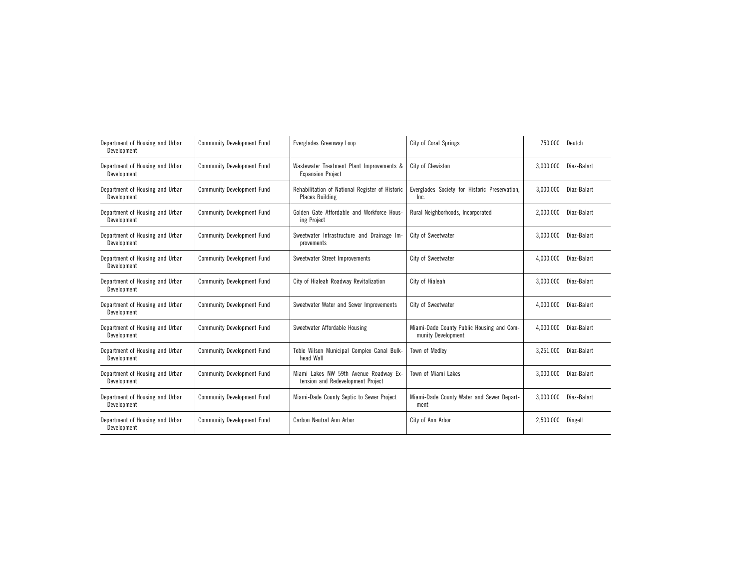| Department of Housing and Urban<br>Development | <b>Community Development Fund</b> | Everglades Greenway Loop                                                    | City of Coral Springs                                           | 750,000   | Deutch      |
|------------------------------------------------|-----------------------------------|-----------------------------------------------------------------------------|-----------------------------------------------------------------|-----------|-------------|
| Department of Housing and Urban<br>Development | <b>Community Development Fund</b> | Wastewater Treatment Plant Improvements &<br><b>Expansion Project</b>       | City of Clewiston                                               | 3,000,000 | Diaz-Balart |
| Department of Housing and Urban<br>Development | <b>Community Development Fund</b> | Rehabilitation of National Register of Historic<br><b>Places Building</b>   | Everglades Society for Historic Preservation,<br>Inc.           | 3,000,000 | Diaz-Balart |
| Department of Housing and Urban<br>Development | <b>Community Development Fund</b> | Golden Gate Affordable and Workforce Hous-<br>ing Project                   | Rural Neighborhoods, Incorporated                               | 2,000,000 | Diaz-Balart |
| Department of Housing and Urban<br>Development | <b>Community Development Fund</b> | Sweetwater Infrastructure and Drainage Im-<br>provements                    | City of Sweetwater                                              | 3,000,000 | Diaz-Balart |
| Department of Housing and Urban<br>Development | <b>Community Development Fund</b> | Sweetwater Street Improvements                                              | City of Sweetwater                                              | 4.000.000 | Diaz-Balart |
| Department of Housing and Urban<br>Development | <b>Community Development Fund</b> | City of Hialeah Roadway Revitalization                                      | City of Hialeah                                                 | 3,000,000 | Diaz-Balart |
| Department of Housing and Urban<br>Development | <b>Community Development Fund</b> | Sweetwater Water and Sewer Improvements                                     | City of Sweetwater                                              | 4,000,000 | Diaz-Balart |
| Department of Housing and Urban<br>Development | <b>Community Development Fund</b> | Sweetwater Affordable Housing                                               | Miami-Dade County Public Housing and Com-<br>munity Development | 4,000,000 | Diaz-Balart |
| Department of Housing and Urban<br>Development | <b>Community Development Fund</b> | Tobie Wilson Municipal Complex Canal Bulk-<br>head Wall                     | Town of Medley                                                  | 3,251,000 | Diaz-Balart |
| Department of Housing and Urban<br>Development | <b>Community Development Fund</b> | Miami Lakes NW 59th Avenue Roadway Ex-<br>tension and Redevelopment Project | Town of Miami Lakes                                             | 3,000,000 | Diaz-Balart |
| Department of Housing and Urban<br>Development | <b>Community Development Fund</b> | Miami-Dade County Septic to Sewer Project                                   | Miami-Dade County Water and Sewer Depart-<br>ment               | 3,000,000 | Diaz-Balart |
| Department of Housing and Urban<br>Development | <b>Community Development Fund</b> | Carbon Neutral Ann Arbor                                                    | City of Ann Arbor                                               | 2,500,000 | Dingell     |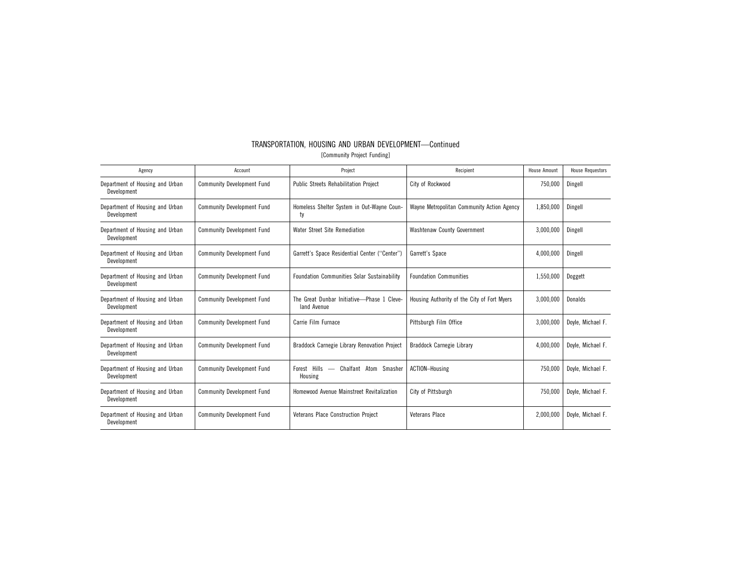| TRANSPORTATION, HOUSING AND URBAN DEVELOPMENT-Continued |  |                             |  |  |
|---------------------------------------------------------|--|-----------------------------|--|--|
|                                                         |  | [Community Project Funding] |  |  |

| Agency                                         | Account                           | Project                                                                      | Recipient                                   | <b>House Amount</b> | <b>House Requestors</b> |
|------------------------------------------------|-----------------------------------|------------------------------------------------------------------------------|---------------------------------------------|---------------------|-------------------------|
| Department of Housing and Urban<br>Development | <b>Community Development Fund</b> | <b>Public Streets Rehabilitation Project</b>                                 | City of Rockwood                            | 750,000             | Dingell                 |
| Department of Housing and Urban<br>Development | <b>Community Development Fund</b> | Homeless Shelter System in Out-Wayne Coun-<br>ty                             | Wayne Metropolitan Community Action Agency  | 1.850.000           | Dingell                 |
| Department of Housing and Urban<br>Development | <b>Community Development Fund</b> | Water Street Site Remediation                                                | <b>Washtenaw County Government</b>          | 3.000.000           | Dingell                 |
| Department of Housing and Urban<br>Development | <b>Community Development Fund</b> | Garrett's Space Residential Center ("Center")                                | Garrett's Space                             | 4,000,000           | Dingell                 |
| Department of Housing and Urban<br>Development | <b>Community Development Fund</b> | <b>Foundation Communities Solar Sustainability</b>                           | <b>Foundation Communities</b>               | 1,550,000           | Doggett                 |
| Department of Housing and Urban<br>Development | <b>Community Development Fund</b> | The Great Dunbar Initiative-Phase 1 Cleve-<br>land Avenue                    | Housing Authority of the City of Fort Myers | 3,000,000           | Donalds                 |
| Department of Housing and Urban<br>Development | <b>Community Development Fund</b> | Carrie Film Furnace                                                          | Pittsburgh Film Office                      | 3,000,000           | Doyle, Michael F.       |
| Department of Housing and Urban<br>Development | <b>Community Development Fund</b> | Braddock Carnegie Library Renovation Project                                 | Braddock Carnegie Library                   | 4,000,000           | Doyle, Michael F.       |
| Department of Housing and Urban<br>Development | <b>Community Development Fund</b> | Forest Hills<br>Chalfant Atom Smasher<br>$\overline{\phantom{m}}$<br>Housing | ACTION-Housing                              | 750.000             | Dovle, Michael F.       |
| Department of Housing and Urban<br>Development | <b>Community Development Fund</b> | Homewood Avenue Mainstreet Revitalization                                    | City of Pittsburgh                          | 750.000             | Doyle, Michael F.       |
| Department of Housing and Urban<br>Development | <b>Community Development Fund</b> | Veterans Place Construction Project                                          | <b>Veterans Place</b>                       | 2.000.000           | Doyle, Michael F.       |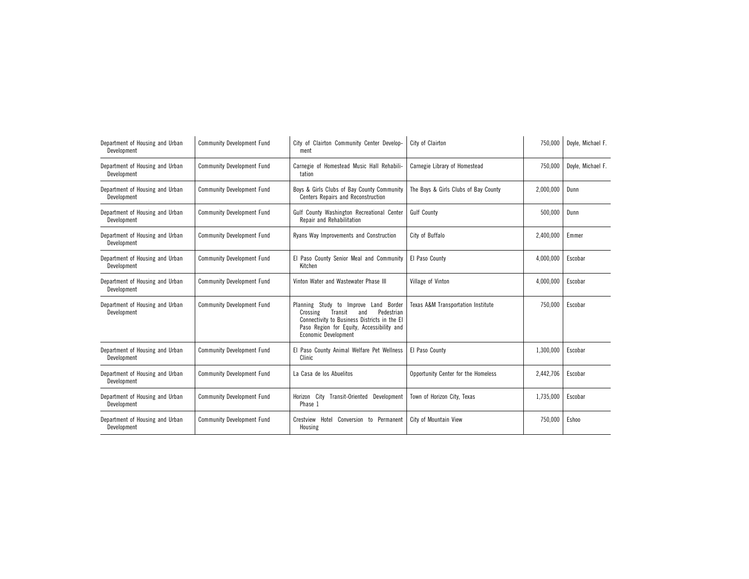| Department of Housing and Urban<br>Development | <b>Community Development Fund</b> | City of Clairton Community Center Develop-<br>ment                                                                                                                                                            | City of Clairton                     | 750,000   | Doyle, Michael F. |
|------------------------------------------------|-----------------------------------|---------------------------------------------------------------------------------------------------------------------------------------------------------------------------------------------------------------|--------------------------------------|-----------|-------------------|
| Department of Housing and Urban<br>Development | <b>Community Development Fund</b> | Carnegie of Homestead Music Hall Rehabili-<br>tation                                                                                                                                                          | Carnegie Library of Homestead        | 750.000   | Dovle, Michael F. |
| Department of Housing and Urban<br>Development | <b>Community Development Fund</b> | Boys & Girls Clubs of Bay County Community<br>Centers Repairs and Reconstruction                                                                                                                              | The Boys & Girls Clubs of Bay County | 2,000,000 | Dunn              |
| Department of Housing and Urban<br>Development | <b>Community Development Fund</b> | Gulf County Washington Recreational Center<br>Repair and Rehabilitation                                                                                                                                       | <b>Gulf County</b>                   | 500,000   | Dunn              |
| Department of Housing and Urban<br>Development | <b>Community Development Fund</b> | Ryans Way Improvements and Construction                                                                                                                                                                       | City of Buffalo                      | 2,400,000 | Emmer             |
| Department of Housing and Urban<br>Development | <b>Community Development Fund</b> | El Paso County Senior Meal and Community<br>Kitchen                                                                                                                                                           | El Paso County                       | 4,000,000 | Escobar           |
| Department of Housing and Urban<br>Development | <b>Community Development Fund</b> | Vinton Water and Wastewater Phase III                                                                                                                                                                         | Village of Vinton                    | 4,000,000 | Escobar           |
| Department of Housing and Urban<br>Development | <b>Community Development Fund</b> | Planning Study to Improve Land Border<br>Pedestrian<br>Crossing<br>Transit<br>and<br>Connectivity to Business Districts in the El<br>Paso Region for Equity, Accessibility and<br><b>Economic Development</b> | Texas A&M Transportation Institute   | 750,000   | Escobar           |
| Department of Housing and Urban<br>Development | <b>Community Development Fund</b> | El Paso County Animal Welfare Pet Wellness<br>Clinic                                                                                                                                                          | El Paso County                       | 1,300,000 | Escobar           |
| Department of Housing and Urban<br>Development | <b>Community Development Fund</b> | La Casa de los Abuelitos                                                                                                                                                                                      | Opportunity Center for the Homeless  | 2,442,706 | Escobar           |
| Department of Housing and Urban<br>Development | <b>Community Development Fund</b> | Horizon City<br>Transit-Oriented Development<br>Phase 1                                                                                                                                                       | Town of Horizon City, Texas          | 1,735,000 | Escobar           |
| Department of Housing and Urban<br>Development | <b>Community Development Fund</b> | Crestview Hotel<br>Conversion to Permanent<br>Housing                                                                                                                                                         | City of Mountain View                | 750,000   | Eshoo             |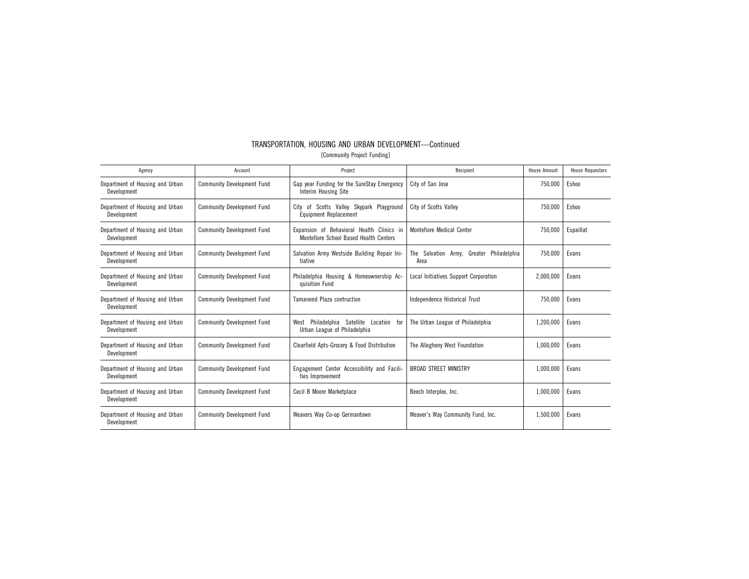| TRANSPORTATION, HOUSING AND URBAN DEVELOPMENT—Continued |                             |  |  |
|---------------------------------------------------------|-----------------------------|--|--|
|                                                         | [Community Project Funding] |  |  |

| Agency                                         | Account                           | Project                                                                             | Recipient                                              | <b>House Amount</b> | <b>House Requestors</b> |
|------------------------------------------------|-----------------------------------|-------------------------------------------------------------------------------------|--------------------------------------------------------|---------------------|-------------------------|
| Department of Housing and Urban<br>Development | <b>Community Development Fund</b> | Gap year Funding for the SureStay Emergency<br>Interim Housing Site                 | City of San Jose                                       | 750,000             | Eshoo                   |
| Department of Housing and Urban<br>Development | <b>Community Development Fund</b> | City of Scotts Valley Skypark Playground<br>Equipment Replacement                   | City of Scotts Valley                                  | 750,000             | Eshoo                   |
| Department of Housing and Urban<br>Development | <b>Community Development Fund</b> | Expansion of Behavioral Health Clinics in<br>Montefiore School Based Health Centers | <b>Montefiore Medical Center</b>                       | 750,000             | Espaillat               |
| Department of Housing and Urban<br>Development | <b>Community Development Fund</b> | Salvation Army Westside Building Repair Ini-<br>tiative                             | Philadelphia<br>The Salvation Army.<br>Greater<br>Area | 750.000             | Evans                   |
| Department of Housing and Urban<br>Development | <b>Community Development Fund</b> | Philadelphia Housing & Homeownership Ac-<br>quisition Fund                          | Local Initiatives Support Corporation                  | 2,000,000           | Evans                   |
| Department of Housing and Urban<br>Development | <b>Community Development Fund</b> | Tamanend Plaza contruction                                                          | Independence Historical Trust                          | 750.000             | Evans                   |
| Department of Housing and Urban<br>Development | <b>Community Development Fund</b> | Philadelphia Satellite<br>Location for<br>West<br>Urban League of Philadelphia      | The Urban League of Philadelphia                       | 1,200,000           | Evans                   |
| Department of Housing and Urban<br>Development | <b>Community Development Fund</b> | Clearfield Apts-Grocery & Food Distribution                                         | The Allegheny West Foundation                          | 1,000,000           | Evans                   |
| Department of Housing and Urban<br>Development | <b>Community Development Fund</b> | Engagement Center Accessibility and Facili-<br>ties Improvement                     | <b>BROAD STREET MINISTRY</b>                           | 1,000,000           | Evans                   |
| Department of Housing and Urban<br>Development | <b>Community Development Fund</b> | Cecil B Moore Marketplace                                                           | Beech Interplex, Inc.                                  | 1,000,000           | Evans                   |
| Department of Housing and Urban<br>Development | <b>Community Development Fund</b> | Weavers Way Co-op Germantown                                                        | Weaver's Way Community Fund, Inc.                      | 1,500,000           | Evans                   |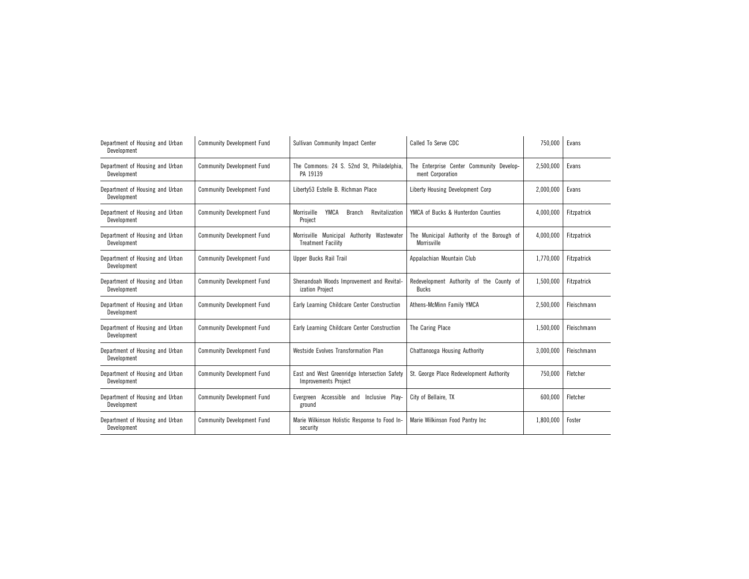| Department of Housing and Urban<br>Development | <b>Community Development Fund</b> | Sullivan Community Impact Center                                            | Called To Serve CDC                                          | 750,000   | Evans       |
|------------------------------------------------|-----------------------------------|-----------------------------------------------------------------------------|--------------------------------------------------------------|-----------|-------------|
| Department of Housing and Urban<br>Development | <b>Community Development Fund</b> | The Commons: 24 S. 52nd St, Philadelphia,<br>PA 19139                       | The Enterprise Center Community Develop-<br>ment Corporation | 2,500,000 | Evans       |
| Department of Housing and Urban<br>Development | <b>Community Development Fund</b> | Liberty53 Estelle B. Richman Place                                          | Liberty Housing Development Corp                             | 2,000,000 | Evans       |
| Department of Housing and Urban<br>Development | <b>Community Development Fund</b> | YMCA<br>Morrisville<br>Revitalization<br>Branch<br>Project                  | YMCA of Bucks & Hunterdon Counties                           | 4,000,000 | Fitzpatrick |
| Department of Housing and Urban<br>Development | <b>Community Development Fund</b> | Morrisville Municipal Authority Wastewater<br><b>Treatment Facility</b>     | The Municipal Authority of the Borough of<br>Morrisville     | 4,000,000 | Fitzpatrick |
| Department of Housing and Urban<br>Development | <b>Community Development Fund</b> | Upper Bucks Rail Trail                                                      | Appalachian Mountain Club                                    | 1,770,000 | Fitzpatrick |
| Department of Housing and Urban<br>Development | <b>Community Development Fund</b> | Shenandoah Woods Improvement and Revital-<br>ization Project                | Redevelopment Authority of the County of<br>Bucks            | 1,500,000 | Fitzpatrick |
| Department of Housing and Urban<br>Development | <b>Community Development Fund</b> | Early Learning Childcare Center Construction                                | Athens-McMinn Family YMCA                                    | 2,500,000 | Fleischmann |
| Department of Housing and Urban<br>Development | <b>Community Development Fund</b> | Early Learning Childcare Center Construction                                | The Caring Place                                             | 1,500,000 | Fleischmann |
| Department of Housing and Urban<br>Development | <b>Community Development Fund</b> | Westside Evolves Transformation Plan                                        | Chattanooga Housing Authority                                | 3,000,000 | Fleischmann |
| Department of Housing and Urban<br>Development | <b>Community Development Fund</b> | East and West Greenridge Intersection Safety<br><b>Improvements Project</b> | St. George Place Redevelopment Authority                     | 750,000   | Fletcher    |
| Department of Housing and Urban<br>Development | <b>Community Development Fund</b> | Accessible and<br>Inclusive Play-<br>Evergreen<br>ground                    | City of Bellaire, TX                                         | 600,000   | Fletcher    |
| Department of Housing and Urban<br>Development | <b>Community Development Fund</b> | Marie Wilkinson Holistic Response to Food In-<br>security                   | Marie Wilkinson Food Pantry Inc                              | 1.800.000 | Foster      |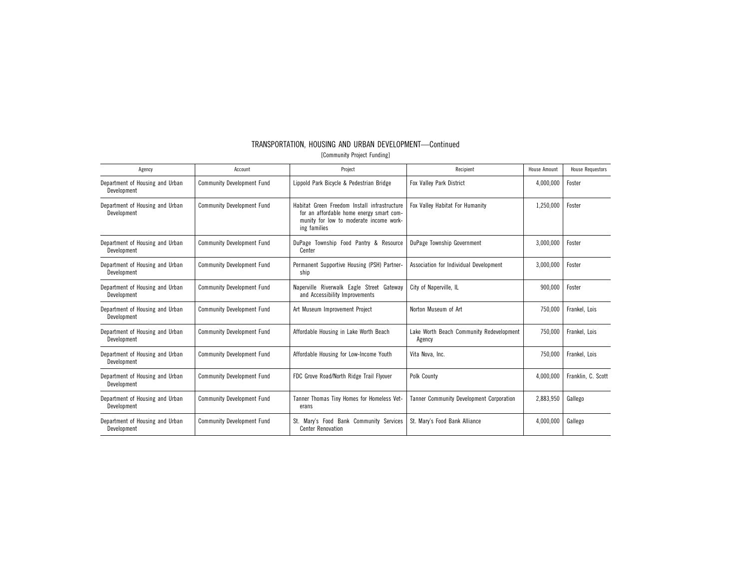| Agency                                         | Account                           | Project                                                                                                                                             | Recipient                                          | <b>House Amount</b> | <b>House Requestors</b> |
|------------------------------------------------|-----------------------------------|-----------------------------------------------------------------------------------------------------------------------------------------------------|----------------------------------------------------|---------------------|-------------------------|
| Department of Housing and Urban<br>Development | <b>Community Development Fund</b> | Lippold Park Bicycle & Pedestrian Bridge                                                                                                            | <b>Fox Valley Park District</b>                    | 4,000,000           | Foster                  |
| Department of Housing and Urban<br>Development | <b>Community Development Fund</b> | Habitat Green Freedom Install infrastructure<br>for an affordable home energy smart com-<br>munity for low to moderate income work-<br>ing families | Fox Valley Habitat For Humanity                    | 1,250,000           | Foster                  |
| Department of Housing and Urban<br>Development | <b>Community Development Fund</b> | DuPage Township Food Pantry & Resource<br>Center                                                                                                    | DuPage Township Government                         | 3,000,000           | Foster                  |
| Department of Housing and Urban<br>Development | <b>Community Development Fund</b> | Permanent Supportive Housing (PSH) Partner-<br>ship                                                                                                 | Association for Individual Development             | 3,000,000           | Foster                  |
| Department of Housing and Urban<br>Development | <b>Community Development Fund</b> | Naperville Riverwalk Eagle Street Gateway<br>and Accessibility Improvements                                                                         | City of Naperville, IL                             | 900,000             | Foster                  |
| Department of Housing and Urban<br>Development | <b>Community Development Fund</b> | Art Museum Improvement Project                                                                                                                      | Norton Museum of Art                               | 750,000             | Frankel. Lois           |
| Department of Housing and Urban<br>Development | <b>Community Development Fund</b> | Affordable Housing in Lake Worth Beach                                                                                                              | Lake Worth Beach Community Redevelopment<br>Agency | 750,000             | Frankel, Lois           |
| Department of Housing and Urban<br>Development | <b>Community Development Fund</b> | Affordable Housing for Low-Income Youth                                                                                                             | Vita Nova, Inc.                                    | 750,000             | Frankel, Lois           |
| Department of Housing and Urban<br>Development | <b>Community Development Fund</b> | FDC Grove Road/North Ridge Trail Flyover                                                                                                            | Polk County                                        | 4,000,000           | Franklin, C. Scott      |
| Department of Housing and Urban<br>Development | <b>Community Development Fund</b> | Tanner Thomas Tiny Homes for Homeless Vet-<br>erans                                                                                                 | <b>Tanner Community Development Corporation</b>    | 2,883,950           | Gallego                 |
| Department of Housing and Urban<br>Development | <b>Community Development Fund</b> | St. Mary's Food Bank Community Services<br><b>Center Renovation</b>                                                                                 | St. Mary's Food Bank Alliance                      | 4,000,000           | Gallego                 |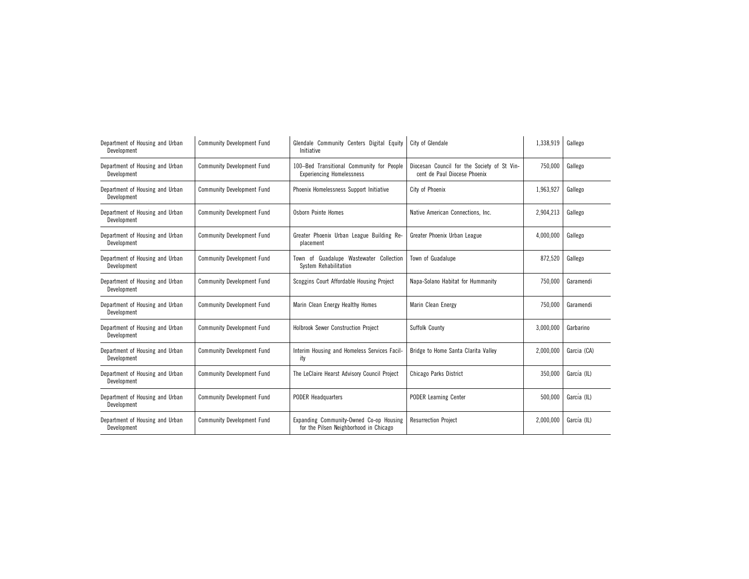| Department of Housing and Urban<br>Development | <b>Community Development Fund</b> | Glendale Community Centers Digital Equity<br>Initiative                           | City of Glendale                                                            | 1,338,919 | Gallego     |
|------------------------------------------------|-----------------------------------|-----------------------------------------------------------------------------------|-----------------------------------------------------------------------------|-----------|-------------|
| Department of Housing and Urban<br>Development | <b>Community Development Fund</b> | 100-Bed Transitional Community for People<br><b>Experiencing Homelessness</b>     | Diocesan Council for the Society of St Vin-<br>cent de Paul Diocese Phoenix | 750,000   | Gallego     |
| Department of Housing and Urban<br>Development | <b>Community Development Fund</b> | Phoenix Homelessness Support Initiative                                           | City of Phoenix                                                             | 1,963,927 | Gallego     |
| Department of Housing and Urban<br>Development | <b>Community Development Fund</b> | Osborn Pointe Homes                                                               | Native American Connections, Inc.                                           | 2,904,213 | Gallego     |
| Department of Housing and Urban<br>Development | <b>Community Development Fund</b> | Greater Phoenix Urban League Building Re-<br>placement                            | Greater Phoenix Urban League                                                | 4,000,000 | Gallego     |
| Department of Housing and Urban<br>Development | <b>Community Development Fund</b> | of Guadalupe Wastewater Collection<br>Town<br>System Rehabilitation               | Town of Guadalupe                                                           | 872,520   | Gallego     |
| Department of Housing and Urban<br>Development | <b>Community Development Fund</b> | Scoggins Court Affordable Housing Project                                         | Napa-Solano Habitat for Hummanity                                           | 750,000   | Garamendi   |
| Department of Housing and Urban<br>Development | <b>Community Development Fund</b> | Marin Clean Energy Healthy Homes                                                  | Marin Clean Energy                                                          | 750.000   | Garamendi   |
| Department of Housing and Urban<br>Development | <b>Community Development Fund</b> | Holbrook Sewer Construction Project                                               | Suffolk County                                                              | 3,000,000 | Garbarino   |
| Department of Housing and Urban<br>Development | <b>Community Development Fund</b> | Interim Housing and Homeless Services Facil-<br>ity                               | Bridge to Home Santa Clarita Valley                                         | 2,000,000 | Garcia (CA) |
| Department of Housing and Urban<br>Development | <b>Community Development Fund</b> | The LeClaire Hearst Advisory Council Project                                      | Chicago Parks District                                                      | 350,000   | García (IL) |
| Department of Housing and Urban<br>Development | <b>Community Development Fund</b> | <b>PODER Headquarters</b>                                                         | <b>PODER Learning Center</b>                                                | 500,000   | García (IL) |
| Department of Housing and Urban<br>Development | <b>Community Development Fund</b> | Expanding Community-Owned Co-op Housing<br>for the Pilsen Neighborhood in Chicago | <b>Resurrection Project</b>                                                 | 2,000,000 | García (IL) |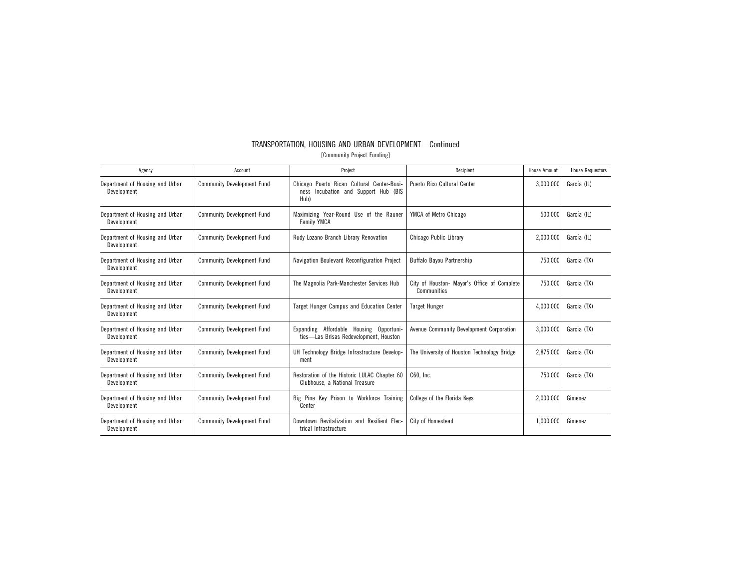| Agency                                         | Account                           | Project                                                                                       | Recipient                                                  | <b>House Amount</b> | <b>House Requestors</b> |
|------------------------------------------------|-----------------------------------|-----------------------------------------------------------------------------------------------|------------------------------------------------------------|---------------------|-------------------------|
| Department of Housing and Urban<br>Development | <b>Community Development Fund</b> | Chicago Puerto Rican Cultural Center-Busi-<br>Incubation and Support Hub (BIS<br>ness<br>Hub) | Puerto Rico Cultural Center                                | 3,000,000           | García (IL)             |
| Department of Housing and Urban<br>Development | <b>Community Development Fund</b> | Maximizing Year-Round Use of the Rauner<br><b>Family YMCA</b>                                 | YMCA of Metro Chicago                                      | 500,000             | García (IL)             |
| Department of Housing and Urban<br>Development | <b>Community Development Fund</b> | Rudy Lozano Branch Library Renovation                                                         | Chicago Public Library                                     | 2,000,000           | García (IL)             |
| Department of Housing and Urban<br>Development | <b>Community Development Fund</b> | Navigation Boulevard Reconfiguration Project                                                  | Buffalo Bayou Partnership                                  | 750,000             | Garcia (TX)             |
| Department of Housing and Urban<br>Development | <b>Community Development Fund</b> | The Magnolia Park-Manchester Services Hub                                                     | City of Houston- Mayor's Office of Complete<br>Communities | 750,000             | Garcia (TX)             |
| Department of Housing and Urban<br>Development | <b>Community Development Fund</b> | Target Hunger Campus and Education Center                                                     | <b>Target Hunger</b>                                       | 4,000,000           | Garcia (TX)             |
| Department of Housing and Urban<br>Development | <b>Community Development Fund</b> | Expanding Affordable Housing Opportuni-<br>ties-Las Brisas Redevelopment, Houston             | Avenue Community Development Corporation                   | 3,000,000           | Garcia (TX)             |
| Department of Housing and Urban<br>Development | <b>Community Development Fund</b> | UH Technology Bridge Infrastructure Develop-<br>ment                                          | The University of Houston Technology Bridge                | 2,875,000           | Garcia (TX)             |
| Department of Housing and Urban<br>Development | <b>Community Development Fund</b> | Restoration of the Historic LULAC Chapter 60<br>Clubhouse, a National Treasure                | C60. Inc.                                                  | 750,000             | Garcia (TX)             |
| Department of Housing and Urban<br>Development | <b>Community Development Fund</b> | Big Pine Key Prison to Workforce Training<br>Center                                           | College of the Florida Keys                                | 2,000,000           | Gimenez                 |
| Department of Housing and Urban<br>Development | <b>Community Development Fund</b> | Downtown Revitalization and Resilient Elec-<br>trical Infrastructure                          | City of Homestead                                          | 1,000,000           | Gimenez                 |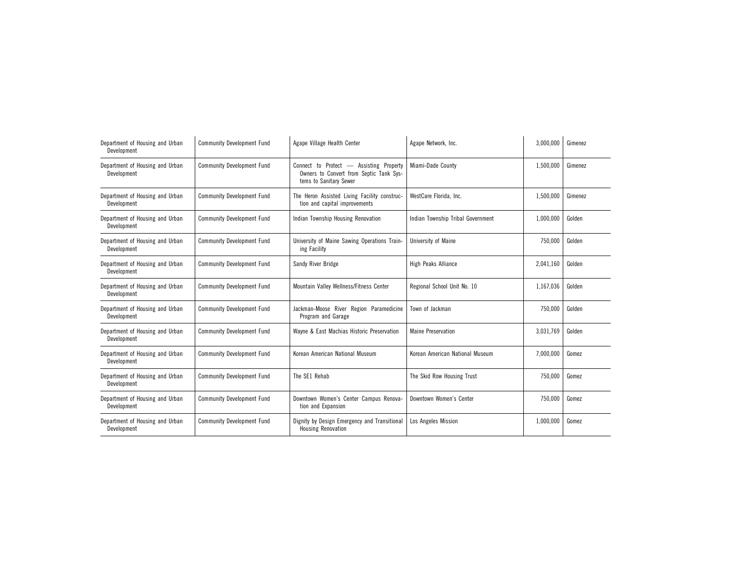| Department of Housing and Urban<br>Development | <b>Community Development Fund</b> | Agape Village Health Center                                                                                  | Agape Network, Inc.               | 3,000,000 | Gimenez |
|------------------------------------------------|-----------------------------------|--------------------------------------------------------------------------------------------------------------|-----------------------------------|-----------|---------|
| Department of Housing and Urban<br>Development | <b>Community Development Fund</b> | Connect to Protect — Assisting Property<br>Owners to Convert from Septic Tank Sys-<br>tems to Sanitary Sewer | Miami-Dade County                 | 1,500,000 | Gimenez |
| Department of Housing and Urban<br>Development | <b>Community Development Fund</b> | The Heron Assisted Living Facility construc-<br>tion and capital improvements                                | WestCare Florida, Inc.            | 1,500,000 | Gimenez |
| Department of Housing and Urban<br>Development | <b>Community Development Fund</b> | Indian Township Housing Renovation                                                                           | Indian Township Tribal Government | 1,000,000 | Golden  |
| Department of Housing and Urban<br>Development | <b>Community Development Fund</b> | University of Maine Sawing Operations Train-<br>ing Facility                                                 | University of Maine               | 750,000   | Golden  |
| Department of Housing and Urban<br>Development | <b>Community Development Fund</b> | Sandy River Bridge                                                                                           | <b>High Peaks Alliance</b>        | 2,041,160 | Golden  |
| Department of Housing and Urban<br>Development | <b>Community Development Fund</b> | Mountain Valley Wellness/Fitness Center                                                                      | Regional School Unit No. 10       | 1,167,036 | Golden  |
| Department of Housing and Urban<br>Development | <b>Community Development Fund</b> | Jackman-Moose River Region Paramedicine<br>Program and Garage                                                | Town of Jackman                   | 750,000   | Golden  |
| Department of Housing and Urban<br>Development | <b>Community Development Fund</b> | Wayne & East Machias Historic Preservation                                                                   | <b>Maine Preservation</b>         | 3,031,769 | Golden  |
| Department of Housing and Urban<br>Development | <b>Community Development Fund</b> | Korean American National Museum                                                                              | Korean American National Museum   | 7,000,000 | Gomez   |
| Department of Housing and Urban<br>Development | <b>Community Development Fund</b> | The SE1 Rehab                                                                                                | The Skid Row Housing Trust        | 750,000   | Gomez   |
| Department of Housing and Urban<br>Development | <b>Community Development Fund</b> | Downtown Women's Center Campus Renova-<br>tion and Expansion                                                 | Downtown Women's Center           | 750,000   | Gomez   |
| Department of Housing and Urban<br>Development | <b>Community Development Fund</b> | Dignity by Design Emergency and Transitional<br>Housing Renovation                                           | Los Angeles Mission               | 1,000,000 | Gomez   |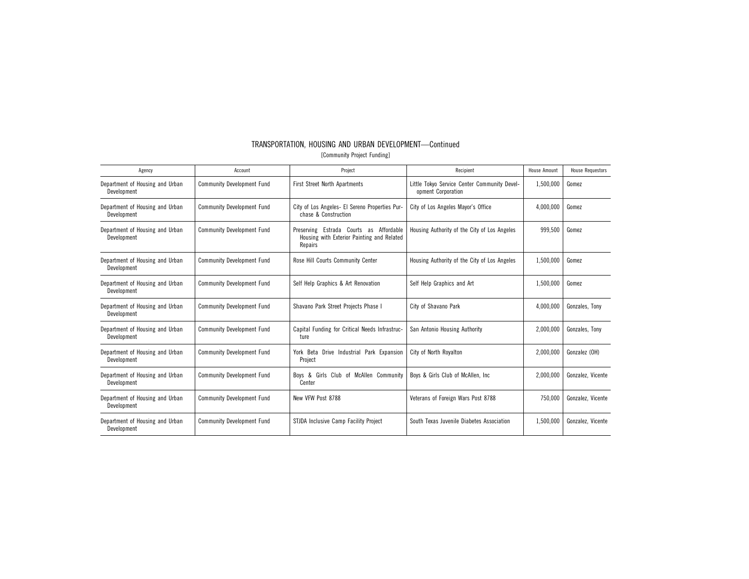| TRANSPORTATION, HOUSING AND URBAN DEVELOPMENT-Continued |                             |  |
|---------------------------------------------------------|-----------------------------|--|
|                                                         | [Community Project Funding] |  |

| Agency                                         | Account                           | Project                                                                                          | Recipient                                                          | <b>House Amount</b> | <b>House Requestors</b> |
|------------------------------------------------|-----------------------------------|--------------------------------------------------------------------------------------------------|--------------------------------------------------------------------|---------------------|-------------------------|
| Department of Housing and Urban<br>Development | <b>Community Development Fund</b> | <b>First Street North Apartments</b>                                                             | Little Tokyo Service Center Community Devel-<br>opment Corporation | 1,500,000           | Gomez                   |
| Department of Housing and Urban<br>Development | <b>Community Development Fund</b> | City of Los Angeles- El Sereno Properties Pur-<br>chase & Construction                           | City of Los Angeles Mayor's Office                                 | 4,000,000           | Gomez                   |
| Department of Housing and Urban<br>Development | <b>Community Development Fund</b> | Preserving Estrada Courts as Affordable<br>Housing with Exterior Painting and Related<br>Repairs | Housing Authority of the City of Los Angeles                       | 999,500             | Gomez                   |
| Department of Housing and Urban<br>Development | <b>Community Development Fund</b> | Rose Hill Courts Community Center                                                                | Housing Authority of the City of Los Angeles                       | 1,500,000           | Gomez                   |
| Department of Housing and Urban<br>Development | <b>Community Development Fund</b> | Self Help Graphics & Art Renovation                                                              | Self Help Graphics and Art                                         | 1.500.000           | Gomez                   |
| Department of Housing and Urban<br>Development | <b>Community Development Fund</b> | Shavano Park Street Projects Phase I                                                             | City of Shavano Park                                               | 4,000,000           | Gonzales, Tony          |
| Department of Housing and Urban<br>Development | <b>Community Development Fund</b> | Capital Funding for Critical Needs Infrastruc-<br>ture                                           | San Antonio Housing Authority                                      | 2,000,000           | Gonzales, Tony          |
| Department of Housing and Urban<br>Development | <b>Community Development Fund</b> | York Beta<br>Drive Industrial Park Expansion<br>Project                                          | City of North Royalton                                             | 2,000,000           | Gonzalez (OH)           |
| Department of Housing and Urban<br>Development | <b>Community Development Fund</b> | Boys & Girls Club of McAllen Community<br>Center                                                 | Boys & Girls Club of McAllen, Inc.                                 | 2,000,000           | Gonzalez, Vicente       |
| Department of Housing and Urban<br>Development | <b>Community Development Fund</b> | New VFW Post 8788                                                                                | Veterans of Foreign Wars Post 8788                                 | 750.000             | Gonzalez, Vicente       |
| Department of Housing and Urban<br>Development | <b>Community Development Fund</b> | STJDA Inclusive Camp Facility Project                                                            | South Texas Juvenile Diabetes Association                          | 1,500,000           | Gonzalez, Vicente       |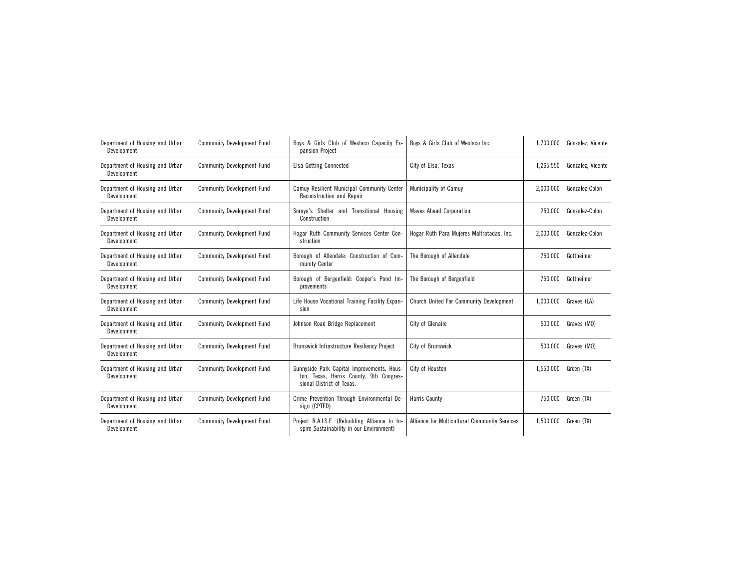| Department of Housing and Urban<br>Development | <b>Community Development Fund</b> | Boys & Girls Club of Weslaco Capacity Ex-<br>pansion Project                                                       | Boys & Girls Club of Weslaco Inc.             | 1,700,000 | Gonzalez, Vicente |
|------------------------------------------------|-----------------------------------|--------------------------------------------------------------------------------------------------------------------|-----------------------------------------------|-----------|-------------------|
| Department of Housing and Urban<br>Development | <b>Community Development Fund</b> | <b>Elsa Getting Connected</b>                                                                                      | City of Elsa. Texas                           | 1,265,550 | Gonzalez, Vicente |
| Department of Housing and Urban<br>Development | <b>Community Development Fund</b> | Camuy Resilient Municipal Community Center<br>Reconstruction and Repair                                            | Municipality of Camuy                         | 2,000,000 | Gonzalez-Colon    |
| Department of Housing and Urban<br>Development | <b>Community Development Fund</b> | Soraya's Shelter and Transitional Housing<br>Construction                                                          | <b>Waves Ahead Corporation</b>                | 250,000   | Gonzalez-Colon    |
| Department of Housing and Urban<br>Development | <b>Community Development Fund</b> | Hogar Ruth Community Services Center Con-<br>struction                                                             | Hogar Ruth Para Mujeres Maltratadas, Inc.     | 2,000,000 | Gonzalez-Colon    |
| Department of Housing and Urban<br>Development | <b>Community Development Fund</b> | Borough of Allendale: Construction of Com-<br>munity Center                                                        | The Borough of Allendale                      | 750,000   | Gottheimer        |
| Department of Housing and Urban<br>Development | <b>Community Development Fund</b> | Borough of Bergenfield: Cooper's Pond Im-<br>provements                                                            | The Borough of Bergenfield                    | 750.000   | Gottheimer        |
| Department of Housing and Urban<br>Development | <b>Community Development Fund</b> | Life House Vocational Training Facility Expan-<br>sion                                                             | Church United For Community Development       | 1,000,000 | Graves (LA)       |
| Department of Housing and Urban<br>Development | <b>Community Development Fund</b> | Johnson Road Bridge Replacement                                                                                    | City of Glenaire                              | 500,000   | Graves (MO)       |
| Department of Housing and Urban<br>Development | <b>Community Development Fund</b> | Brunswick Infrastructure Resiliency Project                                                                        | City of Brunswick                             | 500,000   | Graves (MO)       |
| Department of Housing and Urban<br>Development | <b>Community Development Fund</b> | Sunnyside Park Capital Improvements, Hous-<br>ton, Texas, Harris County, 9th Congres-<br>sional District of Texas. | City of Houston                               | 1,550,000 | Green (TX)        |
| Department of Housing and Urban<br>Development | <b>Community Development Fund</b> | Crime Prevention Through Environmental De-<br>sign (CPTED)                                                         | <b>Harris County</b>                          | 750,000   | Green (TX)        |
| Department of Housing and Urban<br>Development | <b>Community Development Fund</b> | Project R.A.I.S.E. (Rebuilding Alliance to In-<br>spire Sustainability in our Environment)                         | Alliance for Multicultural Community Services | 1,500,000 | Green (TX)        |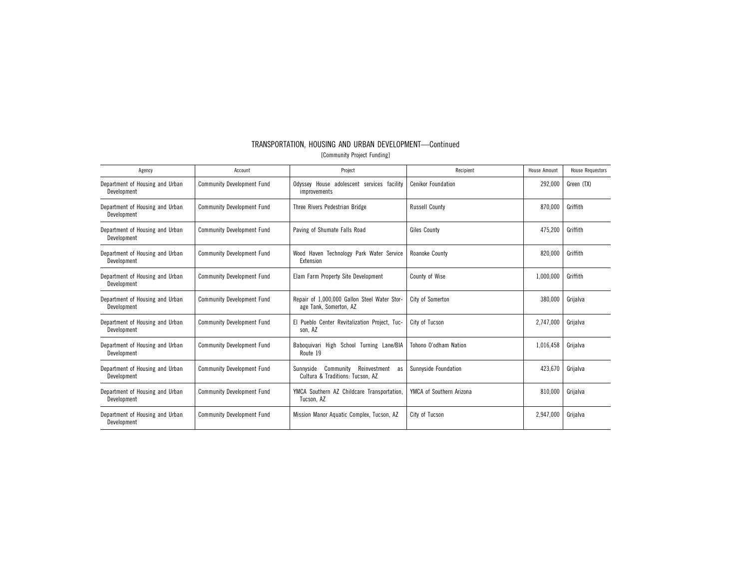| Agency                                         | Account                           | Project                                                                          | Recipient                 | <b>House Amount</b> | <b>House Requestors</b> |
|------------------------------------------------|-----------------------------------|----------------------------------------------------------------------------------|---------------------------|---------------------|-------------------------|
| Department of Housing and Urban<br>Development | <b>Community Development Fund</b> | Odyssey House adolescent services facility<br>improvements                       | <b>Cenikor Foundation</b> | 292,000             | Green (TX)              |
| Department of Housing and Urban<br>Development | <b>Community Development Fund</b> | Three Rivers Pedestrian Bridge                                                   | <b>Russell County</b>     | 870,000             | Griffith                |
| Department of Housing and Urban<br>Development | <b>Community Development Fund</b> | Paving of Shumate Falls Road                                                     | Giles County              | 475,200             | Griffith                |
| Department of Housing and Urban<br>Development | <b>Community Development Fund</b> | Wood Haven Technology Park Water Service<br>Extension                            | Roanoke County            | 820,000             | Griffith                |
| Department of Housing and Urban<br>Development | <b>Community Development Fund</b> | Elam Farm Property Site Development                                              | County of Wise            | 1,000,000           | Griffith                |
| Department of Housing and Urban<br>Development | <b>Community Development Fund</b> | Repair of 1,000,000 Gallon Steel Water Stor-<br>age Tank, Somerton, AZ           | City of Somerton          | 380,000             | Griialva                |
| Department of Housing and Urban<br>Development | <b>Community Development Fund</b> | El Pueblo Center Revitalization Project. Tuc-<br>son, AZ                         | City of Tucson            | 2.747.000           | Griialva                |
| Department of Housing and Urban<br>Development | <b>Community Development Fund</b> | Baboquivari High School Turning Lane/BIA<br>Route 19                             | Tohono O'odham Nation     | 1,016,458           | Grijalva                |
| Department of Housing and Urban<br>Development | <b>Community Development Fund</b> | Community<br>Reinvestment<br>Sunnyside<br>as<br>Cultura & Traditions: Tucson, AZ | Sunnyside Foundation      | 423,670             | Grijalva                |
| Department of Housing and Urban<br>Development | <b>Community Development Fund</b> | YMCA Southern AZ Childcare Transportation,<br>Tucson, AZ                         | YMCA of Southern Arizona  | 810,000             | Grijalva                |
| Department of Housing and Urban<br>Development | <b>Community Development Fund</b> | Mission Manor Aquatic Complex, Tucson, AZ                                        | City of Tucson            | 2,947,000           | Griialva                |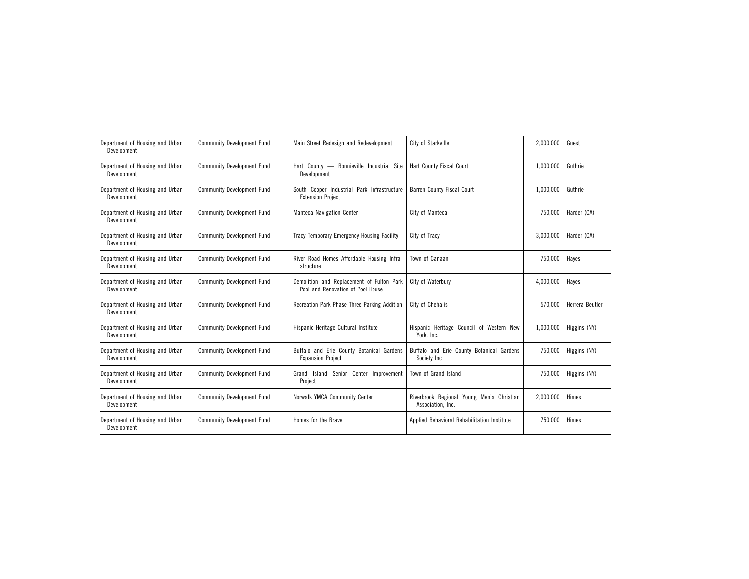| Department of Housing and Urban<br>Development | <b>Community Development Fund</b> | Main Street Redesign and Redevelopment                                         | City of Starkville                                             | 2,000,000 | Guest           |
|------------------------------------------------|-----------------------------------|--------------------------------------------------------------------------------|----------------------------------------------------------------|-----------|-----------------|
| Department of Housing and Urban<br>Development | <b>Community Development Fund</b> | Bonnieville Industrial Site<br>Hart County $-$<br>Development                  | Hart County Fiscal Court                                       | 1,000,000 | Guthrie         |
| Department of Housing and Urban<br>Development | <b>Community Development Fund</b> | South Cooper Industrial Park Infrastructure<br><b>Extension Project</b>        | <b>Barren County Fiscal Court</b>                              | 1,000,000 | Guthrie         |
| Department of Housing and Urban<br>Development | <b>Community Development Fund</b> | <b>Manteca Navigation Center</b>                                               | City of Manteca                                                | 750,000   | Harder (CA)     |
| Department of Housing and Urban<br>Development | <b>Community Development Fund</b> | Tracy Temporary Emergency Housing Facility                                     | City of Tracy                                                  | 3,000,000 | Harder (CA)     |
| Department of Housing and Urban<br>Development | <b>Community Development Fund</b> | River Road Homes Affordable Housing Infra-<br>structure                        | Town of Canaan                                                 | 750,000   | Hayes           |
| Department of Housing and Urban<br>Development | <b>Community Development Fund</b> | Demolition and Replacement of Fulton Park<br>Pool and Renovation of Pool House | City of Waterbury                                              | 4,000,000 | Hayes           |
| Department of Housing and Urban<br>Development | <b>Community Development Fund</b> | Recreation Park Phase Three Parking Addition                                   | City of Chehalis                                               | 570,000   | Herrera Beutler |
| Department of Housing and Urban<br>Development | <b>Community Development Fund</b> | Hispanic Heritage Cultural Institute                                           | Hispanic Heritage Council of Western New<br>York. Inc.         | 1,000,000 | Higgins (NY)    |
| Department of Housing and Urban<br>Development | <b>Community Development Fund</b> | Buffalo and Erie County Botanical Gardens<br><b>Expansion Project</b>          | Buffalo and Erie County Botanical Gardens<br>Society Inc       | 750,000   | Higgins (NY)    |
| Department of Housing and Urban<br>Development | <b>Community Development Fund</b> | Grand Island Senior Center Improvement<br>Project                              | Town of Grand Island                                           | 750,000   | Higgins (NY)    |
| Department of Housing and Urban<br>Development | <b>Community Development Fund</b> | Norwalk YMCA Community Center                                                  | Riverbrook Regional Young Men's Christian<br>Association, Inc. | 2.000.000 | Himes           |
| Department of Housing and Urban<br>Development | <b>Community Development Fund</b> | Homes for the Brave                                                            | Applied Behavioral Rehabilitation Institute                    | 750,000   | Himes           |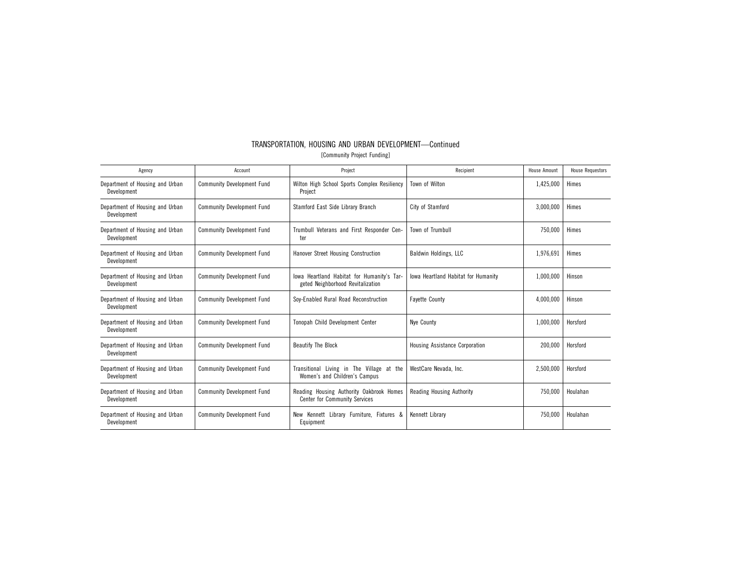| TRANSPORTATION. HOUSING AND URBAN DEVELOPMENT-Continued |  |                             |  |
|---------------------------------------------------------|--|-----------------------------|--|
|                                                         |  | [Community Project Funding] |  |

| Agency                                         | Account                           | Project                                                                          | Recipient                                  | House Amount | <b>House Requestors</b> |
|------------------------------------------------|-----------------------------------|----------------------------------------------------------------------------------|--------------------------------------------|--------------|-------------------------|
| Department of Housing and Urban<br>Development | <b>Community Development Fund</b> | Wilton High School Sports Complex Resiliency<br>Project                          | Town of Wilton                             | 1,425,000    | Himes                   |
| Department of Housing and Urban<br>Development | <b>Community Development Fund</b> | Stamford East Side Library Branch                                                | City of Stamford                           | 3,000,000    | Himes                   |
| Department of Housing and Urban<br>Development | <b>Community Development Fund</b> | Trumbull Veterans and First Responder Cen-<br>ter                                | Town of Trumbull                           | 750,000      | Himes                   |
| Department of Housing and Urban<br>Development | <b>Community Development Fund</b> | Hanover Street Housing Construction                                              | Baldwin Holdings, LLC                      | 1,976,691    | Himes                   |
| Department of Housing and Urban<br>Development | <b>Community Development Fund</b> | lowa Heartland Habitat for Humanity's Tar-<br>geted Neighborhood Revitalization  | <b>Iowa Heartland Habitat for Humanity</b> | 1,000,000    | Hinson                  |
| Department of Housing and Urban<br>Development | <b>Community Development Fund</b> | Soy-Enabled Rural Road Reconstruction                                            | <b>Fayette County</b>                      | 4,000,000    | Hinson                  |
| Department of Housing and Urban<br>Development | <b>Community Development Fund</b> | Tonopah Child Development Center                                                 | Nve County                                 | 1,000,000    | Horsford                |
| Department of Housing and Urban<br>Development | <b>Community Development Fund</b> | <b>Beautify The Block</b>                                                        | <b>Housing Assistance Corporation</b>      | 200,000      | Horsford                |
| Department of Housing and Urban<br>Development | <b>Community Development Fund</b> | Transitional Living in The Village at the<br>Women's and Children's Campus       | WestCare Nevada, Inc.                      | 2,500,000    | Horsford                |
| Department of Housing and Urban<br>Development | <b>Community Development Fund</b> | Reading Housing Authority Oakbrook Homes<br><b>Center for Community Services</b> | <b>Reading Housing Authority</b>           | 750,000      | Houlahan                |
| Department of Housing and Urban<br>Development | <b>Community Development Fund</b> | New Kennett Library Furniture. Fixtures &<br>Equipment                           | Kennett Library                            | 750,000      | Houlahan                |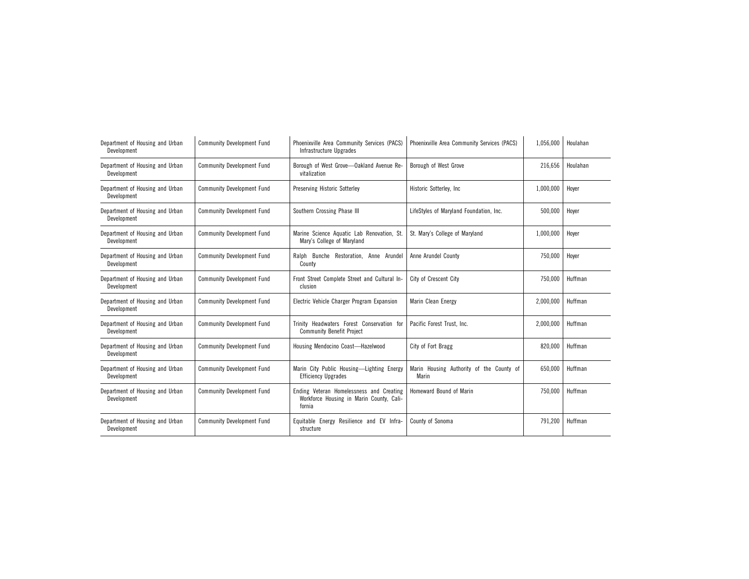| Department of Housing and Urban<br>Development | <b>Community Development Fund</b> | Phoenixville Area Community Services (PACS)<br>Infrastructure Upgrades                         | Phoenixville Area Community Services (PACS)       | 1,056,000 | Houlahan |
|------------------------------------------------|-----------------------------------|------------------------------------------------------------------------------------------------|---------------------------------------------------|-----------|----------|
| Department of Housing and Urban<br>Development | <b>Community Development Fund</b> | Borough of West Grove-Oakland Avenue Re-<br>vitalization                                       | Borough of West Grove                             | 216,656   | Houlahan |
| Department of Housing and Urban<br>Development | <b>Community Development Fund</b> | <b>Preserving Historic Sotterley</b>                                                           | Historic Sotterley, Inc.                          | 1,000,000 | Hover    |
| Department of Housing and Urban<br>Development | <b>Community Development Fund</b> | Southern Crossing Phase III                                                                    | LifeStyles of Maryland Foundation, Inc.           | 500,000   | Hoyer    |
| Department of Housing and Urban<br>Development | <b>Community Development Fund</b> | Marine Science Aquatic Lab Renovation, St.<br>Mary's College of Maryland                       | St. Mary's College of Maryland                    | 1,000,000 | Hoyer    |
| Department of Housing and Urban<br>Development | <b>Community Development Fund</b> | Ralph Bunche Restoration, Anne Arundel<br>County                                               | Anne Arundel County                               | 750,000   | Hoyer    |
| Department of Housing and Urban<br>Development | <b>Community Development Fund</b> | Front Street Complete Street and Cultural In-<br>clusion                                       | City of Crescent City                             | 750,000   | Huffman  |
| Department of Housing and Urban<br>Development | <b>Community Development Fund</b> | Electric Vehicle Charger Program Expansion                                                     | Marin Clean Energy                                | 2,000,000 | Huffman  |
| Department of Housing and Urban<br>Development | <b>Community Development Fund</b> | Trinity Headwaters Forest Conservation for<br><b>Community Benefit Project</b>                 | Pacific Forest Trust, Inc.                        | 2,000,000 | Huffman  |
| Department of Housing and Urban<br>Development | <b>Community Development Fund</b> | Housing Mendocino Coast-Hazelwood                                                              | City of Fort Bragg                                | 820,000   | Huffman  |
| Department of Housing and Urban<br>Development | <b>Community Development Fund</b> | Marin City Public Housing-Lighting Energy<br><b>Efficiency Upgrades</b>                        | Marin Housing Authority of the County of<br>Marin | 650,000   | Huffman  |
| Department of Housing and Urban<br>Development | <b>Community Development Fund</b> | Ending Veteran Homelessness and Creating<br>Workforce Housing in Marin County, Cali-<br>fornia | Homeward Bound of Marin                           | 750,000   | Huffman  |
| Department of Housing and Urban<br>Development | <b>Community Development Fund</b> | Equitable Energy Resilience and EV Infra-<br>structure                                         | County of Sonoma                                  | 791,200   | Huffman  |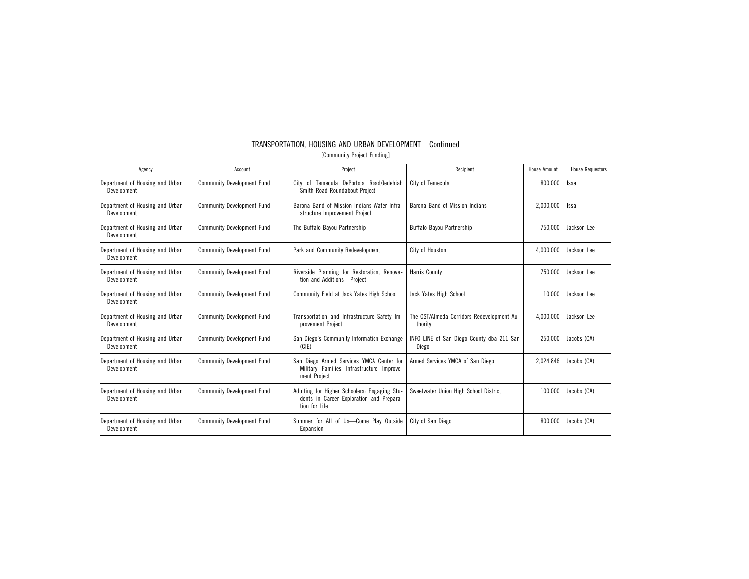| Agency                                         | Account                           | Project                                                                                                   | Recipient                                             | <b>House Amount</b> | <b>House Requestors</b> |
|------------------------------------------------|-----------------------------------|-----------------------------------------------------------------------------------------------------------|-------------------------------------------------------|---------------------|-------------------------|
| Department of Housing and Urban<br>Development | <b>Community Development Fund</b> | City of Temecula DePortola Road/Jedehiah<br>Smith Road Roundabout Project                                 | City of Temecula                                      | 800,000             | Issa                    |
| Department of Housing and Urban<br>Development | <b>Community Development Fund</b> | Barona Band of Mission Indians Water Infra-<br>structure Improvement Project                              | Barona Band of Mission Indians                        | 2,000,000           | Issa                    |
| Department of Housing and Urban<br>Development | <b>Community Development Fund</b> | The Buffalo Bavou Partnership                                                                             | Buffalo Bavou Partnership                             | 750.000             | Jackson Lee             |
| Department of Housing and Urban<br>Development | <b>Community Development Fund</b> | Park and Community Redevelopment                                                                          | City of Houston                                       | 4.000.000           | Jackson Lee             |
| Department of Housing and Urban<br>Development | <b>Community Development Fund</b> | Riverside Planning for Restoration, Renova-<br>tion and Additions-Project                                 | <b>Harris County</b>                                  | 750.000             | Jackson Lee             |
| Department of Housing and Urban<br>Development | <b>Community Development Fund</b> | Community Field at Jack Yates High School                                                                 | Jack Yates High School                                | 10.000              | Jackson Lee             |
| Department of Housing and Urban<br>Development | <b>Community Development Fund</b> | Transportation and Infrastructure Safety Im-<br>provement Project                                         | The OST/Almeda Corridors Redevelopment Au-<br>thority | 4,000,000           | Jackson Lee             |
| Department of Housing and Urban<br>Development | <b>Community Development Fund</b> | San Diego's Community Information Exchange<br>(C E)                                                       | INFO LINE of San Diego County dba 211 San<br>Diego    | 250.000             | Jacobs (CA)             |
| Department of Housing and Urban<br>Development | <b>Community Development Fund</b> | San Diego Armed Services YMCA Center for<br>Military Families Infrastructure Improve-<br>ment Project     | Armed Services YMCA of San Diego                      | 2,024,846           | Jacobs (CA)             |
| Department of Housing and Urban<br>Development | <b>Community Development Fund</b> | Adulting for Higher Schoolers: Engaging Stu-<br>dents in Career Exploration and Prepara-<br>tion for Life | Sweetwater Union High School District                 | 100.000             | Jacobs (CA)             |
| Department of Housing and Urban<br>Development | <b>Community Development Fund</b> | Summer for All of Us-Come Play Outside<br>Expansion                                                       | City of San Diego                                     | 800.000             | Jacobs (CA)             |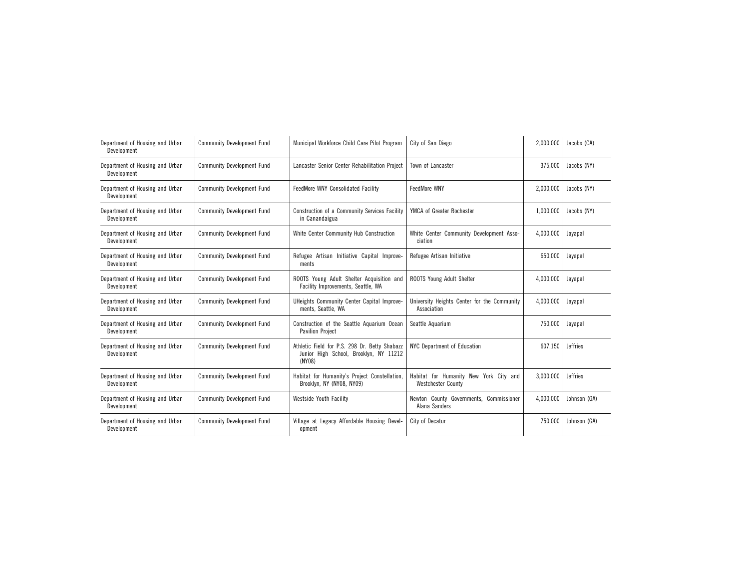| Department of Housing and Urban<br>Development | <b>Community Development Fund</b> | Municipal Workforce Child Care Pilot Program                                                      | City of San Diego                                                   | 2,000,000 | Jacobs (CA)     |
|------------------------------------------------|-----------------------------------|---------------------------------------------------------------------------------------------------|---------------------------------------------------------------------|-----------|-----------------|
| Department of Housing and Urban<br>Development | <b>Community Development Fund</b> | Lancaster Senior Center Rehabilitation Project                                                    | Town of Lancaster                                                   | 375,000   | Jacobs (NY)     |
| Department of Housing and Urban<br>Development | <b>Community Development Fund</b> | FeedMore WNY Consolidated Facility                                                                | FeedMore WNY                                                        | 2,000,000 | Jacobs (NY)     |
| Department of Housing and Urban<br>Development | <b>Community Development Fund</b> | Construction of a Community Services Facility<br>in Canandaigua                                   | YMCA of Greater Rochester                                           | 1,000,000 | Jacobs (NY)     |
| Department of Housing and Urban<br>Development | <b>Community Development Fund</b> | White Center Community Hub Construction                                                           | White Center Community Development Asso-<br>ciation                 | 4,000,000 | Jayapal         |
| Department of Housing and Urban<br>Development | <b>Community Development Fund</b> | Refugee Artisan Initiative Capital Improve-<br>ments                                              | Refugee Artisan Initiative                                          | 650,000   | Jayapal         |
| Department of Housing and Urban<br>Development | <b>Community Development Fund</b> | ROOTS Young Adult Shelter Acquisition and<br>Facility Improvements, Seattle, WA                   | ROOTS Young Adult Shelter                                           | 4,000,000 | Jayapal         |
| Department of Housing and Urban<br>Development | <b>Community Development Fund</b> | UHeights Community Center Capital Improve-<br>ments, Seattle, WA                                  | University Heights Center for the Community<br>Association          | 4,000,000 | Jayapal         |
| Department of Housing and Urban<br>Development | <b>Community Development Fund</b> | Construction of the Seattle Aquarium Ocean<br><b>Pavilion Project</b>                             | Seattle Aquarium                                                    | 750,000   | Jayapal         |
| Department of Housing and Urban<br>Development | <b>Community Development Fund</b> | Athletic Field for P.S. 298 Dr. Betty Shabazz<br>Junior High School, Brooklyn, NY 11212<br>(NY08) | NYC Department of Education                                         | 607,150   | <b>Jeffries</b> |
| Department of Housing and Urban<br>Development | <b>Community Development Fund</b> | Habitat for Humanity's Project Constellation,<br>Brooklyn, NY (NY08, NY09)                        | Habitat for Humanity New York City and<br><b>Westchester County</b> | 3,000,000 | <b>Jeffries</b> |
| Department of Housing and Urban<br>Development | <b>Community Development Fund</b> | <b>Westside Youth Facility</b>                                                                    | Newton County Governments, Commissioner<br>Alana Sanders            | 4,000,000 | Johnson (GA)    |
| Department of Housing and Urban<br>Development | <b>Community Development Fund</b> | Village at Legacy Affordable Housing Devel-<br>opment                                             | City of Decatur                                                     | 750,000   | Johnson (GA)    |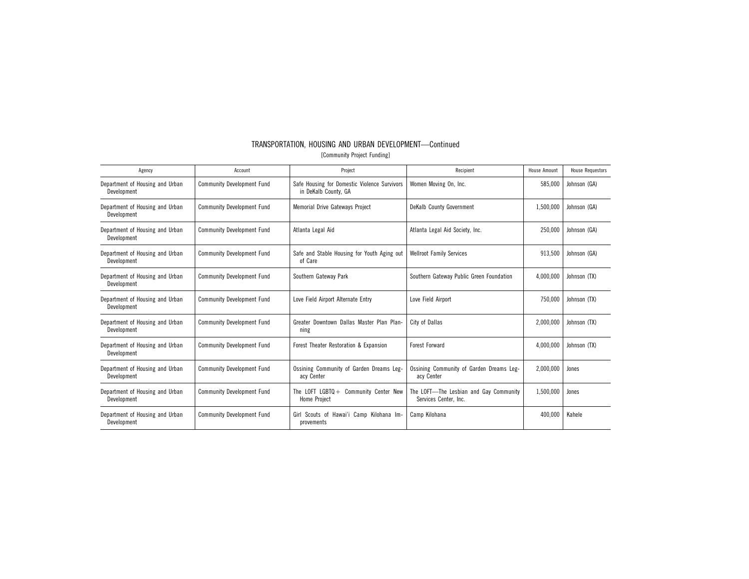| Agency                                         | Account                           | Project                                                                  | Recipient                                                       | House Amount | <b>House Requestors</b> |
|------------------------------------------------|-----------------------------------|--------------------------------------------------------------------------|-----------------------------------------------------------------|--------------|-------------------------|
| Department of Housing and Urban<br>Development | <b>Community Development Fund</b> | Safe Housing for Domestic Violence Survivors<br>in DeKalb County, GA     | Women Moving On, Inc.                                           | 585,000      | Johnson (GA)            |
| Department of Housing and Urban<br>Development | <b>Community Development Fund</b> | <b>Memorial Drive Gateways Project</b>                                   | DeKalb County Government                                        | 1,500,000    | Johnson (GA)            |
| Department of Housing and Urban<br>Development | <b>Community Development Fund</b> | Atlanta Legal Aid                                                        | Atlanta Legal Aid Society, Inc.                                 | 250,000      | Johnson (GA)            |
| Department of Housing and Urban<br>Development | <b>Community Development Fund</b> | Safe and Stable Housing for Youth Aging out<br>of Care                   | <b>Wellroot Family Services</b>                                 | 913,500      | Johnson (GA)            |
| Department of Housing and Urban<br>Development | <b>Community Development Fund</b> | Southern Gateway Park                                                    | Southern Gateway Public Green Foundation                        | 4,000,000    | Johnson (TX)            |
| Department of Housing and Urban<br>Development | <b>Community Development Fund</b> | Love Field Airport Alternate Entry                                       | Love Field Airport                                              | 750.000      | Johnson (TX)            |
| Department of Housing and Urban<br>Development | <b>Community Development Fund</b> | Greater Downtown Dallas Master Plan Plan-<br>ning                        | City of Dallas                                                  | 2.000.000    | Johnson (TX)            |
| Department of Housing and Urban<br>Development | <b>Community Development Fund</b> | Forest Theater Restoration & Expansion                                   | <b>Forest Forward</b>                                           | 4,000,000    | Johnson (TX)            |
| Department of Housing and Urban<br>Development | <b>Community Development Fund</b> | Ossining Community of Garden Dreams Leg-<br>acy Center                   | Ossining Community of Garden Dreams Leg-<br>acy Center          | 2,000,000    | Jones                   |
| Department of Housing and Urban<br>Development | <b>Community Development Fund</b> | The LOFT $LGBTO +$<br><b>Community Center New</b><br><b>Home Project</b> | The LOFT-The Lesbian and Gay Community<br>Services Center, Inc. | 1,500,000    | Jones                   |
| Department of Housing and Urban<br>Development | <b>Community Development Fund</b> | Girl Scouts of Hawai'i Camp Kilohana Im-<br>provements                   | Camp Kilohana                                                   | 400,000      | Kahele                  |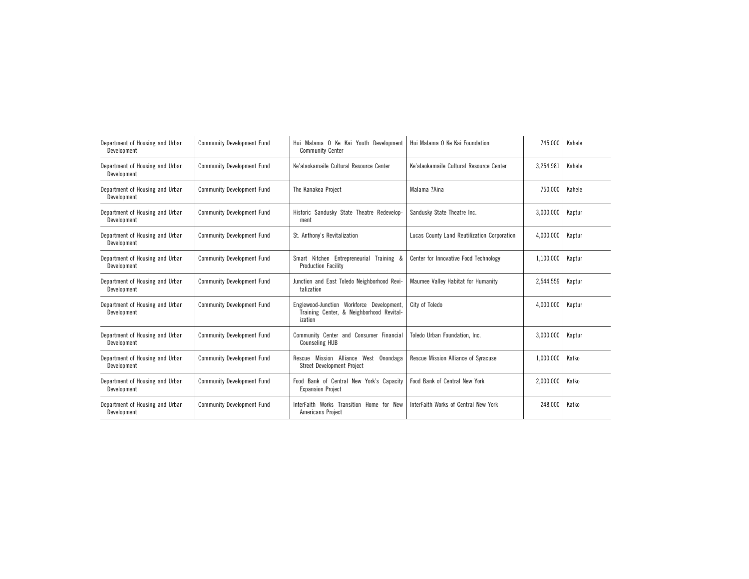| Department of Housing and Urban<br>Development | <b>Community Development Fund</b> | Hui Malama O Ke Kai Youth Development<br><b>Community Center</b>                                 | Hui Malama O Ke Kai Foundation              | 745,000   | Kahele |
|------------------------------------------------|-----------------------------------|--------------------------------------------------------------------------------------------------|---------------------------------------------|-----------|--------|
| Department of Housing and Urban<br>Development | <b>Community Development Fund</b> | Ke'alaokamaile Cultural Resource Center                                                          | Ke'alaokamaile Cultural Resource Center     | 3,254,981 | Kahele |
| Department of Housing and Urban<br>Development | <b>Community Development Fund</b> | The Kanakea Project                                                                              | Malama ?Aina                                | 750,000   | Kahele |
| Department of Housing and Urban<br>Development | <b>Community Development Fund</b> | Historic Sandusky State Theatre Redevelop-<br>ment                                               | Sandusky State Theatre Inc.                 | 3,000,000 | Kaptur |
| Department of Housing and Urban<br>Development | <b>Community Development Fund</b> | St. Anthony's Revitalization                                                                     | Lucas County Land Reutilization Corporation | 4,000,000 | Kaptur |
| Department of Housing and Urban<br>Development | <b>Community Development Fund</b> | Smart Kitchen Entrepreneurial<br>Training &<br><b>Production Facility</b>                        | Center for Innovative Food Technology       | 1,100,000 | Kaptur |
| Department of Housing and Urban<br>Development | <b>Community Development Fund</b> | Junction and East Toledo Neighborhood Revi-<br>talization                                        | Maumee Valley Habitat for Humanity          | 2,544,559 | Kaptur |
| Department of Housing and Urban<br>Development | <b>Community Development Fund</b> | Englewood-Junction Workforce Development.<br>Training Center, & Neighborhood Revital-<br>ization | City of Toledo                              | 4,000,000 | Kaptur |
| Department of Housing and Urban<br>Development | <b>Community Development Fund</b> | Community Center and Consumer Financial<br><b>Counseling HUB</b>                                 | Toledo Urban Foundation. Inc.               | 3,000,000 | Kaptur |
| Department of Housing and Urban<br>Development | <b>Community Development Fund</b> | Mission Alliance West Onondaga<br>Rescue<br><b>Street Development Project</b>                    | Rescue Mission Alliance of Syracuse         | 1,000,000 | Katko  |
| Department of Housing and Urban<br>Development | <b>Community Development Fund</b> | Food Bank of Central New York's Capacity<br><b>Expansion Project</b>                             | Food Bank of Central New York               | 2,000,000 | Katko  |
| Department of Housing and Urban<br>Development | <b>Community Development Fund</b> | InterFaith Works Transition Home for New<br>Americans Project                                    | InterFaith Works of Central New York        | 248,000   | Katko  |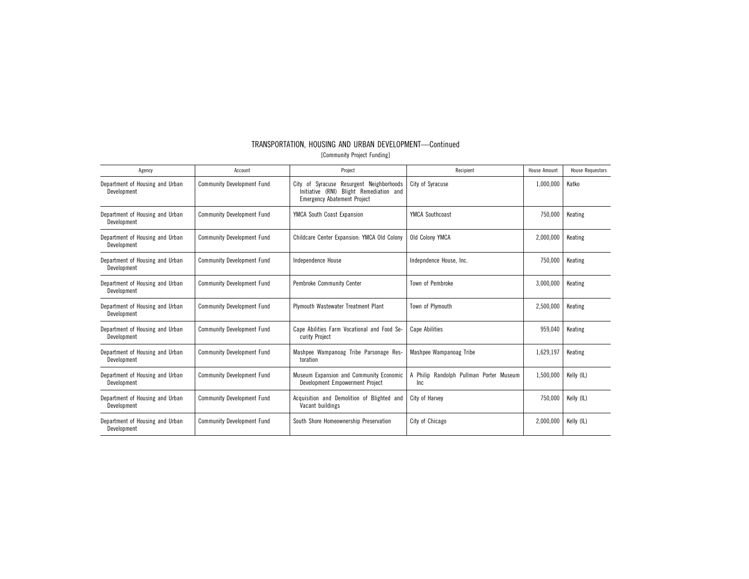| Agency                                         | Account                           | Project                                                                                                                   | Recipient                                    | <b>House Amount</b> | <b>House Requestors</b> |
|------------------------------------------------|-----------------------------------|---------------------------------------------------------------------------------------------------------------------------|----------------------------------------------|---------------------|-------------------------|
| Department of Housing and Urban<br>Development | <b>Community Development Fund</b> | City of Syracuse Resurgent Neighborhoods<br>Initiative (RNI) Blight Remediation and<br><b>Emergency Abatement Project</b> | City of Syracuse                             | 1,000,000           | Katko                   |
| Department of Housing and Urban<br>Development | <b>Community Development Fund</b> | YMCA South Coast Expansion                                                                                                | <b>YMCA Southcoast</b>                       | 750,000             | Keating                 |
| Department of Housing and Urban<br>Development | <b>Community Development Fund</b> | Childcare Center Expansion: YMCA Old Colony                                                                               | Old Colony YMCA                              | 2,000,000           | Keating                 |
| Department of Housing and Urban<br>Development | <b>Community Development Fund</b> | Independence House                                                                                                        | Indepndence House, Inc.                      | 750,000             | Keating                 |
| Department of Housing and Urban<br>Development | <b>Community Development Fund</b> | <b>Pembroke Community Center</b>                                                                                          | Town of Pembroke                             | 3,000,000           | Keating                 |
| Department of Housing and Urban<br>Development | <b>Community Development Fund</b> | Plymouth Wastewater Treatment Plant                                                                                       | Town of Plymouth                             | 2,500,000           | Keating                 |
| Department of Housing and Urban<br>Development | <b>Community Development Fund</b> | Cape Abilities Farm Vocational and Food Se-<br>curity Project                                                             | <b>Cape Abilities</b>                        | 959,040             | Keating                 |
| Department of Housing and Urban<br>Development | <b>Community Development Fund</b> | Mashpee Wampanoag Tribe Parsonage Res-<br>toration                                                                        | Mashpee Wampanoag Tribe                      | 1,629,197           | Keating                 |
| Department of Housing and Urban<br>Development | <b>Community Development Fund</b> | Museum Expansion and Community Economic<br>Development Empowerment Project                                                | Philip Randolph Pullman Porter Museum<br>Inc | 1,500,000           | Kelly (IL)              |
| Department of Housing and Urban<br>Development | <b>Community Development Fund</b> | Acquisition and Demolition of Blighted and<br>Vacant buildings                                                            | City of Harvey                               | 750.000             | Kelly (IL)              |
| Department of Housing and Urban<br>Development | <b>Community Development Fund</b> | South Shore Homeownership Preservation                                                                                    | City of Chicago                              | 2,000,000           | Kelly (IL)              |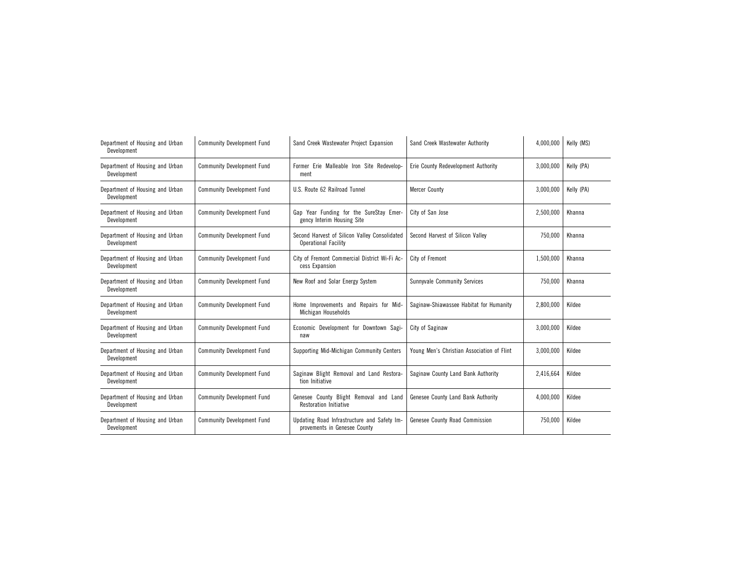| Department of Housing and Urban<br>Development | <b>Community Development Fund</b> | Sand Creek Wastewater Project Expansion                                      | Sand Creek Wastewater Authority            | 4,000,000 | Kelly (MS) |
|------------------------------------------------|-----------------------------------|------------------------------------------------------------------------------|--------------------------------------------|-----------|------------|
| Department of Housing and Urban<br>Development | <b>Community Development Fund</b> | Former Erie Malleable Iron Site Redevelop-<br>ment                           | Erie County Redevelopment Authority        | 3,000,000 | Kelly (PA) |
| Department of Housing and Urban<br>Development | <b>Community Development Fund</b> | U.S. Route 62 Railroad Tunnel                                                | <b>Mercer County</b>                       | 3,000,000 | Kelly (PA) |
| Department of Housing and Urban<br>Development | <b>Community Development Fund</b> | Gap Year Funding for the SureStay Emer-<br>gency Interim Housing Site        | City of San Jose                           | 2,500,000 | Khanna     |
| Department of Housing and Urban<br>Development | <b>Community Development Fund</b> | Second Harvest of Silicon Valley Consolidated<br><b>Operational Facility</b> | Second Harvest of Silicon Valley           | 750,000   | Khanna     |
| Department of Housing and Urban<br>Development | <b>Community Development Fund</b> | City of Fremont Commercial District Wi-Fi Ac-<br>cess Expansion              | City of Fremont                            | 1,500,000 | Khanna     |
| Department of Housing and Urban<br>Development | <b>Community Development Fund</b> | New Roof and Solar Energy System                                             | <b>Sunnyvale Community Services</b>        | 750,000   | Khanna     |
| Department of Housing and Urban<br>Development | <b>Community Development Fund</b> | Home Improvements and Repairs for Mid-<br>Michigan Households                | Saginaw-Shiawassee Habitat for Humanity    | 2,800,000 | Kildee     |
| Department of Housing and Urban<br>Development | <b>Community Development Fund</b> | Economic Development for Downtown Sagi-<br>naw                               | City of Saginaw                            | 3,000,000 | Kildee     |
| Department of Housing and Urban<br>Development | <b>Community Development Fund</b> | Supporting Mid-Michigan Community Centers                                    | Young Men's Christian Association of Flint | 3,000,000 | Kildee     |
| Department of Housing and Urban<br>Development | <b>Community Development Fund</b> | Saginaw Blight Removal and Land Restora<br>tion Initiative                   | Saginaw County Land Bank Authority         | 2,416,664 | Kildee     |
| Department of Housing and Urban<br>Development | <b>Community Development Fund</b> | Genesee County Blight Removal and Land<br>Restoration Initiative             | Genesee County Land Bank Authority         | 4,000,000 | Kildee     |
| Department of Housing and Urban<br>Development | <b>Community Development Fund</b> | Updating Road Infrastructure and Safety Im-<br>provements in Genesee County  | Genesee County Road Commission             | 750,000   | Kildee     |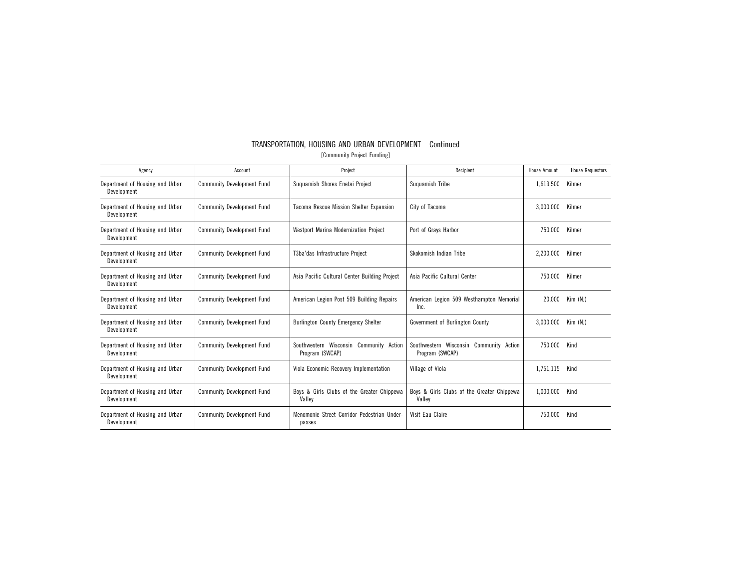| Agency                                         | Account                           | Project                                                    | Recipient                                                  | House Amount | <b>House Requestors</b> |
|------------------------------------------------|-----------------------------------|------------------------------------------------------------|------------------------------------------------------------|--------------|-------------------------|
| Department of Housing and Urban<br>Development | <b>Community Development Fund</b> | Suguamish Shores Enetai Project                            | Suguamish Tribe                                            | 1,619,500    | Kilmer                  |
| Department of Housing and Urban<br>Development | <b>Community Development Fund</b> | Tacoma Rescue Mission Shelter Expansion                    | City of Tacoma                                             | 3,000,000    | Kilmer                  |
| Department of Housing and Urban<br>Development | <b>Community Development Fund</b> | <b>Westport Marina Modernization Project</b>               | Port of Grays Harbor                                       | 750,000      | Kilmer                  |
| Department of Housing and Urban<br>Development | <b>Community Development Fund</b> | T3ba'das Infrastructure Project                            | Skokomish Indian Tribe                                     | 2,200,000    | Kilmer                  |
| Department of Housing and Urban<br>Development | <b>Community Development Fund</b> | Asia Pacific Cultural Center Building Project              | Asia Pacific Cultural Center                               | 750,000      | Kilmer                  |
| Department of Housing and Urban<br>Development | <b>Community Development Fund</b> | American Legion Post 509 Building Repairs                  | American Legion 509 Westhampton Memorial<br>Inc.           | 20.000       | Kim (NJ)                |
| Department of Housing and Urban<br>Development | <b>Community Development Fund</b> | <b>Burlington County Emergency Shelter</b>                 | Government of Burlington County                            | 3,000,000    | Kim (NJ)                |
| Department of Housing and Urban<br>Development | <b>Community Development Fund</b> | Southwestern Wisconsin Community Action<br>Program (SWCAP) | Southwestern Wisconsin Community Action<br>Program (SWCAP) | 750,000      | Kind                    |
| Department of Housing and Urban<br>Development | <b>Community Development Fund</b> | Viola Economic Recovery Implementation                     | Village of Viola                                           | 1,751,115    | Kind                    |
| Department of Housing and Urban<br>Development | <b>Community Development Fund</b> | Boys & Girls Clubs of the Greater Chippewa<br>Valley       | Boys & Girls Clubs of the Greater Chippewa<br>Valley       | 1.000.000    | Kind                    |
| Department of Housing and Urban<br>Development | <b>Community Development Fund</b> | Menomonie Street Corridor Pedestrian Under-<br>passes      | Visit Eau Claire                                           | 750,000      | Kind                    |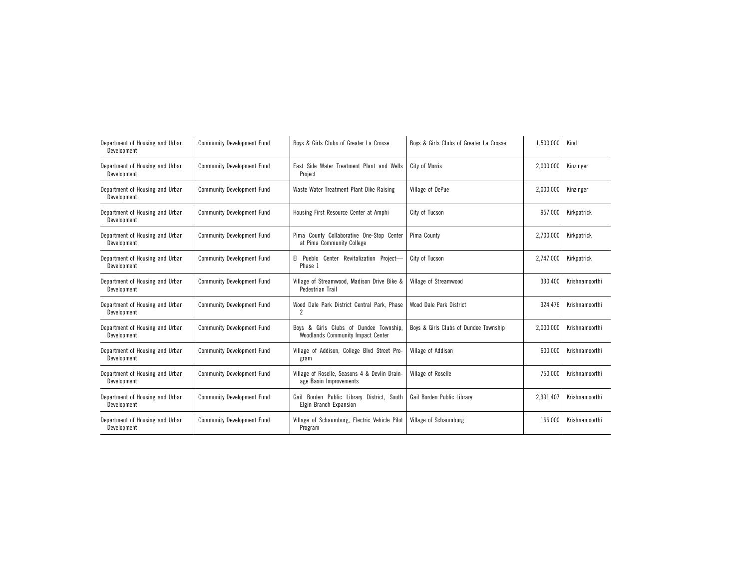| Department of Housing and Urban<br>Development | <b>Community Development Fund</b> | Boys & Girls Clubs of Greater La Crosse                                     | Boys & Girls Clubs of Greater La Crosse | 1,500,000 | Kind           |
|------------------------------------------------|-----------------------------------|-----------------------------------------------------------------------------|-----------------------------------------|-----------|----------------|
| Department of Housing and Urban<br>Development | <b>Community Development Fund</b> | East Side Water Treatment Plant and Wells<br>Project                        | City of Morris                          | 2,000,000 | Kinzinger      |
| Department of Housing and Urban<br>Development | <b>Community Development Fund</b> | Waste Water Treatment Plant Dike Raising                                    | Village of DePue                        | 2,000,000 | Kinzinger      |
| Department of Housing and Urban<br>Development | <b>Community Development Fund</b> | Housing First Resource Center at Amphi                                      | City of Tucson                          | 957,000   | Kirkpatrick    |
| Department of Housing and Urban<br>Development | <b>Community Development Fund</b> | County Collaborative One-Stop Center<br>Pima<br>at Pima Community College   | Pima County                             | 2,700,000 | Kirkpatrick    |
| Department of Housing and Urban<br>Development | <b>Community Development Fund</b> | El Pueblo Center Revitalization Project-<br>Phase 1                         | City of Tucson                          | 2,747,000 | Kirkpatrick    |
| Department of Housing and Urban<br>Development | <b>Community Development Fund</b> | Village of Streamwood, Madison Drive Bike &<br>Pedestrian Trail             | Village of Streamwood                   | 330.400   | Krishnamoorthi |
| Department of Housing and Urban<br>Development | <b>Community Development Fund</b> | Wood Dale Park District Central Park, Phase<br>$\overline{c}$               | Wood Dale Park District                 | 324,476   | Krishnamoorthi |
| Department of Housing and Urban<br>Development | <b>Community Development Fund</b> | Boys & Girls Clubs of Dundee Township.<br>Woodlands Community Impact Center | Boys & Girls Clubs of Dundee Township   | 2,000,000 | Krishnamoorthi |
| Department of Housing and Urban<br>Development | <b>Community Development Fund</b> | Village of Addison, College Blvd Street Pro-<br>gram                        | Village of Addison                      | 600,000   | Krishnamoorthi |
| Department of Housing and Urban<br>Development | <b>Community Development Fund</b> | Village of Roselle, Seasons 4 & Devlin Drain-<br>age Basin Improvements     | Village of Roselle                      | 750,000   | Krishnamoorthi |
| Department of Housing and Urban<br>Development | <b>Community Development Fund</b> | Gail Borden Public Library District, South<br>Elgin Branch Expansion        | Gail Borden Public Library              | 2,391,407 | Krishnamoorthi |
| Department of Housing and Urban<br>Development | <b>Community Development Fund</b> | Village of Schaumburg, Electric Vehicle Pilot<br>Program                    | Village of Schaumburg                   | 166,000   | Krishnamoorthi |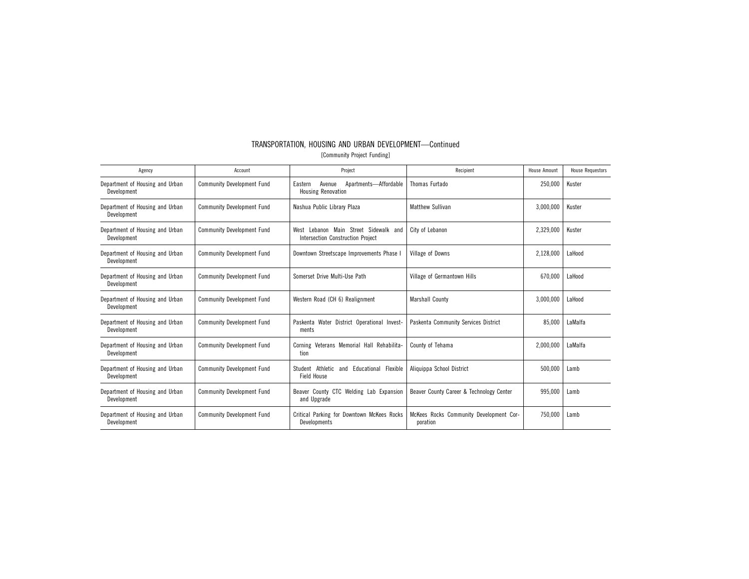| TRANSPORTATION, HOUSING AND URBAN DEVELOPMENT-Continued |
|---------------------------------------------------------|
| [Community Project Funding]                             |
|                                                         |

| Agency                                         | Account                           | Project                                                                              | Recipient                                           | House Amount | <b>House Requestors</b> |
|------------------------------------------------|-----------------------------------|--------------------------------------------------------------------------------------|-----------------------------------------------------|--------------|-------------------------|
| Department of Housing and Urban<br>Development | <b>Community Development Fund</b> | Apartments-Affordable<br>Eastern<br>Avenue<br><b>Housing Renovation</b>              | Thomas Furtado                                      | 250,000      | Kuster                  |
| Department of Housing and Urban<br>Development | <b>Community Development Fund</b> | Nashua Public Library Plaza                                                          | <b>Matthew Sullivan</b>                             | 3,000,000    | Kuster                  |
| Department of Housing and Urban<br>Development | <b>Community Development Fund</b> | Lebanon Main Street Sidewalk and<br>West<br><b>Intersection Construction Project</b> | City of Lebanon                                     | 2,329,000    | Kuster                  |
| Department of Housing and Urban<br>Development | <b>Community Development Fund</b> | Downtown Streetscape Improvements Phase I                                            | Village of Downs                                    | 2,128,000    | LaHood                  |
| Department of Housing and Urban<br>Development | <b>Community Development Fund</b> | Somerset Drive Multi-Use Path                                                        | Village of Germantown Hills                         | 670,000      | LaHood                  |
| Department of Housing and Urban<br>Development | <b>Community Development Fund</b> | Western Road (CH 6) Realignment                                                      | <b>Marshall County</b>                              | 3,000,000    | LaHood                  |
| Department of Housing and Urban<br>Development | <b>Community Development Fund</b> | Paskenta Water District Operational Invest-<br>ments                                 | Paskenta Community Services District                | 85,000       | LaMalfa                 |
| Department of Housing and Urban<br>Development | <b>Community Development Fund</b> | Corning Veterans Memorial Hall Rehabilita-<br>tion                                   | County of Tehama                                    | 2,000,000    | LaMalfa                 |
| Department of Housing and Urban<br>Development | <b>Community Development Fund</b> | Student Athletic and Educational Flexible<br>Field House                             | Aliquippa School District                           | 500,000      | Lamb                    |
| Department of Housing and Urban<br>Development | <b>Community Development Fund</b> | Beaver County CTC Welding Lab Expansion<br>and Upgrade                               | Beaver County Career & Technology Center            | 995,000      | Lamb                    |
| Department of Housing and Urban<br>Development | <b>Community Development Fund</b> | Critical Parking for Downtown McKees Rocks<br>Developments                           | McKees Rocks Community Development Cor-<br>poration | 750.000      | Lamb                    |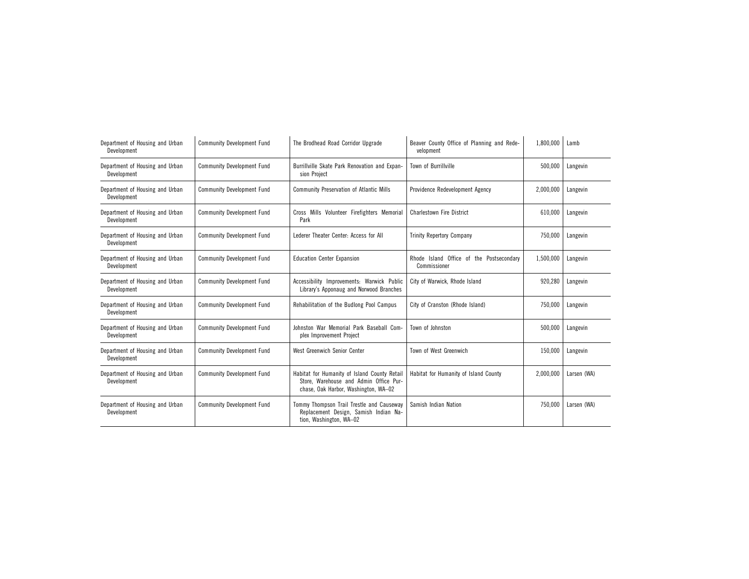| Department of Housing and Urban<br>Development | <b>Community Development Fund</b> | The Brodhead Road Corridor Upgrade                                                                                             | Beaver County Office of Planning and Rede-<br>velopment  | 1,800,000 | Lamb        |
|------------------------------------------------|-----------------------------------|--------------------------------------------------------------------------------------------------------------------------------|----------------------------------------------------------|-----------|-------------|
| Department of Housing and Urban<br>Development | <b>Community Development Fund</b> | Burrillville Skate Park Renovation and Expan-<br>sion Project                                                                  | Town of Burrillville                                     | 500,000   | Langevin    |
| Department of Housing and Urban<br>Development | <b>Community Development Fund</b> | <b>Community Preservation of Atlantic Mills</b>                                                                                | Providence Redevelopment Agency                          | 2.000.000 | Langevin    |
| Department of Housing and Urban<br>Development | <b>Community Development Fund</b> | Cross Mills Volunteer Firefighters Memorial<br>Park                                                                            | <b>Charlestown Fire District</b>                         | 610.000   | Langevin    |
| Department of Housing and Urban<br>Development | <b>Community Development Fund</b> | Lederer Theater Center: Access for All                                                                                         | <b>Trinity Repertory Company</b>                         | 750,000   | Langevin    |
| Department of Housing and Urban<br>Development | <b>Community Development Fund</b> | <b>Education Center Expansion</b>                                                                                              | Rhode Island Office of the Postsecondary<br>Commissioner | 1,500,000 | Langevin    |
| Department of Housing and Urban<br>Development | <b>Community Development Fund</b> | Accessibility Improvements: Warwick Public<br>Library's Apponaug and Norwood Branches                                          | City of Warwick, Rhode Island                            | 920,280   | Langevin    |
| Department of Housing and Urban<br>Development | <b>Community Development Fund</b> | Rehabilitation of the Budlong Pool Campus                                                                                      | City of Cranston (Rhode Island)                          | 750.000   | Langevin    |
| Department of Housing and Urban<br>Development | <b>Community Development Fund</b> | Johnston War Memorial Park Baseball Com-<br>plex Improvement Project                                                           | Town of Johnston                                         | 500,000   | Langevin    |
| Department of Housing and Urban<br>Development | <b>Community Development Fund</b> | West Greenwich Senior Center                                                                                                   | Town of West Greenwich                                   | 150,000   | Langevin    |
| Department of Housing and Urban<br>Development | <b>Community Development Fund</b> | Habitat for Humanity of Island County Retail<br>Store, Warehouse and Admin Office Pur-<br>chase, Oak Harbor, Washington, WA-02 | Habitat for Humanity of Island County                    | 2,000,000 | Larsen (WA) |
| Department of Housing and Urban<br>Development | <b>Community Development Fund</b> | Tommy Thompson Trail Trestle and Causeway<br>Replacement Design, Samish Indian Na-<br>tion, Washington, WA-02                  | Samish Indian Nation                                     | 750,000   | Larsen (WA) |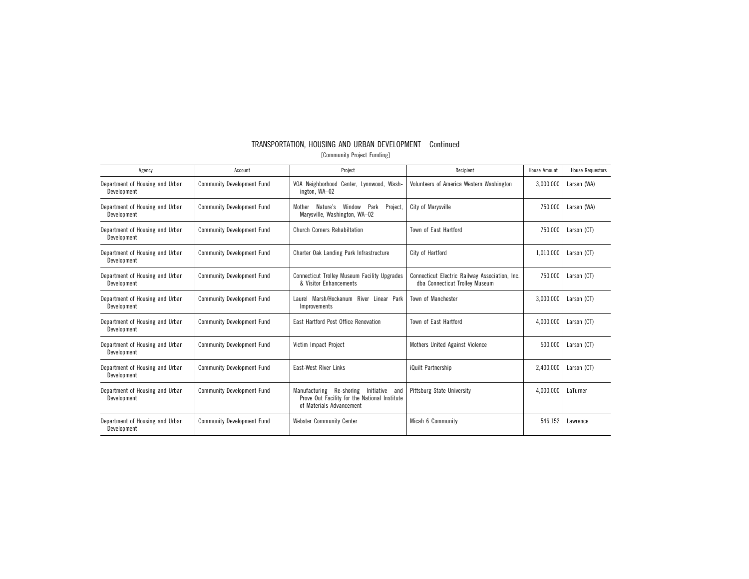| TRANSPORTATION, HOUSING AND URBAN DEVELOPMENT-Continued |
|---------------------------------------------------------|
| [Community Project Funding]                             |

| Agency                                         | Account                           | Project                                                                                                                 | Recipient                                                                        | House Amount | <b>House Requestors</b> |
|------------------------------------------------|-----------------------------------|-------------------------------------------------------------------------------------------------------------------------|----------------------------------------------------------------------------------|--------------|-------------------------|
| Department of Housing and Urban<br>Development | <b>Community Development Fund</b> | VOA Neighborhood Center, Lynnwood, Wash-<br>ington, WA-02                                                               | Volunteers of America Western Washington                                         | 3,000,000    | Larsen (WA)             |
| Department of Housing and Urban<br>Development | <b>Community Development Fund</b> | Nature's<br>Park<br>Project,<br>Window<br>Mother<br>Marysville, Washington, WA-02                                       | City of Marysville                                                               | 750,000      | Larsen (WA)             |
| Department of Housing and Urban<br>Development | <b>Community Development Fund</b> | Church Corners Rehabiltation                                                                                            | Town of East Hartford                                                            | 750.000      | Larson (CT)             |
| Department of Housing and Urban<br>Development | <b>Community Development Fund</b> | Charter Oak Landing Park Infrastructure                                                                                 | City of Hartford                                                                 | 1,010,000    | Larson (CT)             |
| Department of Housing and Urban<br>Development | <b>Community Development Fund</b> | <b>Connecticut Trolley Museum Facility Upgrades</b><br>& Visitor Enhancements                                           | Connecticut Electric Railway Association, Inc.<br>dba Connecticut Trolley Museum | 750.000      | Larson (CT)             |
| Department of Housing and Urban<br>Development | <b>Community Development Fund</b> | Laurel Marsh/Hockanum River Linear Park<br>Improvements                                                                 | Town of Manchester                                                               | 3,000,000    | Larson (CT)             |
| Department of Housing and Urban<br>Development | <b>Community Development Fund</b> | East Hartford Post Office Renovation                                                                                    | Town of East Hartford                                                            | 4,000,000    | Larson (CT)             |
| Department of Housing and Urban<br>Development | <b>Community Development Fund</b> | Victim Impact Project                                                                                                   | Mothers United Against Violence                                                  | 500.000      | Larson (CT)             |
| Department of Housing and Urban<br>Development | <b>Community Development Fund</b> | <b>East-West River Links</b>                                                                                            | iQuilt Partnership                                                               | 2,400,000    | Larson (CT)             |
| Department of Housing and Urban<br>Development | <b>Community Development Fund</b> | Manufacturing Re-shoring<br>Initiative and<br>Prove Out Facility for the National Institute<br>of Materials Advancement | Pittsburg State University                                                       | 4,000,000    | LaTurner                |
| Department of Housing and Urban<br>Development | <b>Community Development Fund</b> | <b>Webster Community Center</b>                                                                                         | Micah 6 Community                                                                | 546,152      | Lawrence                |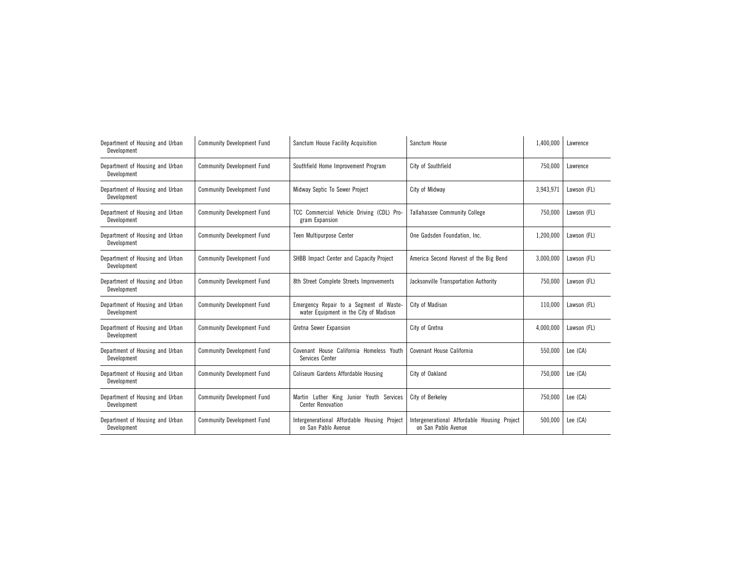| Department of Housing and Urban<br>Development | <b>Community Development Fund</b> | Sanctum House Facility Acquisition                                                | Sanctum House                                                       | 1,400,000 | Lawrence    |
|------------------------------------------------|-----------------------------------|-----------------------------------------------------------------------------------|---------------------------------------------------------------------|-----------|-------------|
| Department of Housing and Urban<br>Development | <b>Community Development Fund</b> | Southfield Home Improvement Program                                               | City of Southfield                                                  | 750,000   | Lawrence    |
| Department of Housing and Urban<br>Development | <b>Community Development Fund</b> | Midway Septic To Sewer Project                                                    | City of Midway                                                      | 3,943,971 | Lawson (FL) |
| Department of Housing and Urban<br>Development | <b>Community Development Fund</b> | TCC Commercial Vehicle Driving (CDL) Pro-<br>gram Expansion                       | <b>Tallahassee Community College</b>                                | 750,000   | Lawson (FL) |
| Department of Housing and Urban<br>Development | <b>Community Development Fund</b> | Teen Multipurpose Center                                                          | One Gadsden Foundation, Inc.                                        | 1,200,000 | Lawson (FL) |
| Department of Housing and Urban<br>Development | <b>Community Development Fund</b> | SHBB Impact Center and Capacity Project                                           | America Second Harvest of the Big Bend                              | 3,000,000 | Lawson (FL) |
| Department of Housing and Urban<br>Development | <b>Community Development Fund</b> | 8th Street Complete Streets Improvements                                          | Jacksonville Transportation Authority                               | 750.000   | Lawson (FL) |
| Department of Housing and Urban<br>Development | <b>Community Development Fund</b> | Emergency Repair to a Segment of Waste-<br>water Equipment in the City of Madison | City of Madison                                                     | 110,000   | Lawson (FL) |
| Department of Housing and Urban<br>Development | <b>Community Development Fund</b> | Gretna Sewer Expansion                                                            | City of Gretna                                                      | 4,000,000 | Lawson (FL) |
| Department of Housing and Urban<br>Development | <b>Community Development Fund</b> | Covenant House California Homeless Youth<br>Services Center                       | Covenant House California                                           | 550,000   | Lee (CA)    |
| Department of Housing and Urban<br>Development | <b>Community Development Fund</b> | Coliseum Gardens Affordable Housing                                               | City of Oakland                                                     | 750,000   | Lee (CA)    |
| Department of Housing and Urban<br>Development | <b>Community Development Fund</b> | Martin Luther King Junior Youth Services<br><b>Center Renovation</b>              | City of Berkelev                                                    | 750.000   | Lee (CA)    |
| Department of Housing and Urban<br>Development | <b>Community Development Fund</b> | Intergenerational Affordable Housing Project<br>on San Pablo Avenue               | Intergenerational Affordable Housing Project<br>on San Pablo Avenue | 500,000   | Lee (CA)    |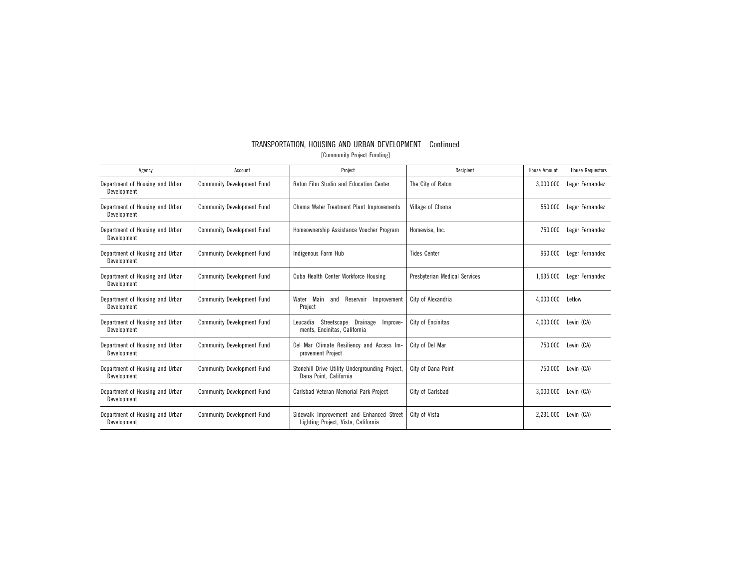| TRANSPORTATION. HOUSING AND URBAN DEVELOPMENT-Continued |  |                             |  |  |
|---------------------------------------------------------|--|-----------------------------|--|--|
|                                                         |  | [Community Project Funding] |  |  |

| Agency                                         | Account                           | Project                                                                         | Recipient                     | <b>House Amount</b> | <b>House Requestors</b> |
|------------------------------------------------|-----------------------------------|---------------------------------------------------------------------------------|-------------------------------|---------------------|-------------------------|
| Department of Housing and Urban<br>Development | <b>Community Development Fund</b> | Raton Film Studio and Education Center                                          | The City of Raton             | 3,000,000           | Leger Fernandez         |
| Department of Housing and Urban<br>Development | <b>Community Development Fund</b> | Chama Water Treatment Plant Improvements                                        | Village of Chama              | 550,000             | Leger Fernandez         |
| Department of Housing and Urban<br>Development | <b>Community Development Fund</b> | Homeownership Assistance Voucher Program                                        | Homewise, Inc.                | 750,000             | Leger Fernandez         |
| Department of Housing and Urban<br>Development | <b>Community Development Fund</b> | Indigenous Farm Hub                                                             | <b>Tides Center</b>           | 960,000             | Leger Fernandez         |
| Department of Housing and Urban<br>Development | <b>Community Development Fund</b> | Cuba Health Center Workforce Housing                                            | Presbyterian Medical Services | 1,635,000           | Leger Fernandez         |
| Department of Housing and Urban<br>Development | <b>Community Development Fund</b> | Reservoir<br>Water<br>Main<br>Improvement<br>and<br>Project                     | City of Alexandria            | 4,000,000           | Letlow                  |
| Department of Housing and Urban<br>Development | <b>Community Development Fund</b> | Streetscape<br>Drainage<br>Leucadia<br>Improve-<br>ments, Encinitas, California | City of Encinitas             | 4,000,000           | Levin (CA)              |
| Department of Housing and Urban<br>Development | <b>Community Development Fund</b> | Del Mar Climate Resiliency and Access Im-<br>provement Project                  | City of Del Mar               | 750,000             | Levin (CA)              |
| Department of Housing and Urban<br>Development | <b>Community Development Fund</b> | Stonehill Drive Utility Undergrounding Project,<br>Dana Point, California       | City of Dana Point            | 750,000             | Levin (CA)              |
| Department of Housing and Urban<br>Development | <b>Community Development Fund</b> | Carlsbad Veteran Memorial Park Project                                          | City of Carlsbad              | 3,000,000           | Levin (CA)              |
| Department of Housing and Urban<br>Development | <b>Community Development Fund</b> | Sidewalk Improvement and Enhanced Street<br>Lighting Project, Vista, California | City of Vista                 | 2,231,000           | Levin (CA)              |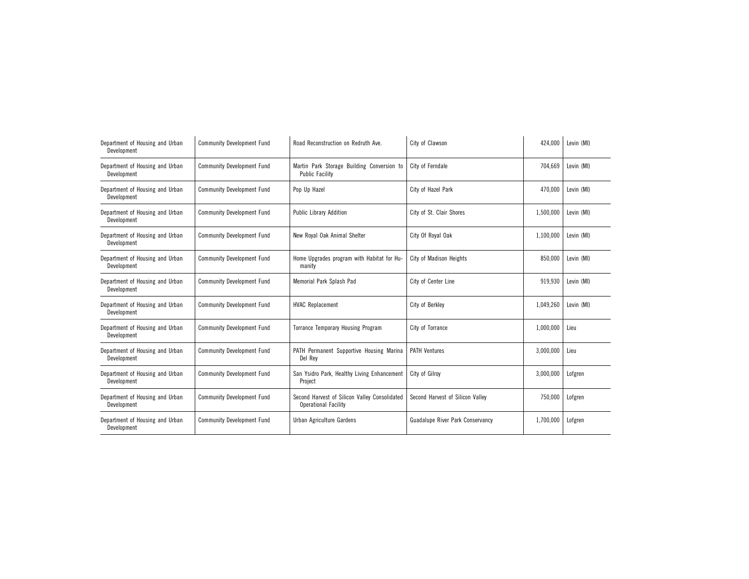| Department of Housing and Urban<br>Development | <b>Community Development Fund</b> | Road Reconstruction on Redruth Ave.                                          | City of Clawson                         | 424,000   | Levin (MI) |
|------------------------------------------------|-----------------------------------|------------------------------------------------------------------------------|-----------------------------------------|-----------|------------|
| Department of Housing and Urban<br>Development | <b>Community Development Fund</b> | Martin Park Storage Building Conversion to<br><b>Public Facility</b>         | City of Ferndale                        | 704,669   | Levin (MI) |
| Department of Housing and Urban<br>Development | <b>Community Development Fund</b> | Pop Up Hazel                                                                 | City of Hazel Park                      | 470,000   | Levin (MI) |
| Department of Housing and Urban<br>Development | <b>Community Development Fund</b> | <b>Public Library Addition</b>                                               | City of St. Clair Shores                | 1,500,000 | Levin (MI) |
| Department of Housing and Urban<br>Development | <b>Community Development Fund</b> | New Royal Oak Animal Shelter                                                 | City Of Royal Oak                       | 1,100,000 | Levin (MI) |
| Department of Housing and Urban<br>Development | <b>Community Development Fund</b> | Home Upgrades program with Habitat for Hu-<br>manity                         | City of Madison Heights                 | 850,000   | Levin (MI) |
| Department of Housing and Urban<br>Development | <b>Community Development Fund</b> | Memorial Park Splash Pad                                                     | City of Center Line                     | 919.930   | Levin (MI) |
| Department of Housing and Urban<br>Development | <b>Community Development Fund</b> | <b>HVAC Replacement</b>                                                      | City of Berkley                         | 1,049,260 | Levin (MI) |
| Department of Housing and Urban<br>Development | <b>Community Development Fund</b> | <b>Torrance Temporary Housing Program</b>                                    | City of Torrance                        | 1,000,000 | Lieu       |
| Department of Housing and Urban<br>Development | <b>Community Development Fund</b> | PATH Permanent Supportive Housing Marina<br>Del Rey                          | <b>PATH Ventures</b>                    | 3,000,000 | Lieu       |
| Department of Housing and Urban<br>Development | <b>Community Development Fund</b> | San Ysidro Park, Healthy Living Enhancement<br>Project                       | City of Gilrov                          | 3,000,000 | Lofgren    |
| Department of Housing and Urban<br>Development | <b>Community Development Fund</b> | Second Harvest of Silicon Valley Consolidated<br><b>Operational Facility</b> | Second Harvest of Silicon Valley        | 750,000   | Lofgren    |
| Department of Housing and Urban<br>Development | <b>Community Development Fund</b> | Urban Agriculture Gardens                                                    | <b>Guadalupe River Park Conservancy</b> | 1,700,000 | Lofgren    |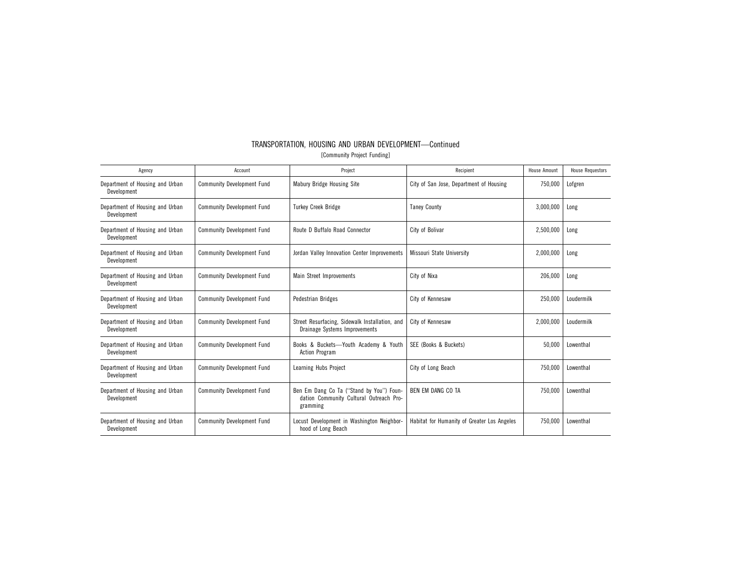| Agency                                         | Account                           | Project                                                                                         | Recipient                                   | <b>House Amount</b> | <b>House Requestors</b> |
|------------------------------------------------|-----------------------------------|-------------------------------------------------------------------------------------------------|---------------------------------------------|---------------------|-------------------------|
| Department of Housing and Urban<br>Development | <b>Community Development Fund</b> | Mabury Bridge Housing Site                                                                      | City of San Jose, Department of Housing     | 750,000             | Lofgren                 |
| Department of Housing and Urban<br>Development | <b>Community Development Fund</b> | <b>Turkey Creek Bridge</b>                                                                      | <b>Taney County</b>                         | 3,000,000           | Long                    |
| Department of Housing and Urban<br>Development | <b>Community Development Fund</b> | Route D Buffalo Road Connector                                                                  | City of Bolivar                             | 2,500,000           | Long                    |
| Department of Housing and Urban<br>Development | <b>Community Development Fund</b> | Jordan Valley Innovation Center Improvements                                                    | Missouri State University                   | 2,000,000           | Long                    |
| Department of Housing and Urban<br>Development | <b>Community Development Fund</b> | Main Street Improvements                                                                        | City of Nixa                                | 206,000             | Long                    |
| Department of Housing and Urban<br>Development | <b>Community Development Fund</b> | <b>Pedestrian Bridges</b>                                                                       | City of Kennesaw                            | 250,000             | Loudermilk              |
| Department of Housing and Urban<br>Development | <b>Community Development Fund</b> | Street Resurfacing, Sidewalk Installation, and<br>Drainage Systems Improvements                 | City of Kennesaw                            | 2.000.000           | Loudermilk              |
| Department of Housing and Urban<br>Development | <b>Community Development Fund</b> | Books & Buckets-Youth Academy & Youth<br><b>Action Program</b>                                  | SEE (Books & Buckets)                       | 50,000              | Lowenthal               |
| Department of Housing and Urban<br>Development | <b>Community Development Fund</b> | Learning Hubs Project                                                                           | City of Long Beach                          | 750,000             | Lowenthal               |
| Department of Housing and Urban<br>Development | <b>Community Development Fund</b> | Ben Em Dang Co Ta ("Stand by You") Foun-<br>dation Community Cultural Outreach Pro-<br>gramming | BEN EM DANG CO TA                           | 750,000             | Lowenthal               |
| Department of Housing and Urban<br>Development | <b>Community Development Fund</b> | Locust Development in Washington Neighbor-<br>hood of Long Beach                                | Habitat for Humanity of Greater Los Angeles | 750,000             | Lowenthal               |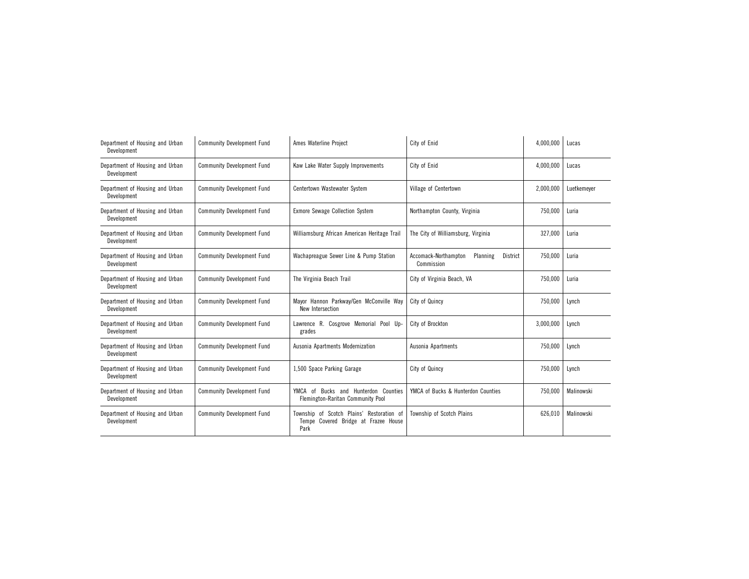| Department of Housing and Urban<br>Development | <b>Community Development Fund</b> | Ames Waterline Project                                                                       | City of Enid                                               | 4,000,000 | Lucas       |
|------------------------------------------------|-----------------------------------|----------------------------------------------------------------------------------------------|------------------------------------------------------------|-----------|-------------|
| Department of Housing and Urban<br>Development | <b>Community Development Fund</b> | Kaw Lake Water Supply Improvements                                                           | City of Enid                                               | 4,000,000 | Lucas       |
| Department of Housing and Urban<br>Development | <b>Community Development Fund</b> | Centertown Wastewater System                                                                 | Village of Centertown                                      | 2,000,000 | Luetkemever |
| Department of Housing and Urban<br>Development | <b>Community Development Fund</b> | <b>Exmore Sewage Collection System</b>                                                       | Northampton County, Virginia                               | 750,000   | Luria       |
| Department of Housing and Urban<br>Development | <b>Community Development Fund</b> | Williamsburg African American Heritage Trail                                                 | The City of Williamsburg, Virginia                         | 327,000   | Luria       |
| Department of Housing and Urban<br>Development | <b>Community Development Fund</b> | Wachapreague Sewer Line & Pump Station                                                       | Accomack-Northampton<br>Planning<br>District<br>Commission | 750,000   | Luria       |
| Department of Housing and Urban<br>Development | <b>Community Development Fund</b> | The Virginia Beach Trail                                                                     | City of Virginia Beach, VA                                 | 750.000   | Luria       |
| Department of Housing and Urban<br>Development | <b>Community Development Fund</b> | Mayor Hannon Parkway/Gen McConville Way<br>New Intersection                                  | City of Quincy                                             | 750,000   | Lynch       |
| Department of Housing and Urban<br>Development | <b>Community Development Fund</b> | Lawrence R. Cosgrove Memorial Pool Up-<br>grades                                             | City of Brockton                                           | 3,000,000 | Lynch       |
| Department of Housing and Urban<br>Development | <b>Community Development Fund</b> | Ausonia Apartments Modernization                                                             | Ausonia Apartments                                         | 750,000   | Lynch       |
| Department of Housing and Urban<br>Development | <b>Community Development Fund</b> | 1,500 Space Parking Garage                                                                   | City of Quincy                                             | 750,000   | Lynch       |
| Department of Housing and Urban<br>Development | <b>Community Development Fund</b> | Bucks and Hunterdon Counties<br>YMCA<br>of<br>Flemington-Raritan Community Pool              | YMCA of Bucks & Hunterdon Counties                         | 750,000   | Malinowski  |
| Department of Housing and Urban<br>Development | <b>Community Development Fund</b> | Township of Scotch Plains' Restoration of<br>Covered Bridge at Frazee House<br>Tempe<br>Park | Township of Scotch Plains                                  | 626,010   | Malinowski  |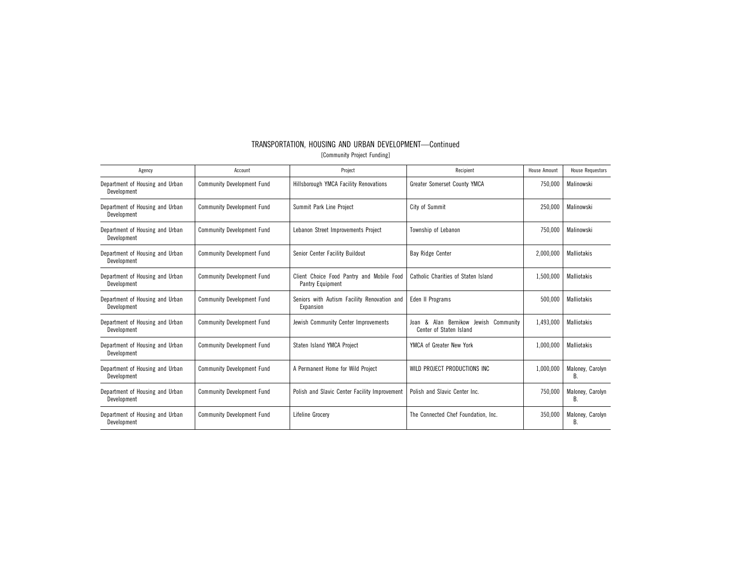| TRANSPORTATION, HOUSING AND URBAN DEVELOPMENT—Continued |  |
|---------------------------------------------------------|--|
| [Community Project Funding]                             |  |

| Agency                                         | Account                           | Project                                                       | Recipient                                                           | House Amount | <b>House Requestors</b> |
|------------------------------------------------|-----------------------------------|---------------------------------------------------------------|---------------------------------------------------------------------|--------------|-------------------------|
| Department of Housing and Urban<br>Development | <b>Community Development Fund</b> | Hillsborough YMCA Facility Renovations                        | Greater Somerset County YMCA                                        | 750,000      | Malinowski              |
| Department of Housing and Urban<br>Development | <b>Community Development Fund</b> | Summit Park Line Project                                      | City of Summit                                                      | 250.000      | Malinowski              |
| Department of Housing and Urban<br>Development | <b>Community Development Fund</b> | Lebanon Street Improvements Project                           | Township of Lebanon                                                 | 750,000      | Malinowski              |
| Department of Housing and Urban<br>Development | <b>Community Development Fund</b> | Senior Center Facility Buildout                               | <b>Bay Ridge Center</b>                                             | 2,000,000    | <b>Malliotakis</b>      |
| Department of Housing and Urban<br>Development | <b>Community Development Fund</b> | Client Choice Food Pantry and Mobile Food<br>Pantry Equipment | Catholic Charities of Staten Island                                 | 1,500,000    | <b>Malliotakis</b>      |
| Department of Housing and Urban<br>Development | <b>Community Development Fund</b> | Seniors with Autism Facility Renovation and<br>Expansion      | <b>Eden II Programs</b>                                             | 500,000      | <b>Malliotakis</b>      |
| Department of Housing and Urban<br>Development | <b>Community Development Fund</b> | Jewish Community Center Improvements                          | & Alan Bernikow Jewish Community<br>Joan<br>Center of Staten Island | 1.493.000    | <b>Malliotakis</b>      |
| Department of Housing and Urban<br>Development | <b>Community Development Fund</b> | Staten Island YMCA Project                                    | YMCA of Greater New York                                            | 1,000,000    | <b>Malliotakis</b>      |
| Department of Housing and Urban<br>Development | <b>Community Development Fund</b> | A Permanent Home for Wild Project                             | WILD PROJECT PRODUCTIONS INC                                        | 1,000,000    | Maloney, Carolyn<br>B   |
| Department of Housing and Urban<br>Development | <b>Community Development Fund</b> | Polish and Slavic Center Facility Improvement                 | Polish and Slavic Center Inc.                                       | 750,000      | Maloney, Carolyn<br>В.  |
| Department of Housing and Urban<br>Development | <b>Community Development Fund</b> | Lifeline Grocery                                              | The Connected Chef Foundation, Inc.                                 | 350,000      | Maloney, Carolyn<br>В.  |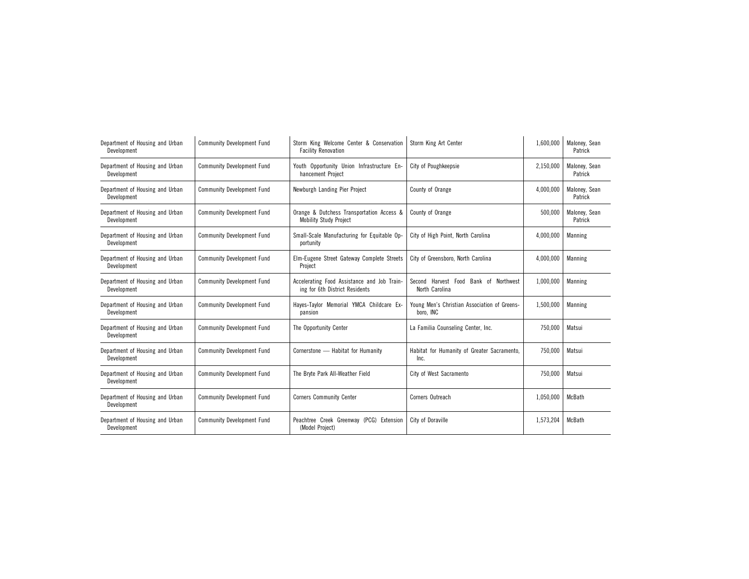| Department of Housing and Urban<br>Development | <b>Community Development Fund</b> | Storm King Welcome Center & Conservation<br><b>Facility Renovation</b>        | Storm King Art Center                                     | 1,600,000 | Maloney, Sean<br>Patrick |
|------------------------------------------------|-----------------------------------|-------------------------------------------------------------------------------|-----------------------------------------------------------|-----------|--------------------------|
| Department of Housing and Urban<br>Development | <b>Community Development Fund</b> | Youth Opportunity Union Infrastructure En-<br>hancement Project               | City of Poughkeepsie                                      | 2.150.000 | Malonev. Sean<br>Patrick |
| Department of Housing and Urban<br>Development | <b>Community Development Fund</b> | Newburgh Landing Pier Project                                                 | County of Orange                                          | 4,000,000 | Maloney, Sean<br>Patrick |
| Department of Housing and Urban<br>Development | <b>Community Development Fund</b> | Orange & Dutchess Transportation Access &<br><b>Mobility Study Project</b>    | County of Orange                                          | 500,000   | Maloney, Sean<br>Patrick |
| Department of Housing and Urban<br>Development | <b>Community Development Fund</b> | Small-Scale Manufacturing for Equitable Op-<br>portunity                      | City of High Point, North Carolina                        | 4,000,000 | Manning                  |
| Department of Housing and Urban<br>Development | <b>Community Development Fund</b> | Elm-Eugene Street Gateway Complete Streets<br>Project                         | City of Greensboro, North Carolina                        | 4,000,000 | Manning                  |
| Department of Housing and Urban<br>Development | <b>Community Development Fund</b> | Accelerating Food Assistance and Job Train-<br>ing for 6th District Residents | Second Harvest Food Bank of Northwest<br>North Carolina   | 1,000,000 | Manning                  |
| Department of Housing and Urban<br>Development | <b>Community Development Fund</b> | Hayes-Taylor Memorial YMCA Childcare Ex-<br>pansion                           | Young Men's Christian Association of Greens-<br>boro. INC | 1,500,000 | Manning                  |
| Department of Housing and Urban<br>Development | <b>Community Development Fund</b> | The Opportunity Center                                                        | La Familia Counseling Center, Inc.                        | 750,000   | Matsui                   |
| Department of Housing and Urban<br>Development | <b>Community Development Fund</b> | Cornerstone - Habitat for Humanity                                            | Habitat for Humanity of Greater Sacramento,<br>Inc.       | 750,000   | Matsui                   |
| Department of Housing and Urban<br>Development | <b>Community Development Fund</b> | The Bryte Park All-Weather Field                                              | City of West Sacramento                                   | 750,000   | Matsui                   |
| Department of Housing and Urban<br>Development | <b>Community Development Fund</b> | <b>Corners Community Center</b>                                               | Corners Outreach                                          | 1,050,000 | McBath                   |
| Department of Housing and Urban<br>Development | <b>Community Development Fund</b> | Peachtree Creek Greenway (PCG) Extension<br>(Model Project)                   | City of Doraville                                         | 1,573,204 | McBath                   |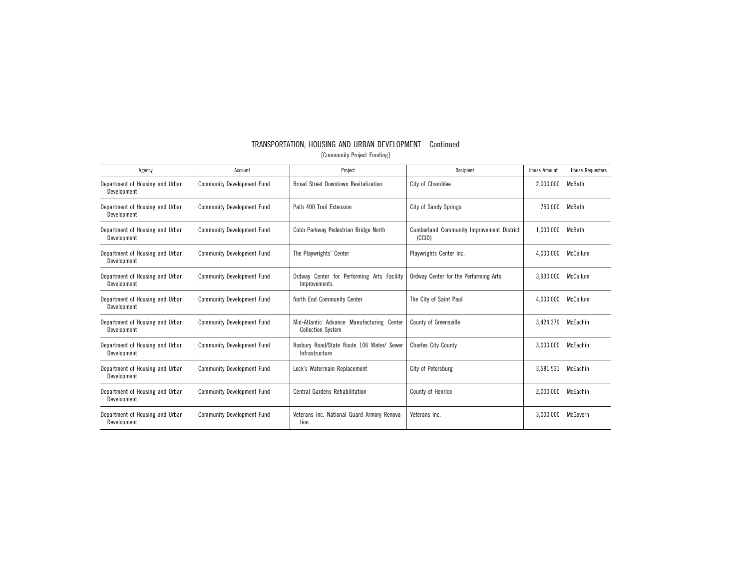| Agency                                         | Account                           | Project                                                               | Recipient                                           | <b>House Amount</b> | <b>House Requestors</b> |
|------------------------------------------------|-----------------------------------|-----------------------------------------------------------------------|-----------------------------------------------------|---------------------|-------------------------|
| Department of Housing and Urban<br>Development | <b>Community Development Fund</b> | <b>Broad Street Downtown Revitalization</b>                           | City of Chamblee                                    | 2,000,000           | <b>McBath</b>           |
| Department of Housing and Urban<br>Development | <b>Community Development Fund</b> | Path 400 Trail Extension                                              | City of Sandy Springs                               | 750,000             | McBath                  |
| Department of Housing and Urban<br>Development | <b>Community Development Fund</b> | Cobb Parkway Pedestrian Bridge North                                  | Cumberland Community Improvement District<br>(CCID) | 1,000,000           | McBath                  |
| Department of Housing and Urban<br>Development | <b>Community Development Fund</b> | The Playwrights' Center                                               | Playwrights Center Inc.                             | 4,000,000           | McCollum                |
| Department of Housing and Urban<br>Development | <b>Community Development Fund</b> | Ordway Center for Performing Arts Facility<br>Improvements            | Ordway Center for the Performing Arts               | 3,930,000           | McCollum                |
| Department of Housing and Urban<br>Development | <b>Community Development Fund</b> | North End Community Center                                            | The City of Saint Paul                              | 4,000,000           | McCollum                |
| Department of Housing and Urban<br>Development | <b>Community Development Fund</b> | Mid-Atlantic Advance Manufacturing Center<br><b>Collection System</b> | County of Greensville                               | 3,424,379           | McEachin                |
| Department of Housing and Urban<br>Development | <b>Community Development Fund</b> | Roxbury Road/State Route 106 Water/ Sewer<br>Infrastructure           | <b>Charles City County</b>                          | 3,000,000           | McEachin                |
| Department of Housing and Urban<br>Development | <b>Community Development Fund</b> | Lock's Watermain Replacement                                          | City of Petersburg                                  | 3,581,531           | McEachin                |
| Department of Housing and Urban<br>Development | <b>Community Development Fund</b> | <b>Central Gardens Rehabilitation</b>                                 | County of Henrico                                   | 2,000,000           | McEachin                |
| Department of Housing and Urban<br>Development | <b>Community Development Fund</b> | Veterans Inc. National Guard Armory Renova-<br>tion                   | Veterans Inc.                                       | 3,000,000           | McGovern                |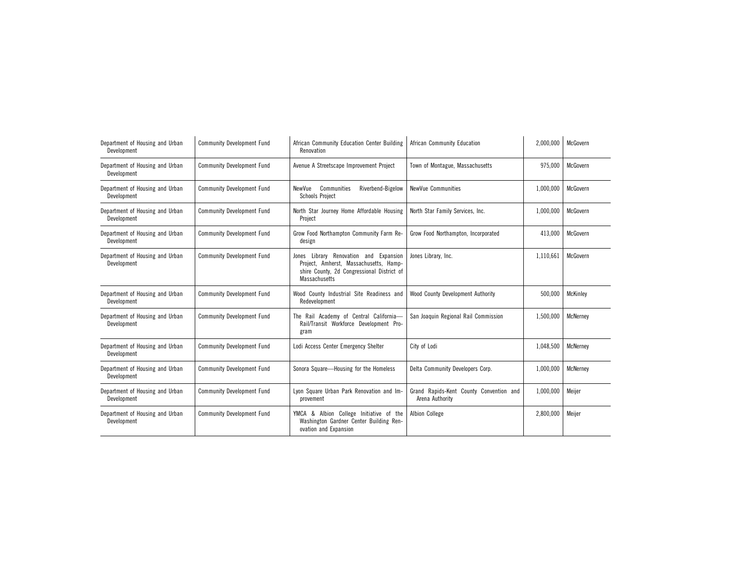| Department of Housing and Urban<br>Development | <b>Community Development Fund</b> | African Community Education Center Building<br>Renovation                                                                                                 | African Community Education                                | 2,000,000 | McGovern |
|------------------------------------------------|-----------------------------------|-----------------------------------------------------------------------------------------------------------------------------------------------------------|------------------------------------------------------------|-----------|----------|
| Department of Housing and Urban<br>Development | <b>Community Development Fund</b> | Avenue A Streetscape Improvement Project                                                                                                                  | Town of Montague, Massachusetts                            | 975,000   | McGovern |
| Department of Housing and Urban<br>Development | <b>Community Development Fund</b> | NewVue<br>Communities<br>Riverbend-Bigelow<br><b>Schools Project</b>                                                                                      | NewVue Communities                                         | 1,000,000 | McGovern |
| Department of Housing and Urban<br>Development | <b>Community Development Fund</b> | North Star Journey Home Affordable Housing<br>Project                                                                                                     | North Star Family Services, Inc.                           | 1,000,000 | McGovern |
| Department of Housing and Urban<br>Development | <b>Community Development Fund</b> | Grow Food Northampton Community Farm Re-<br>design                                                                                                        | Grow Food Northampton, Incorporated                        | 413,000   | McGovern |
| Department of Housing and Urban<br>Development | <b>Community Development Fund</b> | Library Renovation and Expansion<br>Jones<br>Project, Amherst, Massachusetts, Hamp-<br>shire County, 2d Congressional District of<br><b>Massachusetts</b> | Jones Library, Inc.                                        | 1,110,661 | McGovern |
| Department of Housing and Urban<br>Development | <b>Community Development Fund</b> | Wood County Industrial Site Readiness and<br>Redevelopment                                                                                                | Wood County Development Authority                          | 500,000   | McKinley |
| Department of Housing and Urban<br>Development | <b>Community Development Fund</b> | The Rail Academy of Central California-<br>Rail/Transit Workforce Development Pro-<br>gram                                                                | San Joaquin Regional Rail Commission                       | 1,500,000 | McNerney |
| Department of Housing and Urban<br>Development | <b>Community Development Fund</b> | Lodi Access Center Emergency Shelter                                                                                                                      | City of Lodi                                               | 1,048,500 | McNerney |
| Department of Housing and Urban<br>Development | <b>Community Development Fund</b> | Sonora Square-Housing for the Homeless                                                                                                                    | Delta Community Developers Corp.                           | 1,000,000 | McNernev |
| Department of Housing and Urban<br>Development | <b>Community Development Fund</b> | Lyon Square Urban Park Renovation and Im-<br>provement                                                                                                    | Grand Rapids-Kent County Convention and<br>Arena Authority | 1,000,000 | Meijer   |
| Department of Housing and Urban<br>Development | <b>Community Development Fund</b> | YMCA & Albion College Initiative of the<br>Washington Gardner Center Building Ren-<br>ovation and Expansion                                               | <b>Albion College</b>                                      | 2,800,000 | Meijer   |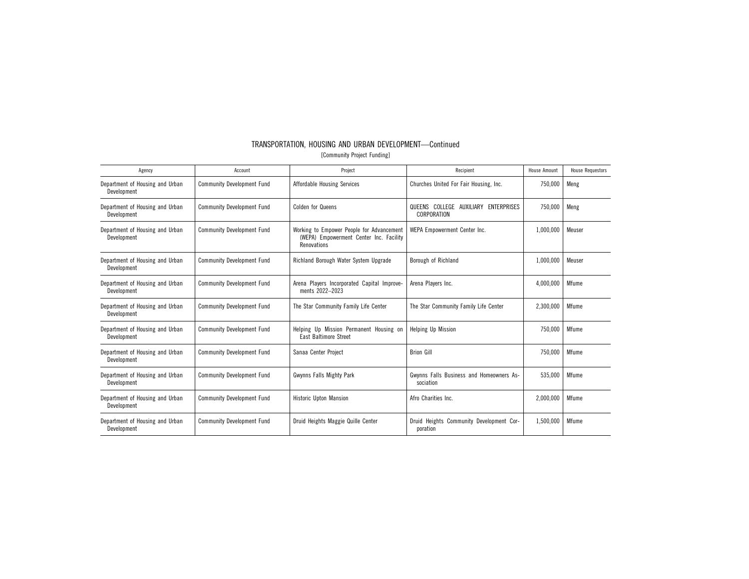| Agency                                         | Account                           | Project                                                                                             | Recipient                                             | <b>House Amount</b> | <b>House Requestors</b> |
|------------------------------------------------|-----------------------------------|-----------------------------------------------------------------------------------------------------|-------------------------------------------------------|---------------------|-------------------------|
| Department of Housing and Urban<br>Development | <b>Community Development Fund</b> | <b>Affordable Housing Services</b>                                                                  | Churches United For Fair Housing, Inc.                | 750,000             | Meng                    |
| Department of Housing and Urban<br>Development | <b>Community Development Fund</b> | <b>Colden for Queens</b>                                                                            | QUEENS COLLEGE AUXILIARY ENTERPRISES<br>CORPORATION   | 750,000             | Meng                    |
| Department of Housing and Urban<br>Development | <b>Community Development Fund</b> | Working to Empower People for Advancement<br>(WEPA) Empowerment Center Inc. Facility<br>Renovations | WEPA Empowerment Center Inc.                          | 1,000,000           | Meuser                  |
| Department of Housing and Urban<br>Development | <b>Community Development Fund</b> | Richland Borough Water System Upgrade                                                               | Borough of Richland                                   | 1,000,000           | Meuser                  |
| Department of Housing and Urban<br>Development | <b>Community Development Fund</b> | Arena Players Incorporated Capital Improve-<br>ments 2022-2023                                      | Arena Players Inc.                                    | 4,000,000           | Mfume                   |
| Department of Housing and Urban<br>Development | <b>Community Development Fund</b> | The Star Community Family Life Center                                                               | The Star Community Family Life Center                 | 2,300,000           | Mfume                   |
| Department of Housing and Urban<br>Development | <b>Community Development Fund</b> | Helping Up Mission Permanent Housing on<br>East Baltimore Street                                    | <b>Helping Up Mission</b>                             | 750,000             | Mfume                   |
| Department of Housing and Urban<br>Development | <b>Community Development Fund</b> | Sanaa Center Project                                                                                | <b>Brion Gill</b>                                     | 750,000             | Mfume                   |
| Department of Housing and Urban<br>Development | <b>Community Development Fund</b> | Gwynns Falls Mighty Park                                                                            | Gwynns Falls Business and Homeowners As-<br>sociation | 535,000             | Mfume                   |
| Department of Housing and Urban<br>Development | <b>Community Development Fund</b> | <b>Historic Upton Mansion</b>                                                                       | Afro Charities Inc.                                   | 2.000.000           | Mfume                   |
| Department of Housing and Urban<br>Development | <b>Community Development Fund</b> | Druid Heights Maggie Quille Center                                                                  | Druid Heights Community Development Cor-<br>poration  | 1,500,000           | Mfume                   |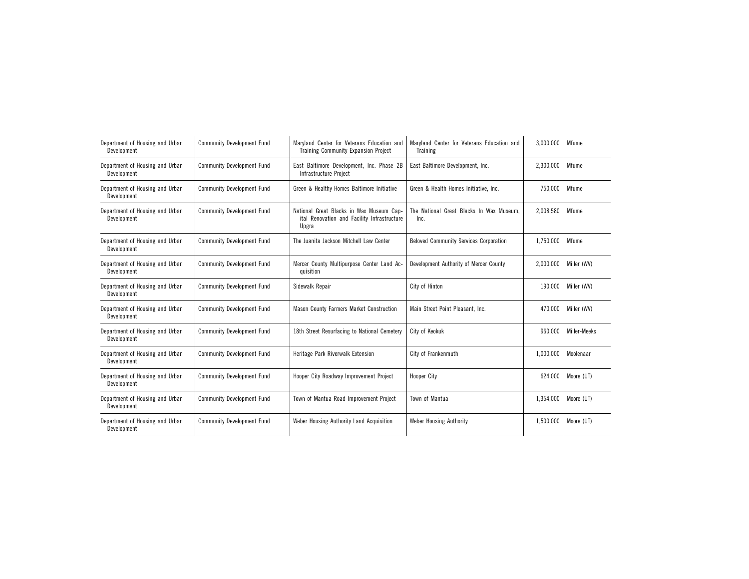| Department of Housing and Urban<br>Development | <b>Community Development Fund</b> | Maryland Center for Veterans Education and<br><b>Training Community Expansion Project</b>        | Maryland Center for Veterans Education and<br><b>Training</b> | 3,000,000 | Mfume        |
|------------------------------------------------|-----------------------------------|--------------------------------------------------------------------------------------------------|---------------------------------------------------------------|-----------|--------------|
| Department of Housing and Urban<br>Development | <b>Community Development Fund</b> | East Baltimore Development, Inc. Phase 2B<br>Infrastructure Project                              | East Baltimore Development, Inc.                              | 2,300,000 | Mfume        |
| Department of Housing and Urban<br>Development | <b>Community Development Fund</b> | Green & Healthy Homes Baltimore Initiative                                                       | Green & Health Homes Initiative, Inc.                         | 750,000   | Mfume        |
| Department of Housing and Urban<br>Development | <b>Community Development Fund</b> | National Great Blacks in Wax Museum Cap-<br>ital Renovation and Facility Infrastructure<br>Upgra | The National Great Blacks In Wax Museum.<br>Inc.              | 2,008,580 | Mfume        |
| Department of Housing and Urban<br>Development | <b>Community Development Fund</b> | The Juanita Jackson Mitchell Law Center                                                          | <b>Beloved Community Services Corporation</b>                 | 1,750,000 | Mfume        |
| Department of Housing and Urban<br>Development | <b>Community Development Fund</b> | Mercer County Multipurpose Center Land Ac-<br>quisition                                          | Development Authority of Mercer County                        | 2,000,000 | Miller (WV)  |
| Department of Housing and Urban<br>Development | <b>Community Development Fund</b> | Sidewalk Repair                                                                                  | City of Hinton                                                | 190,000   | Miller (WV)  |
| Department of Housing and Urban<br>Development | <b>Community Development Fund</b> | Mason County Farmers Market Construction                                                         | Main Street Point Pleasant, Inc.                              | 470,000   | Miller (WV)  |
| Department of Housing and Urban<br>Development | <b>Community Development Fund</b> | 18th Street Resurfacing to National Cemetery                                                     | City of Keokuk                                                | 960,000   | Miller-Meeks |
| Department of Housing and Urban<br>Development | <b>Community Development Fund</b> | Heritage Park Riverwalk Extension                                                                | City of Frankenmuth                                           | 1,000,000 | Moolenaar    |
| Department of Housing and Urban<br>Development | <b>Community Development Fund</b> | Hooper City Roadway Improvement Project                                                          | Hooper City                                                   | 624,000   | Moore (UT)   |
| Department of Housing and Urban<br>Development | <b>Community Development Fund</b> | Town of Mantua Road Improvement Project                                                          | Town of Mantua                                                | 1,354,000 | Moore (UT)   |
| Department of Housing and Urban<br>Development | <b>Community Development Fund</b> | Weber Housing Authority Land Acquisition                                                         | Weber Housing Authority                                       | 1,500,000 | Moore (UT)   |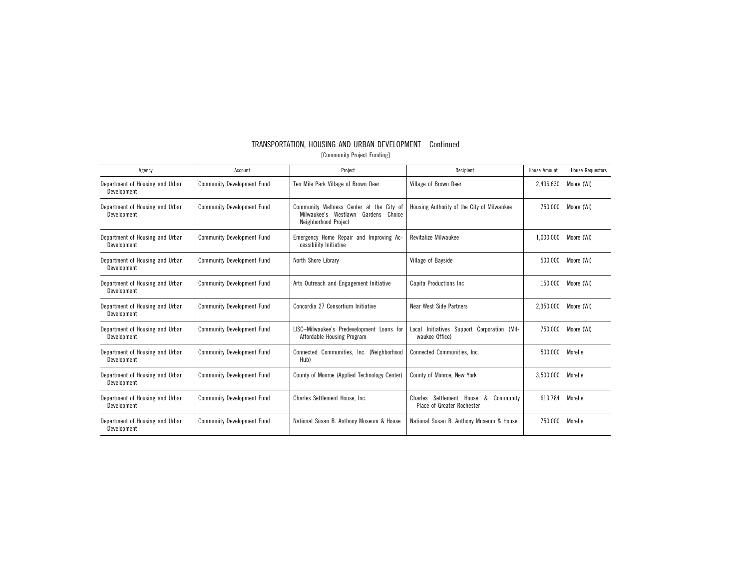| TRANSPORTATION, HOUSING AND URBAN DEVELOPMENT—Continued |  |  |  |  |  |  |
|---------------------------------------------------------|--|--|--|--|--|--|
| [Community Project Funding]                             |  |  |  |  |  |  |

| Agency                                         | Account                           | Project                                                                                                    | Recipient                                                                   | <b>House Amount</b> | <b>House Requestors</b> |
|------------------------------------------------|-----------------------------------|------------------------------------------------------------------------------------------------------------|-----------------------------------------------------------------------------|---------------------|-------------------------|
| Department of Housing and Urban<br>Development | <b>Community Development Fund</b> | Ten Mile Park Village of Brown Deer                                                                        | Village of Brown Deer                                                       | 2,496,630           | Moore (WI)              |
| Department of Housing and Urban<br>Development | <b>Community Development Fund</b> | Community Wellness Center at the City of<br>Milwaukee's Westlawn<br>Gardens Choice<br>Neighborhood Project | Housing Authority of the City of Milwaukee                                  | 750,000             | Moore (WI)              |
| Department of Housing and Urban<br>Development | <b>Community Development Fund</b> | Emergency Home Repair and Improving Ac-<br>cessibility Initiative                                          | <b>Revitalize Milwaukee</b>                                                 | 1,000,000           | Moore (WI)              |
| Department of Housing and Urban<br>Development | <b>Community Development Fund</b> | North Shore Library                                                                                        | Village of Bayside                                                          | 500,000             | Moore (WI)              |
| Department of Housing and Urban<br>Development | <b>Community Development Fund</b> | Arts Outreach and Engagement Initiative                                                                    | <b>Capita Productions Inc.</b>                                              | 150,000             | Moore (WI)              |
| Department of Housing and Urban<br>Development | <b>Community Development Fund</b> | Concordia 27 Consortium Initiative                                                                         | Near West Side Partners                                                     | 2,350,000           | Moore (WI)              |
| Department of Housing and Urban<br>Development | <b>Community Development Fund</b> | LISC-Milwaukee's Predevelopment Loans for<br>Affordable Housing Program                                    | Local Initiatives Support Corporation (Mil-<br>waukee Office)               | 750.000             | Moore (WI)              |
| Department of Housing and Urban<br>Development | <b>Community Development Fund</b> | Connected Communities, Inc. (Neighborhood<br>Hub)                                                          | Connected Communities, Inc.                                                 | 500.000             | Morelle                 |
| Department of Housing and Urban<br>Development | <b>Community Development Fund</b> | County of Monroe (Applied Technology Center)                                                               | County of Monroe, New York                                                  | 3,500,000           | Morelle                 |
| Department of Housing and Urban<br>Development | <b>Community Development Fund</b> | Charles Settlement House, Inc.                                                                             | Settlement House<br>&<br>Community<br>Charles<br>Place of Greater Rochester | 619.784             | Morelle                 |
| Department of Housing and Urban<br>Development | <b>Community Development Fund</b> | National Susan B. Anthony Museum & House                                                                   | National Susan B. Anthony Museum & House                                    | 750,000             | Morelle                 |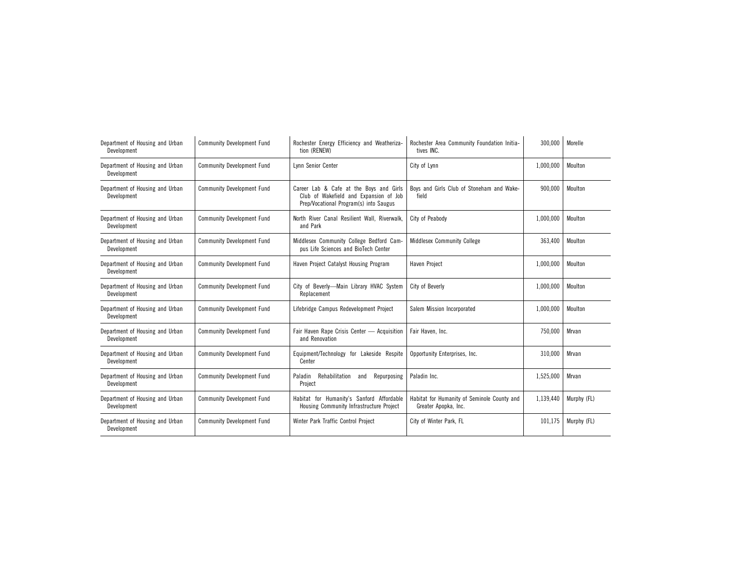| Department of Housing and Urban<br>Development | <b>Community Development Fund</b> | Rochester Energy Efficiency and Weatheriza-<br>tion (RENEW)                                                                 | Rochester Area Community Foundation Initia-<br>tives INC.           | 300,000   | Morelle     |
|------------------------------------------------|-----------------------------------|-----------------------------------------------------------------------------------------------------------------------------|---------------------------------------------------------------------|-----------|-------------|
| Department of Housing and Urban<br>Development | <b>Community Development Fund</b> | Lynn Senior Center                                                                                                          | City of Lynn                                                        | 1,000,000 | Moulton     |
| Department of Housing and Urban<br>Development | <b>Community Development Fund</b> | Career Lab & Cafe at the Boys and Girls<br>Club of Wakefield and Expansion of Job<br>Prep/Vocational Program(s) into Saugus | Boys and Girls Club of Stoneham and Wake-<br>field                  | 900,000   | Moulton     |
| Department of Housing and Urban<br>Development | <b>Community Development Fund</b> | North River Canal Resilient Wall, Riverwalk,<br>and Park                                                                    | City of Peabody                                                     | 1,000,000 | Moulton     |
| Department of Housing and Urban<br>Development | <b>Community Development Fund</b> | Middlesex Community College Bedford Cam-<br>pus Life Sciences and BioTech Center                                            | <b>Middlesex Community College</b>                                  | 363,400   | Moulton     |
| Department of Housing and Urban<br>Development | <b>Community Development Fund</b> | Haven Project Catalyst Housing Program                                                                                      | Haven Project                                                       | 1,000,000 | Moulton     |
| Department of Housing and Urban<br>Development | <b>Community Development Fund</b> | City of Beverly-Main Library HVAC System<br>Replacement                                                                     | City of Beverly                                                     | 1,000,000 | Moulton     |
| Department of Housing and Urban<br>Development | <b>Community Development Fund</b> | Lifebridge Campus Redevelopment Project                                                                                     | Salem Mission Incorporated                                          | 1,000,000 | Moulton     |
| Department of Housing and Urban<br>Development | <b>Community Development Fund</b> | Fair Haven Rape Crisis Center - Acquisition<br>and Renovation                                                               | Fair Haven, Inc.                                                    | 750,000   | Mrvan       |
| Department of Housing and Urban<br>Development | <b>Community Development Fund</b> | Equipment/Technology for Lakeside Respite<br>Center                                                                         | Opportunity Enterprises, Inc.                                       | 310,000   | Mrvan       |
| Department of Housing and Urban<br>Development | <b>Community Development Fund</b> | Paladin<br>Rehabilitation<br>Repurposing<br>and<br>Project                                                                  | Paladin Inc.                                                        | 1,525,000 | Mrvan       |
| Department of Housing and Urban<br>Development | <b>Community Development Fund</b> | Habitat for Humanity's Sanford Affordable<br>Housing Community Infrastructure Project                                       | Habitat for Humanity of Seminole County and<br>Greater Apopka, Inc. | 1,139,440 | Murphy (FL) |
| Department of Housing and Urban<br>Development | <b>Community Development Fund</b> | Winter Park Traffic Control Project                                                                                         | City of Winter Park, FL                                             | 101,175   | Murphy (FL) |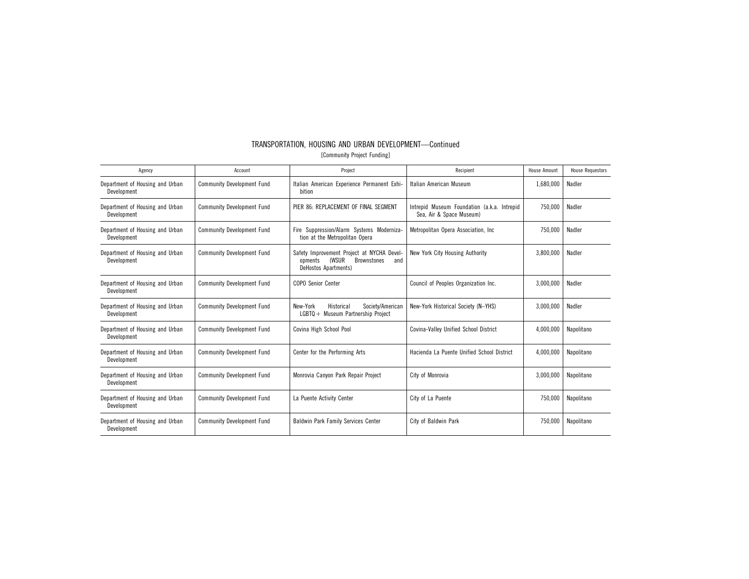| TRANSPORTATION, HOUSING AND URBAN DEVELOPMENT—Continued |                             |  |  |
|---------------------------------------------------------|-----------------------------|--|--|
|                                                         | [Community Project Funding] |  |  |

| Agency                                         | Account                           | Project                                                                                                                    | Recipient                                                               | <b>House Amount</b> | <b>House Requestors</b> |
|------------------------------------------------|-----------------------------------|----------------------------------------------------------------------------------------------------------------------------|-------------------------------------------------------------------------|---------------------|-------------------------|
| Department of Housing and Urban<br>Development | <b>Community Development Fund</b> | Italian American Experience Permanent Exhi-<br>bition                                                                      | Italian American Museum                                                 | 1,680,000           | Nadler                  |
| Department of Housing and Urban<br>Development | <b>Community Development Fund</b> | PIER 86: REPLACEMENT OF FINAL SEGMENT                                                                                      | Intrepid Museum Foundation (a.k.a. Intrepid<br>Sea, Air & Space Museum) | 750,000             | Nadler                  |
| Department of Housing and Urban<br>Development | <b>Community Development Fund</b> | Fire Suppression/Alarm Systems Moderniza-<br>tion at the Metropolitan Opera                                                | Metropolitan Opera Association, Inc.                                    | 750,000             | Nadler                  |
| Department of Housing and Urban<br>Development | <b>Community Development Fund</b> | Safety Improvement Project at NYCHA Devel-<br><b>(WSUR</b><br><b>Brownstones</b><br>opments<br>and<br>DeHostos Apartments) | New York City Housing Authority                                         | 3,800,000           | Nadler                  |
| Department of Housing and Urban<br>Development | <b>Community Development Fund</b> | <b>COPO Senior Center</b>                                                                                                  | Council of Peoples Organization Inc.                                    | 3,000,000           | Nadler                  |
| Department of Housing and Urban<br>Development | <b>Community Development Fund</b> | New-York<br>Historical<br>Society/American<br>LGBTQ + Museum Partnership Project                                           | New-York Historical Society (N-YHS)                                     | 3,000,000           | Nadler                  |
| Department of Housing and Urban<br>Development | <b>Community Development Fund</b> | Covina High School Pool                                                                                                    | Covina-Valley Unified School District                                   | 4,000,000           | Napolitano              |
| Department of Housing and Urban<br>Development | <b>Community Development Fund</b> | Center for the Performing Arts                                                                                             | Hacienda La Puente Unified School District                              | 4,000,000           | Napolitano              |
| Department of Housing and Urban<br>Development | <b>Community Development Fund</b> | Monrovia Canyon Park Repair Project                                                                                        | City of Monrovia                                                        | 3.000.000           | Napolitano              |
| Department of Housing and Urban<br>Development | <b>Community Development Fund</b> | La Puente Activity Center                                                                                                  | City of La Puente                                                       | 750,000             | Napolitano              |
| Department of Housing and Urban<br>Development | <b>Community Development Fund</b> | Baldwin Park Family Services Center                                                                                        | City of Baldwin Park                                                    | 750,000             | Napolitano              |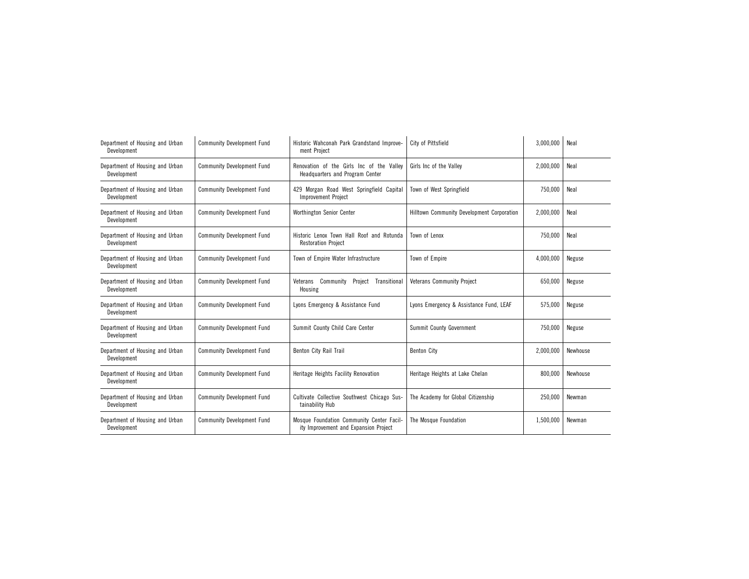| Department of Housing and Urban<br>Development | <b>Community Development Fund</b> | Historic Wahconah Park Grandstand Improve-<br>ment Project                         | City of Pittsfield                         | 3,000,000 | Neal     |
|------------------------------------------------|-----------------------------------|------------------------------------------------------------------------------------|--------------------------------------------|-----------|----------|
| Department of Housing and Urban<br>Development | <b>Community Development Fund</b> | Renovation of the Girls Inc of the Valley<br>Headquarters and Program Center       | Girls Inc of the Valley                    | 2,000,000 | Neal     |
| Department of Housing and Urban<br>Development | <b>Community Development Fund</b> | 429 Morgan Road West Springfield Capital<br><b>Improvement Project</b>             | Town of West Springfield                   | 750,000   | Neal     |
| Department of Housing and Urban<br>Development | <b>Community Development Fund</b> | Worthington Senior Center                                                          | Hilltown Community Development Corporation | 2,000,000 | Neal     |
| Department of Housing and Urban<br>Development | <b>Community Development Fund</b> | Historic Lenox Town Hall Roof and Rotunda<br><b>Restoration Project</b>            | Town of Lenox                              | 750,000   | Neal     |
| Department of Housing and Urban<br>Development | <b>Community Development Fund</b> | Town of Empire Water Infrastructure                                                | Town of Empire                             | 4,000,000 | Neguse   |
| Department of Housing and Urban<br>Development | <b>Community Development Fund</b> | Veterans Community<br>Project<br>Transitional<br>Housing                           | <b>Veterans Community Project</b>          | 650,000   | Neguse   |
| Department of Housing and Urban<br>Development | <b>Community Development Fund</b> | Lyons Emergency & Assistance Fund                                                  | Lyons Emergency & Assistance Fund, LEAF    | 575,000   | Neguse   |
| Department of Housing and Urban<br>Development | <b>Community Development Fund</b> | Summit County Child Care Center                                                    | Summit County Government                   | 750,000   | Neguse   |
| Department of Housing and Urban<br>Development | <b>Community Development Fund</b> | Benton City Rail Trail                                                             | <b>Benton City</b>                         | 2,000,000 | Newhouse |
| Department of Housing and Urban<br>Development | <b>Community Development Fund</b> | Heritage Heights Facility Renovation                                               | Heritage Heights at Lake Chelan            | 800,000   | Newhouse |
| Department of Housing and Urban<br>Development | <b>Community Development Fund</b> | Cultivate Collective Southwest Chicago Sus-<br>tainability Hub                     | The Academy for Global Citizenship         | 250,000   | Newman   |
| Department of Housing and Urban<br>Development | <b>Community Development Fund</b> | Mosque Foundation Community Center Facil-<br>ity Improvement and Expansion Project | The Mosque Foundation                      | 1,500,000 | Newman   |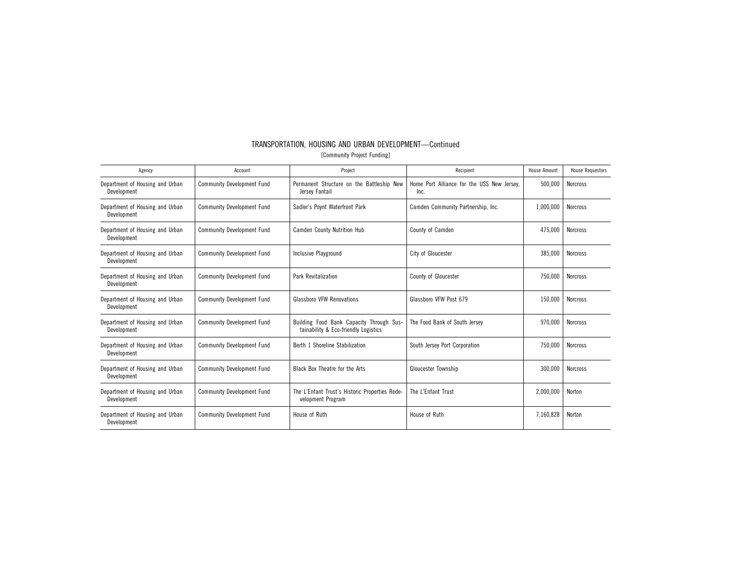|                             | TRANSPORTATION, HOUSING AND URBAN DEVELOPMENT-Continued |  |  |  |  |  |
|-----------------------------|---------------------------------------------------------|--|--|--|--|--|
| [Community Project Funding] |                                                         |  |  |  |  |  |

| Agency                                         | Account                           | Project                                                                          | Recipient                                          | <b>House Amount</b> | <b>House Requestors</b> |
|------------------------------------------------|-----------------------------------|----------------------------------------------------------------------------------|----------------------------------------------------|---------------------|-------------------------|
| Department of Housing and Urban<br>Development | <b>Community Development Fund</b> | Permanent Structure on the Battleship New<br>Jersey Fantail                      | Home Port Alliance for the USS New Jersey.<br>Inc. | 500,000             | <b>Norcross</b>         |
| Department of Housing and Urban<br>Development | <b>Community Development Fund</b> | Sadler's Poynt Waterfront Park                                                   | Camden Community Partnership, Inc.                 | 1,000,000           | <b>Norcross</b>         |
| Department of Housing and Urban<br>Development | <b>Community Development Fund</b> | <b>Camden County Nutrition Hub</b>                                               | <b>County of Camden</b>                            | 475,000             | <b>Norcross</b>         |
| Department of Housing and Urban<br>Development | <b>Community Development Fund</b> | Inclusive Playground                                                             | City of Gloucester                                 | 385,000             | <b>Norcross</b>         |
| Department of Housing and Urban<br>Development | <b>Community Development Fund</b> | <b>Park Revitalization</b>                                                       | County of Gloucester                               | 750.000             | <b>Norcross</b>         |
| Department of Housing and Urban<br>Development | <b>Community Development Fund</b> | <b>Glassboro VFW Renovations</b>                                                 | Glassboro VFW Post 679                             | 150,000             | <b>Norcross</b>         |
| Department of Housing and Urban<br>Development | <b>Community Development Fund</b> | Building Food Bank Capacity Through Sus-<br>tainability & Eco-friendly Logistics | The Food Bank of South Jersey                      | 970,000             | <b>Norcross</b>         |
| Department of Housing and Urban<br>Development | <b>Community Development Fund</b> | Berth 1 Shoreline Stabilization                                                  | South Jersey Port Corporation                      | 750,000             | <b>Norcross</b>         |
| Department of Housing and Urban<br>Development | <b>Community Development Fund</b> | Black Box Theatre for the Arts                                                   | Gloucester Township                                | 300,000             | <b>Norcross</b>         |
| Department of Housing and Urban<br>Development | <b>Community Development Fund</b> | The L'Enfant Trust's Historic Properties Rede-<br>velopment Program              | The L'Enfant Trust                                 | 2,000,000           | Norton                  |
| Department of Housing and Urban<br>Development | <b>Community Development Fund</b> | House of Ruth                                                                    | House of Ruth                                      | 7,160,828           | Norton                  |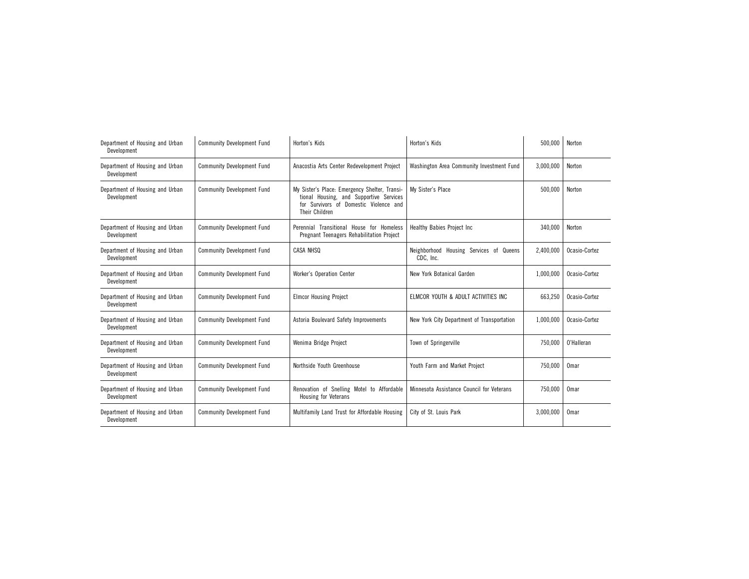| Department of Housing and Urban<br>Development | <b>Community Development Fund</b> | Horton's Kids                                                                                                                                        | Horton's Kids                                           | 500,000   | Norton        |
|------------------------------------------------|-----------------------------------|------------------------------------------------------------------------------------------------------------------------------------------------------|---------------------------------------------------------|-----------|---------------|
| Department of Housing and Urban<br>Development | <b>Community Development Fund</b> | Anacostia Arts Center Redevelopment Project                                                                                                          | Washington Area Community Investment Fund               | 3,000,000 | Norton        |
| Department of Housing and Urban<br>Development | <b>Community Development Fund</b> | My Sister's Place: Emergency Shelter, Transi-<br>tional Housing, and Supportive Services<br>for Survivors of Domestic Violence and<br>Their Children | My Sister's Place                                       | 500,000   | Norton        |
| Department of Housing and Urban<br>Development | <b>Community Development Fund</b> | Perennial Transitional House for Homeless<br>Pregnant Teenagers Rehabilitation Project                                                               | <b>Healthy Babies Project Inc.</b>                      | 340,000   | Norton        |
| Department of Housing and Urban<br>Development | <b>Community Development Fund</b> | CASA NHSQ                                                                                                                                            | Neighborhood<br>Housing Services of Queens<br>CDC, Inc. | 2.400.000 | Ocasio-Cortez |
| Department of Housing and Urban<br>Development | <b>Community Development Fund</b> | Worker's Operation Center                                                                                                                            | New York Botanical Garden                               | 1,000,000 | Ocasio-Cortez |
| Department of Housing and Urban<br>Development | <b>Community Development Fund</b> | <b>Elmcor Housing Project</b>                                                                                                                        | ELMCOR YOUTH & ADULT ACTIVITIES INC                     | 663,250   | Ocasio-Cortez |
| Department of Housing and Urban<br>Development | <b>Community Development Fund</b> | Astoria Boulevard Safety Improvements                                                                                                                | New York City Department of Transportation              | 1,000,000 | Ocasio-Cortez |
| Department of Housing and Urban<br>Development | <b>Community Development Fund</b> | Wenima Bridge Project                                                                                                                                | Town of Springerville                                   | 750,000   | 0'Halleran    |
| Department of Housing and Urban<br>Development | <b>Community Development Fund</b> | Northside Youth Greenhouse                                                                                                                           | Youth Farm and Market Project                           | 750,000   | Omar          |
| Department of Housing and Urban<br>Development | <b>Community Development Fund</b> | Renovation of Snelling Motel to Affordable<br>Housing for Veterans                                                                                   | Minnesota Assistance Council for Veterans               | 750,000   | Omar          |
| Department of Housing and Urban<br>Development | <b>Community Development Fund</b> | Multifamily Land Trust for Affordable Housing                                                                                                        | City of St. Louis Park                                  | 3,000,000 | Omar          |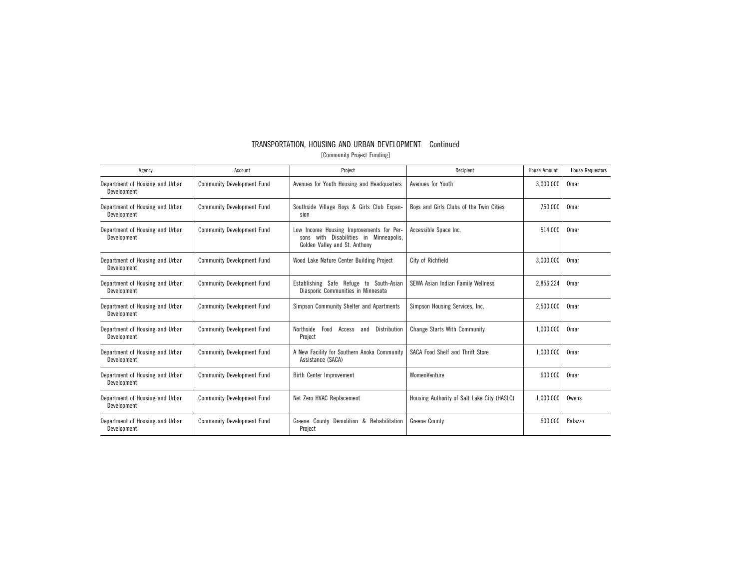| TRANSPORTATION. HOUSING AND URBAN DEVELOPMENT-Continued |                             |  |
|---------------------------------------------------------|-----------------------------|--|
|                                                         | [Community Project Funding] |  |

| Agency                                         | Account                           | Project                                                                                                                | Recipient                                   | <b>House Amount</b> | <b>House Requestors</b> |
|------------------------------------------------|-----------------------------------|------------------------------------------------------------------------------------------------------------------------|---------------------------------------------|---------------------|-------------------------|
| Department of Housing and Urban<br>Development | <b>Community Development Fund</b> | Avenues for Youth Housing and Headquarters                                                                             | Avenues for Youth                           | 3,000,000           | Omar                    |
| Department of Housing and Urban<br>Development | <b>Community Development Fund</b> | Southside Village Boys & Girls Club Expan-<br>sion                                                                     | Boys and Girls Clubs of the Twin Cities     | 750,000             | Omar                    |
| Department of Housing and Urban<br>Development | <b>Community Development Fund</b> | Low Income Housing Improvements for Per-<br>with Disabilities in Minneapolis.<br>sons<br>Golden Valley and St. Anthony | Accessible Space Inc.                       | 514,000             | Omar                    |
| Department of Housing and Urban<br>Development | <b>Community Development Fund</b> | Wood Lake Nature Center Building Project                                                                               | City of Richfield                           | 3,000,000           | Omar                    |
| Department of Housing and Urban<br>Development | <b>Community Development Fund</b> | Establishing Safe Refuge to South-Asian<br>Diasporic Communities in Minnesota                                          | SEWA Asian Indian Family Wellness           | 2,856,224           | Omar                    |
| Department of Housing and Urban<br>Development | <b>Community Development Fund</b> | Simpson Community Shelter and Apartments                                                                               | Simpson Housing Services, Inc.              | 2,500,000           | Omar                    |
| Department of Housing and Urban<br>Development | <b>Community Development Fund</b> | Distribution<br>Northside<br>Food<br>Access<br>and<br>Project                                                          | <b>Change Starts With Community</b>         | 1,000,000           | Omar                    |
| Department of Housing and Urban<br>Development | <b>Community Development Fund</b> | A New Facility for Southern Anoka Community<br>Assistance (SACA)                                                       | SACA Food Shelf and Thrift Store            | 1,000,000           | Omar                    |
| Department of Housing and Urban<br>Development | <b>Community Development Fund</b> | <b>Birth Center Improvement</b>                                                                                        | WomenVenture                                | 600,000             | Omar                    |
| Department of Housing and Urban<br>Development | <b>Community Development Fund</b> | Net Zero HVAC Replacement                                                                                              | Housing Authority of Salt Lake City (HASLC) | 1,000,000           | Owens                   |
| Department of Housing and Urban<br>Development | <b>Community Development Fund</b> | Greene County Demolition & Rehabilitation<br>Project                                                                   | <b>Greene County</b>                        | 600,000             | Palazzo                 |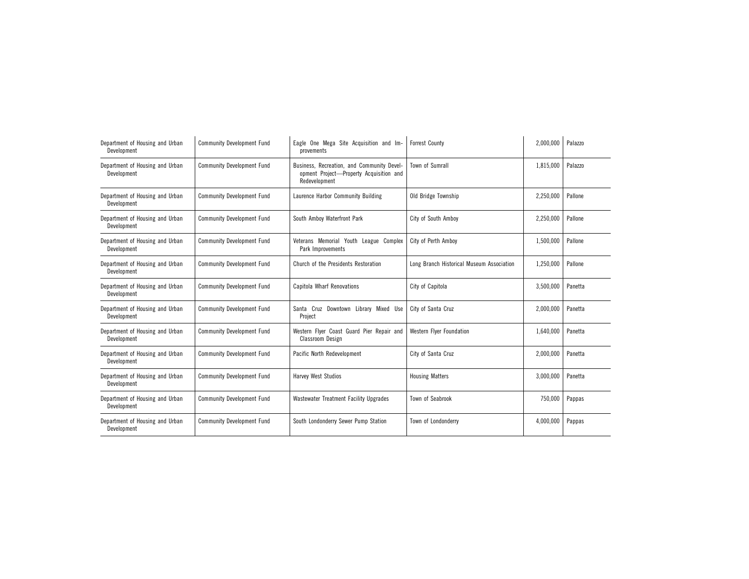| Department of Housing and Urban<br>Development | <b>Community Development Fund</b> | Eagle One Mega Site Acquisition and Im-<br>provements                                                  | <b>Forrest County</b>                     | 2,000,000 | Palazzo |
|------------------------------------------------|-----------------------------------|--------------------------------------------------------------------------------------------------------|-------------------------------------------|-----------|---------|
| Department of Housing and Urban<br>Development | <b>Community Development Fund</b> | Business, Recreation, and Community Devel-<br>opment Project-Property Acquisition and<br>Redevelopment | <b>Town of Sumrall</b>                    | 1.815.000 | Palazzo |
| Department of Housing and Urban<br>Development | <b>Community Development Fund</b> | Laurence Harbor Community Building                                                                     | Old Bridge Township                       | 2,250,000 | Pallone |
| Department of Housing and Urban<br>Development | <b>Community Development Fund</b> | South Amboy Waterfront Park                                                                            | City of South Ambov                       | 2,250,000 | Pallone |
| Department of Housing and Urban<br>Development | <b>Community Development Fund</b> | Veterans Memorial Youth League Complex<br>Park Improvements                                            | City of Perth Ambov                       | 1,500,000 | Pallone |
| Department of Housing and Urban<br>Development | <b>Community Development Fund</b> | Church of the Presidents Restoration                                                                   | Long Branch Historical Museum Association | 1,250,000 | Pallone |
| Department of Housing and Urban<br>Development | <b>Community Development Fund</b> | Capitola Wharf Renovations                                                                             | City of Capitola                          | 3,500,000 | Panetta |
| Department of Housing and Urban<br>Development | <b>Community Development Fund</b> | Santa Cruz Downtown Library Mixed Use<br>Project                                                       | City of Santa Cruz                        | 2,000,000 | Panetta |
| Department of Housing and Urban<br>Development | <b>Community Development Fund</b> | Western Flyer Coast Guard Pier Repair and<br>Classroom Design                                          | <b>Western Flyer Foundation</b>           | 1,640,000 | Panetta |
| Department of Housing and Urban<br>Development | <b>Community Development Fund</b> | Pacific North Redevelopment                                                                            | City of Santa Cruz                        | 2,000,000 | Panetta |
| Department of Housing and Urban<br>Development | <b>Community Development Fund</b> | Harvey West Studios                                                                                    | <b>Housing Matters</b>                    | 3,000,000 | Panetta |
| Department of Housing and Urban<br>Development | <b>Community Development Fund</b> | Wastewater Treatment Facility Upgrades                                                                 | <b>Town of Seabrook</b>                   | 750,000   | Pappas  |
| Department of Housing and Urban<br>Development | <b>Community Development Fund</b> | South Londonderry Sewer Pump Station                                                                   | Town of Londonderry                       | 4,000,000 | Pappas  |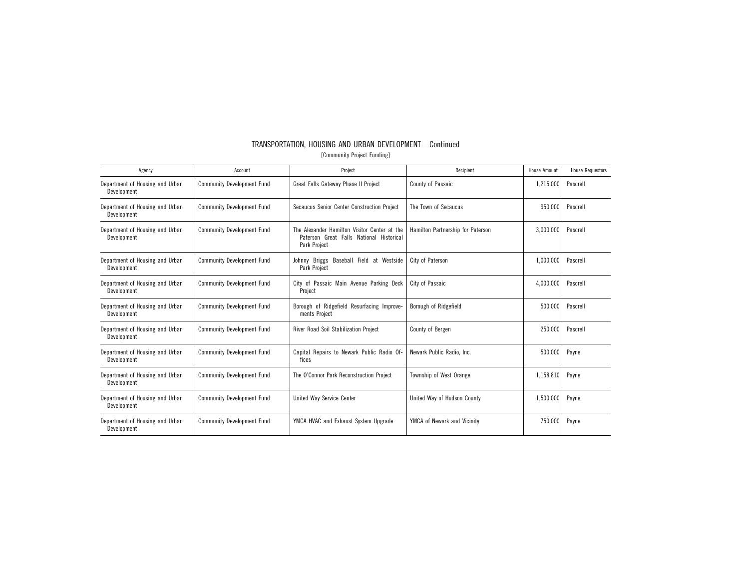| TRANSPORTATION, HOUSING AND URBAN DEVELOPMENT-Continued |
|---------------------------------------------------------|
| [Community Project Funding]                             |

| Agency                                         | Account                           | Project                                                                                                  | Recipient                         | <b>House Amount</b> | <b>House Requestors</b> |
|------------------------------------------------|-----------------------------------|----------------------------------------------------------------------------------------------------------|-----------------------------------|---------------------|-------------------------|
| Department of Housing and Urban<br>Development | <b>Community Development Fund</b> | Great Falls Gateway Phase II Project                                                                     | County of Passaic                 | 1,215,000           | Pascrell                |
| Department of Housing and Urban<br>Development | <b>Community Development Fund</b> | Secaucus Senior Center Construction Project                                                              | The Town of Secaucus              | 950,000             | Pascrell                |
| Department of Housing and Urban<br>Development | <b>Community Development Fund</b> | The Alexander Hamilton Visitor Center at the<br>Paterson Great Falls National Historical<br>Park Project | Hamilton Partnership for Paterson | 3,000,000           | Pascrell                |
| Department of Housing and Urban<br>Development | <b>Community Development Fund</b> | Johnny Briggs Baseball Field at Westside<br>Park Project                                                 | City of Paterson                  | 1,000,000           | Pascrell                |
| Department of Housing and Urban<br>Development | <b>Community Development Fund</b> | City of Passaic Main Avenue Parking Deck<br>Project                                                      | City of Passaic                   | 4,000,000           | Pascrell                |
| Department of Housing and Urban<br>Development | <b>Community Development Fund</b> | Borough of Ridgefield Resurfacing Improve-<br>ments Project                                              | Borough of Ridgefield             | 500,000             | Pascrell                |
| Department of Housing and Urban<br>Development | <b>Community Development Fund</b> | River Road Soil Stabilization Project                                                                    | County of Bergen                  | 250,000             | Pascrell                |
| Department of Housing and Urban<br>Development | <b>Community Development Fund</b> | Capital Repairs to Newark Public Radio Of-<br>fices                                                      | Newark Public Radio, Inc.         | 500,000             | Payne                   |
| Department of Housing and Urban<br>Development | <b>Community Development Fund</b> | The O'Connor Park Reconstruction Project                                                                 | Township of West Orange           | 1,158,810           | Payne                   |
| Department of Housing and Urban<br>Development | <b>Community Development Fund</b> | United Way Service Center                                                                                | United Way of Hudson County       | 1,500,000           | Payne                   |
| Department of Housing and Urban<br>Development | <b>Community Development Fund</b> | YMCA HVAC and Exhaust System Upgrade                                                                     | YMCA of Newark and Vicinity       | 750,000             | Payne                   |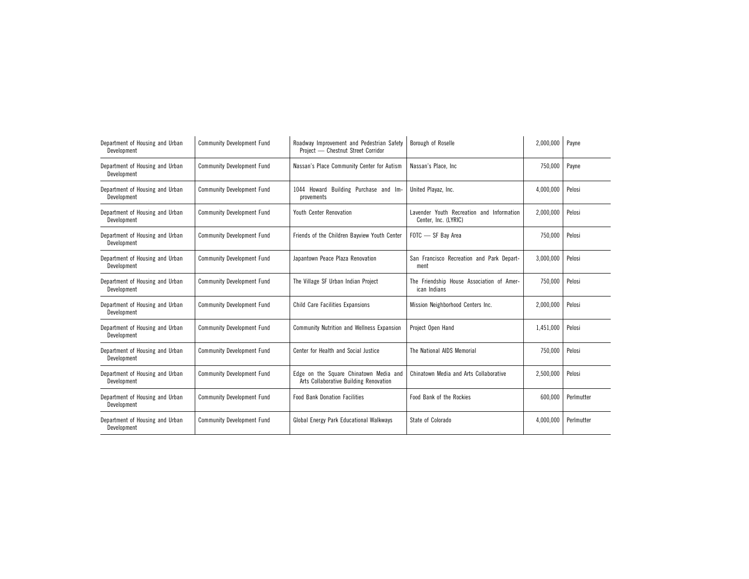| Department of Housing and Urban<br>Development | <b>Community Development Fund</b> | Roadway Improvement and Pedestrian Safety<br>Project - Chestnut Street Corridor  | Borough of Roselle                                                | 2,000,000 | Payne      |
|------------------------------------------------|-----------------------------------|----------------------------------------------------------------------------------|-------------------------------------------------------------------|-----------|------------|
| Department of Housing and Urban<br>Development | <b>Community Development Fund</b> | Nassan's Place Community Center for Autism                                       | Nassan's Place, Inc.                                              | 750,000   | Payne      |
| Department of Housing and Urban<br>Development | <b>Community Development Fund</b> | 1044 Howard Building Purchase and Im-<br>provements                              | United Plavaz. Inc.                                               | 4,000,000 | Pelosi     |
| Department of Housing and Urban<br>Development | <b>Community Development Fund</b> | <b>Youth Center Renovation</b>                                                   | Lavender Youth Recreation and Information<br>Center, Inc. (LYRIC) | 2,000,000 | Pelosi     |
| Department of Housing and Urban<br>Development | <b>Community Development Fund</b> | Friends of the Children Bayview Youth Center                                     | FOTC - SF Bav Area                                                | 750,000   | Pelosi     |
| Department of Housing and Urban<br>Development | <b>Community Development Fund</b> | Japantown Peace Plaza Renovation                                                 | San Francisco Recreation and Park Depart-<br>ment                 | 3,000,000 | Pelosi     |
| Department of Housing and Urban<br>Development | <b>Community Development Fund</b> | The Village SF Urban Indian Project                                              | The Friendship House Association of Amer-<br>ican Indians         | 750,000   | Pelosi     |
| Department of Housing and Urban<br>Development | <b>Community Development Fund</b> | <b>Child Care Facilities Expansions</b>                                          | Mission Neighborhood Centers Inc.                                 | 2,000,000 | Pelosi     |
| Department of Housing and Urban<br>Development | <b>Community Development Fund</b> | <b>Community Nutrition and Wellness Expansion</b>                                | Project Open Hand                                                 | 1,451,000 | Pelosi     |
| Department of Housing and Urban<br>Development | <b>Community Development Fund</b> | Center for Health and Social Justice                                             | The National AIDS Memorial                                        | 750,000   | Pelosi     |
| Department of Housing and Urban<br>Development | <b>Community Development Fund</b> | Edge on the Square Chinatown Media and<br>Arts Collaborative Building Renovation | Chinatown Media and Arts Collaborative                            | 2,500,000 | Pelosi     |
| Department of Housing and Urban<br>Development | <b>Community Development Fund</b> | <b>Food Bank Donation Facilities</b>                                             | Food Bank of the Rockies                                          | 600,000   | Perlmutter |
| Department of Housing and Urban<br>Development | <b>Community Development Fund</b> | Global Energy Park Educational Walkways                                          | State of Colorado                                                 | 4,000,000 | Perlmutter |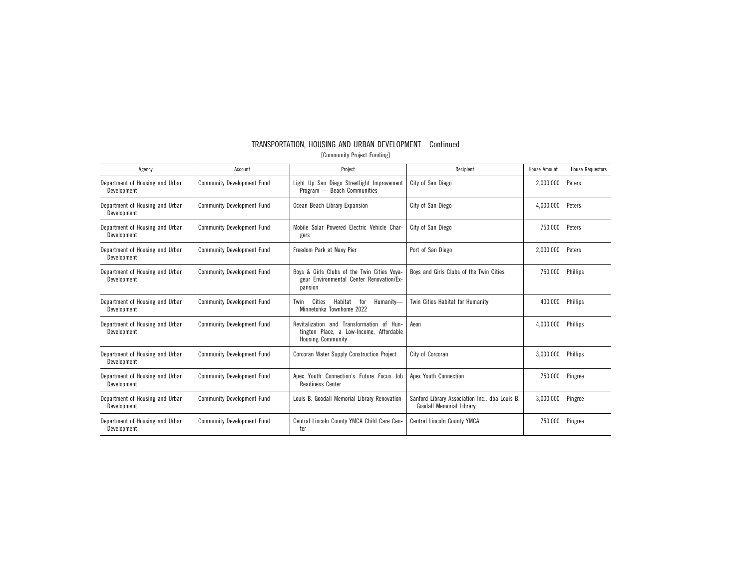| Agency                                         | Account                           | Project                                                                                                          | Recipient                                                                         | House Amount | <b>House Requestors</b> |
|------------------------------------------------|-----------------------------------|------------------------------------------------------------------------------------------------------------------|-----------------------------------------------------------------------------------|--------------|-------------------------|
| Department of Housing and Urban<br>Development | <b>Community Development Fund</b> | Light Up San Diego Streetlight Improvement<br>Program - Beach Communities                                        | City of San Diego                                                                 | 2,000,000    | Peters                  |
| Department of Housing and Urban<br>Development | <b>Community Development Fund</b> | Ocean Beach Library Expansion                                                                                    | City of San Diego                                                                 | 4,000,000    | Peters                  |
| Department of Housing and Urban<br>Development | <b>Community Development Fund</b> | Mobile Solar Powered Electric Vehicle Char-<br>gers                                                              | City of San Diego                                                                 | 750,000      | Peters                  |
| Department of Housing and Urban<br>Development | <b>Community Development Fund</b> | Freedom Park at Navy Pier                                                                                        | Port of San Diego                                                                 | 2,000,000    | Peters                  |
| Department of Housing and Urban<br>Development | <b>Community Development Fund</b> | Boys & Girls Clubs of the Twin Cities Voya-<br>geur Environmental Center Renovation/Ex-<br>pansion               | Boys and Girls Clubs of the Twin Cities                                           | 750.000      | <b>Phillips</b>         |
| Department of Housing and Urban<br>Development | <b>Community Development Fund</b> | Cities<br>Habitat<br>Humanity-<br>for<br>Twin<br>Minnetonka Townhome 2022                                        | Twin Cities Habitat for Humanity                                                  | 400,000      | Phillips                |
| Department of Housing and Urban<br>Development | <b>Community Development Fund</b> | Revitalization and Transformation of Hun-<br>tington Place, a Low-Income, Affordable<br><b>Housing Community</b> | Aeon                                                                              | 4,000,000    | Phillips                |
| Department of Housing and Urban<br>Development | <b>Community Development Fund</b> | Corcoran Water Supply Construction Project                                                                       | City of Corcoran                                                                  | 3,000,000    | <b>Phillips</b>         |
| Department of Housing and Urban<br>Development | <b>Community Development Fund</b> | Apex Youth Connection's Future Focus Job<br><b>Readiness Center</b>                                              | Apex Youth Connection                                                             | 750,000      | Pingree                 |
| Department of Housing and Urban<br>Development | <b>Community Development Fund</b> | Louis B. Goodall Memorial Library Renovation                                                                     | Sanford Library Association Inc., dba Louis B.<br><b>Goodall Memorial Library</b> | 3,000,000    | Pingree                 |
| Department of Housing and Urban<br>Development | <b>Community Development Fund</b> | Central Lincoln County YMCA Child Care Cen-<br>ter                                                               | <b>Central Lincoln County YMCA</b>                                                | 750.000      | Pingree                 |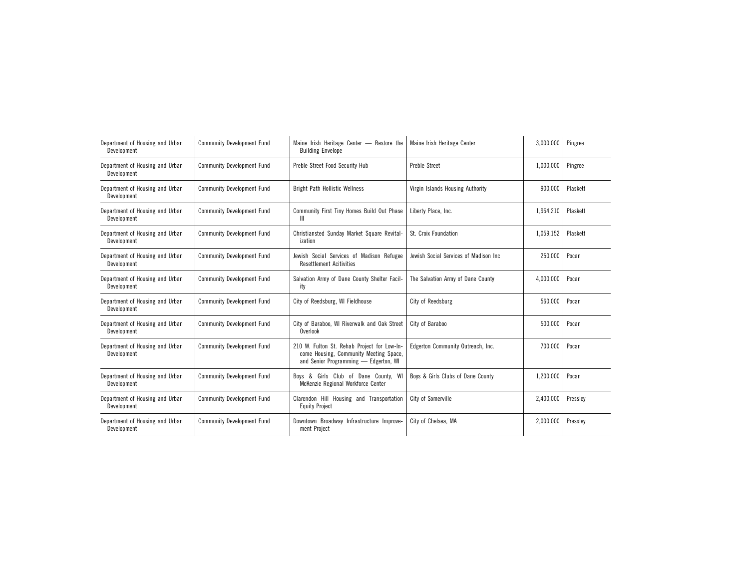| Department of Housing and Urban<br>Development | <b>Community Development Fund</b> | Maine Irish Heritage Center - Restore the<br><b>Building Envelope</b>                                                          | Maine Irish Heritage Center           | 3,000,000 | Pingree  |
|------------------------------------------------|-----------------------------------|--------------------------------------------------------------------------------------------------------------------------------|---------------------------------------|-----------|----------|
| Department of Housing and Urban<br>Development | <b>Community Development Fund</b> | Preble Street Food Security Hub                                                                                                | <b>Preble Street</b>                  | 1.000.000 | Pingree  |
| Department of Housing and Urban<br>Development | <b>Community Development Fund</b> | <b>Bright Path Hollistic Wellness</b>                                                                                          | Virgin Islands Housing Authority      | 900,000   | Plaskett |
| Department of Housing and Urban<br>Development | <b>Community Development Fund</b> | Community First Tiny Homes Build Out Phase<br>Ш                                                                                | Liberty Place, Inc.                   | 1,964,210 | Plaskett |
| Department of Housing and Urban<br>Development | <b>Community Development Fund</b> | Christiansted Sunday Market Square Revital-<br>ization                                                                         | St. Croix Foundation                  | 1,059,152 | Plaskett |
| Department of Housing and Urban<br>Development | <b>Community Development Fund</b> | Jewish Social Services of Madison Refugee<br><b>Resettlement Acitivities</b>                                                   | Jewish Social Services of Madison Inc | 250,000   | Pocan    |
| Department of Housing and Urban<br>Development | <b>Community Development Fund</b> | Salvation Army of Dane County Shelter Facil-<br>ity                                                                            | The Salvation Army of Dane County     | 4,000,000 | Pocan    |
| Department of Housing and Urban<br>Development | <b>Community Development Fund</b> | City of Reedsburg, WI Fieldhouse                                                                                               | City of Reedsburg                     | 560,000   | Pocan    |
| Department of Housing and Urban<br>Development | <b>Community Development Fund</b> | City of Baraboo. WI Riverwalk and Oak Street<br>Overlook                                                                       | City of Baraboo                       | 500,000   | Pocan    |
| Department of Housing and Urban<br>Development | <b>Community Development Fund</b> | 210 W. Fulton St. Rehab Project for Low-In-<br>come Housing, Community Meeting Space,<br>and Senior Programming - Edgerton, WI | Edgerton Community Outreach, Inc.     | 700,000   | Pocan    |
| Department of Housing and Urban<br>Development | <b>Community Development Fund</b> | & Girls Club of Dane County, WI<br>Bovs<br>McKenzie Regional Workforce Center                                                  | Boys & Girls Clubs of Dane County     | 1,200,000 | Pocan    |
| Department of Housing and Urban<br>Development | <b>Community Development Fund</b> | Clarendon Hill Housing and Transportation<br><b>Equity Project</b>                                                             | City of Somerville                    | 2,400,000 | Pressley |
| Department of Housing and Urban<br>Development | <b>Community Development Fund</b> | Downtown Broadway Infrastructure Improve-<br>ment Project                                                                      | City of Chelsea, MA                   | 2,000,000 | Pressley |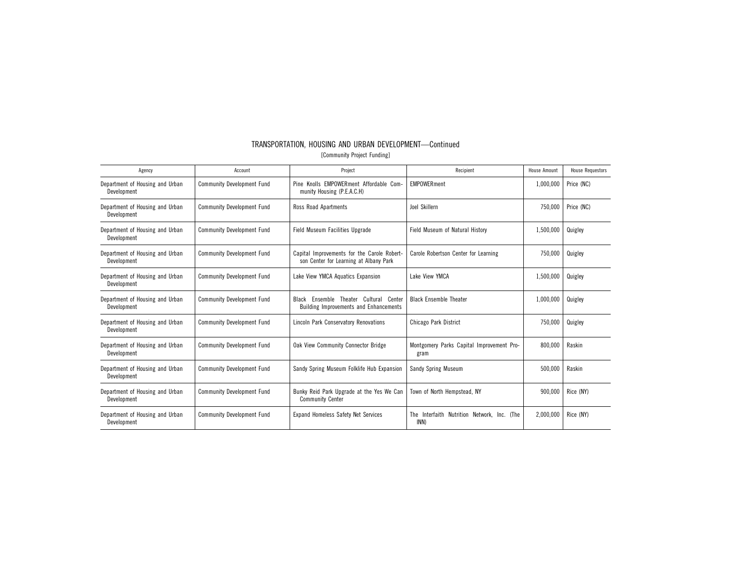| Agency                                         | Account                           | Project                                                                                       | Recipient                                           | House Amount | <b>House Requestors</b> |
|------------------------------------------------|-----------------------------------|-----------------------------------------------------------------------------------------------|-----------------------------------------------------|--------------|-------------------------|
| Department of Housing and Urban<br>Development | <b>Community Development Fund</b> | Pine Knolls EMPOWERment Affordable Com-<br>munity Housing (P.E.A.C.H)                         | <b>EMPOWER</b> ment                                 | 1,000,000    | Price (NC)              |
| Department of Housing and Urban<br>Development | <b>Community Development Fund</b> | Ross Road Apartments                                                                          | Joel Skillern                                       | 750.000      | Price (NC)              |
| Department of Housing and Urban<br>Development | <b>Community Development Fund</b> | <b>Field Museum Facilities Upgrade</b>                                                        | Field Museum of Natural History                     | 1,500,000    | Quigley                 |
| Department of Housing and Urban<br>Development | <b>Community Development Fund</b> | Capital Improvements for the Carole Robert-<br>son Center for Learning at Albany Park         | Carole Robertson Center for Learning                | 750,000      | Quigley                 |
| Department of Housing and Urban<br>Development | <b>Community Development Fund</b> | Lake View YMCA Aquatics Expansion                                                             | Lake View YMCA                                      | 1,500,000    | Quigley                 |
| Department of Housing and Urban<br>Development | <b>Community Development Fund</b> | Cultural Center<br>Ensemble Theater<br>Black<br><b>Building Improvements and Enhancements</b> | <b>Black Ensemble Theater</b>                       | 1,000,000    | Quigley                 |
| Department of Housing and Urban<br>Development | <b>Community Development Fund</b> | Lincoln Park Conservatory Renovations                                                         | Chicago Park District                               | 750.000      | Quigley                 |
| Department of Housing and Urban<br>Development | <b>Community Development Fund</b> | Oak View Community Connector Bridge                                                           | Montgomery Parks Capital Improvement Pro-<br>gram   | 800,000      | Raskin                  |
| Department of Housing and Urban<br>Development | <b>Community Development Fund</b> | Sandy Spring Museum Folklife Hub Expansion                                                    | <b>Sandy Spring Museum</b>                          | 500,000      | Raskin                  |
| Department of Housing and Urban<br>Development | <b>Community Development Fund</b> | Bunky Reid Park Upgrade at the Yes We Can<br><b>Community Center</b>                          | Town of North Hempstead, NY                         | 900.000      | Rice (NY)               |
| Department of Housing and Urban<br>Development | <b>Community Development Fund</b> | <b>Expand Homeless Safety Net Services</b>                                                    | The Interfaith Nutrition Network, Inc. (The<br>INN) | 2.000.000    | Rice (NY)               |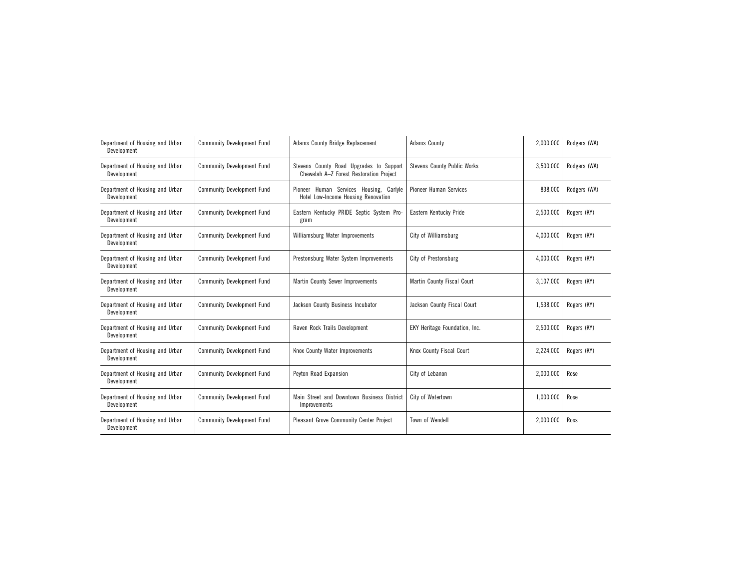| Department of Housing and Urban<br>Development | <b>Community Development Fund</b> | <b>Adams County Bridge Replacement</b><br><b>Adams County</b>                      |                                    | 2,000,000 | Rodgers (WA) |
|------------------------------------------------|-----------------------------------|------------------------------------------------------------------------------------|------------------------------------|-----------|--------------|
| Department of Housing and Urban<br>Development | <b>Community Development Fund</b> | Stevens County Road Upgrades to Support<br>Chewelah A-Z Forest Restoration Project | <b>Stevens County Public Works</b> | 3,500,000 | Rodgers (WA) |
| Department of Housing and Urban<br>Development | <b>Community Development Fund</b> | Pioneer Human Services Housing, Carlyle<br>Hotel Low-Income Housing Renovation     | <b>Pioneer Human Services</b>      | 838,000   | Rodgers (WA) |
| Department of Housing and Urban<br>Development | <b>Community Development Fund</b> | Eastern Kentucky PRIDE Septic System Pro-<br>gram                                  | Eastern Kentucky Pride             | 2,500,000 | Rogers (KY)  |
| Department of Housing and Urban<br>Development | <b>Community Development Fund</b> | Williamsburg Water Improvements                                                    | City of Williamsburg               | 4,000,000 | Rogers (KY)  |
| Department of Housing and Urban<br>Development | <b>Community Development Fund</b> | Prestonsburg Water System Improvements                                             | City of Prestonsburg               | 4,000,000 | Rogers (KY)  |
| Department of Housing and Urban<br>Development | <b>Community Development Fund</b> | Martin County Sewer Improvements                                                   | Martin County Fiscal Court         | 3,107,000 | Rogers (KY)  |
| Department of Housing and Urban<br>Development | <b>Community Development Fund</b> | Jackson County Business Incubator                                                  | Jackson County Fiscal Court        | 1,538,000 | Rogers (KY)  |
| Department of Housing and Urban<br>Development | <b>Community Development Fund</b> | Raven Rock Trails Development                                                      | EKY Heritage Foundation, Inc.      | 2,500,000 | Rogers (KY)  |
| Department of Housing and Urban<br>Development | <b>Community Development Fund</b> | Knox County Water Improvements                                                     | Knox County Fiscal Court           | 2,224,000 | Rogers (KY)  |
| Department of Housing and Urban<br>Development | <b>Community Development Fund</b> | Peyton Road Expansion                                                              | City of Lebanon                    | 2,000,000 | Rose         |
| Department of Housing and Urban<br>Development | <b>Community Development Fund</b> | Main Street and Downtown Business District<br>Improvements                         | City of Watertown                  | 1,000,000 | Rose         |
| Department of Housing and Urban<br>Development | <b>Community Development Fund</b> | <b>Pleasant Grove Community Center Project</b>                                     | Town of Wendell                    | 2,000,000 | Ross         |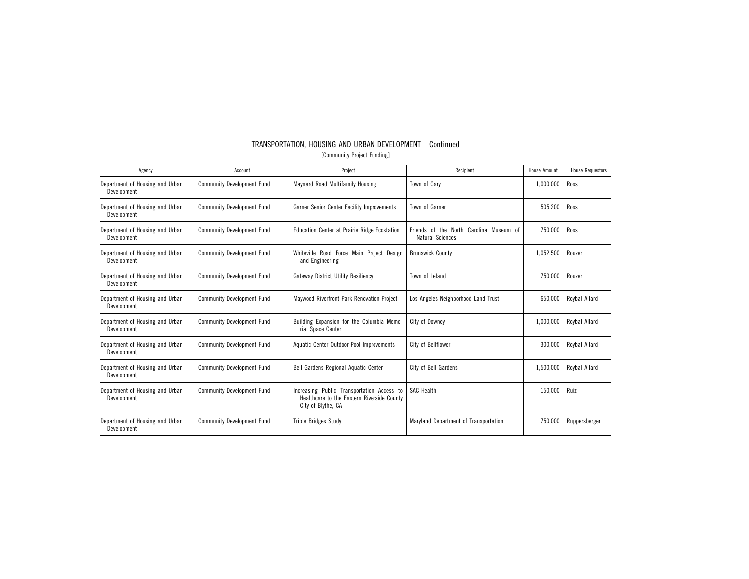| TRANSPORTATION, HOUSING AND URBAN DEVELOPMENT-Continued |
|---------------------------------------------------------|
| [Community Project Funding]                             |

| Agency                                         | Account                           | Project                                                                                                        | Recipient                                                          | <b>House Amount</b> | <b>House Requestors</b> |
|------------------------------------------------|-----------------------------------|----------------------------------------------------------------------------------------------------------------|--------------------------------------------------------------------|---------------------|-------------------------|
| Department of Housing and Urban<br>Development | <b>Community Development Fund</b> | Maynard Road Multifamily Housing                                                                               | Town of Carv                                                       | 1,000,000           | Ross                    |
| Department of Housing and Urban<br>Development | <b>Community Development Fund</b> | Garner Senior Center Facility Improvements                                                                     | Town of Garner                                                     | 505,200             | Ross                    |
| Department of Housing and Urban<br>Development | <b>Community Development Fund</b> | Education Center at Prairie Ridge Ecostation                                                                   | Friends of the North Carolina Museum of<br><b>Natural Sciences</b> | 750,000             | Ross                    |
| Department of Housing and Urban<br>Development | <b>Community Development Fund</b> | Whiteville Road Force Main Project Design<br>and Engineering                                                   | <b>Brunswick County</b>                                            | 1,052,500           | Rouzer                  |
| Department of Housing and Urban<br>Development | <b>Community Development Fund</b> | <b>Gateway District Utility Resiliency</b>                                                                     | Town of Leland                                                     | 750,000             | Rouzer                  |
| Department of Housing and Urban<br>Development | <b>Community Development Fund</b> | Maywood Riverfront Park Renovation Project                                                                     | Los Angeles Neighborhood Land Trust                                | 650,000             | Rovbal-Allard           |
| Department of Housing and Urban<br>Development | <b>Community Development Fund</b> | Building Expansion for the Columbia Memo-<br>rial Space Center                                                 | City of Downey                                                     | 1.000.000           | Rovbal-Allard           |
| Department of Housing and Urban<br>Development | <b>Community Development Fund</b> | Aquatic Center Outdoor Pool Improvements                                                                       | City of Bellflower                                                 | 300,000             | Roybal-Allard           |
| Department of Housing and Urban<br>Development | <b>Community Development Fund</b> | Bell Gardens Regional Aquatic Center                                                                           | City of Bell Gardens                                               | 1,500,000           | Roybal-Allard           |
| Department of Housing and Urban<br>Development | <b>Community Development Fund</b> | Increasing Public Transportation Access to<br>Healthcare to the Eastern Riverside County<br>City of Blythe, CA | <b>SAC Health</b>                                                  | 150,000             | Ruiz                    |
| Department of Housing and Urban<br>Development | <b>Community Development Fund</b> | <b>Triple Bridges Study</b>                                                                                    | Maryland Department of Transportation                              | 750,000             | Ruppersberger           |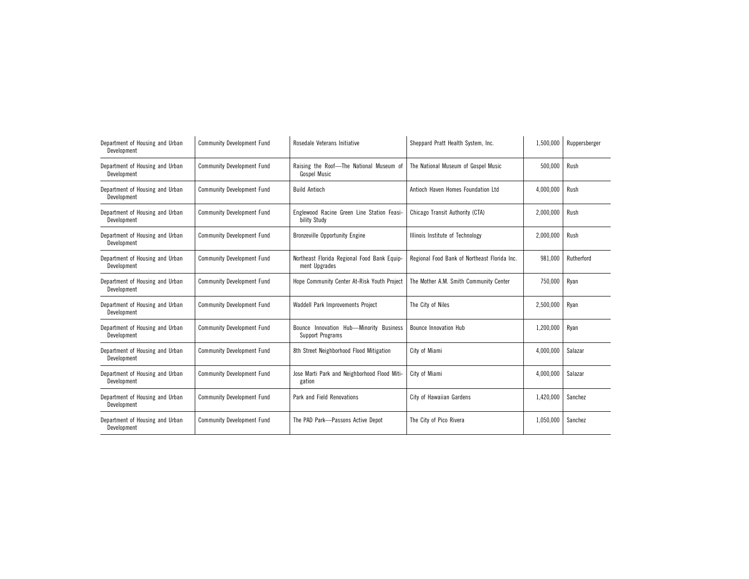| Department of Housing and Urban<br>Development | <b>Community Development Fund</b> | Rosedale Veterans Initiative<br>Sheppard Pratt Health System, Inc. |                                              | 1,500,000 | Ruppersberger |
|------------------------------------------------|-----------------------------------|--------------------------------------------------------------------|----------------------------------------------|-----------|---------------|
| Department of Housing and Urban<br>Development | <b>Community Development Fund</b> | Raising the Roof-The National Museum of<br><b>Gospel Music</b>     | The National Museum of Gospel Music          | 500,000   | Rush          |
| Department of Housing and Urban<br>Development | <b>Community Development Fund</b> | <b>Build Antioch</b>                                               | Antioch Haven Homes Foundation Ltd           | 4,000,000 | Rush          |
| Department of Housing and Urban<br>Development | <b>Community Development Fund</b> | Englewood Racine Green Line Station Feasi-<br>bility Study         | Chicago Transit Authority (CTA)              | 2,000,000 | Rush          |
| Department of Housing and Urban<br>Development | <b>Community Development Fund</b> | <b>Bronzeville Opportunity Engine</b>                              | Illinois Institute of Technology             | 2,000,000 | Rush          |
| Department of Housing and Urban<br>Development | <b>Community Development Fund</b> | Northeast Florida Regional Food Bank Equip-<br>ment Upgrades       | Regional Food Bank of Northeast Florida Inc. | 981,000   | Rutherford    |
| Department of Housing and Urban<br>Development | <b>Community Development Fund</b> | Hope Community Center At-Risk Youth Project                        | The Mother A.M. Smith Community Center       | 750,000   | Ryan          |
| Department of Housing and Urban<br>Development | <b>Community Development Fund</b> | Waddell Park Improvements Project                                  | The City of Niles                            | 2,500,000 | Ryan          |
| Department of Housing and Urban<br>Development | <b>Community Development Fund</b> | Bounce Innovation Hub-Minority Business<br>Support Programs        | <b>Bounce Innovation Hub</b>                 | 1,200,000 | Ryan          |
| Department of Housing and Urban<br>Development | <b>Community Development Fund</b> | 8th Street Neighborhood Flood Mitigation                           | City of Miami                                | 4,000,000 | Salazar       |
| Department of Housing and Urban<br>Development | <b>Community Development Fund</b> | Jose Marti Park and Neighborhood Flood Miti-<br>gation             | City of Miami                                | 4,000,000 | Salazar       |
| Department of Housing and Urban<br>Development | <b>Community Development Fund</b> | Park and Field Renovations                                         | City of Hawaiian Gardens                     | 1,420,000 | Sanchez       |
| Department of Housing and Urban<br>Development | <b>Community Development Fund</b> | The PAD Park-Passons Active Depot                                  | The City of Pico Rivera                      | 1,050,000 | Sanchez       |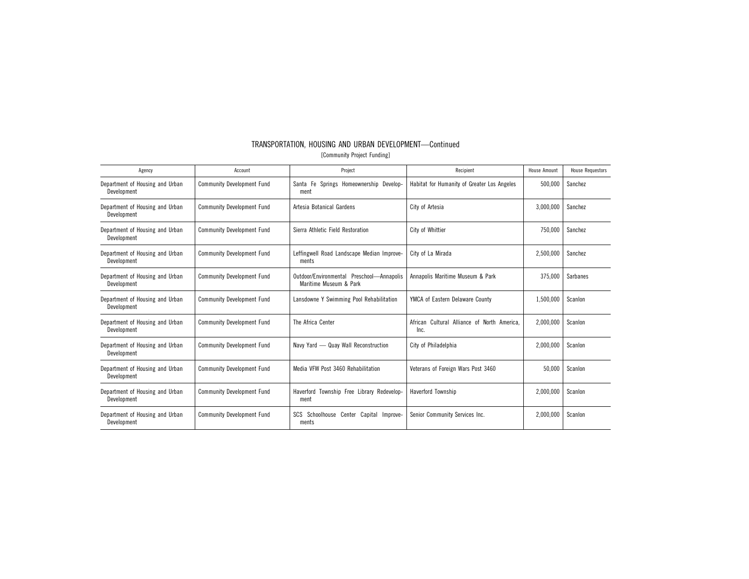|                             | TRANSPORTATION, HOUSING AND URBAN DEVELOPMENT-Continued |  |
|-----------------------------|---------------------------------------------------------|--|
| [Community Project Funding] |                                                         |  |

| Agency                                         | Account                           | Project                                                             | Recipient                                           | <b>House Amount</b> | <b>House Requestors</b> |
|------------------------------------------------|-----------------------------------|---------------------------------------------------------------------|-----------------------------------------------------|---------------------|-------------------------|
| Department of Housing and Urban<br>Development | <b>Community Development Fund</b> | Santa Fe Springs Homeownership Develop-<br>ment                     | Habitat for Humanity of Greater Los Angeles         | 500,000             | Sanchez                 |
| Department of Housing and Urban<br>Development | <b>Community Development Fund</b> | Artesia Botanical Gardens                                           | City of Artesia                                     | 3,000,000           | Sanchez                 |
| Department of Housing and Urban<br>Development | <b>Community Development Fund</b> | Sierra Athletic Field Restoration                                   | City of Whittier                                    | 750,000             | Sanchez                 |
| Department of Housing and Urban<br>Development | <b>Community Development Fund</b> | Leffingwell Road Landscape Median Improve-<br>ments                 | City of La Mirada                                   | 2.500.000           | Sanchez                 |
| Department of Housing and Urban<br>Development | <b>Community Development Fund</b> | Outdoor/Environmental Preschool-Annapolis<br>Maritime Museum & Park | Annapolis Maritime Museum & Park                    | 375,000             | Sarbanes                |
| Department of Housing and Urban<br>Development | <b>Community Development Fund</b> | Lansdowne Y Swimming Pool Rehabilitation                            | YMCA of Eastern Delaware County                     | 1,500,000           | Scanlon                 |
| Department of Housing and Urban<br>Development | <b>Community Development Fund</b> | The Africa Center                                                   | African Cultural Alliance of North America.<br>Inc. | 2,000,000           | Scanlon                 |
| Department of Housing and Urban<br>Development | <b>Community Development Fund</b> | Navy Yard - Quay Wall Reconstruction                                | City of Philadelphia                                | 2,000,000           | Scanlon                 |
| Department of Housing and Urban<br>Development | <b>Community Development Fund</b> | Media VFW Post 3460 Rehabilitation                                  | Veterans of Foreign Wars Post 3460                  | 50,000              | Scanlon                 |
| Department of Housing and Urban<br>Development | <b>Community Development Fund</b> | Township Free Library Redevelop-<br>Haverford<br>ment               | <b>Haverford Township</b>                           | 2,000,000           | Scanlon                 |
| Department of Housing and Urban<br>Development | <b>Community Development Fund</b> | SCS Schoolhouse Center<br>Capital Improve-<br>ments                 | Senior Community Services Inc.                      | 2,000,000           | Scanlon                 |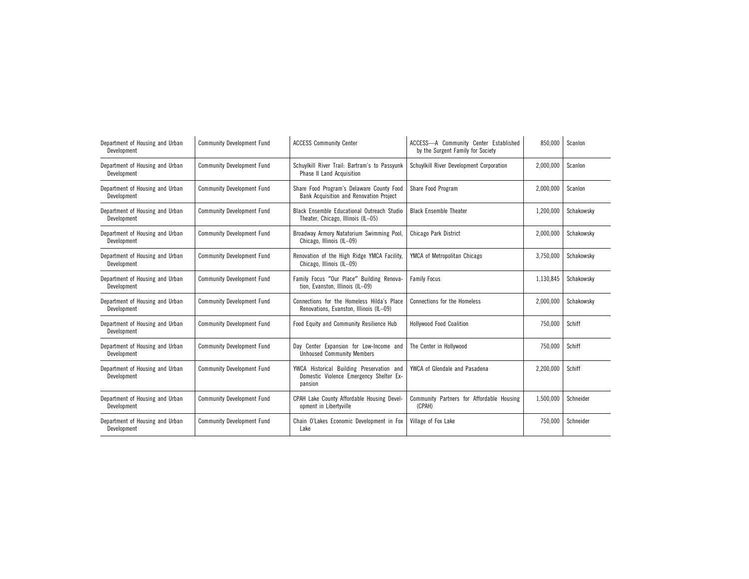| Department of Housing and Urban<br>Development | <b>Community Development Fund</b> | <b>ACCESS Community Center</b>                                                                  | ACCESS-A Community Center Established<br>by the Surgent Family for Society |           | Scanlon    |
|------------------------------------------------|-----------------------------------|-------------------------------------------------------------------------------------------------|----------------------------------------------------------------------------|-----------|------------|
| Department of Housing and Urban<br>Development | <b>Community Development Fund</b> | Schuylkill River Trail: Bartram's to Passyunk<br><b>Phase II Land Acquisition</b>               | Schuylkill River Development Corporation                                   | 2,000,000 | Scanlon    |
| Department of Housing and Urban<br>Development | <b>Community Development Fund</b> | Share Food Program's Delaware County Food<br>Bank Acquisition and Renovation Project            | Share Food Program                                                         | 2,000,000 | Scanlon    |
| Department of Housing and Urban<br>Development | <b>Community Development Fund</b> | Black Ensemble Educational Outreach Studio<br>Theater, Chicago, Illinois (IL-05)                | <b>Black Ensemble Theater</b>                                              | 1,200,000 | Schakowsky |
| Department of Housing and Urban<br>Development | <b>Community Development Fund</b> | Broadway Armory Natatorium Swimming Pool,<br>Chicago, Illinois (IL-09)                          | Chicago Park District                                                      | 2,000,000 | Schakowsky |
| Department of Housing and Urban<br>Development | <b>Community Development Fund</b> | Renovation of the High Ridge YMCA Facility,<br>Chicago, Illinois (IL-09)                        | YMCA of Metropolitan Chicago                                               | 3,750,000 | Schakowsky |
| Department of Housing and Urban<br>Development | <b>Community Development Fund</b> | Family Focus "Our Place" Building Renova-<br>tion, Evanston, Illinois (IL-09)                   | <b>Family Focus</b>                                                        | 1,130,845 | Schakowsky |
| Department of Housing and Urban<br>Development | <b>Community Development Fund</b> | Connections for the Homeless Hilda's Place<br>Renovations, Evanston, Illinois (IL-09)           | Connections for the Homeless                                               | 2,000,000 | Schakowsky |
| Department of Housing and Urban<br>Development | <b>Community Development Fund</b> | Food Equity and Community Resilience Hub                                                        | <b>Hollywood Food Coalition</b>                                            | 750,000   | Schiff     |
| Department of Housing and Urban<br>Development | <b>Community Development Fund</b> | Day Center Expansion for Low-Income and<br><b>Unhoused Community Members</b>                    | The Center in Hollywood                                                    | 750,000   | Schiff     |
| Department of Housing and Urban<br>Development | <b>Community Development Fund</b> | YWCA Historical Building Preservation and<br>Domestic Violence Emergency Shelter Ex-<br>pansion | YWCA of Glendale and Pasadena                                              | 2,200,000 | Schiff     |
| Department of Housing and Urban<br>Development | <b>Community Development Fund</b> | CPAH Lake County Affordable Housing Devel-<br>opment in Libertyville                            | Community Partners for Affordable Housing<br>(CPAH)                        | 1,500,000 | Schneider  |
| Department of Housing and Urban<br>Development | <b>Community Development Fund</b> | Chain O'Lakes Economic Development in Fox<br>Lake                                               | Village of Fox Lake                                                        | 750,000   | Schneider  |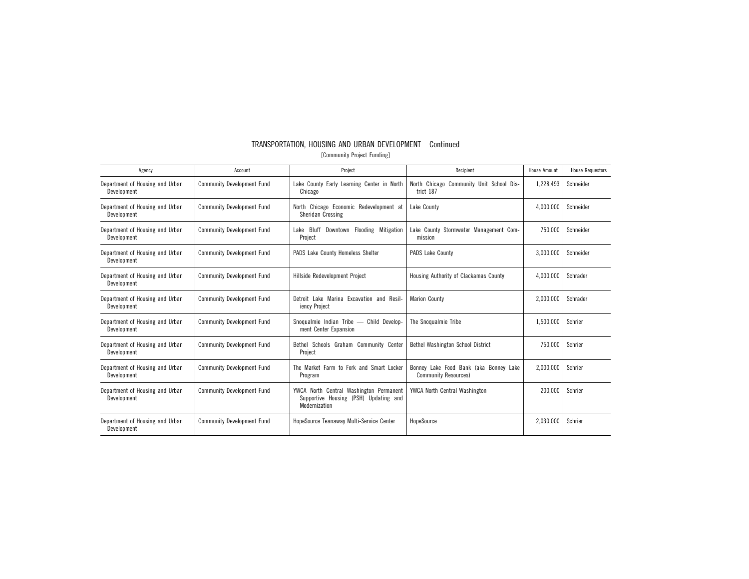| TRANSPORTATION, HOUSING AND URBAN DEVELOPMENT-Continued |
|---------------------------------------------------------|
| [Community Project Funding]                             |

| Agency                                         | Account                           | Project                                                                                              | Recipient                                                             | House Amount | <b>House Requestors</b> |
|------------------------------------------------|-----------------------------------|------------------------------------------------------------------------------------------------------|-----------------------------------------------------------------------|--------------|-------------------------|
| Department of Housing and Urban<br>Development | <b>Community Development Fund</b> | Lake County Early Learning Center in North<br>Chicago                                                | North Chicago Community Unit School Dis-<br>trict 187                 | 1,228,493    | Schneider               |
| Department of Housing and Urban<br>Development | <b>Community Development Fund</b> | North Chicago Economic Redevelopment at<br>Sheridan Crossing                                         | Lake County                                                           | 4,000,000    | Schneider               |
| Department of Housing and Urban<br>Development | <b>Community Development Fund</b> | Lake Bluff Downtown Flooding Mitigation<br>Project                                                   | Lake County Stormwater Management Com-<br>mission                     | 750,000      | Schneider               |
| Department of Housing and Urban<br>Development | <b>Community Development Fund</b> | PADS Lake County Homeless Shelter                                                                    | PADS Lake County                                                      | 3,000,000    | Schneider               |
| Department of Housing and Urban<br>Development | <b>Community Development Fund</b> | Hillside Redevelopment Project                                                                       | Housing Authority of Clackamas County                                 | 4.000.000    | Schrader                |
| Department of Housing and Urban<br>Development | <b>Community Development Fund</b> | Detroit Lake Marina Excavation and Resil-<br>iency Project                                           | <b>Marion County</b>                                                  | 2,000,000    | Schrader                |
| Department of Housing and Urban<br>Development | <b>Community Development Fund</b> | Snoqualmie Indian Tribe - Child Develop-<br>ment Center Expansion                                    | The Snogualmie Tribe                                                  | 1,500,000    | Schrier                 |
| Department of Housing and Urban<br>Development | <b>Community Development Fund</b> | Bethel Schools Graham Community Center<br>Project                                                    | Bethel Washington School District                                     | 750,000      | Schrier                 |
| Department of Housing and Urban<br>Development | <b>Community Development Fund</b> | The Market Farm to Fork and Smart Locker<br>Program                                                  | Bonney Lake Food Bank (aka Bonney Lake<br><b>Community Resources)</b> | 2,000,000    | Schrier                 |
| Department of Housing and Urban<br>Development | <b>Community Development Fund</b> | North Central Washington Permanent<br>YWCA<br>Supportive Housing (PSH) Updating and<br>Modernization | <b>YWCA North Central Washington</b>                                  | 200.000      | Schrier                 |
| Department of Housing and Urban<br>Development | <b>Community Development Fund</b> | HopeSource Teanaway Multi-Service Center                                                             | HopeSource                                                            | 2.030.000    | Schrier                 |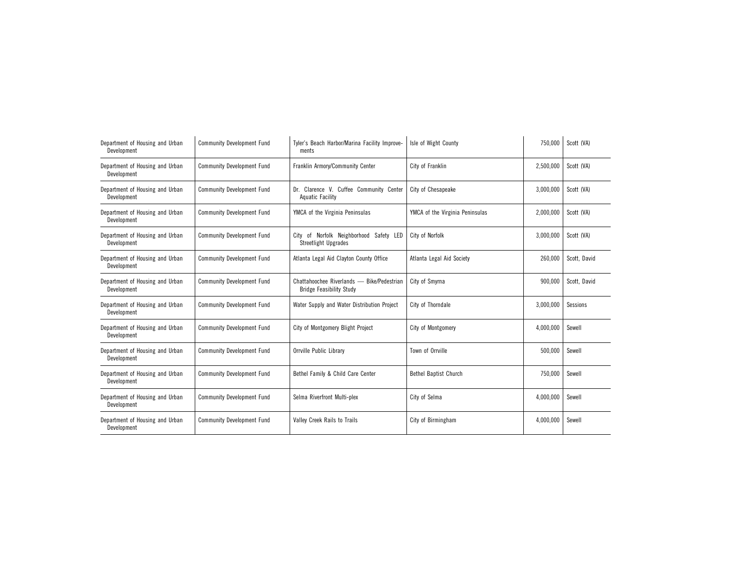| Department of Housing and Urban<br>Development | <b>Community Development Fund</b> | Tyler's Beach Harbor/Marina Facility Improve-<br>ments                        | Isle of Wight County            |           | Scott (VA)   |
|------------------------------------------------|-----------------------------------|-------------------------------------------------------------------------------|---------------------------------|-----------|--------------|
| Department of Housing and Urban<br>Development | <b>Community Development Fund</b> | Franklin Armory/Community Center                                              | City of Franklin                | 2,500,000 | Scott (VA)   |
| Department of Housing and Urban<br>Development | <b>Community Development Fund</b> | Dr. Clarence V. Cuffee Community Center<br>Aquatic Facility                   | City of Chesapeake              | 3,000,000 | Scott (VA)   |
| Department of Housing and Urban<br>Development | <b>Community Development Fund</b> | YMCA of the Virginia Peninsulas                                               | YMCA of the Virginia Peninsulas | 2,000,000 | Scott (VA)   |
| Department of Housing and Urban<br>Development | <b>Community Development Fund</b> | of Norfolk Neighborhood Safety LED<br>City<br><b>Streetlight Upgrades</b>     | City of Norfolk                 | 3,000,000 | Scott (VA)   |
| Department of Housing and Urban<br>Development | <b>Community Development Fund</b> | Atlanta Legal Aid Clayton County Office                                       | Atlanta Legal Aid Society       | 260,000   | Scott, David |
| Department of Housing and Urban<br>Development | <b>Community Development Fund</b> | Chattahoochee Riverlands - Bike/Pedestrian<br><b>Bridge Feasibility Study</b> | City of Smyrna                  | 900,000   | Scott, David |
| Department of Housing and Urban<br>Development | <b>Community Development Fund</b> | Water Supply and Water Distribution Project                                   | City of Thorndale               | 3,000,000 | Sessions     |
| Department of Housing and Urban<br>Development | <b>Community Development Fund</b> | City of Montgomery Blight Project                                             | City of Montgomery              | 4,000,000 | Sewell       |
| Department of Housing and Urban<br>Development | <b>Community Development Fund</b> | Orrville Public Library                                                       | Town of Orrville                | 500,000   | Sewell       |
| Department of Housing and Urban<br>Development | <b>Community Development Fund</b> | Bethel Family & Child Care Center                                             | Bethel Baptist Church           | 750,000   | Sewell       |
| Department of Housing and Urban<br>Development | <b>Community Development Fund</b> | Selma Riverfront Multi-plex                                                   | City of Selma                   | 4,000,000 | Sewell       |
| Department of Housing and Urban<br>Development | <b>Community Development Fund</b> | Valley Creek Rails to Trails                                                  | City of Birmingham              | 4,000,000 | Sewell       |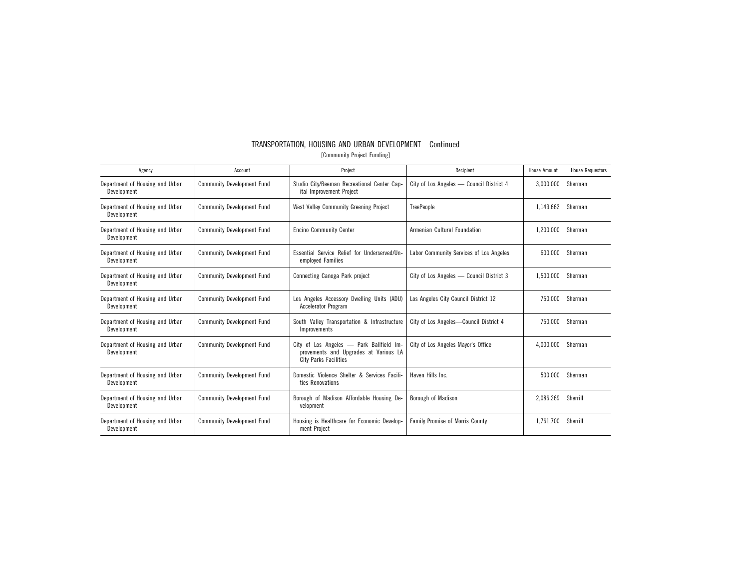| TRANSPORTATION, HOUSING AND URBAN DEVELOPMENT-Continued |
|---------------------------------------------------------|
| [Community Project Funding]                             |

| Agency                                         | Account                           | Project                                                                                                    | Recipient                                | <b>House Amount</b> | <b>House Requestors</b> |
|------------------------------------------------|-----------------------------------|------------------------------------------------------------------------------------------------------------|------------------------------------------|---------------------|-------------------------|
| Department of Housing and Urban<br>Development | <b>Community Development Fund</b> | Studio City/Beeman Recreational Center Cap-<br>ital Improvement Project                                    | City of Los Angeles - Council District 4 | 3,000,000           | Sherman                 |
| Department of Housing and Urban<br>Development | <b>Community Development Fund</b> | West Valley Community Greening Project                                                                     | <b>TreePeople</b>                        | 1,149,662           | Sherman                 |
| Department of Housing and Urban<br>Development | <b>Community Development Fund</b> | <b>Encino Community Center</b>                                                                             | Armenian Cultural Foundation             | 1,200,000           | Sherman                 |
| Department of Housing and Urban<br>Development | <b>Community Development Fund</b> | Essential Service Relief for Underserved/Un-<br>employed Families                                          | Labor Community Services of Los Angeles  |                     | Sherman                 |
| Department of Housing and Urban<br>Development | <b>Community Development Fund</b> | Connecting Canoga Park project                                                                             | City of Los Angeles - Council District 3 | 1,500,000           | Sherman                 |
| Department of Housing and Urban<br>Development | <b>Community Development Fund</b> | Los Angeles Accessory Dwelling Units (ADU)<br><b>Accelerator Program</b>                                   | Los Angeles City Council District 12     | 750.000             | Sherman                 |
| Department of Housing and Urban<br>Development | <b>Community Development Fund</b> | South Valley Transportation & Infrastructure<br>Improvements                                               | City of Los Angeles-Council District 4   | 750,000             | Sherman                 |
| Department of Housing and Urban<br>Development | <b>Community Development Fund</b> | City of Los Angeles - Park Ballfield Im-<br>provements and Upgrades at Various LA<br>City Parks Facilities | City of Los Angeles Mayor's Office       | 4,000,000           | Sherman                 |
| Department of Housing and Urban<br>Development | <b>Community Development Fund</b> | Domestic Violence Shelter & Services Facili-<br>ties Renovations                                           | Haven Hills Inc.                         | 500,000             | Sherman                 |
| Department of Housing and Urban<br>Development | <b>Community Development Fund</b> | Borough of Madison Affordable Housing De-<br>velopment                                                     | Borough of Madison                       | 2,086,269           | Sherrill                |
| Department of Housing and Urban<br>Development | <b>Community Development Fund</b> | Housing is Healthcare for Economic Develop-<br>ment Project                                                | <b>Family Promise of Morris County</b>   | 1.761.700           | Sherrill                |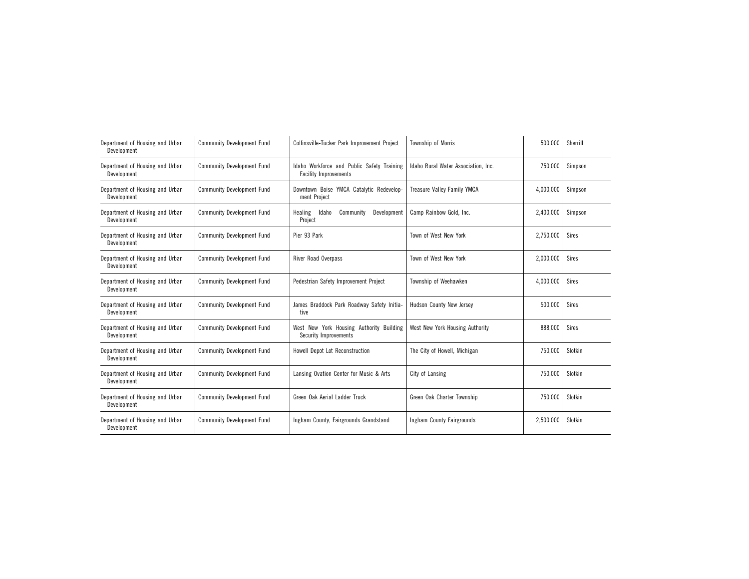| Department of Housing and Urban<br>Development | <b>Community Development Fund</b> | Collinsville-Tucker Park Improvement Project<br>Township of Morris         |                                     | 500,000   | Sherrill     |
|------------------------------------------------|-----------------------------------|----------------------------------------------------------------------------|-------------------------------------|-----------|--------------|
| Department of Housing and Urban<br>Development | <b>Community Development Fund</b> | Idaho Workforce and Public Safety Training<br><b>Facility Improvements</b> | Idaho Rural Water Association, Inc. | 750.000   | Simpson      |
| Department of Housing and Urban<br>Development | <b>Community Development Fund</b> | Downtown Boise YMCA Catalytic Redevelop-<br>ment Project                   | <b>Treasure Valley Family YMCA</b>  | 4,000,000 | Simpson      |
| Department of Housing and Urban<br>Development | <b>Community Development Fund</b> | Healing<br>Idaho<br>Community<br>Development<br>Project                    | Camp Rainbow Gold, Inc.             | 2,400,000 | Simpson      |
| Department of Housing and Urban<br>Development | <b>Community Development Fund</b> | Pier 93 Park                                                               | Town of West New York               | 2,750,000 | <b>Sires</b> |
| Department of Housing and Urban<br>Development | <b>Community Development Fund</b> | <b>River Road Overpass</b>                                                 | Town of West New York               | 2,000,000 | <b>Sires</b> |
| Department of Housing and Urban<br>Development | <b>Community Development Fund</b> | Pedestrian Safety Improvement Project                                      | Township of Weehawken               | 4,000,000 | <b>Sires</b> |
| Department of Housing and Urban<br>Development | <b>Community Development Fund</b> | James Braddock Park Roadway Safety Initia-<br>tive                         | Hudson County New Jersey            | 500,000   | <b>Sires</b> |
| Department of Housing and Urban<br>Development | <b>Community Development Fund</b> | West New York Housing Authority Building<br>Security Improvements          | West New York Housing Authority     | 888,000   | <b>Sires</b> |
| Department of Housing and Urban<br>Development | <b>Community Development Fund</b> | Howell Depot Lot Reconstruction                                            | The City of Howell, Michigan        | 750,000   | Slotkin      |
| Department of Housing and Urban<br>Development | <b>Community Development Fund</b> | Lansing Ovation Center for Music & Arts                                    | City of Lansing                     | 750,000   | Slotkin      |
| Department of Housing and Urban<br>Development | <b>Community Development Fund</b> | Green Oak Aerial Ladder Truck                                              | Green Oak Charter Township          | 750,000   | Slotkin      |
| Department of Housing and Urban<br>Development | <b>Community Development Fund</b> | Ingham County, Fairgrounds Grandstand                                      | Ingham County Fairgrounds           | 2,500,000 | Slotkin      |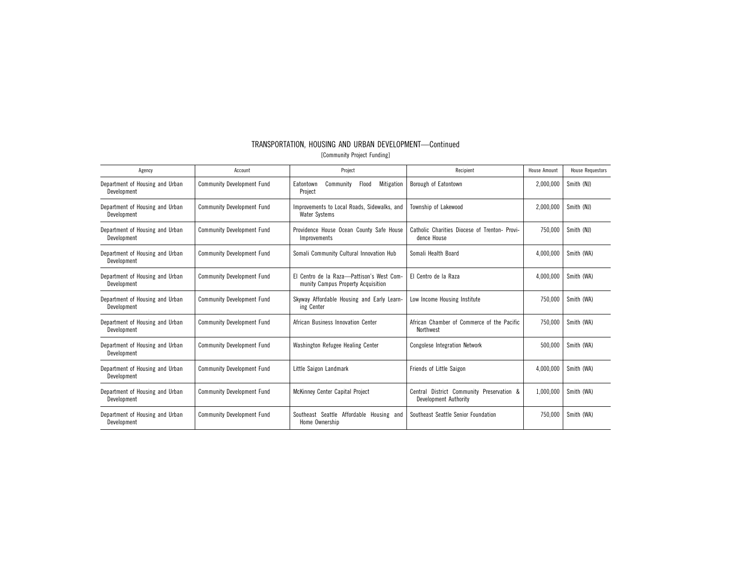| TRANSPORTATION. HOUSING AND URBAN DEVELOPMENT-Continued |  |                             |  |
|---------------------------------------------------------|--|-----------------------------|--|
|                                                         |  | [Community Project Funding] |  |

| Agency                                         | Account                           | Project                                                                         | Recipient                                                             | House Amount | <b>House Requestors</b> |
|------------------------------------------------|-----------------------------------|---------------------------------------------------------------------------------|-----------------------------------------------------------------------|--------------|-------------------------|
| Department of Housing and Urban<br>Development | <b>Community Development Fund</b> | Flood<br>Mitigation<br>Community<br>Eatontown<br>Project                        | Borough of Eatontown                                                  | 2,000,000    | Smith (NJ)              |
| Department of Housing and Urban<br>Development | <b>Community Development Fund</b> | Improvements to Local Roads, Sidewalks, and<br><b>Water Systems</b>             | Township of Lakewood                                                  | 2,000,000    | Smith (NJ)              |
| Department of Housing and Urban<br>Development | <b>Community Development Fund</b> | Providence House Ocean County Safe House<br>Improvements                        | Catholic Charities Diocese of Trenton- Provi-<br>dence House          | 750.000      | Smith (NJ)              |
| Department of Housing and Urban<br>Development | <b>Community Development Fund</b> | Somali Community Cultural Innovation Hub                                        | Somali Health Board                                                   | 4,000,000    | Smith (WA)              |
| Department of Housing and Urban<br>Development | <b>Community Development Fund</b> | El Centro de la Raza-Pattison's West Com-<br>munity Campus Property Acquisition | El Centro de la Raza                                                  | 4,000,000    | Smith (WA)              |
| Department of Housing and Urban<br>Development | <b>Community Development Fund</b> | Skyway Affordable Housing and Early Learn-<br>ing Center                        | Low Income Housing Institute                                          | 750.000      | Smith (WA)              |
| Department of Housing and Urban<br>Development | <b>Community Development Fund</b> | African Business Innovation Center                                              | African Chamber of Commerce of the Pacific<br>Northwest               | 750.000      | Smith (WA)              |
| Department of Housing and Urban<br>Development | <b>Community Development Fund</b> | Washington Refugee Healing Center                                               | <b>Congolese Integration Network</b>                                  | 500,000      | Smith (WA)              |
| Department of Housing and Urban<br>Development | <b>Community Development Fund</b> | Little Saigon Landmark                                                          | Friends of Little Saigon                                              | 4,000,000    | Smith (WA)              |
| Department of Housing and Urban<br>Development | <b>Community Development Fund</b> | McKinney Center Capital Project                                                 | District Community Preservation &<br>Central<br>Development Authority | 1,000,000    | Smith (WA)              |
| Department of Housing and Urban<br>Development | <b>Community Development Fund</b> | Southeast Seattle Affordable Housing and<br>Home Ownership                      | Southeast Seattle Senior Foundation                                   | 750.000      | Smith (WA)              |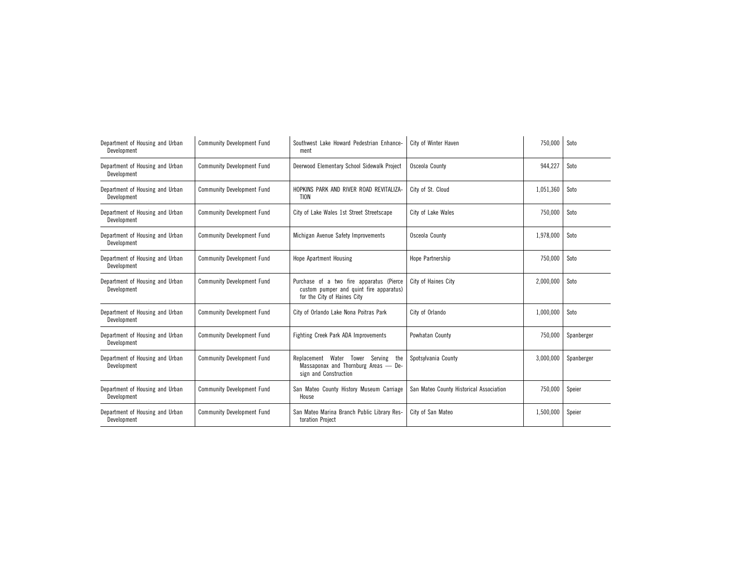| Department of Housing and Urban<br>Development | <b>Community Development Fund</b> | Southwest Lake Howard Pedestrian Enhance-<br>ment                                                                  | City of Winter Haven                    | 750,000   | Soto       |
|------------------------------------------------|-----------------------------------|--------------------------------------------------------------------------------------------------------------------|-----------------------------------------|-----------|------------|
| Department of Housing and Urban<br>Development | <b>Community Development Fund</b> | Deerwood Elementary School Sidewalk Project                                                                        | Osceola County                          | 944,227   | Soto       |
| Department of Housing and Urban<br>Development | <b>Community Development Fund</b> | HOPKINS PARK AND RIVER ROAD REVITALIZA-<br><b>TION</b>                                                             | City of St. Cloud                       | 1,051,360 | Soto       |
| Department of Housing and Urban<br>Development | <b>Community Development Fund</b> | City of Lake Wales 1st Street Streetscape                                                                          | City of Lake Wales                      | 750,000   | Soto       |
| Department of Housing and Urban<br>Development | <b>Community Development Fund</b> | Michigan Avenue Safety Improvements                                                                                | Osceola County                          | 1,978,000 | Soto       |
| Department of Housing and Urban<br>Development | <b>Community Development Fund</b> | <b>Hope Apartment Housing</b>                                                                                      | Hope Partnership                        | 750,000   | Soto       |
| Department of Housing and Urban<br>Development | <b>Community Development Fund</b> | Purchase of a two fire apparatus (Pierce<br>custom pumper and quint fire apparatus)<br>for the City of Haines City | City of Haines City                     | 2,000,000 | Soto       |
| Department of Housing and Urban<br>Development | <b>Community Development Fund</b> | City of Orlando Lake Nona Poitras Park                                                                             | City of Orlando                         | 1,000,000 | Soto       |
| Department of Housing and Urban<br>Development | <b>Community Development Fund</b> | Fighting Creek Park ADA Improvements                                                                               | Powhatan County                         | 750,000   | Spanberger |
| Department of Housing and Urban<br>Development | <b>Community Development Fund</b> | Replacement Water Tower Serving<br>the<br>Massaponax and Thornburg Areas - De-<br>sign and Construction            | Spotsylvania County                     | 3,000,000 | Spanberger |
| Department of Housing and Urban<br>Development | <b>Community Development Fund</b> | San Mateo County History Museum Carriage<br>House                                                                  | San Mateo County Historical Association | 750,000   | Speier     |
| Department of Housing and Urban<br>Development | <b>Community Development Fund</b> | San Mateo Marina Branch Public Library Res-<br>toration Project                                                    | City of San Mateo                       | 1,500,000 | Speier     |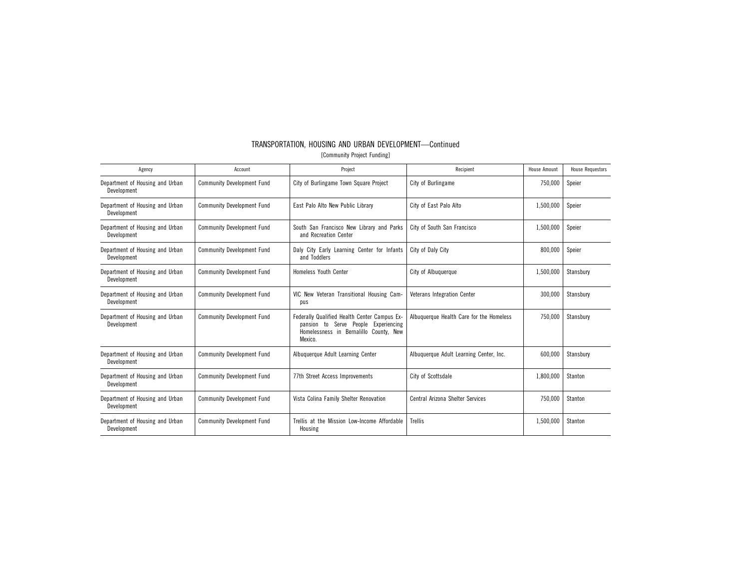| Agency                                         | Account                           | Project                                                                                                                                      | Recipient                                | House Amount | <b>House Requestors</b> |
|------------------------------------------------|-----------------------------------|----------------------------------------------------------------------------------------------------------------------------------------------|------------------------------------------|--------------|-------------------------|
| Department of Housing and Urban<br>Development | <b>Community Development Fund</b> | City of Burlingame Town Square Project                                                                                                       | City of Burlingame                       | 750,000      | Speier                  |
| Department of Housing and Urban<br>Development | <b>Community Development Fund</b> | East Palo Alto New Public Library                                                                                                            | City of East Palo Alto                   | 1,500,000    | Speier                  |
| Department of Housing and Urban<br>Development | <b>Community Development Fund</b> | South San Francisco New Library and Parks<br>and Recreation Center                                                                           | City of South San Francisco              | 1,500,000    | Speier                  |
| Department of Housing and Urban<br>Development | <b>Community Development Fund</b> | Daly City Early Learning Center for Infants<br>and Toddlers                                                                                  | City of Daly City                        |              | Speier                  |
| Department of Housing and Urban<br>Development | <b>Community Development Fund</b> | <b>Homeless Youth Center</b>                                                                                                                 | City of Albuquerque                      |              | Stansbury               |
| Department of Housing and Urban<br>Development | <b>Community Development Fund</b> | VIC New Veteran Transitional Housing Cam-<br>pus                                                                                             | <b>Veterans Integration Center</b>       | 300.000      | Stansbury               |
| Department of Housing and Urban<br>Development | <b>Community Development Fund</b> | Federally Qualified Health Center Campus Ex-<br>Serve People Experiencing<br>pansion to<br>Homelessness in Bernalillo County, New<br>Mexico. | Albuquerque Health Care for the Homeless | 750,000      | Stansbury               |
| Department of Housing and Urban<br>Development | <b>Community Development Fund</b> | Albuquerque Adult Learning Center                                                                                                            | Albuquerque Adult Learning Center, Inc.  | 600,000      | Stansbury               |
| Department of Housing and Urban<br>Development | <b>Community Development Fund</b> | 77th Street Access Improvements                                                                                                              | City of Scottsdale                       | 1,800,000    | Stanton                 |
| Department of Housing and Urban<br>Development | <b>Community Development Fund</b> | Vista Colina Family Shelter Renovation                                                                                                       | Central Arizona Shelter Services         | 750.000      | Stanton                 |
| Department of Housing and Urban<br>Development | <b>Community Development Fund</b> | Trellis at the Mission Low-Income Affordable<br>Housing                                                                                      | Trellis                                  | 1,500,000    | Stanton                 |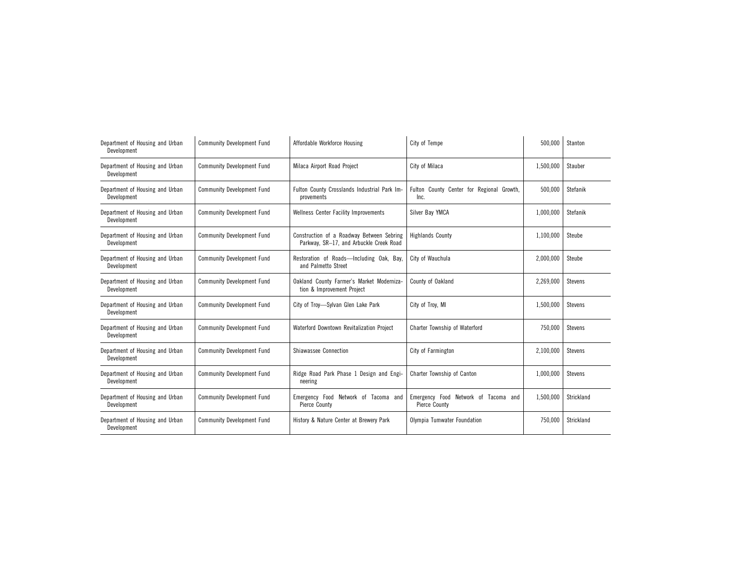| Department of Housing and Urban<br>Development | <b>Community Development Fund</b> | Affordable Workforce Housing                                                         | City of Tempe                                                | 500,000   | Stanton        |
|------------------------------------------------|-----------------------------------|--------------------------------------------------------------------------------------|--------------------------------------------------------------|-----------|----------------|
| Department of Housing and Urban<br>Development | <b>Community Development Fund</b> | Milaca Airport Road Project                                                          | City of Milaca                                               | 1,500,000 | Stauber        |
| Department of Housing and Urban<br>Development | <b>Community Development Fund</b> | Fulton County Crosslands Industrial Park Im-<br>provements                           | Fulton County Center for Regional Growth,<br>Inc.            | 500.000   | Stefanik       |
| Department of Housing and Urban<br>Development | <b>Community Development Fund</b> | <b>Wellness Center Facility Improvements</b>                                         | Silver Bay YMCA                                              | 1,000,000 | Stefanik       |
| Department of Housing and Urban<br>Development | <b>Community Development Fund</b> | Construction of a Roadway Between Sebring<br>Parkway, SR-17, and Arbuckle Creek Road | <b>Highlands County</b>                                      |           | Steube         |
| Department of Housing and Urban<br>Development | <b>Community Development Fund</b> | Restoration of Roads-Including Oak, Bay,<br>and Palmetto Street                      | City of Wauchula                                             | 2,000,000 | Steube         |
| Department of Housing and Urban<br>Development | <b>Community Development Fund</b> | Oakland County Farmer's Market Moderniza-<br>tion & Improvement Project              | County of Oakland                                            | 2,269,000 | <b>Stevens</b> |
| Department of Housing and Urban<br>Development | <b>Community Development Fund</b> | City of Troy-Sylvan Glen Lake Park                                                   | City of Troy, MI                                             | 1,500,000 | Stevens        |
| Department of Housing and Urban<br>Development | <b>Community Development Fund</b> | Waterford Downtown Revitalization Project                                            | Charter Township of Waterford                                | 750,000   | <b>Stevens</b> |
| Department of Housing and Urban<br>Development | <b>Community Development Fund</b> | Shiawassee Connection                                                                | City of Farmington                                           | 2,100,000 | <b>Stevens</b> |
| Department of Housing and Urban<br>Development | <b>Community Development Fund</b> | Ridge Road Park Phase 1 Design and Engi-<br>neering                                  | Charter Township of Canton                                   | 1,000,000 | <b>Stevens</b> |
| Department of Housing and Urban<br>Development | <b>Community Development Fund</b> | Emergency Food Network of Tacoma and<br><b>Pierce County</b>                         | Emergency Food Network of Tacoma and<br><b>Pierce County</b> | 1,500,000 | Strickland     |
| Department of Housing and Urban<br>Development | <b>Community Development Fund</b> | History & Nature Center at Brewery Park                                              | Olympia Tumwater Foundation                                  | 750,000   | Strickland     |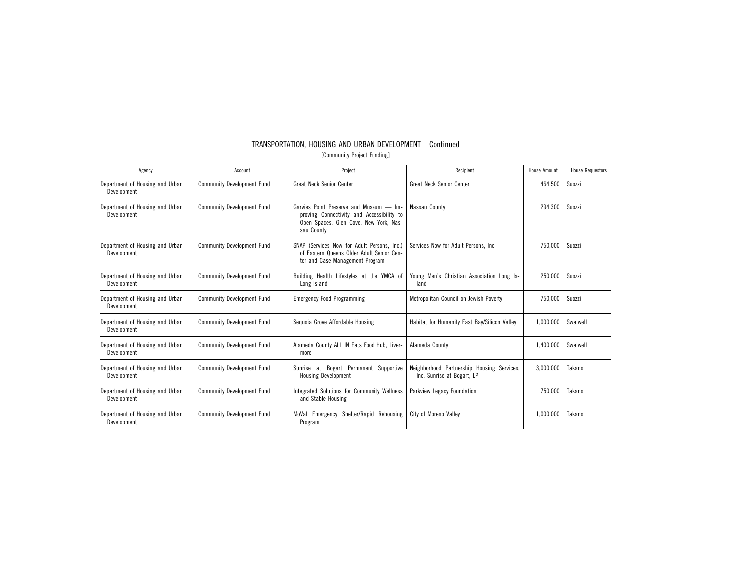| TRANSPORTATION. HOUSING AND URBAN DEVELOPMENT-Continued |  |                             |  |
|---------------------------------------------------------|--|-----------------------------|--|
|                                                         |  | [Community Project Funding] |  |

| Agency                                         | Account                           | Project                                                                                                                                      | Recipient                                                                | <b>House Amount</b> | <b>House Requestors</b> |
|------------------------------------------------|-----------------------------------|----------------------------------------------------------------------------------------------------------------------------------------------|--------------------------------------------------------------------------|---------------------|-------------------------|
| Department of Housing and Urban<br>Development | <b>Community Development Fund</b> | <b>Great Neck Senior Center</b>                                                                                                              | <b>Great Neck Senior Center</b>                                          | 464,500             | Suozzi                  |
| Department of Housing and Urban<br>Development | <b>Community Development Fund</b> | Garvies Point Preserve and Museum - Im-<br>proving Connectivity and Accessibility to<br>Open Spaces, Glen Cove, New York, Nas-<br>sau County | Nassau County                                                            | 294,300             | Suozzi                  |
| Department of Housing and Urban<br>Development | <b>Community Development Fund</b> | SNAP (Services Now for Adult Persons, Inc.)<br>of Eastern Queens Older Adult Senior Cen-<br>ter and Case Management Program                  | Services Now for Adult Persons. Inc.                                     | 750,000             | Suozzi                  |
| Department of Housing and Urban<br>Development | <b>Community Development Fund</b> | Building Health Lifestyles at the YMCA of<br>Long Island                                                                                     | Young Men's Christian Association Long Is-<br>land                       | 250.000             | Suozzi                  |
| Department of Housing and Urban<br>Development | <b>Community Development Fund</b> | <b>Emergency Food Programming</b>                                                                                                            | Metropolitan Council on Jewish Poverty                                   | 750,000             | Suozzi                  |
| Department of Housing and Urban<br>Development | <b>Community Development Fund</b> | Sequoia Grove Affordable Housing                                                                                                             | Habitat for Humanity East Bay/Silicon Valley                             | 1.000.000           | Swalwell                |
| Department of Housing and Urban<br>Development | <b>Community Development Fund</b> | Alameda County ALL IN Eats Food Hub, Liver-<br>more                                                                                          | Alameda County                                                           | 1,400,000           | Swalwell                |
| Department of Housing and Urban<br>Development | <b>Community Development Fund</b> | Sunrise at Bogart Permanent Supportive<br><b>Housing Development</b>                                                                         | Neighborhood Partnership Housing Services,<br>Inc. Sunrise at Bogart, LP | 3.000.000           | Takano                  |
| Department of Housing and Urban<br>Development | <b>Community Development Fund</b> | Integrated Solutions for Community Wellness<br>and Stable Housing                                                                            | Parkview Legacy Foundation                                               | 750,000             | Takano                  |
| Department of Housing and Urban<br>Development | <b>Community Development Fund</b> | Shelter/Rapid Rehousing<br>MoVal Emergency<br>Program                                                                                        | City of Moreno Valley                                                    | 1,000,000           | Takano                  |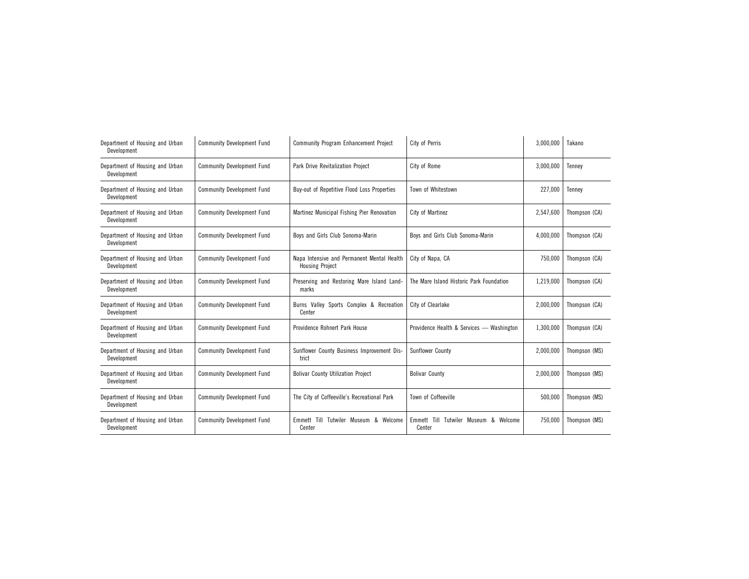| Department of Housing and Urban<br>Development | <b>Community Development Fund</b> | <b>Community Program Enhancement Project</b>                         | City of Perris                                        | 3,000,000 | Takano        |
|------------------------------------------------|-----------------------------------|----------------------------------------------------------------------|-------------------------------------------------------|-----------|---------------|
| Department of Housing and Urban<br>Development | <b>Community Development Fund</b> | <b>Park Drive Revitalization Project</b>                             | City of Rome                                          | 3.000.000 | Tennev        |
| Department of Housing and Urban<br>Development | <b>Community Development Fund</b> | Buy-out of Repetitive Flood Loss Properties                          | Town of Whitestown                                    | 227,000   | Tennev        |
| Department of Housing and Urban<br>Development | <b>Community Development Fund</b> | Martinez Municipal Fishing Pier Renovation                           | City of Martinez                                      | 2,547,600 | Thompson (CA) |
| Department of Housing and Urban<br>Development | <b>Community Development Fund</b> | Boys and Girls Club Sonoma-Marin                                     | Boys and Girls Club Sonoma-Marin                      | 4,000,000 | Thompson (CA) |
| Department of Housing and Urban<br>Development | <b>Community Development Fund</b> | Napa Intensive and Permanent Mental Health<br><b>Housing Project</b> | City of Napa, CA                                      | 750,000   | Thompson (CA) |
| Department of Housing and Urban<br>Development | <b>Community Development Fund</b> | Preserving and Restoring Mare Island Land-<br>marks                  | The Mare Island Historic Park Foundation              | 1,219,000 | Thompson (CA) |
| Department of Housing and Urban<br>Development | <b>Community Development Fund</b> | Burns Valley Sports Complex & Recreation<br>Center                   | City of Clearlake                                     | 2,000,000 | Thompson (CA) |
| Department of Housing and Urban<br>Development | <b>Community Development Fund</b> | Providence Rohnert Park House                                        | Providence Health & Services - Washington             | 1,300,000 | Thompson (CA) |
| Department of Housing and Urban<br>Development | <b>Community Development Fund</b> | Sunflower County Business Improvement Dis-<br>trict                  | Sunflower County                                      | 2.000.000 | Thompson (MS) |
| Department of Housing and Urban<br>Development | <b>Community Development Fund</b> | <b>Bolivar County Utilization Project</b>                            | <b>Bolivar County</b>                                 | 2,000,000 | Thompson (MS) |
| Department of Housing and Urban<br>Development | <b>Community Development Fund</b> | The City of Coffeeville's Recreational Park                          | Town of Coffeeville                                   | 500,000   | Thompson (MS) |
| Department of Housing and Urban<br>Development | <b>Community Development Fund</b> | Emmett Till Tutwiler Museum & Welcome<br>Center                      | Emmett Till<br>Tutwiler Museum &<br>Welcome<br>Center | 750,000   | Thompson (MS) |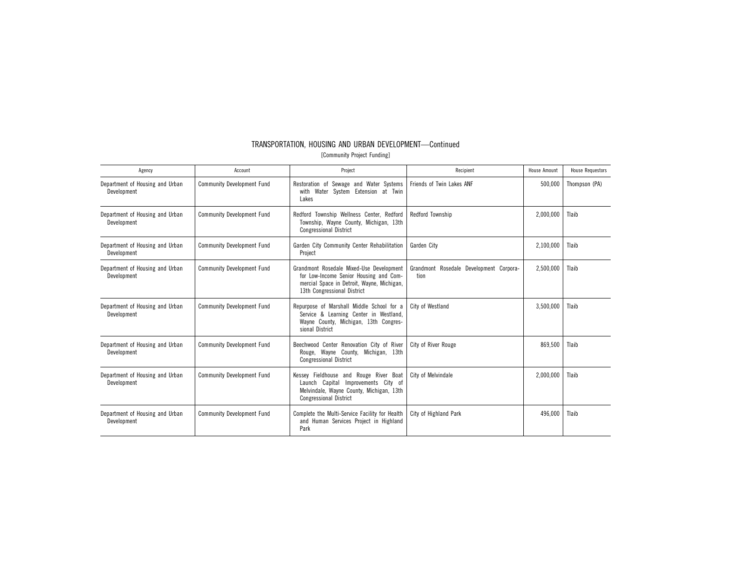| Agency                                         | Account                           | Project<br>Recipient                                                                                                                                                                                               |                           | <b>House Amount</b> | <b>House Requestors</b> |
|------------------------------------------------|-----------------------------------|--------------------------------------------------------------------------------------------------------------------------------------------------------------------------------------------------------------------|---------------------------|---------------------|-------------------------|
| Department of Housing and Urban<br>Development | <b>Community Development Fund</b> | Restoration of Sewage and Water Systems<br>with Water System Extension at Twin<br>Lakes                                                                                                                            | Friends of Twin Lakes ANF | 500,000             | Thompson (PA)           |
| Department of Housing and Urban<br>Development | <b>Community Development Fund</b> | Redford Township Wellness Center, Redford<br>Township, Wayne County, Michigan, 13th<br><b>Congressional District</b>                                                                                               | Redford Township          |                     | Tlaib                   |
| Department of Housing and Urban<br>Development | <b>Community Development Fund</b> | Garden City Community Center Rehabilitation<br>Garden City<br>Project                                                                                                                                              |                           | 2,100,000           | Tlaib                   |
| Department of Housing and Urban<br>Development | <b>Community Development Fund</b> | Grandmont Rosedale Development Corpora-<br>Grandmont Rosedale Mixed-Use Development<br>for Low-Income Senior Housing and Com-<br>tion<br>mercial Space in Detroit, Wayne, Michigan,<br>13th Congressional District |                           | 2,500,000           | Tlaib                   |
| Department of Housing and Urban<br>Development | <b>Community Development Fund</b> | Repurpose of Marshall Middle School for a<br>City of Westland<br>Service & Learning Center in Westland,<br>Wayne County, Michigan, 13th Congres-<br>sional District                                                |                           | 3,500,000           | Tlaib                   |
| Department of Housing and Urban<br>Development | <b>Community Development Fund</b> | Beechwood Center Renovation City of River<br>City of River Rouge<br>Rouge, Wayne County, Michigan, 13th<br><b>Congressional District</b>                                                                           |                           | 869,500             | Tlaib                   |
| Department of Housing and Urban<br>Development | <b>Community Development Fund</b> | Kessey Fieldhouse and Rouge River Boat<br>City of Melvindale<br>Launch Capital Improvements City of<br>Melvindale, Wayne County, Michigan, 13th<br><b>Congressional District</b>                                   |                           | 2,000,000           | Tlaib                   |
| Department of Housing and Urban<br>Development | <b>Community Development Fund</b> | Complete the Multi-Service Facility for Health<br>and Human Services Project in Highland<br>Park                                                                                                                   | City of Highland Park     | 496.000             | Tlaib                   |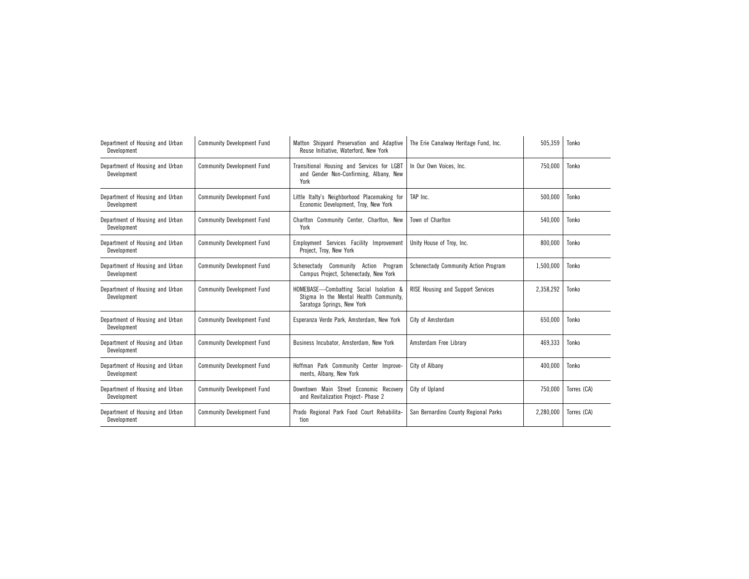| Department of Housing and Urban<br>Development | <b>Community Development Fund</b> | Matton Shipyard Preservation and Adaptive<br>The Erie Canalway Heritage Fund, Inc.<br>Reuse Initiative, Waterford, New York |                                          | 505,359   | Tonko       |
|------------------------------------------------|-----------------------------------|-----------------------------------------------------------------------------------------------------------------------------|------------------------------------------|-----------|-------------|
| Department of Housing and Urban<br>Development | <b>Community Development Fund</b> | Transitional Housing and Services for LGBT<br>and Gender Non-Confirming, Albany, New<br>York                                | In Our Own Voices, Inc.                  | 750,000   | Tonko       |
| Department of Housing and Urban<br>Development | <b>Community Development Fund</b> | Little Italty's Neighborhood Placemaking for<br>Economic Development, Troy, New York                                        | TAP Inc.                                 | 500,000   | Tonko       |
| Department of Housing and Urban<br>Development | <b>Community Development Fund</b> | Charlton Community Center, Charlton, New<br>York                                                                            | Town of Charlton                         | 540,000   | Tonko       |
| Department of Housing and Urban<br>Development | <b>Community Development Fund</b> | Employment Services Facility Improvement<br>Project, Troy, New York                                                         | Unity House of Troy, Inc.                | 800,000   | Tonko       |
| Department of Housing and Urban<br>Development | <b>Community Development Fund</b> | Schenectady Community Action Program<br>Campus Project, Schenectady, New York                                               | Schenectady Community Action Program     | 1,500,000 | Tonko       |
| Department of Housing and Urban<br>Development | <b>Community Development Fund</b> | HOMEBASE-Combatting Social Isolation &<br>Stigma In the Mental Health Community,<br>Saratoga Springs, New York              | <b>RISE Housing and Support Services</b> | 2,358,292 | Tonko       |
| Department of Housing and Urban<br>Development | <b>Community Development Fund</b> | Esperanza Verde Park, Amsterdam, New York                                                                                   | City of Amsterdam                        | 650,000   | Tonko       |
| Department of Housing and Urban<br>Development | <b>Community Development Fund</b> | Business Incubator, Amsterdam, New York                                                                                     | Amsterdam Free Library                   | 469,333   | Tonko       |
| Department of Housing and Urban<br>Development | <b>Community Development Fund</b> | Hoffman Park Community Center Improve-<br>ments, Albany, New York                                                           | City of Albany                           | 400,000   | Tonko       |
| Department of Housing and Urban<br>Development | <b>Community Development Fund</b> | Downtown Main Street Economic Recovery<br>and Revitalization Project- Phase 2                                               | City of Upland                           | 750,000   | Torres (CA) |
| Department of Housing and Urban<br>Development | <b>Community Development Fund</b> | Prado Regional Park Food Court Rehabilita-<br>tion                                                                          | San Bernardino County Regional Parks     | 2,280,000 | Torres (CA) |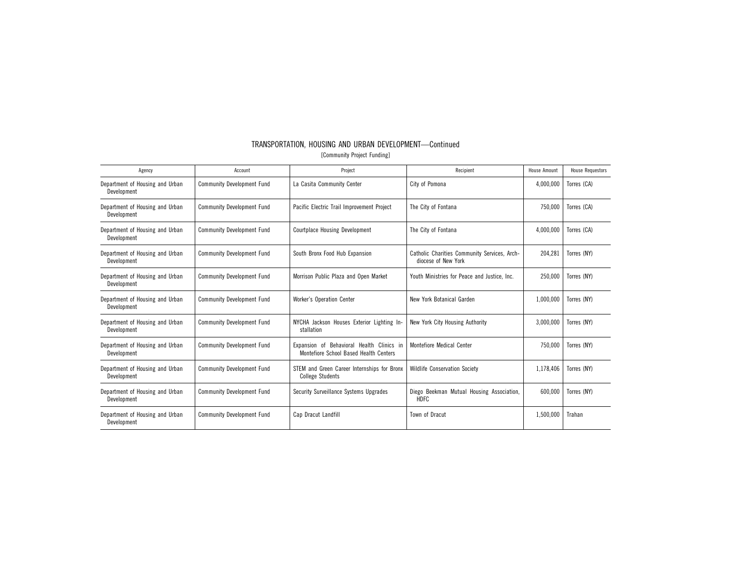|                             | TRANSPORTATION, HOUSING AND URBAN DEVELOPMENT—Continued |  |  |  |  |  |
|-----------------------------|---------------------------------------------------------|--|--|--|--|--|
| [Community Project Funding] |                                                         |  |  |  |  |  |

| Agency                                         | Account                           | Project                                                                                                                 | Recipient                                                           | House Amount | <b>House Requestors</b> |
|------------------------------------------------|-----------------------------------|-------------------------------------------------------------------------------------------------------------------------|---------------------------------------------------------------------|--------------|-------------------------|
| Department of Housing and Urban<br>Development | <b>Community Development Fund</b> | La Casita Community Center                                                                                              | City of Pomona                                                      | 4,000,000    | Torres (CA)             |
| Department of Housing and Urban<br>Development | <b>Community Development Fund</b> | Pacific Electric Trail Improvement Project                                                                              | The City of Fontana                                                 | 750,000      | Torres (CA)             |
| Department of Housing and Urban<br>Development | <b>Community Development Fund</b> | <b>Courtplace Housing Development</b>                                                                                   | The City of Fontana                                                 |              | Torres (CA)             |
| Department of Housing and Urban<br>Development | <b>Community Development Fund</b> | South Bronx Food Hub Expansion                                                                                          | Catholic Charities Community Services, Arch-<br>diocese of New York |              | Torres (NY)             |
| Department of Housing and Urban<br>Development | <b>Community Development Fund</b> | Youth Ministries for Peace and Justice, Inc.<br>Morrison Public Plaza and Open Market                                   |                                                                     | 250,000      | Torres (NY)             |
| Department of Housing and Urban<br>Development | <b>Community Development Fund</b> | <b>Worker's Operation Center</b><br>New York Botanical Garden                                                           |                                                                     | 1,000,000    | Torres (NY)             |
| Department of Housing and Urban<br>Development | <b>Community Development Fund</b> | NYCHA Jackson Houses Exterior Lighting In-<br>New York City Housing Authority<br>stallation                             |                                                                     | 3.000.000    | Torres (NY)             |
| Department of Housing and Urban<br>Development | <b>Community Development Fund</b> | Expansion of Behavioral Health Clinics in<br><b>Montefiore Medical Center</b><br>Montefiore School Based Health Centers |                                                                     | 750,000      | Torres (NY)             |
| Department of Housing and Urban<br>Development | <b>Community Development Fund</b> | STEM and Green Career Internships for Bronx<br><b>Wildlife Conservation Society</b><br><b>College Students</b>          |                                                                     | 1,178,406    | Torres (NY)             |
| Department of Housing and Urban<br>Development | <b>Community Development Fund</b> | Security Surveillance Systems Upgrades                                                                                  | Diego Beekman Mutual Housing Association,<br><b>HDFC</b>            | 600.000      | Torres (NY)             |
| Department of Housing and Urban<br>Development | <b>Community Development Fund</b> | Cap Dracut Landfill                                                                                                     | Town of Dracut                                                      | 1,500,000    | Trahan                  |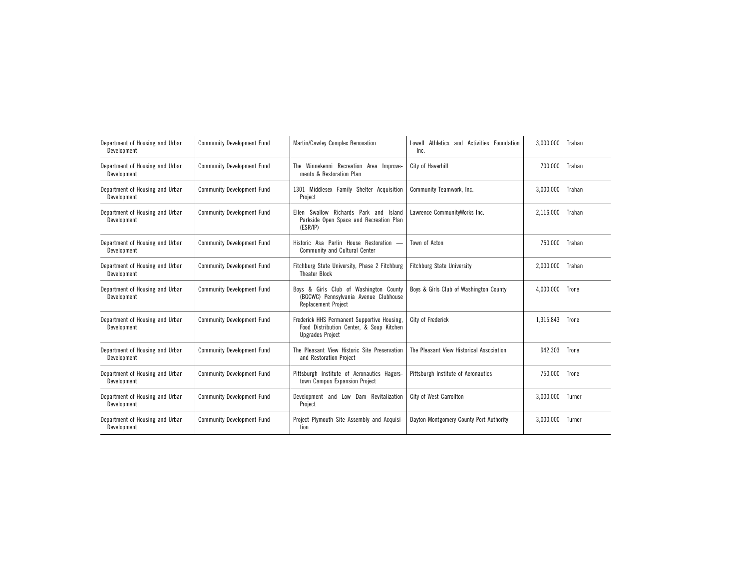| Department of Housing and Urban<br>Development | <b>Community Development Fund</b> | Martin/Cawley Complex Renovation                                                                                   | Lowell Athletics and Activities Foundation<br>Inc. | 3,000,000 | Trahan |
|------------------------------------------------|-----------------------------------|--------------------------------------------------------------------------------------------------------------------|----------------------------------------------------|-----------|--------|
| Department of Housing and Urban<br>Development | <b>Community Development Fund</b> | The Winnekenni Recreation Area Improve-<br>ments & Restoration Plan                                                | City of Haverhill                                  | 700,000   | Trahan |
| Department of Housing and Urban<br>Development | <b>Community Development Fund</b> | 1301 Middlesex Family Shelter Acquisition<br>Project                                                               | Community Teamwork, Inc.                           | 3,000,000 | Trahan |
| Department of Housing and Urban<br>Development | <b>Community Development Fund</b> | Ellen Swallow Richards Park and Island<br>Parkside Open Space and Recreation Plan<br>(ESR/IP)                      | Lawrence CommunityWorks Inc.                       | 2,116,000 | Trahan |
| Department of Housing and Urban<br>Development | <b>Community Development Fund</b> | Historic Asa Parlin House Restoration -<br>Community and Cultural Center                                           | Town of Acton                                      | 750.000   | Trahan |
| Department of Housing and Urban<br>Development | <b>Community Development Fund</b> | Fitchburg State University, Phase 2 Fitchburg<br><b>Theater Block</b>                                              | <b>Fitchburg State University</b>                  | 2,000,000 | Trahan |
| Department of Housing and Urban<br>Development | <b>Community Development Fund</b> | Boys & Girls Club of Washington County<br>(BGCWC) Pennsylvania Avenue Clubhouse<br><b>Replacement Project</b>      | Boys & Girls Club of Washington County             | 4,000,000 | Trone  |
| Department of Housing and Urban<br>Development | <b>Community Development Fund</b> | Frederick HHS Permanent Supportive Housing,<br>Food Distribution Center, & Soup Kitchen<br><b>Upgrades Project</b> | City of Frederick                                  | 1,315,843 | Trone  |
| Department of Housing and Urban<br>Development | <b>Community Development Fund</b> | The Pleasant View Historic Site Preservation<br>and Restoration Project                                            | The Pleasant View Historical Association           | 942,303   | Trone  |
| Department of Housing and Urban<br>Development | <b>Community Development Fund</b> | Pittsburgh Institute of Aeronautics Hagers-<br>town Campus Expansion Project                                       | Pittsburgh Institute of Aeronautics                | 750,000   | Trone  |
| Department of Housing and Urban<br>Development | <b>Community Development Fund</b> | Development and Low Dam Revitalization<br>Project                                                                  | City of West Carrollton                            | 3,000,000 | Turner |
| Department of Housing and Urban<br>Development | <b>Community Development Fund</b> | Project Plymouth Site Assembly and Acquisi-<br>tion                                                                | Dayton-Montgomery County Port Authority            | 3,000,000 | Turner |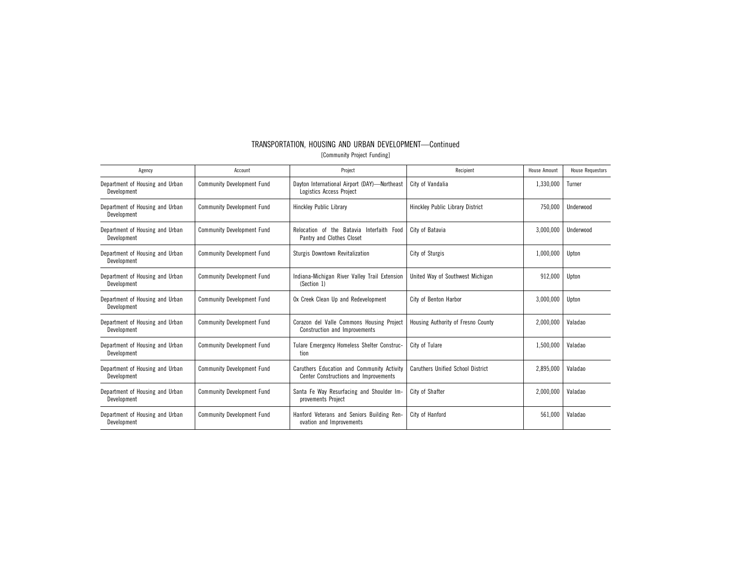| Agency                                         | Account                           | Project                                                                                                                  | Recipient                          | House Amount | <b>House Requestors</b> |
|------------------------------------------------|-----------------------------------|--------------------------------------------------------------------------------------------------------------------------|------------------------------------|--------------|-------------------------|
| Department of Housing and Urban<br>Development | <b>Community Development Fund</b> | Dayton International Airport (DAY)-Northeast<br>Logistics Access Project                                                 | City of Vandalia                   | 1,330,000    | Turner                  |
| Department of Housing and Urban<br>Development | <b>Community Development Fund</b> | <b>Hinckley Public Library</b>                                                                                           | Hinckley Public Library District   | 750,000      | Underwood               |
| Department of Housing and Urban<br>Development | <b>Community Development Fund</b> | Relocation of the Batavia Interfaith Food<br>Pantry and Clothes Closet                                                   | City of Batavia                    | 3,000,000    | Underwood               |
| Department of Housing and Urban<br>Development | <b>Community Development Fund</b> | <b>Sturgis Downtown Revitalization</b>                                                                                   | City of Sturgis                    | 1,000,000    | Upton                   |
| Department of Housing and Urban<br>Development | <b>Community Development Fund</b> | United Way of Southwest Michigan<br>Indiana-Michigan River Valley Trail Extension<br>(Section 1)                         |                                    | 912,000      | Upton                   |
| Department of Housing and Urban<br>Development | <b>Community Development Fund</b> | Ox Creek Clean Up and Redevelopment                                                                                      | City of Benton Harbor              | 3,000,000    | Upton                   |
| Department of Housing and Urban<br>Development | <b>Community Development Fund</b> | Corazon del Valle Commons Housing Project<br>Construction and Improvements                                               | Housing Authority of Fresno County | 2,000,000    | Valadao                 |
| Department of Housing and Urban<br>Development | <b>Community Development Fund</b> | Tulare Emergency Homeless Shelter Construc-<br>tion                                                                      | City of Tulare                     | 1,500,000    | Valadao                 |
| Department of Housing and Urban<br>Development | <b>Community Development Fund</b> | Caruthers Education and Community Activity<br>Caruthers Unified School District<br>Center Constructions and Improvements |                                    | 2,895,000    | Valadao                 |
| Department of Housing and Urban<br>Development | <b>Community Development Fund</b> | Santa Fe Way Resurfacing and Shoulder Im-<br>provements Project                                                          | City of Shafter                    | 2,000,000    | Valadao                 |
| Department of Housing and Urban<br>Development | <b>Community Development Fund</b> | Hanford Veterans and Seniors Building Ren-<br>ovation and Improvements                                                   | City of Hanford                    | 561,000      | Valadao                 |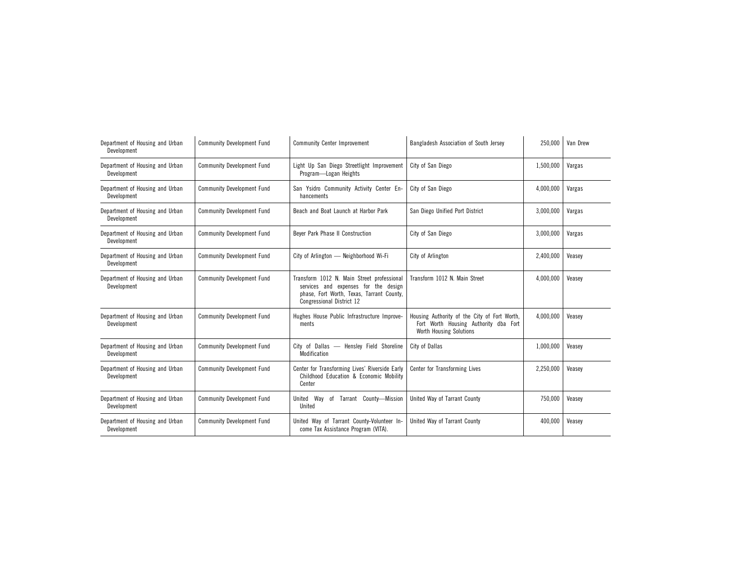| Department of Housing and Urban<br>Development | <b>Community Development Fund</b> | <b>Community Center Improvement</b>                                                                                                                          | Bangladesh Association of South Jersey                                                                                  | 250,000   | Van Drew |
|------------------------------------------------|-----------------------------------|--------------------------------------------------------------------------------------------------------------------------------------------------------------|-------------------------------------------------------------------------------------------------------------------------|-----------|----------|
| Department of Housing and Urban<br>Development | <b>Community Development Fund</b> | Light Up San Diego Streetlight Improvement<br>Program-Logan Heights                                                                                          | City of San Diego                                                                                                       | 1,500,000 | Vargas   |
| Department of Housing and Urban<br>Development | <b>Community Development Fund</b> | San Ysidro Community Activity Center En-<br>hancements                                                                                                       | City of San Diego                                                                                                       | 4,000,000 | Vargas   |
| Department of Housing and Urban<br>Development | <b>Community Development Fund</b> | Beach and Boat Launch at Harbor Park                                                                                                                         | San Diego Unified Port District                                                                                         | 3,000,000 | Vargas   |
| Department of Housing and Urban<br>Development | <b>Community Development Fund</b> | Beyer Park Phase II Construction                                                                                                                             | City of San Diego                                                                                                       | 3,000,000 | Vargas   |
| Department of Housing and Urban<br>Development | <b>Community Development Fund</b> | City of Arlington - Neighborhood Wi-Fi                                                                                                                       | City of Arlington                                                                                                       | 2,400,000 | Veasey   |
| Department of Housing and Urban<br>Development | <b>Community Development Fund</b> | Transform 1012 N. Main Street professional<br>services and expenses for the design<br>phase, Fort Worth, Texas, Tarrant County,<br>Congressional District 12 | Transform 1012 N. Main Street                                                                                           | 4,000,000 | Veasey   |
| Department of Housing and Urban<br>Development | <b>Community Development Fund</b> | Hughes House Public Infrastructure Improve-<br>ments                                                                                                         | Housing Authority of the City of Fort Worth,<br>Fort Worth Housing Authority dba Fort<br><b>Worth Housing Solutions</b> | 4,000,000 | Veasey   |
| Department of Housing and Urban<br>Development | <b>Community Development Fund</b> | City of Dallas - Hensley Field Shoreline<br>Modification                                                                                                     | City of Dallas                                                                                                          | 1,000,000 | Veasey   |
| Department of Housing and Urban<br>Development | <b>Community Development Fund</b> | Center for Transforming Lives' Riverside Early<br>Childhood Education & Economic Mobility<br>Center                                                          | Center for Transforming Lives                                                                                           | 2,250,000 | Veasey   |
| Department of Housing and Urban<br>Development | <b>Community Development Fund</b> | United Way of Tarrant County-Mission<br>United                                                                                                               | United Way of Tarrant County                                                                                            | 750,000   | Veasey   |
| Department of Housing and Urban<br>Development | <b>Community Development Fund</b> | United Way of Tarrant County-Volunteer In-<br>come Tax Assistance Program (VITA).                                                                            | United Wav of Tarrant County                                                                                            | 400,000   | Veasey   |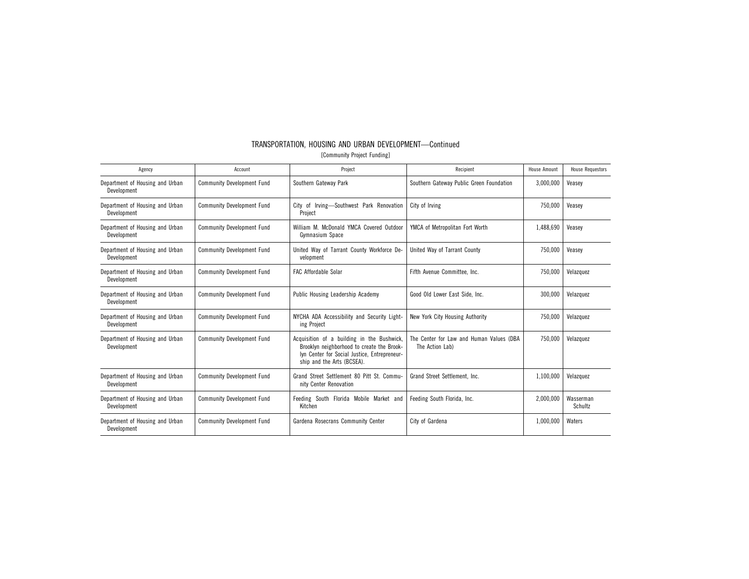| TRANSPORTATION, HOUSING AND URBAN DEVELOPMENT-Continued |
|---------------------------------------------------------|
| [Community Project Funding]                             |
|                                                         |

| Agency                                         | Account                           | Project<br>Recipient                                                                                                                                                                                                                  |                                          | <b>House Amount</b> | <b>House Requestors</b> |
|------------------------------------------------|-----------------------------------|---------------------------------------------------------------------------------------------------------------------------------------------------------------------------------------------------------------------------------------|------------------------------------------|---------------------|-------------------------|
| Department of Housing and Urban<br>Development | <b>Community Development Fund</b> | Southern Gateway Park                                                                                                                                                                                                                 | Southern Gateway Public Green Foundation | 3,000,000           | Veasev                  |
| Department of Housing and Urban<br>Development | <b>Community Development Fund</b> | City of Irving-Southwest Park Renovation<br>Project                                                                                                                                                                                   | City of Irving                           | 750.000             | Veasev                  |
| Department of Housing and Urban<br>Development | <b>Community Development Fund</b> | William M. McDonald YMCA Covered Outdoor<br>Gymnasium Space                                                                                                                                                                           | YMCA of Metropolitan Fort Worth          |                     | Veasey                  |
| Department of Housing and Urban<br>Development | <b>Community Development Fund</b> | United Way of Tarrant County Workforce De-<br>velopment                                                                                                                                                                               | United Way of Tarrant County             |                     | Veasev                  |
| Department of Housing and Urban<br>Development | <b>Community Development Fund</b> | <b>FAC Affordable Solar</b><br>Fifth Avenue Committee, Inc.                                                                                                                                                                           |                                          | 750,000             | Velazquez               |
| Department of Housing and Urban<br>Development | <b>Community Development Fund</b> | Public Housing Leadership Academy                                                                                                                                                                                                     | Good Old Lower East Side, Inc.           | 300,000             | Velazquez               |
| Department of Housing and Urban<br>Development | <b>Community Development Fund</b> | NYCHA ADA Accessibility and Security Light-<br>New York City Housing Authority<br>ing Project                                                                                                                                         |                                          | 750,000             | Velazquez               |
| Department of Housing and Urban<br>Development | <b>Community Development Fund</b> | Acquisition of a building in the Bushwick,<br>The Center for Law and Human Values (DBA<br>Brooklyn neighborhood to create the Brook-<br>The Action Lab)<br>lyn Center for Social Justice, Entrepreneur-<br>ship and the Arts (BCSEA). |                                          | 750.000             | Velazquez               |
| Department of Housing and Urban<br>Development | <b>Community Development Fund</b> | Grand Street Settlement 80 Pitt St. Commu-<br>nity Center Renovation                                                                                                                                                                  | Grand Street Settlement. Inc.            | 1,100,000           | Velazquez               |
| Department of Housing and Urban<br>Development | <b>Community Development Fund</b> | Feeding South Florida Mobile Market and<br>Kitchen                                                                                                                                                                                    | Feeding South Florida, Inc.              | 2,000,000           | Wasserman<br>Schultz    |
| Department of Housing and Urban<br>Development | <b>Community Development Fund</b> | Gardena Rosecrans Community Center                                                                                                                                                                                                    | City of Gardena                          | 1,000,000           | Waters                  |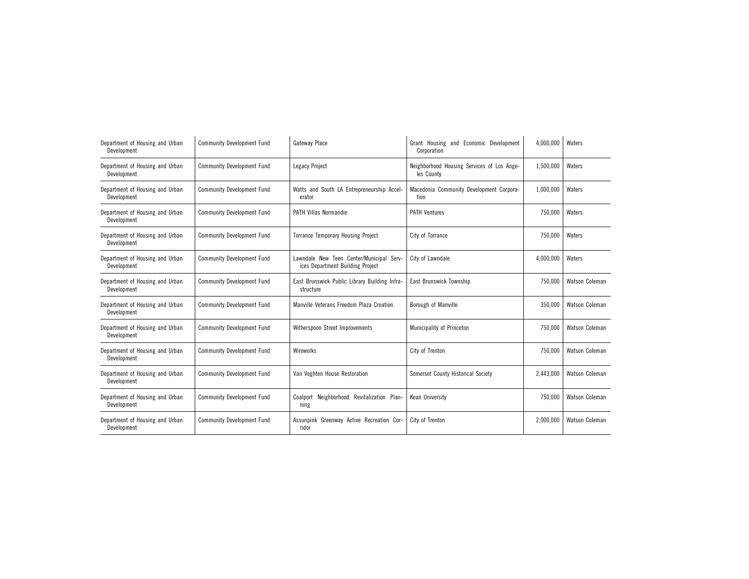| Department of Housing and Urban<br>Development | <b>Community Development Fund</b> | Gateway Place                                                                | Grant Housing and Economic Development<br>Corporation    | 4,000,000 | Waters         |
|------------------------------------------------|-----------------------------------|------------------------------------------------------------------------------|----------------------------------------------------------|-----------|----------------|
| Department of Housing and Urban<br>Development | <b>Community Development Fund</b> | Legacy Project                                                               | Neighborhood Housing Services of Los Ange-<br>les County | 1,500,000 | Waters         |
| Department of Housing and Urban<br>Development | <b>Community Development Fund</b> | Watts and South LA Entrepreneurship Accel-<br>erator                         | Macedonia Community Development Corpora-<br>tion         | 1,000,000 | Waters         |
| Department of Housing and Urban<br>Development | <b>Community Development Fund</b> | <b>PATH Villas Normandie</b>                                                 | <b>PATH Ventures</b>                                     | 750,000   | Waters         |
| Department of Housing and Urban<br>Development | <b>Community Development Fund</b> | <b>Torrance Temporary Housing Project</b>                                    | City of Torrance                                         | 750.000   | Waters         |
| Department of Housing and Urban<br>Development | <b>Community Development Fund</b> | Lawndale New Teen Center/Municipal Serv-<br>ices Department Building Project | City of Lawndale                                         | 4,000,000 | Waters         |
| Department of Housing and Urban<br>Development | <b>Community Development Fund</b> | East Brunswick Public Library Building Infra-<br>structure                   | East Brunswick Township                                  | 750,000   | Watson Coleman |
| Department of Housing and Urban<br>Development | <b>Community Development Fund</b> | Manville Veterans Freedom Plaza Creation                                     | Borough of Manville                                      | 350,000   | Watson Coleman |
| Department of Housing and Urban<br>Development | <b>Community Development Fund</b> | Witherspoon Street Improvements                                              | Municipality of Princeton                                | 750.000   | Watson Coleman |
| Department of Housing and Urban<br>Development | <b>Community Development Fund</b> | Wireworks                                                                    | City of Trenton                                          | 750,000   | Watson Coleman |
| Department of Housing and Urban<br>Development | <b>Community Development Fund</b> | Van Veghten House Restoration                                                | Somerset County Historical Society                       | 2,443,000 | Watson Coleman |
| Department of Housing and Urban<br>Development | <b>Community Development Fund</b> | Coalport Neighborhood Revitalization Plan-<br>ning                           | Kean University                                          | 750,000   | Watson Coleman |
| Department of Housing and Urban<br>Development | <b>Community Development Fund</b> | Assunpink Greenway Active Recreation Cor-<br>ridor                           | City of Trenton                                          | 2,000,000 | Watson Coleman |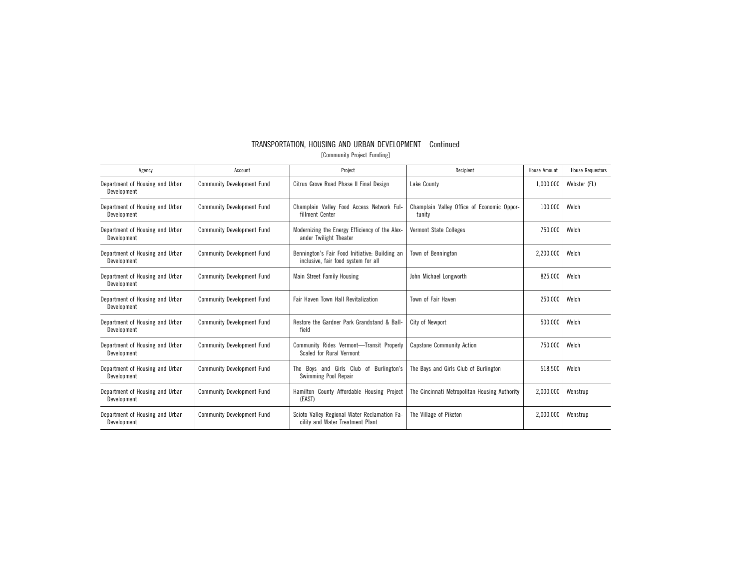| TRANSPORTATION, HOUSING AND URBAN DEVELOPMENT-Continued |  |  |  |  |  |  |
|---------------------------------------------------------|--|--|--|--|--|--|
| [Community Project Funding]                             |  |  |  |  |  |  |

| Agency                                         | Account                           | Project                                                                               | Recipient                                            | <b>House Amount</b> | <b>House Requestors</b> |
|------------------------------------------------|-----------------------------------|---------------------------------------------------------------------------------------|------------------------------------------------------|---------------------|-------------------------|
| Department of Housing and Urban<br>Development | <b>Community Development Fund</b> | Citrus Grove Road Phase II Final Design                                               | Lake County                                          | 1,000,000           | Webster (FL)            |
| Department of Housing and Urban<br>Development | <b>Community Development Fund</b> | Champlain Valley Food Access Network Ful-<br>fillment Center                          | Champlain Valley Office of Economic Oppor-<br>tunity | 100.000             | Welch                   |
| Department of Housing and Urban<br>Development | <b>Community Development Fund</b> | Modernizing the Energy Efficiency of the Alex-<br>ander Twilight Theater              | <b>Vermont State Colleges</b>                        | 750.000             | Welch                   |
| Department of Housing and Urban<br>Development | <b>Community Development Fund</b> | Bennington's Fair Food Initiative: Building an<br>inclusive, fair food system for all | Town of Bennington                                   | 2,200,000           | Welch                   |
| Department of Housing and Urban<br>Development | <b>Community Development Fund</b> | Main Street Family Housing                                                            | John Michael Longworth                               | 825,000             | Welch                   |
| Department of Housing and Urban<br>Development | <b>Community Development Fund</b> | Fair Haven Town Hall Revitalization                                                   | Town of Fair Haven                                   | 250,000             | Welch                   |
| Department of Housing and Urban<br>Development | <b>Community Development Fund</b> | Restore the Gardner Park Grandstand & Ball-<br>field                                  | City of Newport                                      | 500,000             | Welch                   |
| Department of Housing and Urban<br>Development | <b>Community Development Fund</b> | Community Rides Vermont-Transit Properly<br>Scaled for Rural Vermont                  | <b>Capstone Community Action</b>                     | 750,000             | Welch                   |
| Department of Housing and Urban<br>Development | <b>Community Development Fund</b> | The Boys and Girls Club of Burlington's<br>Swimming Pool Repair                       | The Boys and Girls Club of Burlington                | 518,500             | Welch                   |
| Department of Housing and Urban<br>Development | <b>Community Development Fund</b> | Hamilton County Affordable Housing Project<br>(EAST)                                  | The Cincinnati Metropolitan Housing Authority        | 2,000,000           | Wenstrup                |
| Department of Housing and Urban<br>Development | <b>Community Development Fund</b> | Scioto Valley Regional Water Reclamation Fa-<br>cility and Water Treatment Plant      | The Village of Piketon                               | 2,000,000           | Wenstrup                |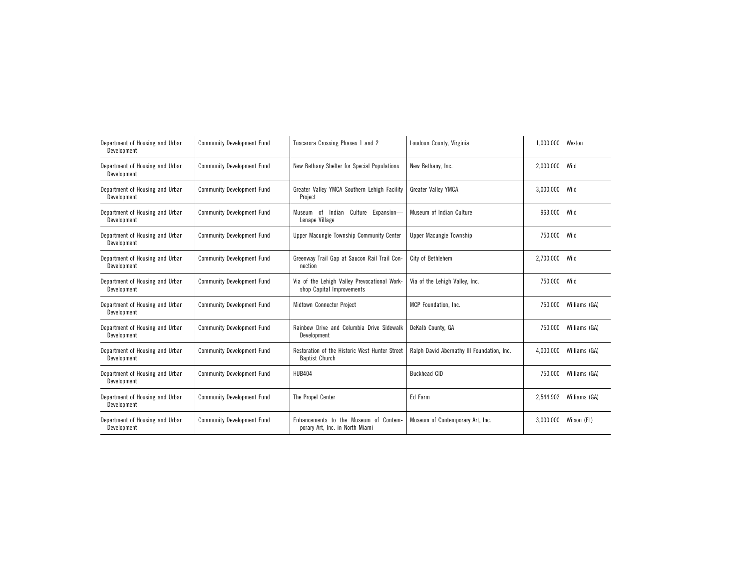| Department of Housing and Urban<br>Development | <b>Community Development Fund</b> | Tuscarora Crossing Phases 1 and 2                                         | Loudoun County, Virginia                   | 1,000,000 | Wexton        |
|------------------------------------------------|-----------------------------------|---------------------------------------------------------------------------|--------------------------------------------|-----------|---------------|
| Department of Housing and Urban<br>Development | <b>Community Development Fund</b> | New Bethany Shelter for Special Populations                               | New Bethany, Inc.                          | 2,000,000 | Wild          |
| Department of Housing and Urban<br>Development | <b>Community Development Fund</b> | Greater Valley YMCA Southern Lehigh Facility<br>Project                   | Greater Valley YMCA                        | 3,000,000 | Wild          |
| Department of Housing and Urban<br>Development | <b>Community Development Fund</b> | Culture Expansion-<br>Museum of Indian<br>Lenape Village                  | Museum of Indian Culture                   | 963,000   | Wild          |
| Department of Housing and Urban<br>Development | <b>Community Development Fund</b> | Upper Macungie Township Community Center                                  | Upper Macungie Township                    | 750,000   | Wild          |
| Department of Housing and Urban<br>Development | <b>Community Development Fund</b> | Greenway Trail Gap at Saucon Rail Trail Con-<br>nection                   | City of Bethlehem                          | 2,700,000 | Wild          |
| Department of Housing and Urban<br>Development | <b>Community Development Fund</b> | Via of the Lehigh Valley Prevocational Work-<br>shop Capital Improvements | Via of the Lehigh Valley, Inc.             | 750,000   | Wild          |
| Department of Housing and Urban<br>Development | <b>Community Development Fund</b> | Midtown Connector Project                                                 | MCP Foundation, Inc.                       | 750,000   | Williams (GA) |
| Department of Housing and Urban<br>Development | <b>Community Development Fund</b> | Rainbow Drive and Columbia Drive Sidewalk<br>Development                  | DeKalb County, GA                          | 750,000   | Williams (GA) |
| Department of Housing and Urban<br>Development | <b>Community Development Fund</b> | Restoration of the Historic West Hunter Street<br><b>Baptist Church</b>   | Ralph David Abernathy III Foundation, Inc. | 4,000,000 | Williams (GA) |
| Department of Housing and Urban<br>Development | <b>Community Development Fund</b> | <b>HUB404</b>                                                             | <b>Buckhead CID</b>                        | 750.000   | Williams (GA) |
| Department of Housing and Urban<br>Development | <b>Community Development Fund</b> | The Propel Center                                                         | Ed Farm                                    | 2,544,902 | Williams (GA) |
| Department of Housing and Urban<br>Development | <b>Community Development Fund</b> | Enhancements to the Museum of Contem-<br>porary Art, Inc. in North Miami  | Museum of Contemporary Art, Inc.           | 3,000,000 | Wilson (FL)   |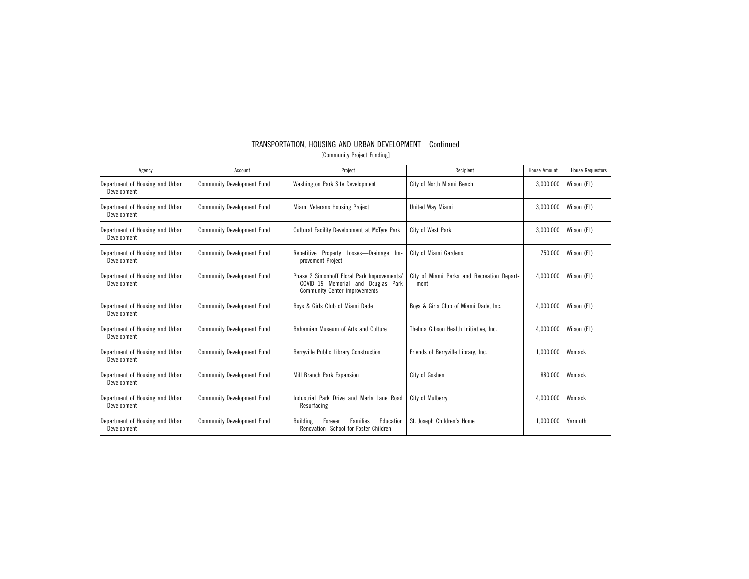|                             | TRANSPORTATION. HOUSING AND URBAN DEVELOPMENT-Continued |  |  |
|-----------------------------|---------------------------------------------------------|--|--|
| [Community Project Funding] |                                                         |  |  |

| Agency                                         | Account                           | Project                                                                                                                   | Recipient                                          | House Amount | <b>House Requestors</b> |
|------------------------------------------------|-----------------------------------|---------------------------------------------------------------------------------------------------------------------------|----------------------------------------------------|--------------|-------------------------|
| Department of Housing and Urban<br>Development | <b>Community Development Fund</b> | Washington Park Site Development                                                                                          | City of North Miami Beach                          | 3,000,000    | Wilson (FL)             |
| Department of Housing and Urban<br>Development | <b>Community Development Fund</b> | Miami Veterans Housing Project                                                                                            | United Wav Miami                                   | 3.000.000    | Wilson (FL)             |
| Department of Housing and Urban<br>Development | <b>Community Development Fund</b> | Cultural Facility Development at McTyre Park                                                                              | City of West Park                                  | 3,000,000    | Wilson (FL)             |
| Department of Housing and Urban<br>Development | <b>Community Development Fund</b> | Repetitive Property<br>Losses-Drainage Im-<br>provement Project                                                           | City of Miami Gardens                              | 750,000      | Wilson (FL)             |
| Department of Housing and Urban<br>Development | <b>Community Development Fund</b> | Phase 2 Simonhoff Floral Park Improvements/<br>COVID-19 Memorial and Douglas Park<br><b>Community Center Improvements</b> | City of Miami Parks and Recreation Depart-<br>ment | 4.000.000    | Wilson (FL)             |
| Department of Housing and Urban<br>Development | <b>Community Development Fund</b> | Boys & Girls Club of Miami Dade                                                                                           | Boys & Girls Club of Miami Dade, Inc.              | 4,000,000    | Wilson (FL)             |
| Department of Housing and Urban<br>Development | <b>Community Development Fund</b> | Bahamian Museum of Arts and Culture                                                                                       | Thelma Gibson Health Initiative, Inc.              | 4,000,000    | Wilson (FL)             |
| Department of Housing and Urban<br>Development | <b>Community Development Fund</b> | Berryville Public Library Construction                                                                                    | Friends of Berryville Library, Inc.                | 1,000,000    | Womack                  |
| Department of Housing and Urban<br>Development | <b>Community Development Fund</b> | Mill Branch Park Expansion                                                                                                | City of Goshen                                     | 880,000      | Womack                  |
| Department of Housing and Urban<br>Development | <b>Community Development Fund</b> | Industrial Park Drive and Marla Lane Road<br>Resurfacing                                                                  | City of Mulberry                                   | 4,000,000    | Womack                  |
| Department of Housing and Urban<br>Development | <b>Community Development Fund</b> | <b>Families</b><br><b>Building</b><br>Forever<br>Education<br>Renovation- School for Foster Children                      | St. Joseph Children's Home                         | 1,000,000    | Yarmuth                 |